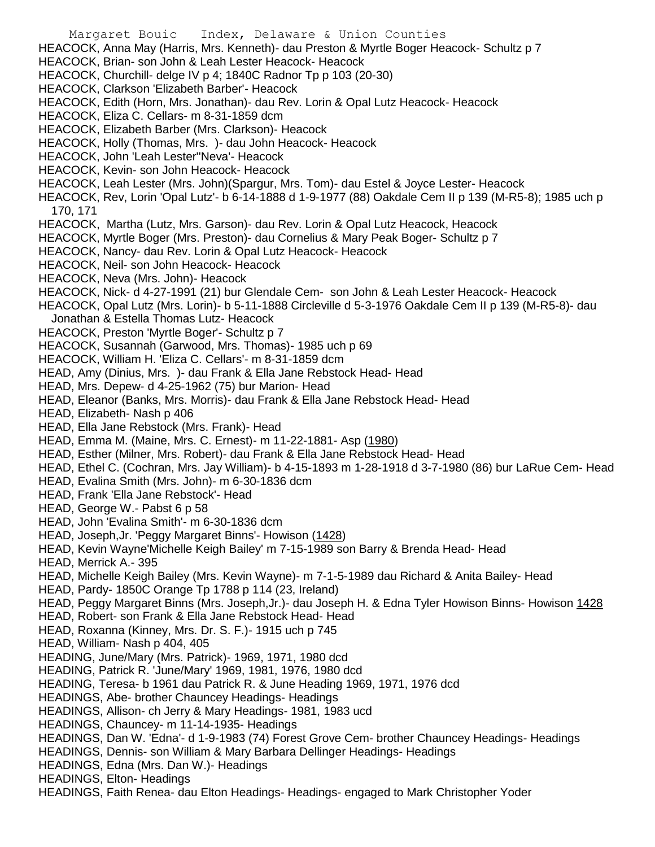Margaret Bouic Index, Delaware & Union Counties HEACOCK, Anna May (Harris, Mrs. Kenneth)- dau Preston & Myrtle Boger Heacock- Schultz p 7 HEACOCK, Brian- son John & Leah Lester Heacock- Heacock HEACOCK, Churchill- delge IV p 4; 1840C Radnor Tp p 103 (20-30) HEACOCK, Clarkson 'Elizabeth Barber'- Heacock HEACOCK, Edith (Horn, Mrs. Jonathan)- dau Rev. Lorin & Opal Lutz Heacock- Heacock HEACOCK, Eliza C. Cellars- m 8-31-1859 dcm HEACOCK, Elizabeth Barber (Mrs. Clarkson)- Heacock HEACOCK, Holly (Thomas, Mrs. )- dau John Heacock- Heacock HEACOCK, John 'Leah Lester''Neva'- Heacock HEACOCK, Kevin- son John Heacock- Heacock HEACOCK, Leah Lester (Mrs. John)(Spargur, Mrs. Tom)- dau Estel & Joyce Lester- Heacock HEACOCK, Rev, Lorin 'Opal Lutz'- b 6-14-1888 d 1-9-1977 (88) Oakdale Cem II p 139 (M-R5-8); 1985 uch p 170, 171 HEACOCK, Martha (Lutz, Mrs. Garson)- dau Rev. Lorin & Opal Lutz Heacock, Heacock HEACOCK, Myrtle Boger (Mrs. Preston)- dau Cornelius & Mary Peak Boger- Schultz p 7 HEACOCK, Nancy- dau Rev. Lorin & Opal Lutz Heacock- Heacock HEACOCK, Neil- son John Heacock- Heacock HEACOCK, Neva (Mrs. John)- Heacock HEACOCK, Nick- d 4-27-1991 (21) bur Glendale Cem- son John & Leah Lester Heacock- Heacock HEACOCK, Opal Lutz (Mrs. Lorin)- b 5-11-1888 Circleville d 5-3-1976 Oakdale Cem II p 139 (M-R5-8)- dau Jonathan & Estella Thomas Lutz- Heacock HEACOCK, Preston 'Myrtle Boger'- Schultz p 7 HEACOCK, Susannah (Garwood, Mrs. Thomas)- 1985 uch p 69 HEACOCK, William H. 'Eliza C. Cellars'- m 8-31-1859 dcm HEAD, Amy (Dinius, Mrs. )- dau Frank & Ella Jane Rebstock Head- Head HEAD, Mrs. Depew- d 4-25-1962 (75) bur Marion- Head HEAD, Eleanor (Banks, Mrs. Morris)- dau Frank & Ella Jane Rebstock Head- Head HEAD, Elizabeth- Nash p 406 HEAD, Ella Jane Rebstock (Mrs. Frank)- Head HEAD, Emma M. (Maine, Mrs. C. Ernest)- m 11-22-1881- Asp (1980) HEAD, Esther (Milner, Mrs. Robert)- dau Frank & Ella Jane Rebstock Head- Head HEAD, Ethel C. (Cochran, Mrs. Jay William)- b 4-15-1893 m 1-28-1918 d 3-7-1980 (86) bur LaRue Cem- Head HEAD, Evalina Smith (Mrs. John)- m 6-30-1836 dcm HEAD, Frank 'Ella Jane Rebstock'- Head HEAD, George W.- Pabst 6 p 58 HEAD, John 'Evalina Smith'- m 6-30-1836 dcm HEAD, Joseph,Jr. 'Peggy Margaret Binns'- Howison (1428) HEAD, Kevin Wayne'Michelle Keigh Bailey' m 7-15-1989 son Barry & Brenda Head- Head HEAD, Merrick A.- 395 HEAD, Michelle Keigh Bailey (Mrs. Kevin Wayne)- m 7-1-5-1989 dau Richard & Anita Bailey- Head HEAD, Pardy- 1850C Orange Tp 1788 p 114 (23, Ireland) HEAD, Peggy Margaret Binns (Mrs. Joseph,Jr.)- dau Joseph H. & Edna Tyler Howison Binns- Howison 1428 HEAD, Robert- son Frank & Ella Jane Rebstock Head- Head HEAD, Roxanna (Kinney, Mrs. Dr. S. F.)- 1915 uch p 745 HEAD, William- Nash p 404, 405 HEADING, June/Mary (Mrs. Patrick)- 1969, 1971, 1980 dcd HEADING, Patrick R. 'June/Mary' 1969, 1981, 1976, 1980 dcd HEADING, Teresa- b 1961 dau Patrick R. & June Heading 1969, 1971, 1976 dcd HEADINGS, Abe- brother Chauncey Headings- Headings HEADINGS, Allison- ch Jerry & Mary Headings- 1981, 1983 ucd HEADINGS, Chauncey- m 11-14-1935- Headings HEADINGS, Dan W. 'Edna'- d 1-9-1983 (74) Forest Grove Cem- brother Chauncey Headings- Headings HEADINGS, Dennis- son William & Mary Barbara Dellinger Headings- Headings HEADINGS, Edna (Mrs. Dan W.)- Headings HEADINGS, Elton- Headings HEADINGS, Faith Renea- dau Elton Headings- Headings- engaged to Mark Christopher Yoder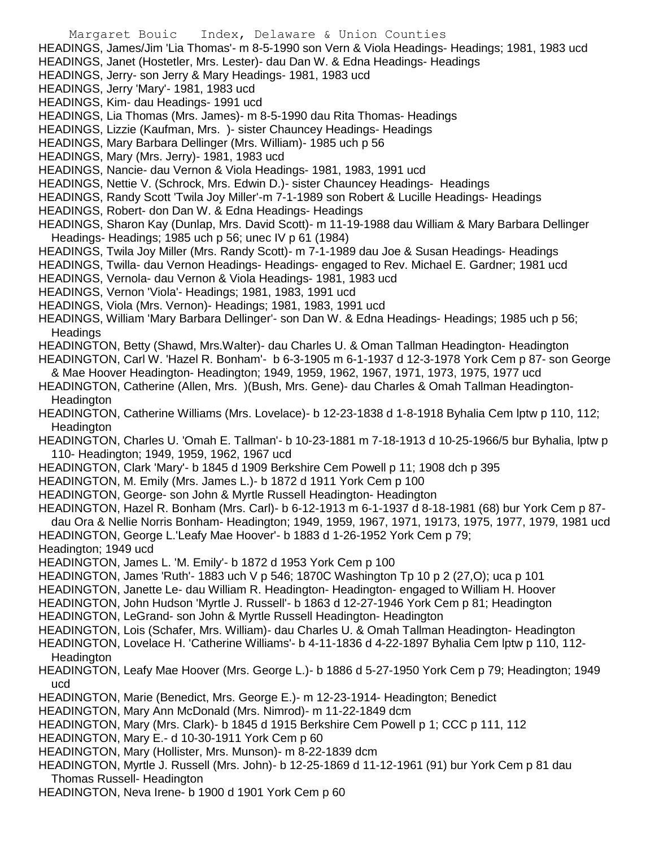- Margaret Bouic Index, Delaware & Union Counties HEADINGS, James/Jim 'Lia Thomas'- m 8-5-1990 son Vern & Viola Headings- Headings; 1981, 1983 ucd HEADINGS, Janet (Hostetler, Mrs. Lester)- dau Dan W. & Edna Headings- Headings HEADINGS, Jerry- son Jerry & Mary Headings- 1981, 1983 ucd HEADINGS, Jerry 'Mary'- 1981, 1983 ucd HEADINGS, Kim- dau Headings- 1991 ucd HEADINGS, Lia Thomas (Mrs. James)- m 8-5-1990 dau Rita Thomas- Headings HEADINGS, Lizzie (Kaufman, Mrs. )- sister Chauncey Headings- Headings HEADINGS, Mary Barbara Dellinger (Mrs. William)- 1985 uch p 56 HEADINGS, Mary (Mrs. Jerry)- 1981, 1983 ucd HEADINGS, Nancie- dau Vernon & Viola Headings- 1981, 1983, 1991 ucd HEADINGS, Nettie V. (Schrock, Mrs. Edwin D.)- sister Chauncey Headings- Headings HEADINGS, Randy Scott 'Twila Joy Miller'-m 7-1-1989 son Robert & Lucille Headings- Headings HEADINGS, Robert- don Dan W. & Edna Headings- Headings HEADINGS, Sharon Kay (Dunlap, Mrs. David Scott)- m 11-19-1988 dau William & Mary Barbara Dellinger Headings- Headings; 1985 uch p 56; unec IV p 61 (1984) HEADINGS, Twila Joy Miller (Mrs. Randy Scott)- m 7-1-1989 dau Joe & Susan Headings- Headings HEADINGS, Twilla- dau Vernon Headings- Headings- engaged to Rev. Michael E. Gardner; 1981 ucd HEADINGS, Vernola- dau Vernon & Viola Headings- 1981, 1983 ucd HEADINGS, Vernon 'Viola'- Headings; 1981, 1983, 1991 ucd HEADINGS, Viola (Mrs. Vernon)- Headings; 1981, 1983, 1991 ucd HEADINGS, William 'Mary Barbara Dellinger'- son Dan W. & Edna Headings- Headings; 1985 uch p 56; Headings HEADINGTON, Betty (Shawd, Mrs.Walter)- dau Charles U. & Oman Tallman Headington- Headington HEADINGTON, Carl W. 'Hazel R. Bonham'- b 6-3-1905 m 6-1-1937 d 12-3-1978 York Cem p 87- son George & Mae Hoover Headington- Headington; 1949, 1959, 1962, 1967, 1971, 1973, 1975, 1977 ucd HEADINGTON, Catherine (Allen, Mrs. )(Bush, Mrs. Gene)- dau Charles & Omah Tallman Headington-**Headington** HEADINGTON, Catherine Williams (Mrs. Lovelace)- b 12-23-1838 d 1-8-1918 Byhalia Cem lptw p 110, 112; **Headington** HEADINGTON, Charles U. 'Omah E. Tallman'- b 10-23-1881 m 7-18-1913 d 10-25-1966/5 bur Byhalia, lptw p 110- Headington; 1949, 1959, 1962, 1967 ucd HEADINGTON, Clark 'Mary'- b 1845 d 1909 Berkshire Cem Powell p 11; 1908 dch p 395 HEADINGTON, M. Emily (Mrs. James L.)- b 1872 d 1911 York Cem p 100 HEADINGTON, George- son John & Myrtle Russell Headington- Headington HEADINGTON, Hazel R. Bonham (Mrs. Carl)- b 6-12-1913 m 6-1-1937 d 8-18-1981 (68) bur York Cem p 87 dau Ora & Nellie Norris Bonham- Headington; 1949, 1959, 1967, 1971, 19173, 1975, 1977, 1979, 1981 ucd HEADINGTON, George L.'Leafy Mae Hoover'- b 1883 d 1-26-1952 York Cem p 79; Headington; 1949 ucd HEADINGTON, James L. 'M. Emily'- b 1872 d 1953 York Cem p 100 HEADINGTON, James 'Ruth'- 1883 uch V p 546; 1870C Washington Tp 10 p 2 (27,O); uca p 101 HEADINGTON, Janette Le- dau William R. Headington- Headington- engaged to William H. Hoover HEADINGTON, John Hudson 'Myrtle J. Russell'- b 1863 d 12-27-1946 York Cem p 81; Headington HEADINGTON, LeGrand- son John & Myrtle Russell Headington- Headington HEADINGTON, Lois (Schafer, Mrs. William)- dau Charles U. & Omah Tallman Headington- Headington HEADINGTON, Lovelace H. 'Catherine Williams'- b 4-11-1836 d 4-22-1897 Byhalia Cem lptw p 110, 112- **Headington** HEADINGTON, Leafy Mae Hoover (Mrs. George L.)- b 1886 d 5-27-1950 York Cem p 79; Headington; 1949 ucd HEADINGTON, Marie (Benedict, Mrs. George E.)- m 12-23-1914- Headington; Benedict HEADINGTON, Mary Ann McDonald (Mrs. Nimrod)- m 11-22-1849 dcm HEADINGTON, Mary (Mrs. Clark)- b 1845 d 1915 Berkshire Cem Powell p 1; CCC p 111, 112 HEADINGTON, Mary E.- d 10-30-1911 York Cem p 60 HEADINGTON, Mary (Hollister, Mrs. Munson)- m 8-22-1839 dcm HEADINGTON, Myrtle J. Russell (Mrs. John)- b 12-25-1869 d 11-12-1961 (91) bur York Cem p 81 dau Thomas Russell- Headington
- HEADINGTON, Neva Irene- b 1900 d 1901 York Cem p 60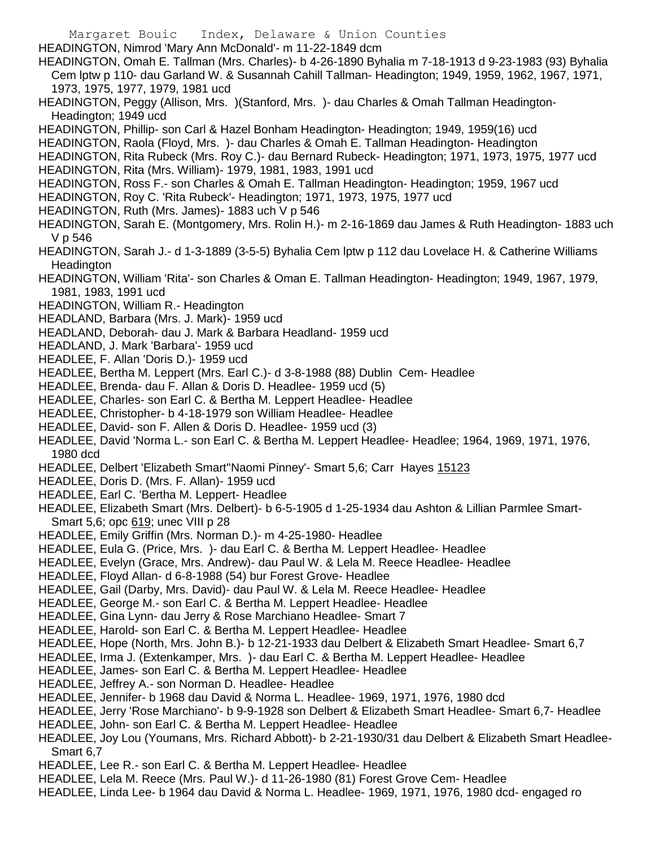HEADINGTON, Nimrod 'Mary Ann McDonald'- m 11-22-1849 dcm HEADINGTON, Omah E. Tallman (Mrs. Charles)- b 4-26-1890 Byhalia m 7-18-1913 d 9-23-1983 (93) Byhalia Cem lptw p 110- dau Garland W. & Susannah Cahill Tallman- Headington; 1949, 1959, 1962, 1967, 1971, 1973, 1975, 1977, 1979, 1981 ucd

- HEADINGTON, Peggy (Allison, Mrs. )(Stanford, Mrs. )- dau Charles & Omah Tallman Headington-Headington; 1949 ucd
- HEADINGTON, Phillip- son Carl & Hazel Bonham Headington- Headington; 1949, 1959(16) ucd
- HEADINGTON, Raola (Floyd, Mrs. )- dau Charles & Omah E. Tallman Headington- Headington
- HEADINGTON, Rita Rubeck (Mrs. Roy C.)- dau Bernard Rubeck- Headington; 1971, 1973, 1975, 1977 ucd
- HEADINGTON, Rita (Mrs. William)- 1979, 1981, 1983, 1991 ucd
- HEADINGTON, Ross F.- son Charles & Omah E. Tallman Headington- Headington; 1959, 1967 ucd
- HEADINGTON, Roy C. 'Rita Rubeck'- Headington; 1971, 1973, 1975, 1977 ucd

Margaret Bouic Index, Delaware & Union Counties

- HEADINGTON, Ruth (Mrs. James)- 1883 uch V p 546
- HEADINGTON, Sarah E. (Montgomery, Mrs. Rolin H.)- m 2-16-1869 dau James & Ruth Headington- 1883 uch V p 546
- HEADINGTON, Sarah J.- d 1-3-1889 (3-5-5) Byhalia Cem lptw p 112 dau Lovelace H. & Catherine Williams **Headington**
- HEADINGTON, William 'Rita'- son Charles & Oman E. Tallman Headington- Headington; 1949, 1967, 1979, 1981, 1983, 1991 ucd
- HEADINGTON, William R.- Headington
- HEADLAND, Barbara (Mrs. J. Mark)- 1959 ucd
- HEADLAND, Deborah- dau J. Mark & Barbara Headland- 1959 ucd
- HEADLAND, J. Mark 'Barbara'- 1959 ucd
- HEADLEE, F. Allan 'Doris D.)- 1959 ucd
- HEADLEE, Bertha M. Leppert (Mrs. Earl C.)- d 3-8-1988 (88) Dublin Cem- Headlee
- HEADLEE, Brenda- dau F. Allan & Doris D. Headlee- 1959 ucd (5)
- HEADLEE, Charles- son Earl C. & Bertha M. Leppert Headlee- Headlee
- HEADLEE, Christopher- b 4-18-1979 son William Headlee- Headlee
- HEADLEE, David- son F. Allen & Doris D. Headlee- 1959 ucd (3)
- HEADLEE, David 'Norma L.- son Earl C. & Bertha M. Leppert Headlee- Headlee; 1964, 1969, 1971, 1976, 1980 dcd
- HEADLEE, Delbert 'Elizabeth Smart''Naomi Pinney'- Smart 5,6; Carr Hayes 15123
- HEADLEE, Doris D. (Mrs. F. Allan)- 1959 ucd
- HEADLEE, Earl C. 'Bertha M. Leppert- Headlee
- HEADLEE, Elizabeth Smart (Mrs. Delbert)- b 6-5-1905 d 1-25-1934 dau Ashton & Lillian Parmlee Smart-Smart 5,6; opc 619; unec VIII p 28
- HEADLEE, Emily Griffin (Mrs. Norman D.)- m 4-25-1980- Headlee
- HEADLEE, Eula G. (Price, Mrs. )- dau Earl C. & Bertha M. Leppert Headlee- Headlee
- HEADLEE, Evelyn (Grace, Mrs. Andrew)- dau Paul W. & Lela M. Reece Headlee- Headlee
- HEADLEE, Floyd Allan- d 6-8-1988 (54) bur Forest Grove- Headlee
- HEADLEE, Gail (Darby, Mrs. David)- dau Paul W. & Lela M. Reece Headlee- Headlee
- HEADLEE, George M.- son Earl C. & Bertha M. Leppert Headlee- Headlee
- HEADLEE, Gina Lynn- dau Jerry & Rose Marchiano Headlee- Smart 7
- HEADLEE, Harold- son Earl C. & Bertha M. Leppert Headlee- Headlee
- HEADLEE, Hope (North, Mrs. John B.)- b 12-21-1933 dau Delbert & Elizabeth Smart Headlee- Smart 6,7
- HEADLEE, Irma J. (Extenkamper, Mrs. )- dau Earl C. & Bertha M. Leppert Headlee- Headlee
- HEADLEE, James- son Earl C. & Bertha M. Leppert Headlee- Headlee
- HEADLEE, Jeffrey A.- son Norman D. Headlee- Headlee
- HEADLEE, Jennifer- b 1968 dau David & Norma L. Headlee- 1969, 1971, 1976, 1980 dcd
- HEADLEE, Jerry 'Rose Marchiano'- b 9-9-1928 son Delbert & Elizabeth Smart Headlee- Smart 6,7- Headlee
- HEADLEE, John- son Earl C. & Bertha M. Leppert Headlee- Headlee
- HEADLEE, Joy Lou (Youmans, Mrs. Richard Abbott)- b 2-21-1930/31 dau Delbert & Elizabeth Smart Headlee-Smart 6,7
- HEADLEE, Lee R.- son Earl C. & Bertha M. Leppert Headlee- Headlee
- HEADLEE, Lela M. Reece (Mrs. Paul W.)- d 11-26-1980 (81) Forest Grove Cem- Headlee
- HEADLEE, Linda Lee- b 1964 dau David & Norma L. Headlee- 1969, 1971, 1976, 1980 dcd- engaged ro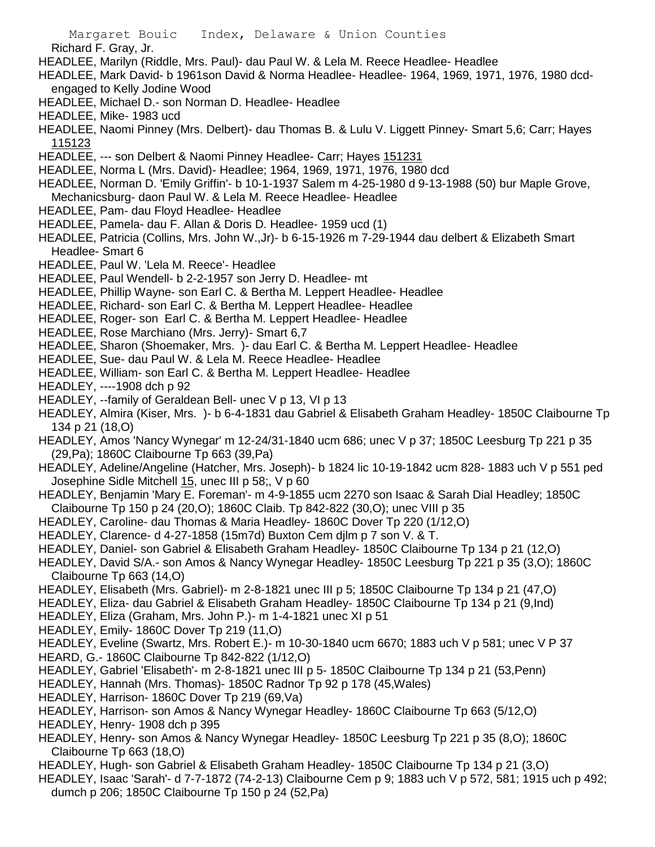Richard F. Gray, Jr.

- HEADLEE, Marilyn (Riddle, Mrs. Paul)- dau Paul W. & Lela M. Reece Headlee- Headlee
- HEADLEE, Mark David- b 1961son David & Norma Headlee- Headlee- 1964, 1969, 1971, 1976, 1980 dcdengaged to Kelly Jodine Wood
- HEADLEE, Michael D.- son Norman D. Headlee- Headlee
- HEADLEE, Mike- 1983 ucd
- HEADLEE, Naomi Pinney (Mrs. Delbert)- dau Thomas B. & Lulu V. Liggett Pinney- Smart 5,6; Carr; Hayes 115123
- HEADLEE, --- son Delbert & Naomi Pinney Headlee- Carr; Hayes 151231
- HEADLEE, Norma L (Mrs. David)- Headlee; 1964, 1969, 1971, 1976, 1980 dcd
- HEADLEE, Norman D. 'Emily Griffin'- b 10-1-1937 Salem m 4-25-1980 d 9-13-1988 (50) bur Maple Grove, Mechanicsburg- daon Paul W. & Lela M. Reece Headlee- Headlee
- HEADLEE, Pam- dau Floyd Headlee- Headlee
- HEADLEE, Pamela- dau F. Allan & Doris D. Headlee- 1959 ucd (1)
- HEADLEE, Patricia (Collins, Mrs. John W.,Jr)- b 6-15-1926 m 7-29-1944 dau delbert & Elizabeth Smart Headlee- Smart 6
- HEADLEE, Paul W. 'Lela M. Reece'- Headlee
- HEADLEE, Paul Wendell- b 2-2-1957 son Jerry D. Headlee- mt
- HEADLEE, Phillip Wayne- son Earl C. & Bertha M. Leppert Headlee- Headlee
- HEADLEE, Richard- son Earl C. & Bertha M. Leppert Headlee- Headlee
- HEADLEE, Roger- son Earl C. & Bertha M. Leppert Headlee- Headlee
- HEADLEE, Rose Marchiano (Mrs. Jerry)- Smart 6,7
- HEADLEE, Sharon (Shoemaker, Mrs. )- dau Earl C. & Bertha M. Leppert Headlee- Headlee
- HEADLEE, Sue- dau Paul W. & Lela M. Reece Headlee- Headlee
- HEADLEE, William- son Earl C. & Bertha M. Leppert Headlee- Headlee
- HEADLEY, ----1908 dch p 92
- HEADLEY, --family of Geraldean Bell- unec V p 13, VI p 13
- HEADLEY, Almira (Kiser, Mrs. )- b 6-4-1831 dau Gabriel & Elisabeth Graham Headley- 1850C Claibourne Tp 134 p 21 (18,O)
- HEADLEY, Amos 'Nancy Wynegar' m 12-24/31-1840 ucm 686; unec V p 37; 1850C Leesburg Tp 221 p 35 (29,Pa); 1860C Claibourne Tp 663 (39,Pa)
- HEADLEY, Adeline/Angeline (Hatcher, Mrs. Joseph)- b 1824 lic 10-19-1842 ucm 828- 1883 uch V p 551 ped Josephine Sidle Mitchell 15, unec III p 58;, V p 60
- HEADLEY, Benjamin 'Mary E. Foreman'- m 4-9-1855 ucm 2270 son Isaac & Sarah Dial Headley; 1850C Claibourne Tp 150 p 24 (20,O); 1860C Claib. Tp 842-822 (30,O); unec VIII p 35
- HEADLEY, Caroline- dau Thomas & Maria Headley- 1860C Dover Tp 220 (1/12,O)
- HEADLEY, Clarence- d 4-27-1858 (15m7d) Buxton Cem djlm p 7 son V. & T.
- HEADLEY, Daniel- son Gabriel & Elisabeth Graham Headley- 1850C Claibourne Tp 134 p 21 (12,O)
- HEADLEY, David S/A.- son Amos & Nancy Wynegar Headley- 1850C Leesburg Tp 221 p 35 (3,O); 1860C Claibourne Tp 663 (14,O)
- HEADLEY, Elisabeth (Mrs. Gabriel)- m 2-8-1821 unec III p 5; 1850C Claibourne Tp 134 p 21 (47,O)
- HEADLEY, Eliza- dau Gabriel & Elisabeth Graham Headley- 1850C Claibourne Tp 134 p 21 (9,Ind)
- HEADLEY, Eliza (Graham, Mrs. John P.)- m 1-4-1821 unec XI p 51
- HEADLEY, Emily- 1860C Dover Tp 219 (11,O)
- HEADLEY, Eveline (Swartz, Mrs. Robert E.)- m 10-30-1840 ucm 6670; 1883 uch V p 581; unec V P 37 HEARD, G.- 1860C Claibourne Tp 842-822 (1/12,O)
- HEADLEY, Gabriel 'Elisabeth'- m 2-8-1821 unec III p 5- 1850C Claibourne Tp 134 p 21 (53,Penn)
- HEADLEY, Hannah (Mrs. Thomas)- 1850C Radnor Tp 92 p 178 (45,Wales)
- HEADLEY, Harrison- 1860C Dover Tp 219 (69,Va)
- HEADLEY, Harrison- son Amos & Nancy Wynegar Headley- 1860C Claibourne Tp 663 (5/12,O)
- HEADLEY, Henry- 1908 dch p 395
- HEADLEY, Henry- son Amos & Nancy Wynegar Headley- 1850C Leesburg Tp 221 p 35 (8,O); 1860C Claibourne Tp 663 (18,O)
- HEADLEY, Hugh- son Gabriel & Elisabeth Graham Headley- 1850C Claibourne Tp 134 p 21 (3,O)
- HEADLEY, Isaac 'Sarah'- d 7-7-1872 (74-2-13) Claibourne Cem p 9; 1883 uch V p 572, 581; 1915 uch p 492; dumch p 206; 1850C Claibourne Tp 150 p 24 (52,Pa)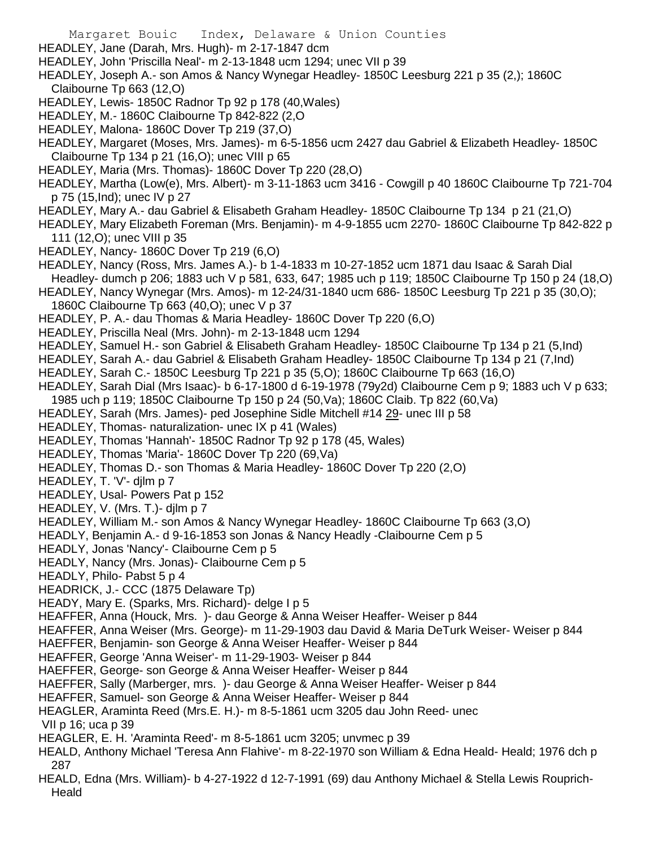HEADLEY, Jane (Darah, Mrs. Hugh)- m 2-17-1847 dcm

HEADLEY, John 'Priscilla Neal'- m 2-13-1848 ucm 1294; unec VII p 39

- HEADLEY, Joseph A.- son Amos & Nancy Wynegar Headley- 1850C Leesburg 221 p 35 (2,); 1860C Claibourne Tp 663 (12,O)
- HEADLEY, Lewis- 1850C Radnor Tp 92 p 178 (40,Wales)
- HEADLEY, M.- 1860C Claibourne Tp 842-822 (2,O
- HEADLEY, Malona- 1860C Dover Tp 219 (37,O)
- HEADLEY, Margaret (Moses, Mrs. James)- m 6-5-1856 ucm 2427 dau Gabriel & Elizabeth Headley- 1850C Claibourne Tp 134 p 21 (16,O); unec VIII p 65
- HEADLEY, Maria (Mrs. Thomas)- 1860C Dover Tp 220 (28,O)
- HEADLEY, Martha (Low(e), Mrs. Albert)- m 3-11-1863 ucm 3416 Cowgill p 40 1860C Claibourne Tp 721-704 p 75 (15,Ind); unec IV p 27
- HEADLEY, Mary A.- dau Gabriel & Elisabeth Graham Headley- 1850C Claibourne Tp 134 p 21 (21,O)
- HEADLEY, Mary Elizabeth Foreman (Mrs. Benjamin)- m 4-9-1855 ucm 2270- 1860C Claibourne Tp 842-822 p 111 (12,O); unec VIII p 35
- HEADLEY, Nancy-1860C Dover Tp 219 (6,O)
- HEADLEY, Nancy (Ross, Mrs. James A.)- b 1-4-1833 m 10-27-1852 ucm 1871 dau Isaac & Sarah Dial Headley- dumch p 206; 1883 uch V p 581, 633, 647; 1985 uch p 119; 1850C Claibourne Tp 150 p 24 (18,O)
- HEADLEY, Nancy Wynegar (Mrs. Amos)- m 12-24/31-1840 ucm 686- 1850C Leesburg Tp 221 p 35 (30,O);

1860C Claibourne Tp 663 (40,O); unec V p 37

- HEADLEY, P. A.- dau Thomas & Maria Headley- 1860C Dover Tp 220 (6,O)
- HEADLEY, Priscilla Neal (Mrs. John)- m 2-13-1848 ucm 1294
- HEADLEY, Samuel H.- son Gabriel & Elisabeth Graham Headley- 1850C Claibourne Tp 134 p 21 (5,Ind)
- HEADLEY, Sarah A.- dau Gabriel & Elisabeth Graham Headley- 1850C Claibourne Tp 134 p 21 (7,Ind)
- HEADLEY, Sarah C.- 1850C Leesburg Tp 221 p 35 (5,O); 1860C Claibourne Tp 663 (16,O)
- HEADLEY, Sarah Dial (Mrs Isaac)- b 6-17-1800 d 6-19-1978 (79y2d) Claibourne Cem p 9; 1883 uch V p 633;
- 1985 uch p 119; 1850C Claibourne Tp 150 p 24 (50,Va); 1860C Claib. Tp 822 (60,Va)
- HEADLEY, Sarah (Mrs. James)- ped Josephine Sidle Mitchell #14 29- unec III p 58
- HEADLEY, Thomas- naturalization- unec IX p 41 (Wales)
- HEADLEY, Thomas 'Hannah'- 1850C Radnor Tp 92 p 178 (45, Wales)
- HEADLEY, Thomas 'Maria'- 1860C Dover Tp 220 (69,Va)
- HEADLEY, Thomas D.- son Thomas & Maria Headley- 1860C Dover Tp 220 (2,O)
- HEADLEY, T. 'V'- djlm p 7
- HEADLEY, Usal- Powers Pat p 152
- HEADLEY, V. (Mrs. T.)- dilm p 7
- HEADLEY, William M.- son Amos & Nancy Wynegar Headley- 1860C Claibourne Tp 663 (3,O)
- HEADLY, Benjamin A.- d 9-16-1853 son Jonas & Nancy Headly -Claibourne Cem p 5
- HEADLY, Jonas 'Nancy'- Claibourne Cem p 5
- HEADLY, Nancy (Mrs. Jonas)- Claibourne Cem p 5
- HEADLY, Philo- Pabst 5 p 4
- HEADRICK, J.- CCC (1875 Delaware Tp)
- HEADY, Mary E. (Sparks, Mrs. Richard)- delge I p 5
- HEAFFER, Anna (Houck, Mrs. )- dau George & Anna Weiser Heaffer- Weiser p 844
- HEAFFER, Anna Weiser (Mrs. George)- m 11-29-1903 dau David & Maria DeTurk Weiser- Weiser p 844
- HAEFFER, Benjamin- son George & Anna Weiser Heaffer- Weiser p 844
- HEAFFER, George 'Anna Weiser'- m 11-29-1903- Weiser p 844
- HAEFFER, George- son George & Anna Weiser Heaffer- Weiser p 844
- HAEFFER, Sally (Marberger, mrs. )- dau George & Anna Weiser Heaffer- Weiser p 844
- HEAFFER, Samuel- son George & Anna Weiser Heaffer- Weiser p 844
- HEAGLER, Araminta Reed (Mrs.E. H.)- m 8-5-1861 ucm 3205 dau John Reed- unec
- VII p 16; uca p 39
- HEAGLER, E. H. 'Araminta Reed'- m 8-5-1861 ucm 3205; unvmec p 39
- HEALD, Anthony Michael 'Teresa Ann Flahive'- m 8-22-1970 son William & Edna Heald- Heald; 1976 dch p 287
- HEALD, Edna (Mrs. William)- b 4-27-1922 d 12-7-1991 (69) dau Anthony Michael & Stella Lewis Rouprich-Heald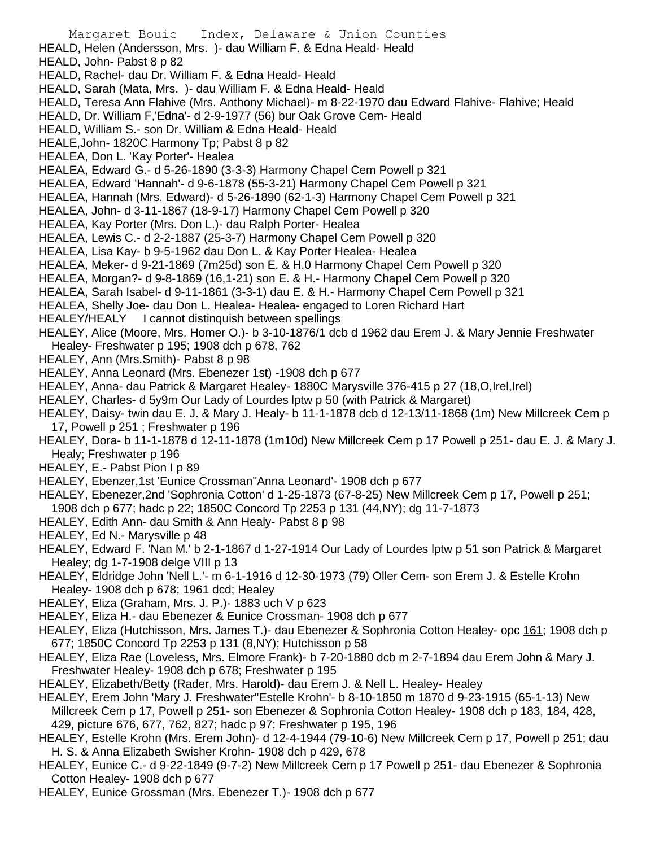Margaret Bouic Index, Delaware & Union Counties HEALD, Helen (Andersson, Mrs. )- dau William F. & Edna Heald- Heald HEALD, John- Pabst 8 p 82 HEALD, Rachel- dau Dr. William F. & Edna Heald- Heald HEALD, Sarah (Mata, Mrs. )- dau William F. & Edna Heald- Heald HEALD, Teresa Ann Flahive (Mrs. Anthony Michael)- m 8-22-1970 dau Edward Flahive- Flahive; Heald HEALD, Dr. William F,'Edna'- d 2-9-1977 (56) bur Oak Grove Cem- Heald HEALD, William S.- son Dr. William & Edna Heald- Heald HEALE,John- 1820C Harmony Tp; Pabst 8 p 82 HEALEA, Don L. 'Kay Porter'- Healea HEALEA, Edward G.- d 5-26-1890 (3-3-3) Harmony Chapel Cem Powell p 321 HEALEA, Edward 'Hannah'- d 9-6-1878 (55-3-21) Harmony Chapel Cem Powell p 321 HEALEA, Hannah (Mrs. Edward)- d 5-26-1890 (62-1-3) Harmony Chapel Cem Powell p 321 HEALEA, John- d 3-11-1867 (18-9-17) Harmony Chapel Cem Powell p 320 HEALEA, Kay Porter (Mrs. Don L.)- dau Ralph Porter- Healea HEALEA, Lewis C.- d 2-2-1887 (25-3-7) Harmony Chapel Cem Powell p 320 HEALEA, Lisa Kay- b 9-5-1962 dau Don L. & Kay Porter Healea- Healea HEALEA, Meker- d 9-21-1869 (7m25d) son E. & H.0 Harmony Chapel Cem Powell p 320 HEALEA, Morgan?- d 9-8-1869 (16,1-21) son E. & H.- Harmony Chapel Cem Powell p 320 HEALEA, Sarah Isabel- d 9-11-1861 (3-3-1) dau E. & H.- Harmony Chapel Cem Powell p 321 HEALEA, Shelly Joe- dau Don L. Healea- Healea- engaged to Loren Richard Hart HEALEY/HEALY I cannot distinquish between spellings HEALEY, Alice (Moore, Mrs. Homer O.)- b 3-10-1876/1 dcb d 1962 dau Erem J. & Mary Jennie Freshwater Healey- Freshwater p 195; 1908 dch p 678, 762 HEALEY, Ann (Mrs.Smith)- Pabst 8 p 98 HEALEY, Anna Leonard (Mrs. Ebenezer 1st) -1908 dch p 677 HEALEY, Anna- dau Patrick & Margaret Healey- 1880C Marysville 376-415 p 27 (18,O,Irel,Irel) HEALEY, Charles- d 5y9m Our Lady of Lourdes lptw p 50 (with Patrick & Margaret) HEALEY, Daisy- twin dau E. J. & Mary J. Healy- b 11-1-1878 dcb d 12-13/11-1868 (1m) New Millcreek Cem p 17, Powell p 251 ; Freshwater p 196 HEALEY, Dora- b 11-1-1878 d 12-11-1878 (1m10d) New Millcreek Cem p 17 Powell p 251- dau E. J. & Mary J. Healy; Freshwater p 196 HEALEY, E.- Pabst Pion I p 89 HEALEY, Ebenzer,1st 'Eunice Crossman''Anna Leonard'- 1908 dch p 677 HEALEY, Ebenezer,2nd 'Sophronia Cotton' d 1-25-1873 (67-8-25) New Millcreek Cem p 17, Powell p 251; 1908 dch p 677; hadc p 22; 1850C Concord Tp 2253 p 131 (44,NY); dg 11-7-1873 HEALEY, Edith Ann- dau Smith & Ann Healy- Pabst 8 p 98

- HEALEY, Ed N.- Marysville p 48
- HEALEY, Edward F. 'Nan M.' b 2-1-1867 d 1-27-1914 Our Lady of Lourdes lptw p 51 son Patrick & Margaret Healey; dg 1-7-1908 delge VIII p 13
- HEALEY, Eldridge John 'Nell L.'- m 6-1-1916 d 12-30-1973 (79) Oller Cem- son Erem J. & Estelle Krohn Healey- 1908 dch p 678; 1961 dcd; Healey
- HEALEY, Eliza (Graham, Mrs. J. P.)- 1883 uch V p 623
- HEALEY, Eliza H.- dau Ebenezer & Eunice Crossman- 1908 dch p 677

HEALEY, Eliza (Hutchisson, Mrs. James T.)- dau Ebenezer & Sophronia Cotton Healey- opc 161; 1908 dch p 677; 1850C Concord Tp 2253 p 131 (8,NY); Hutchisson p 58

- HEALEY, Eliza Rae (Loveless, Mrs. Elmore Frank)- b 7-20-1880 dcb m 2-7-1894 dau Erem John & Mary J. Freshwater Healey- 1908 dch p 678; Freshwater p 195
- HEALEY, Elizabeth/Betty (Rader, Mrs. Harold)- dau Erem J. & Nell L. Healey- Healey
- HEALEY, Erem John 'Mary J. Freshwater''Estelle Krohn'- b 8-10-1850 m 1870 d 9-23-1915 (65-1-13) New Millcreek Cem p 17, Powell p 251- son Ebenezer & Sophronia Cotton Healey- 1908 dch p 183, 184, 428, 429, picture 676, 677, 762, 827; hadc p 97; Freshwater p 195, 196
- HEALEY, Estelle Krohn (Mrs. Erem John)- d 12-4-1944 (79-10-6) New Millcreek Cem p 17, Powell p 251; dau H. S. & Anna Elizabeth Swisher Krohn- 1908 dch p 429, 678
- HEALEY, Eunice C.- d 9-22-1849 (9-7-2) New Millcreek Cem p 17 Powell p 251- dau Ebenezer & Sophronia Cotton Healey- 1908 dch p 677
- HEALEY, Eunice Grossman (Mrs. Ebenezer T.)- 1908 dch p 677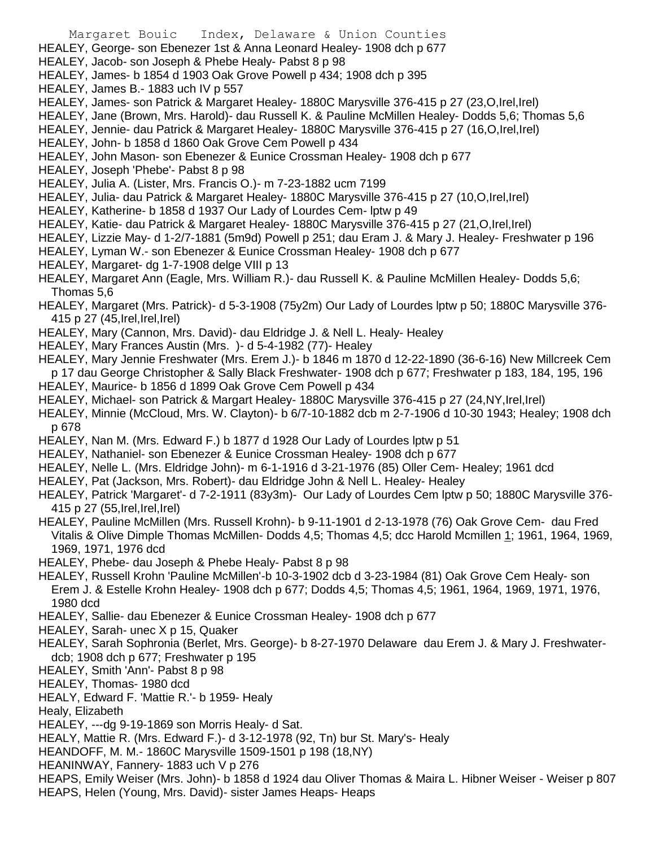- Margaret Bouic Index, Delaware & Union Counties HEALEY, George- son Ebenezer 1st & Anna Leonard Healey- 1908 dch p 677 HEALEY, Jacob- son Joseph & Phebe Healy- Pabst 8 p 98 HEALEY, James- b 1854 d 1903 Oak Grove Powell p 434; 1908 dch p 395 HEALEY, James B.- 1883 uch IV p 557
- HEALEY, James- son Patrick & Margaret Healey- 1880C Marysville 376-415 p 27 (23,O,Irel,Irel)
- HEALEY, Jane (Brown, Mrs. Harold)- dau Russell K. & Pauline McMillen Healey- Dodds 5,6; Thomas 5,6
- HEALEY, Jennie- dau Patrick & Margaret Healey- 1880C Marysville 376-415 p 27 (16,O,Irel,Irel)
- HEALEY, John- b 1858 d 1860 Oak Grove Cem Powell p 434
- HEALEY, John Mason- son Ebenezer & Eunice Crossman Healey- 1908 dch p 677
- HEALEY, Joseph 'Phebe'- Pabst 8 p 98
- HEALEY, Julia A. (Lister, Mrs. Francis O.)- m 7-23-1882 ucm 7199
- HEALEY, Julia- dau Patrick & Margaret Healey- 1880C Marysville 376-415 p 27 (10,O,Irel,Irel)
- HEALEY, Katherine- b 1858 d 1937 Our Lady of Lourdes Cem- lptw p 49
- HEALEY, Katie- dau Patrick & Margaret Healey- 1880C Marysville 376-415 p 27 (21,O,Irel,Irel)
- HEALEY, Lizzie May- d 1-2/7-1881 (5m9d) Powell p 251; dau Eram J. & Mary J. Healey- Freshwater p 196
- HEALEY, Lyman W.- son Ebenezer & Eunice Crossman Healey- 1908 dch p 677
- HEALEY, Margaret- dg 1-7-1908 delge VIII p 13
- HEALEY, Margaret Ann (Eagle, Mrs. William R.)- dau Russell K. & Pauline McMillen Healey- Dodds 5,6; Thomas 5,6
- HEALEY, Margaret (Mrs. Patrick)- d 5-3-1908 (75y2m) Our Lady of Lourdes lptw p 50; 1880C Marysville 376- 415 p 27 (45,Irel,Irel,Irel)
- HEALEY, Mary (Cannon, Mrs. David)- dau Eldridge J. & Nell L. Healy- Healey
- HEALEY, Mary Frances Austin (Mrs. )- d 5-4-1982 (77)- Healey
- HEALEY, Mary Jennie Freshwater (Mrs. Erem J.)- b 1846 m 1870 d 12-22-1890 (36-6-16) New Millcreek Cem p 17 dau George Christopher & Sally Black Freshwater- 1908 dch p 677; Freshwater p 183, 184, 195, 196
- HEALEY, Maurice- b 1856 d 1899 Oak Grove Cem Powell p 434
- HEALEY, Michael- son Patrick & Margart Healey- 1880C Marysville 376-415 p 27 (24, NY, Irel, Irel)
- HEALEY, Minnie (McCloud, Mrs. W. Clayton)- b 6/7-10-1882 dcb m 2-7-1906 d 10-30 1943; Healey; 1908 dch p 678
- HEALEY, Nan M. (Mrs. Edward F.) b 1877 d 1928 Our Lady of Lourdes lptw p 51
- HEALEY, Nathaniel- son Ebenezer & Eunice Crossman Healey- 1908 dch p 677
- HEALEY, Nelle L. (Mrs. Eldridge John)- m 6-1-1916 d 3-21-1976 (85) Oller Cem- Healey; 1961 dcd
- HEALEY, Pat (Jackson, Mrs. Robert)- dau Eldridge John & Nell L. Healey- Healey
- HEALEY, Patrick 'Margaret'- d 7-2-1911 (83y3m)- Our Lady of Lourdes Cem lptw p 50; 1880C Marysville 376- 415 p 27 (55,Irel,Irel,Irel)
- HEALEY, Pauline McMillen (Mrs. Russell Krohn)- b 9-11-1901 d 2-13-1978 (76) Oak Grove Cem- dau Fred Vitalis & Olive Dimple Thomas McMillen- Dodds 4,5; Thomas 4,5; dcc Harold Mcmillen 1; 1961, 1964, 1969, 1969, 1971, 1976 dcd
- HEALEY, Phebe- dau Joseph & Phebe Healy- Pabst 8 p 98
- HEALEY, Russell Krohn 'Pauline McMillen'-b 10-3-1902 dcb d 3-23-1984 (81) Oak Grove Cem Healy- son Erem J. & Estelle Krohn Healey- 1908 dch p 677; Dodds 4,5; Thomas 4,5; 1961, 1964, 1969, 1971, 1976, 1980 dcd
- HEALEY, Sallie- dau Ebenezer & Eunice Crossman Healey- 1908 dch p 677
- HEALEY, Sarah- unec X p 15, Quaker
- HEALEY, Sarah Sophronia (Berlet, Mrs. George)- b 8-27-1970 Delaware dau Erem J. & Mary J. Freshwaterdcb; 1908 dch p 677; Freshwater p 195
- HEALEY, Smith 'Ann'- Pabst 8 p 98
- HEALEY, Thomas- 1980 dcd
- HEALY, Edward F. 'Mattie R.'- b 1959- Healy
- Healy, Elizabeth
- HEALEY, ---dg 9-19-1869 son Morris Healy- d Sat.
- HEALY, Mattie R. (Mrs. Edward F.)- d 3-12-1978 (92, Tn) bur St. Mary's- Healy
- HEANDOFF, M. M.- 1860C Marysville 1509-1501 p 198 (18,NY)
- HEANINWAY, Fannery- 1883 uch V p 276
- HEAPS, Emily Weiser (Mrs. John)- b 1858 d 1924 dau Oliver Thomas & Maira L. Hibner Weiser Weiser p 807 HEAPS, Helen (Young, Mrs. David)- sister James Heaps- Heaps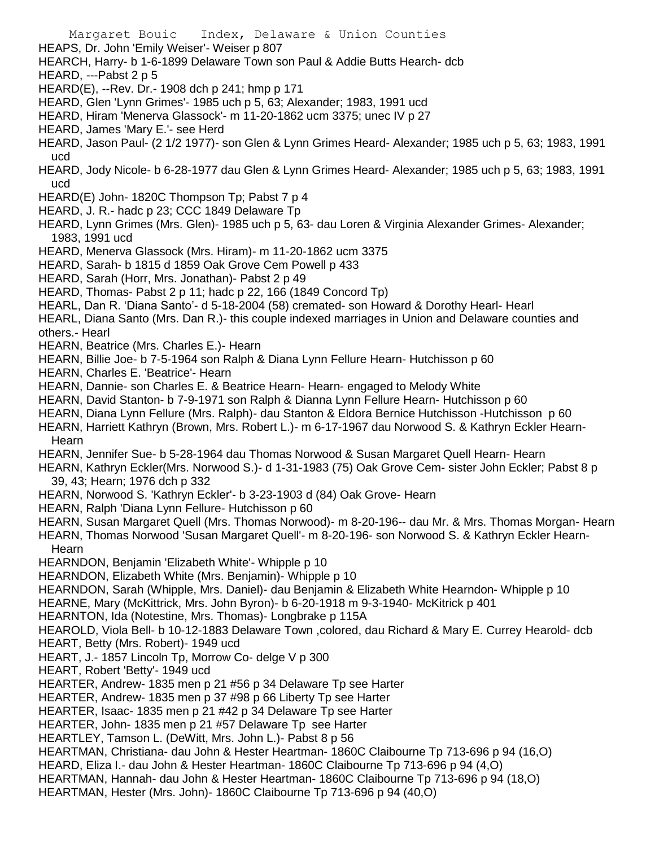Margaret Bouic Index, Delaware & Union Counties HEAPS, Dr. John 'Emily Weiser'- Weiser p 807 HEARCH, Harry- b 1-6-1899 Delaware Town son Paul & Addie Butts Hearch- dcb HEARD, ---Pabst 2 p 5 HEARD(E), --Rev. Dr.- 1908 dch p 241; hmp p 171 HEARD, Glen 'Lynn Grimes'- 1985 uch p 5, 63; Alexander; 1983, 1991 ucd HEARD, Hiram 'Menerva Glassock'- m 11-20-1862 ucm 3375; unec IV p 27 HEARD, James 'Mary E.'- see Herd HEARD, Jason Paul- (2 1/2 1977)- son Glen & Lynn Grimes Heard- Alexander; 1985 uch p 5, 63; 1983, 1991 ucd HEARD, Jody Nicole- b 6-28-1977 dau Glen & Lynn Grimes Heard- Alexander; 1985 uch p 5, 63; 1983, 1991 ucd HEARD(E) John- 1820C Thompson Tp; Pabst 7 p 4 HEARD, J. R.- hadc p 23; CCC 1849 Delaware Tp HEARD, Lynn Grimes (Mrs. Glen)- 1985 uch p 5, 63- dau Loren & Virginia Alexander Grimes- Alexander; 1983, 1991 ucd HEARD, Menerva Glassock (Mrs. Hiram)- m 11-20-1862 ucm 3375 HEARD, Sarah- b 1815 d 1859 Oak Grove Cem Powell p 433 HEARD, Sarah (Horr, Mrs. Jonathan)- Pabst 2 p 49 HEARD, Thomas- Pabst 2 p 11; hadc p 22, 166 (1849 Concord Tp) HEARL, Dan R. 'Diana Santo'- d 5-18-2004 (58) cremated- son Howard & Dorothy Hearl- Hearl HEARL, Diana Santo (Mrs. Dan R.)- this couple indexed marriages in Union and Delaware counties and others.- Hearl HEARN, Beatrice (Mrs. Charles E.)- Hearn HEARN, Billie Joe- b 7-5-1964 son Ralph & Diana Lynn Fellure Hearn- Hutchisson p 60 HEARN, Charles E. 'Beatrice'- Hearn HEARN, Dannie- son Charles E. & Beatrice Hearn- Hearn- engaged to Melody White HEARN, David Stanton- b 7-9-1971 son Ralph & Dianna Lynn Fellure Hearn- Hutchisson p 60 HEARN, Diana Lynn Fellure (Mrs. Ralph)- dau Stanton & Eldora Bernice Hutchisson -Hutchisson p 60 HEARN, Harriett Kathryn (Brown, Mrs. Robert L.)- m 6-17-1967 dau Norwood S. & Kathryn Eckler Hearn-Hearn HEARN, Jennifer Sue- b 5-28-1964 dau Thomas Norwood & Susan Margaret Quell Hearn- Hearn HEARN, Kathryn Eckler(Mrs. Norwood S.)- d 1-31-1983 (75) Oak Grove Cem- sister John Eckler; Pabst 8 p 39, 43; Hearn; 1976 dch p 332 HEARN, Norwood S. 'Kathryn Eckler'- b 3-23-1903 d (84) Oak Grove- Hearn HEARN, Ralph 'Diana Lynn Fellure- Hutchisson p 60 HEARN, Susan Margaret Quell (Mrs. Thomas Norwood)- m 8-20-196-- dau Mr. & Mrs. Thomas Morgan- Hearn HEARN, Thomas Norwood 'Susan Margaret Quell'- m 8-20-196- son Norwood S. & Kathryn Eckler Hearn-**Hearn** HEARNDON, Benjamin 'Elizabeth White'- Whipple p 10 HEARNDON, Elizabeth White (Mrs. Benjamin)- Whipple p 10 HEARNDON, Sarah (Whipple, Mrs. Daniel)- dau Benjamin & Elizabeth White Hearndon- Whipple p 10 HEARNE, Mary (McKittrick, Mrs. John Byron)- b 6-20-1918 m 9-3-1940- McKitrick p 401 HEARNTON, Ida (Notestine, Mrs. Thomas)- Longbrake p 115A HEAROLD, Viola Bell- b 10-12-1883 Delaware Town ,colored, dau Richard & Mary E. Currey Hearold- dcb HEART, Betty (Mrs. Robert)- 1949 ucd HEART, J.- 1857 Lincoln Tp, Morrow Co- delge V p 300 HEART, Robert 'Betty'- 1949 ucd HEARTER, Andrew- 1835 men p 21 #56 p 34 Delaware Tp see Harter HEARTER, Andrew- 1835 men p 37 #98 p 66 Liberty Tp see Harter HEARTER, Isaac- 1835 men p 21 #42 p 34 Delaware Tp see Harter HEARTER, John-1835 men p 21 #57 Delaware Tp see Harter HEARTLEY, Tamson L. (DeWitt, Mrs. John L.)- Pabst 8 p 56 HEARTMAN, Christiana- dau John & Hester Heartman- 1860C Claibourne Tp 713-696 p 94 (16,O) HEARD, Eliza I.- dau John & Hester Heartman- 1860C Claibourne Tp 713-696 p 94 (4,O) HEARTMAN, Hannah- dau John & Hester Heartman- 1860C Claibourne Tp 713-696 p 94 (18,O) HEARTMAN, Hester (Mrs. John)- 1860C Claibourne Tp 713-696 p 94 (40,O)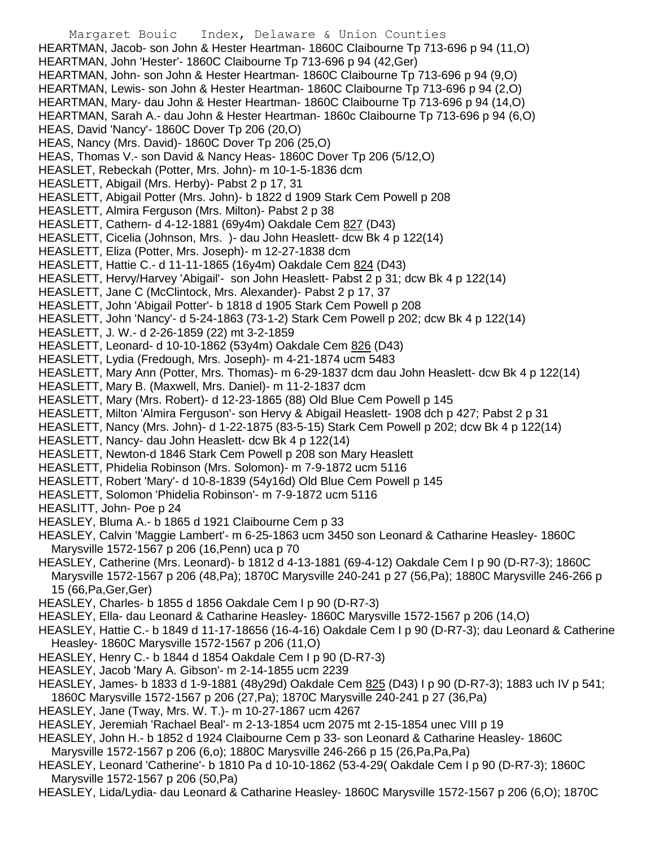Margaret Bouic Index, Delaware & Union Counties HEARTMAN, Jacob- son John & Hester Heartman- 1860C Claibourne Tp 713-696 p 94 (11,O) HEARTMAN, John 'Hester'- 1860C Claibourne Tp 713-696 p 94 (42,Ger) HEARTMAN, John- son John & Hester Heartman- 1860C Claibourne Tp 713-696 p 94 (9,O) HEARTMAN, Lewis- son John & Hester Heartman- 1860C Claibourne Tp 713-696 p 94 (2,O) HEARTMAN, Mary- dau John & Hester Heartman- 1860C Claibourne Tp 713-696 p 94 (14,O) HEARTMAN, Sarah A.- dau John & Hester Heartman- 1860c Claibourne Tp 713-696 p 94 (6,O) HEAS, David 'Nancy'- 1860C Dover Tp 206 (20,O) HEAS, Nancy (Mrs. David)- 1860C Dover Tp 206 (25,O) HEAS, Thomas V.- son David & Nancy Heas- 1860C Dover Tp 206 (5/12,O) HEASLET, Rebeckah (Potter, Mrs. John)- m 10-1-5-1836 dcm HEASLETT, Abigail (Mrs. Herby)- Pabst 2 p 17, 31 HEASLETT, Abigail Potter (Mrs. John)- b 1822 d 1909 Stark Cem Powell p 208 HEASLETT, Almira Ferguson (Mrs. Milton)- Pabst 2 p 38 HEASLETT, Cathern- d 4-12-1881 (69y4m) Oakdale Cem 827 (D43) HEASLETT, Cicelia (Johnson, Mrs. )- dau John Heaslett- dcw Bk 4 p 122(14) HEASLETT, Eliza (Potter, Mrs. Joseph)- m 12-27-1838 dcm HEASLETT, Hattie C.- d 11-11-1865 (16y4m) Oakdale Cem 824 (D43) HEASLETT, Hervy/Harvey 'Abigail'- son John Heaslett- Pabst 2 p 31; dcw Bk 4 p 122(14) HEASLETT, Jane C (McClintock, Mrs. Alexander)- Pabst 2 p 17, 37 HEASLETT, John 'Abigail Potter'- b 1818 d 1905 Stark Cem Powell p 208 HEASLETT, John 'Nancy'- d 5-24-1863 (73-1-2) Stark Cem Powell p 202; dcw Bk 4 p 122(14) HEASLETT, J. W.- d 2-26-1859 (22) mt 3-2-1859 HEASLETT, Leonard- d 10-10-1862 (53y4m) Oakdale Cem 826 (D43) HEASLETT, Lydia (Fredough, Mrs. Joseph)- m 4-21-1874 ucm 5483 HEASLETT, Mary Ann (Potter, Mrs. Thomas)- m 6-29-1837 dcm dau John Heaslett- dcw Bk 4 p 122(14) HEASLETT, Mary B. (Maxwell, Mrs. Daniel)- m 11-2-1837 dcm HEASLETT, Mary (Mrs. Robert)- d 12-23-1865 (88) Old Blue Cem Powell p 145 HEASLETT, Milton 'Almira Ferguson'- son Hervy & Abigail Heaslett- 1908 dch p 427; Pabst 2 p 31 HEASLETT, Nancy (Mrs. John)- d 1-22-1875 (83-5-15) Stark Cem Powell p 202; dcw Bk 4 p 122(14) HEASLETT, Nancy- dau John Heaslett- dcw Bk 4 p 122(14) HEASLETT, Newton-d 1846 Stark Cem Powell p 208 son Mary Heaslett HEASLETT, Phidelia Robinson (Mrs. Solomon)- m 7-9-1872 ucm 5116 HEASLETT, Robert 'Mary'- d 10-8-1839 (54y16d) Old Blue Cem Powell p 145 HEASLETT, Solomon 'Phidelia Robinson'- m 7-9-1872 ucm 5116 HEASLITT, John- Poe p 24 HEASLEY, Bluma A.- b 1865 d 1921 Claibourne Cem p 33 HEASLEY, Calvin 'Maggie Lambert'- m 6-25-1863 ucm 3450 son Leonard & Catharine Heasley- 1860C Marysville 1572-1567 p 206 (16,Penn) uca p 70 HEASLEY, Catherine (Mrs. Leonard)- b 1812 d 4-13-1881 (69-4-12) Oakdale Cem I p 90 (D-R7-3); 1860C Marysville 1572-1567 p 206 (48,Pa); 1870C Marysville 240-241 p 27 (56,Pa); 1880C Marysville 246-266 p 15 (66,Pa,Ger,Ger) HEASLEY, Charles- b 1855 d 1856 Oakdale Cem I p 90 (D-R7-3) HEASLEY, Ella- dau Leonard & Catharine Heasley- 1860C Marysville 1572-1567 p 206 (14,O) HEASLEY, Hattie C.- b 1849 d 11-17-18656 (16-4-16) Oakdale Cem I p 90 (D-R7-3); dau Leonard & Catherine Heasley- 1860C Marysville 1572-1567 p 206 (11,O) HEASLEY, Henry C.- b 1844 d 1854 Oakdale Cem I p 90 (D-R7-3) HEASLEY, Jacob 'Mary A. Gibson'- m 2-14-1855 ucm 2239 HEASLEY, James- b 1833 d 1-9-1881 (48y29d) Oakdale Cem 825 (D43) I p 90 (D-R7-3); 1883 uch IV p 541; 1860C Marysville 1572-1567 p 206 (27,Pa); 1870C Marysville 240-241 p 27 (36,Pa) HEASLEY, Jane (Tway, Mrs. W. T.)- m 10-27-1867 ucm 4267 HEASLEY, Jeremiah 'Rachael Beal'- m 2-13-1854 ucm 2075 mt 2-15-1854 unec VIII p 19 HEASLEY, John H.- b 1852 d 1924 Claibourne Cem p 33- son Leonard & Catharine Heasley- 1860C Marysville 1572-1567 p 206 (6,o); 1880C Marysville 246-266 p 15 (26,Pa,Pa,Pa)

- HEASLEY, Leonard 'Catherine'- b 1810 Pa d 10-10-1862 (53-4-29( Oakdale Cem I p 90 (D-R7-3); 1860C Marysville 1572-1567 p 206 (50,Pa)
- HEASLEY, Lida/Lydia- dau Leonard & Catharine Heasley- 1860C Marysville 1572-1567 p 206 (6,O); 1870C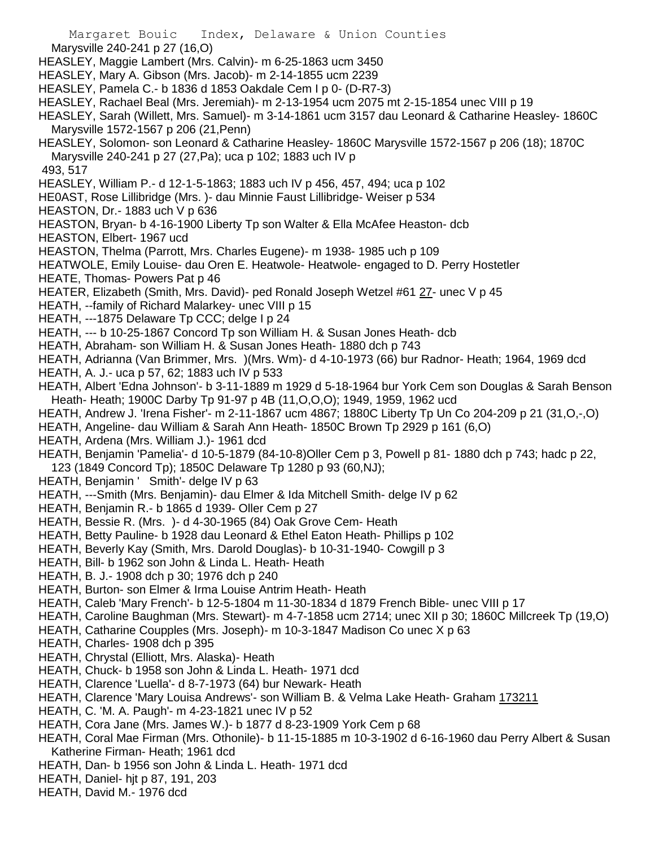- Margaret Bouic Index, Delaware & Union Counties Marysville 240-241 p 27 (16,O) HEASLEY, Maggie Lambert (Mrs. Calvin)- m 6-25-1863 ucm 3450 HEASLEY, Mary A. Gibson (Mrs. Jacob)- m 2-14-1855 ucm 2239 HEASLEY, Pamela C.- b 1836 d 1853 Oakdale Cem I p 0- (D-R7-3) HEASLEY, Rachael Beal (Mrs. Jeremiah)- m 2-13-1954 ucm 2075 mt 2-15-1854 unec VIII p 19 HEASLEY, Sarah (Willett, Mrs. Samuel)- m 3-14-1861 ucm 3157 dau Leonard & Catharine Heasley- 1860C Marysville 1572-1567 p 206 (21,Penn) HEASLEY, Solomon- son Leonard & Catharine Heasley- 1860C Marysville 1572-1567 p 206 (18); 1870C Marysville 240-241 p 27 (27,Pa); uca p 102; 1883 uch IV p 493, 517 HEASLEY, William P.- d 12-1-5-1863; 1883 uch IV p 456, 457, 494; uca p 102 HE0AST, Rose Lillibridge (Mrs. )- dau Minnie Faust Lillibridge- Weiser p 534 HEASTON, Dr.- 1883 uch V p 636 HEASTON, Bryan- b 4-16-1900 Liberty Tp son Walter & Ella McAfee Heaston- dcb HEASTON, Elbert- 1967 ucd HEASTON, Thelma (Parrott, Mrs. Charles Eugene)- m 1938- 1985 uch p 109 HEATWOLE, Emily Louise- dau Oren E. Heatwole- Heatwole- engaged to D. Perry Hostetler HEATE, Thomas- Powers Pat p 46 HEATER, Elizabeth (Smith, Mrs. David)- ped Ronald Joseph Wetzel #61 27- unec V p 45 HEATH, --family of Richard Malarkey- unec VIII p 15 HEATH, ---1875 Delaware Tp CCC; delge I p 24 HEATH, --- b 10-25-1867 Concord Tp son William H. & Susan Jones Heath- dcb HEATH, Abraham- son William H. & Susan Jones Heath- 1880 dch p 743 HEATH, Adrianna (Van Brimmer, Mrs. )(Mrs. Wm)- d 4-10-1973 (66) bur Radnor- Heath; 1964, 1969 dcd HEATH, A. J.- uca p 57, 62; 1883 uch IV p 533 HEATH, Albert 'Edna Johnson'- b 3-11-1889 m 1929 d 5-18-1964 bur York Cem son Douglas & Sarah Benson Heath- Heath; 1900C Darby Tp 91-97 p 4B (11,O,O,O); 1949, 1959, 1962 ucd HEATH, Andrew J. 'Irena Fisher'- m 2-11-1867 ucm 4867; 1880C Liberty Tp Un Co 204-209 p 21 (31,O,-,O) HEATH, Angeline- dau William & Sarah Ann Heath- 1850C Brown Tp 2929 p 161 (6,O) HEATH, Ardena (Mrs. William J.)- 1961 dcd HEATH, Benjamin 'Pamelia'- d 10-5-1879 (84-10-8)Oller Cem p 3, Powell p 81- 1880 dch p 743; hadc p 22, 123 (1849 Concord Tp); 1850C Delaware Tp 1280 p 93 (60,NJ); HEATH, Benjamin ' Smith'- delge IV p 63 HEATH, ---Smith (Mrs. Benjamin)- dau Elmer & Ida Mitchell Smith- delge IV p 62 HEATH, Benjamin R.- b 1865 d 1939- Oller Cem p 27 HEATH, Bessie R. (Mrs. )- d 4-30-1965 (84) Oak Grove Cem- Heath HEATH, Betty Pauline- b 1928 dau Leonard & Ethel Eaton Heath- Phillips p 102 HEATH, Beverly Kay (Smith, Mrs. Darold Douglas)- b 10-31-1940- Cowgill p 3 HEATH, Bill- b 1962 son John & Linda L. Heath- Heath HEATH, B. J.- 1908 dch p 30; 1976 dch p 240 HEATH, Burton- son Elmer & Irma Louise Antrim Heath- Heath HEATH, Caleb 'Mary French'- b 12-5-1804 m 11-30-1834 d 1879 French Bible- unec VIII p 17 HEATH, Caroline Baughman (Mrs. Stewart)- m 4-7-1858 ucm 2714; unec XII p 30; 1860C Millcreek Tp (19,O) HEATH, Catharine Coupples (Mrs. Joseph)- m 10-3-1847 Madison Co unec X p 63 HEATH, Charles- 1908 dch p 395 HEATH, Chrystal (Elliott, Mrs. Alaska)- Heath HEATH, Chuck- b 1958 son John & Linda L. Heath- 1971 dcd HEATH, Clarence 'Luella'- d 8-7-1973 (64) bur Newark- Heath HEATH, Clarence 'Mary Louisa Andrews'- son William B. & Velma Lake Heath- Graham 173211 HEATH, C. 'M. A. Paugh'- m 4-23-1821 unec IV p 52 HEATH, Cora Jane (Mrs. James W.)- b 1877 d 8-23-1909 York Cem p 68 HEATH, Coral Mae Firman (Mrs. Othonile)- b 11-15-1885 m 10-3-1902 d 6-16-1960 dau Perry Albert & Susan Katherine Firman- Heath; 1961 dcd HEATH, Dan- b 1956 son John & Linda L. Heath- 1971 dcd
- HEATH, Daniel- hjt p 87, 191, 203
- HEATH, David M.- 1976 dcd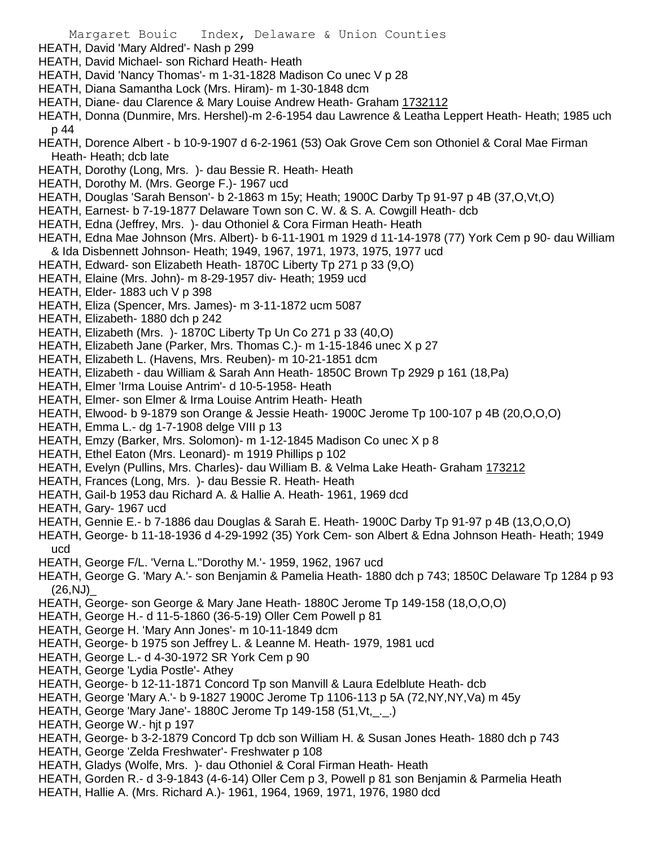- HEATH, David 'Mary Aldred'- Nash p 299
- HEATH, David Michael- son Richard Heath- Heath
- HEATH, David 'Nancy Thomas'- m 1-31-1828 Madison Co unec V p 28
- HEATH, Diana Samantha Lock (Mrs. Hiram)- m 1-30-1848 dcm
- HEATH, Diane- dau Clarence & Mary Louise Andrew Heath- Graham 1732112
- HEATH, Donna (Dunmire, Mrs. Hershel)-m 2-6-1954 dau Lawrence & Leatha Leppert Heath- Heath; 1985 uch p 44
- HEATH, Dorence Albert b 10-9-1907 d 6-2-1961 (53) Oak Grove Cem son Othoniel & Coral Mae Firman Heath- Heath; dcb late
- HEATH, Dorothy (Long, Mrs. )- dau Bessie R. Heath- Heath
- HEATH, Dorothy M. (Mrs. George F.)- 1967 ucd
- HEATH, Douglas 'Sarah Benson'- b 2-1863 m 15y; Heath; 1900C Darby Tp 91-97 p 4B (37,O,Vt,O)
- HEATH, Earnest- b 7-19-1877 Delaware Town son C. W. & S. A. Cowgill Heath- dcb
- HEATH, Edna (Jeffrey, Mrs. )- dau Othoniel & Cora Firman Heath- Heath
- HEATH, Edna Mae Johnson (Mrs. Albert)- b 6-11-1901 m 1929 d 11-14-1978 (77) York Cem p 90- dau William & Ida Disbennett Johnson- Heath; 1949, 1967, 1971, 1973, 1975, 1977 ucd
- HEATH, Edward- son Elizabeth Heath- 1870C Liberty Tp 271 p 33 (9,O)
- HEATH, Elaine (Mrs. John)- m 8-29-1957 div- Heath; 1959 ucd
- HEATH, Elder- 1883 uch V p 398
- HEATH, Eliza (Spencer, Mrs. James)- m 3-11-1872 ucm 5087
- HEATH, Elizabeth- 1880 dch p 242
- HEATH, Elizabeth (Mrs. )- 1870C Liberty Tp Un Co 271 p 33 (40,O)
- HEATH, Elizabeth Jane (Parker, Mrs. Thomas C.)- m 1-15-1846 unec X p 27
- HEATH, Elizabeth L. (Havens, Mrs. Reuben)- m 10-21-1851 dcm
- HEATH, Elizabeth dau William & Sarah Ann Heath- 1850C Brown Tp 2929 p 161 (18,Pa)
- HEATH, Elmer 'Irma Louise Antrim'- d 10-5-1958- Heath
- HEATH, Elmer- son Elmer & Irma Louise Antrim Heath- Heath
- HEATH, Elwood- b 9-1879 son Orange & Jessie Heath- 1900C Jerome Tp 100-107 p 4B (20,O,O,O)
- HEATH, Emma L.- dg 1-7-1908 delge VIII p 13
- HEATH, Emzy (Barker, Mrs. Solomon)- m 1-12-1845 Madison Co unec X p 8
- HEATH, Ethel Eaton (Mrs. Leonard)- m 1919 Phillips p 102
- HEATH, Evelyn (Pullins, Mrs. Charles)- dau William B. & Velma Lake Heath- Graham 173212
- HEATH, Frances (Long, Mrs. )- dau Bessie R. Heath- Heath
- HEATH, Gail-b 1953 dau Richard A. & Hallie A. Heath- 1961, 1969 dcd
- HEATH, Gary- 1967 ucd
- HEATH, Gennie E.- b 7-1886 dau Douglas & Sarah E. Heath- 1900C Darby Tp 91-97 p 4B (13,O,O,O)
- HEATH, George- b 11-18-1936 d 4-29-1992 (35) York Cem- son Albert & Edna Johnson Heath- Heath; 1949 ucd
- HEATH, George F/L. 'Verna L.''Dorothy M.'- 1959, 1962, 1967 ucd
- HEATH, George G. 'Mary A.'- son Benjamin & Pamelia Heath- 1880 dch p 743; 1850C Delaware Tp 1284 p 93  $(26, NJ)$
- HEATH, George- son George & Mary Jane Heath- 1880C Jerome Tp 149-158 (18,O,O,O)
- HEATH, George H.- d 11-5-1860 (36-5-19) Oller Cem Powell p 81
- HEATH, George H. 'Mary Ann Jones'- m 10-11-1849 dcm
- HEATH, George- b 1975 son Jeffrey L. & Leanne M. Heath- 1979, 1981 ucd
- HEATH, George L.- d 4-30-1972 SR York Cem p 90
- HEATH, George 'Lydia Postle'- Athey
- HEATH, George- b 12-11-1871 Concord Tp son Manvill & Laura Edelblute Heath- dcb
- HEATH, George 'Mary A.'- b 9-1827 1900C Jerome Tp 1106-113 p 5A (72,NY,NY,Va) m 45y
- HEATH, George 'Mary Jane'- 1880C Jerome Tp 149-158 (51,Vt,\_.\_.)
- HEATH, George W<sub>r</sub>- hit p 197
- HEATH, George- b 3-2-1879 Concord Tp dcb son William H. & Susan Jones Heath- 1880 dch p 743
- HEATH, George 'Zelda Freshwater'- Freshwater p 108
- HEATH, Gladys (Wolfe, Mrs. )- dau Othoniel & Coral Firman Heath- Heath
- HEATH, Gorden R.- d 3-9-1843 (4-6-14) Oller Cem p 3, Powell p 81 son Benjamin & Parmelia Heath
- HEATH, Hallie A. (Mrs. Richard A.)- 1961, 1964, 1969, 1971, 1976, 1980 dcd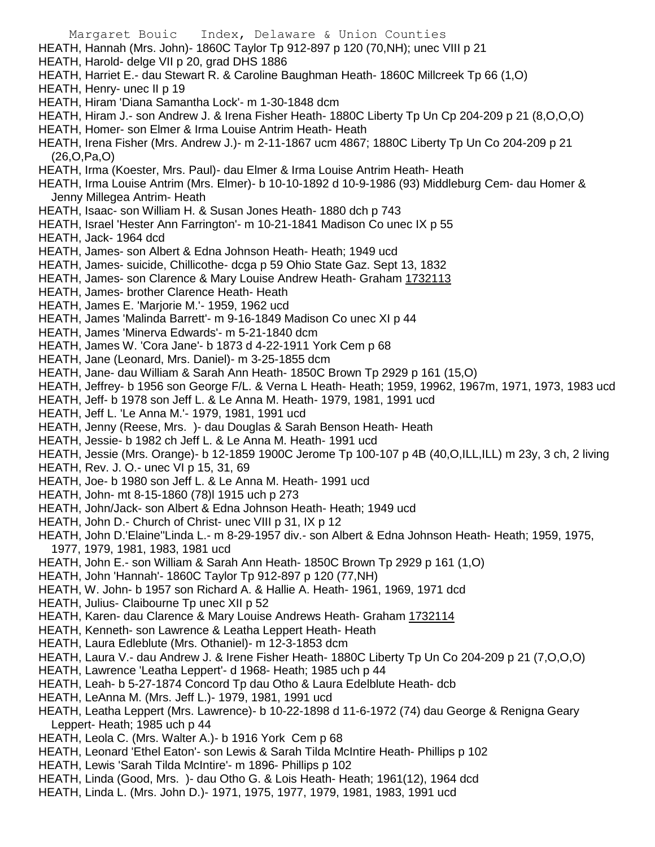- Margaret Bouic Index, Delaware & Union Counties HEATH, Hannah (Mrs. John)- 1860C Taylor Tp 912-897 p 120 (70,NH); unec VIII p 21 HEATH, Harold- delge VII p 20, grad DHS 1886 HEATH, Harriet E.- dau Stewart R. & Caroline Baughman Heath- 1860C Millcreek Tp 66 (1,O) HEATH, Henry- unec II p 19 HEATH, Hiram 'Diana Samantha Lock'- m 1-30-1848 dcm HEATH, Hiram J.- son Andrew J. & Irena Fisher Heath- 1880C Liberty Tp Un Cp 204-209 p 21 (8,O,O,O) HEATH, Homer- son Elmer & Irma Louise Antrim Heath- Heath HEATH, Irena Fisher (Mrs. Andrew J.)- m 2-11-1867 ucm 4867; 1880C Liberty Tp Un Co 204-209 p 21 (26,O,Pa,O) HEATH, Irma (Koester, Mrs. Paul)- dau Elmer & Irma Louise Antrim Heath- Heath HEATH, Irma Louise Antrim (Mrs. Elmer)- b 10-10-1892 d 10-9-1986 (93) Middleburg Cem- dau Homer & Jenny Millegea Antrim- Heath HEATH, Isaac- son William H. & Susan Jones Heath- 1880 dch p 743 HEATH, Israel 'Hester Ann Farrington'- m 10-21-1841 Madison Co unec IX p 55 HEATH, Jack- 1964 dcd HEATH, James- son Albert & Edna Johnson Heath- Heath; 1949 ucd HEATH, James- suicide, Chillicothe- dcga p 59 Ohio State Gaz. Sept 13, 1832 HEATH, James- son Clarence & Mary Louise Andrew Heath- Graham 1732113 HEATH, James- brother Clarence Heath- Heath HEATH, James E. 'Marjorie M.'- 1959, 1962 ucd HEATH, James 'Malinda Barrett'- m 9-16-1849 Madison Co unec XI p 44 HEATH, James 'Minerva Edwards'- m 5-21-1840 dcm HEATH, James W. 'Cora Jane'- b 1873 d 4-22-1911 York Cem p 68 HEATH, Jane (Leonard, Mrs. Daniel)- m 3-25-1855 dcm HEATH, Jane- dau William & Sarah Ann Heath- 1850C Brown Tp 2929 p 161 (15,O) HEATH, Jeffrey- b 1956 son George F/L. & Verna L Heath- Heath; 1959, 19962, 1967m, 1971, 1973, 1983 ucd HEATH, Jeff- b 1978 son Jeff L. & Le Anna M. Heath- 1979, 1981, 1991 ucd HEATH, Jeff L. 'Le Anna M.'- 1979, 1981, 1991 ucd HEATH, Jenny (Reese, Mrs. )- dau Douglas & Sarah Benson Heath- Heath HEATH, Jessie- b 1982 ch Jeff L. & Le Anna M. Heath- 1991 ucd HEATH, Jessie (Mrs. Orange)- b 12-1859 1900C Jerome Tp 100-107 p 4B (40,O,ILL,ILL) m 23y, 3 ch, 2 living HEATH, Rev. J. O.- unec VI p 15, 31, 69 HEATH, Joe- b 1980 son Jeff L. & Le Anna M. Heath- 1991 ucd HEATH, John- mt 8-15-1860 (78)l 1915 uch p 273 HEATH, John/Jack- son Albert & Edna Johnson Heath- Heath; 1949 ucd HEATH, John D.- Church of Christ- unec VIII p 31, IX p 12 HEATH, John D.'Elaine''Linda L.- m 8-29-1957 div.- son Albert & Edna Johnson Heath- Heath; 1959, 1975, 1977, 1979, 1981, 1983, 1981 ucd HEATH, John E.- son William & Sarah Ann Heath- 1850C Brown Tp 2929 p 161 (1,O) HEATH, John 'Hannah'- 1860C Taylor Tp 912-897 p 120 (77,NH) HEATH, W. John- b 1957 son Richard A. & Hallie A. Heath- 1961, 1969, 1971 dcd HEATH, Julius- Claibourne Tp unec XII p 52 HEATH, Karen- dau Clarence & Mary Louise Andrews Heath- Graham 1732114 HEATH, Kenneth- son Lawrence & Leatha Leppert Heath- Heath HEATH, Laura Edleblute (Mrs. Othaniel)- m 12-3-1853 dcm HEATH, Laura V.- dau Andrew J. & Irene Fisher Heath- 1880C Liberty Tp Un Co 204-209 p 21 (7,O,O,O) HEATH, Lawrence 'Leatha Leppert'- d 1968- Heath; 1985 uch p 44 HEATH, Leah- b 5-27-1874 Concord Tp dau Otho & Laura Edelblute Heath- dcb HEATH, LeAnna M. (Mrs. Jeff L.)- 1979, 1981, 1991 ucd HEATH, Leatha Leppert (Mrs. Lawrence)- b 10-22-1898 d 11-6-1972 (74) dau George & Renigna Geary Leppert- Heath; 1985 uch p 44 HEATH, Leola C. (Mrs. Walter A.)- b 1916 York Cem p 68 HEATH, Leonard 'Ethel Eaton'- son Lewis & Sarah Tilda McIntire Heath- Phillips p 102 HEATH, Lewis 'Sarah Tilda McIntire'- m 1896- Phillips p 102
- HEATH, Linda (Good, Mrs. )- dau Otho G. & Lois Heath- Heath; 1961(12), 1964 dcd
- HEATH, Linda L. (Mrs. John D.)- 1971, 1975, 1977, 1979, 1981, 1983, 1991 ucd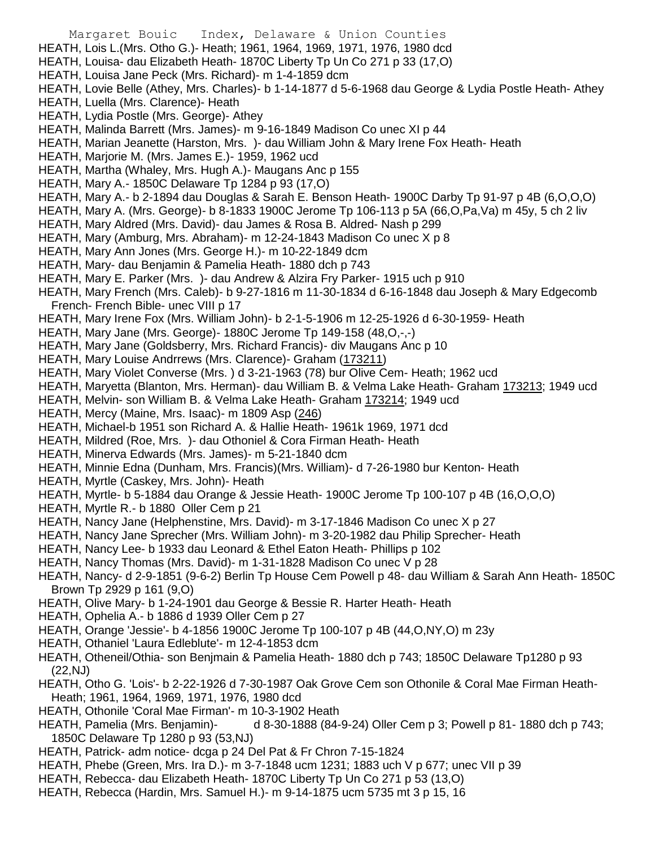- Margaret Bouic Index, Delaware & Union Counties
- HEATH, Lois L.(Mrs. Otho G.)- Heath; 1961, 1964, 1969, 1971, 1976, 1980 dcd
- HEATH, Louisa- dau Elizabeth Heath- 1870C Liberty Tp Un Co 271 p 33 (17,O)
- HEATH, Louisa Jane Peck (Mrs. Richard)- m 1-4-1859 dcm
- HEATH, Lovie Belle (Athey, Mrs. Charles)- b 1-14-1877 d 5-6-1968 dau George & Lydia Postle Heath- Athey
- HEATH, Luella (Mrs. Clarence)- Heath
- HEATH, Lydia Postle (Mrs. George)- Athey
- HEATH, Malinda Barrett (Mrs. James)- m 9-16-1849 Madison Co unec XI p 44
- HEATH, Marian Jeanette (Harston, Mrs. )- dau William John & Mary Irene Fox Heath- Heath
- HEATH, Marjorie M. (Mrs. James E.)- 1959, 1962 ucd
- HEATH, Martha (Whaley, Mrs. Hugh A.)- Maugans Anc p 155
- HEATH, Mary A.- 1850C Delaware Tp 1284 p 93 (17,O)
- HEATH, Mary A.- b 2-1894 dau Douglas & Sarah E. Benson Heath- 1900C Darby Tp 91-97 p 4B (6,O,O,O)
- HEATH, Mary A. (Mrs. George)- b 8-1833 1900C Jerome Tp 106-113 p 5A (66,O,Pa,Va) m 45y, 5 ch 2 liv
- HEATH, Mary Aldred (Mrs. David)- dau James & Rosa B. Aldred- Nash p 299
- HEATH, Mary (Amburg, Mrs. Abraham)- m 12-24-1843 Madison Co unec X p 8
- HEATH, Mary Ann Jones (Mrs. George H.)- m 10-22-1849 dcm
- HEATH, Mary- dau Benjamin & Pamelia Heath- 1880 dch p 743
- HEATH, Mary E. Parker (Mrs. )- dau Andrew & Alzira Fry Parker- 1915 uch p 910
- HEATH, Mary French (Mrs. Caleb)- b 9-27-1816 m 11-30-1834 d 6-16-1848 dau Joseph & Mary Edgecomb French- French Bible- unec VIII p 17
- HEATH, Mary Irene Fox (Mrs. William John)- b 2-1-5-1906 m 12-25-1926 d 6-30-1959- Heath
- HEATH, Mary Jane (Mrs. George)- 1880C Jerome Tp 149-158 (48,O,-,-)
- HEATH, Mary Jane (Goldsberry, Mrs. Richard Francis)- div Maugans Anc p 10
- HEATH, Mary Louise Andrrews (Mrs. Clarence)- Graham (173211)
- HEATH, Mary Violet Converse (Mrs. ) d 3-21-1963 (78) bur Olive Cem- Heath; 1962 ucd
- HEATH, Maryetta (Blanton, Mrs. Herman)- dau William B. & Velma Lake Heath- Graham 173213; 1949 ucd
- HEATH, Melvin- son William B. & Velma Lake Heath- Graham 173214; 1949 ucd
- HEATH, Mercy (Maine, Mrs. Isaac)- m 1809 Asp (246)
- HEATH, Michael-b 1951 son Richard A. & Hallie Heath- 1961k 1969, 1971 dcd
- HEATH, Mildred (Roe, Mrs. )- dau Othoniel & Cora Firman Heath- Heath
- HEATH, Minerva Edwards (Mrs. James)- m 5-21-1840 dcm
- HEATH, Minnie Edna (Dunham, Mrs. Francis)(Mrs. William)- d 7-26-1980 bur Kenton- Heath
- HEATH, Myrtle (Caskey, Mrs. John)- Heath
- HEATH, Myrtle- b 5-1884 dau Orange & Jessie Heath- 1900C Jerome Tp 100-107 p 4B (16,O,O,O)
- HEATH, Myrtle R.- b 1880 Oller Cem p 21
- HEATH, Nancy Jane (Helphenstine, Mrs. David)- m 3-17-1846 Madison Co unec X p 27
- HEATH, Nancy Jane Sprecher (Mrs. William John)- m 3-20-1982 dau Philip Sprecher- Heath
- HEATH, Nancy Lee- b 1933 dau Leonard & Ethel Eaton Heath- Phillips p 102
- HEATH, Nancy Thomas (Mrs. David)- m 1-31-1828 Madison Co unec V p 28
- HEATH, Nancy- d 2-9-1851 (9-6-2) Berlin Tp House Cem Powell p 48- dau William & Sarah Ann Heath- 1850C Brown Tp 2929 p 161 (9,O)
- HEATH, Olive Mary- b 1-24-1901 dau George & Bessie R. Harter Heath- Heath
- HEATH, Ophelia A.- b 1886 d 1939 Oller Cem p 27
- HEATH, Orange 'Jessie'- b 4-1856 1900C Jerome Tp 100-107 p 4B (44,O,NY,O) m 23y
- HEATH, Othaniel 'Laura Edleblute'- m 12-4-1853 dcm
- HEATH, Otheneil/Othia- son Benjmain & Pamelia Heath- 1880 dch p 743; 1850C Delaware Tp1280 p 93 (22,NJ)
- HEATH, Otho G. 'Lois'- b 2-22-1926 d 7-30-1987 Oak Grove Cem son Othonile & Coral Mae Firman Heath-Heath; 1961, 1964, 1969, 1971, 1976, 1980 dcd
- HEATH, Othonile 'Coral Mae Firman'- m 10-3-1902 Heath
- HEATH, Pamelia (Mrs. Benjamin)- d 8-30-1888 (84-9-24) Oller Cem p 3; Powell p 81- 1880 dch p 743; 1850C Delaware Tp 1280 p 93 (53,NJ)
- HEATH, Patrick- adm notice- dcga p 24 Del Pat & Fr Chron 7-15-1824
- HEATH, Phebe (Green, Mrs. Ira D.)- m 3-7-1848 ucm 1231; 1883 uch V p 677; unec VII p 39
- HEATH, Rebecca- dau Elizabeth Heath- 1870C Liberty Tp Un Co 271 p 53 (13,O)
- HEATH, Rebecca (Hardin, Mrs. Samuel H.)- m 9-14-1875 ucm 5735 mt 3 p 15, 16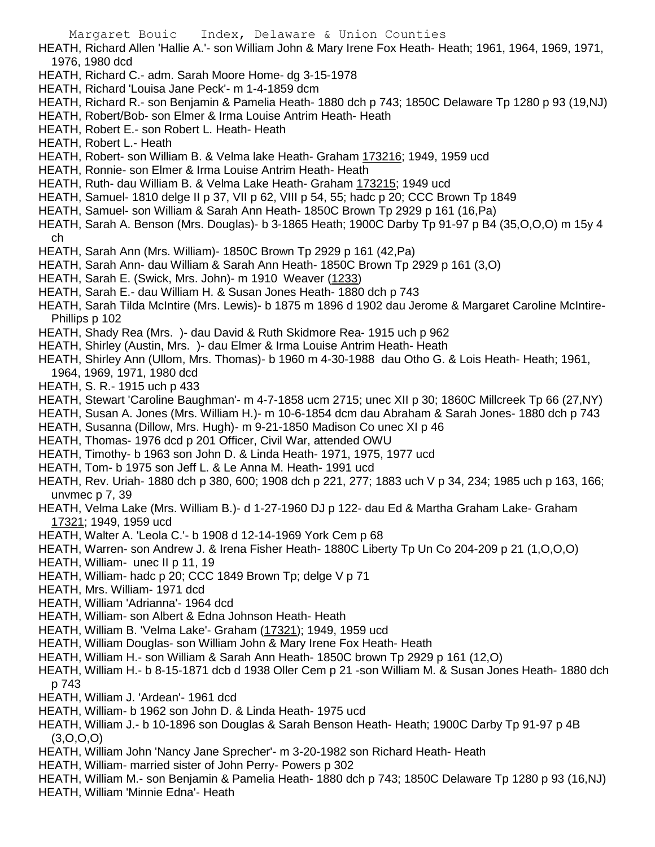- HEATH, Richard Allen 'Hallie A.'- son William John & Mary Irene Fox Heath- Heath; 1961, 1964, 1969, 1971, 1976, 1980 dcd
- HEATH, Richard C.- adm. Sarah Moore Home- dg 3-15-1978
- HEATH, Richard 'Louisa Jane Peck'- m 1-4-1859 dcm
- HEATH, Richard R.- son Benjamin & Pamelia Heath- 1880 dch p 743; 1850C Delaware Tp 1280 p 93 (19,NJ)
- HEATH, Robert/Bob- son Elmer & Irma Louise Antrim Heath- Heath
- HEATH, Robert E.- son Robert L. Heath- Heath
- HEATH, Robert L.- Heath
- HEATH, Robert- son William B. & Velma lake Heath- Graham 173216; 1949, 1959 ucd
- HEATH, Ronnie- son Elmer & Irma Louise Antrim Heath- Heath
- HEATH, Ruth- dau William B. & Velma Lake Heath- Graham 173215; 1949 ucd
- HEATH, Samuel- 1810 delge II p 37, VII p 62, VIII p 54, 55; hadc p 20; CCC Brown Tp 1849
- HEATH, Samuel- son William & Sarah Ann Heath- 1850C Brown Tp 2929 p 161 (16,Pa)
- HEATH, Sarah A. Benson (Mrs. Douglas)- b 3-1865 Heath; 1900C Darby Tp 91-97 p B4 (35,O,O,O) m 15y 4 ch
- HEATH, Sarah Ann (Mrs. William)- 1850C Brown Tp 2929 p 161 (42,Pa)
- HEATH, Sarah Ann- dau William & Sarah Ann Heath- 1850C Brown Tp 2929 p 161 (3,O)
- HEATH, Sarah E. (Swick, Mrs. John)- m 1910 Weaver (1233)
- HEATH, Sarah E.- dau William H. & Susan Jones Heath- 1880 dch p 743
- HEATH, Sarah Tilda McIntire (Mrs. Lewis)- b 1875 m 1896 d 1902 dau Jerome & Margaret Caroline McIntire-Phillips p 102
- HEATH, Shady Rea (Mrs. )- dau David & Ruth Skidmore Rea- 1915 uch p 962
- HEATH, Shirley (Austin, Mrs. )- dau Elmer & Irma Louise Antrim Heath- Heath
- HEATH, Shirley Ann (Ullom, Mrs. Thomas)- b 1960 m 4-30-1988 dau Otho G. & Lois Heath- Heath; 1961, 1964, 1969, 1971, 1980 dcd
- HEATH, S. R.- 1915 uch p 433
- HEATH, Stewart 'Caroline Baughman'- m 4-7-1858 ucm 2715; unec XII p 30; 1860C Millcreek Tp 66 (27,NY)
- HEATH, Susan A. Jones (Mrs. William H.)- m 10-6-1854 dcm dau Abraham & Sarah Jones- 1880 dch p 743
- HEATH, Susanna (Dillow, Mrs. Hugh)- m 9-21-1850 Madison Co unec XI p 46
- HEATH, Thomas- 1976 dcd p 201 Officer, Civil War, attended OWU
- HEATH, Timothy- b 1963 son John D. & Linda Heath- 1971, 1975, 1977 ucd
- HEATH, Tom- b 1975 son Jeff L. & Le Anna M. Heath- 1991 ucd
- HEATH, Rev. Uriah- 1880 dch p 380, 600; 1908 dch p 221, 277; 1883 uch V p 34, 234; 1985 uch p 163, 166; unvmec p 7, 39
- HEATH, Velma Lake (Mrs. William B.)- d 1-27-1960 DJ p 122- dau Ed & Martha Graham Lake- Graham 17321; 1949, 1959 ucd
- HEATH, Walter A. 'Leola C.'- b 1908 d 12-14-1969 York Cem p 68
- HEATH, Warren- son Andrew J. & Irena Fisher Heath- 1880C Liberty Tp Un Co 204-209 p 21 (1,O,O,O)
- HEATH, William- unec II p 11, 19
- HEATH, William- hadc p 20; CCC 1849 Brown Tp; delge V p 71
- HEATH, Mrs. William- 1971 dcd
- HEATH, William 'Adrianna'- 1964 dcd
- HEATH, William- son Albert & Edna Johnson Heath- Heath
- HEATH, William B. 'Velma Lake'- Graham (17321); 1949, 1959 ucd
- HEATH, William Douglas- son William John & Mary Irene Fox Heath- Heath
- HEATH, William H.- son William & Sarah Ann Heath- 1850C brown Tp 2929 p 161 (12,O)
- HEATH, William H.- b 8-15-1871 dcb d 1938 Oller Cem p 21 -son William M. & Susan Jones Heath- 1880 dch p 743
- HEATH, William J. 'Ardean'- 1961 dcd
- HEATH, William- b 1962 son John D. & Linda Heath- 1975 ucd
- HEATH, William J.- b 10-1896 son Douglas & Sarah Benson Heath- Heath; 1900C Darby Tp 91-97 p 4B (3,O,O,O)
- HEATH, William John 'Nancy Jane Sprecher'- m 3-20-1982 son Richard Heath- Heath
- HEATH, William- married sister of John Perry- Powers p 302
- HEATH, William M.- son Benjamin & Pamelia Heath- 1880 dch p 743; 1850C Delaware Tp 1280 p 93 (16,NJ)
- HEATH, William 'Minnie Edna'- Heath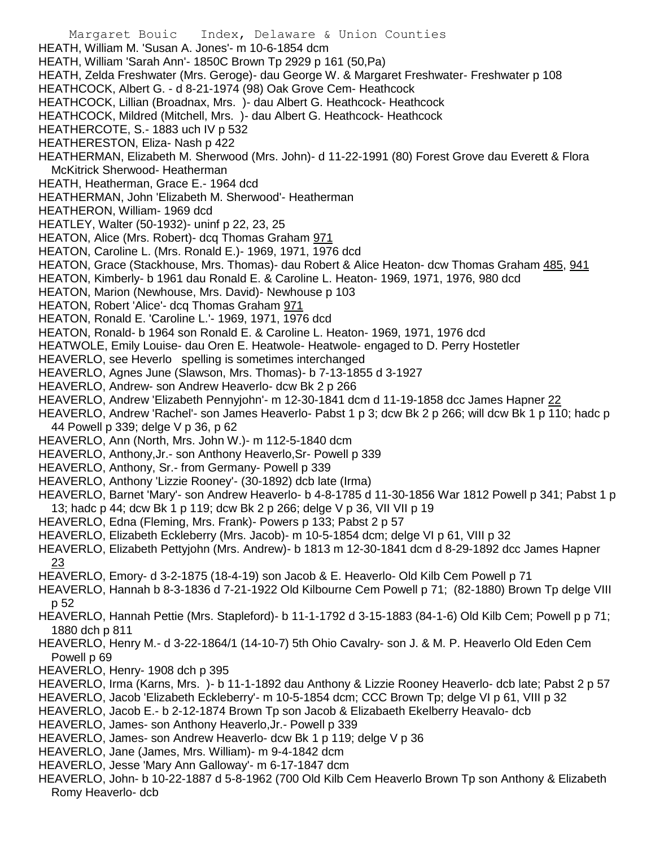Margaret Bouic Index, Delaware & Union Counties HEATH, William M. 'Susan A. Jones'- m 10-6-1854 dcm HEATH, William 'Sarah Ann'- 1850C Brown Tp 2929 p 161 (50,Pa) HEATH, Zelda Freshwater (Mrs. Geroge)- dau George W. & Margaret Freshwater- Freshwater p 108 HEATHCOCK, Albert G. - d 8-21-1974 (98) Oak Grove Cem- Heathcock HEATHCOCK, Lillian (Broadnax, Mrs. )- dau Albert G. Heathcock- Heathcock HEATHCOCK, Mildred (Mitchell, Mrs. )- dau Albert G. Heathcock- Heathcock HEATHERCOTE, S.- 1883 uch IV p 532 HEATHERESTON, Eliza- Nash p 422 HEATHERMAN, Elizabeth M. Sherwood (Mrs. John)- d 11-22-1991 (80) Forest Grove dau Everett & Flora McKitrick Sherwood- Heatherman HEATH, Heatherman, Grace E.- 1964 dcd HEATHERMAN, John 'Elizabeth M. Sherwood'- Heatherman HEATHERON, William- 1969 dcd HEATLEY, Walter (50-1932)- uninf p 22, 23, 25 HEATON, Alice (Mrs. Robert)- dcq Thomas Graham 971 HEATON, Caroline L. (Mrs. Ronald E.)- 1969, 1971, 1976 dcd HEATON, Grace (Stackhouse, Mrs. Thomas)- dau Robert & Alice Heaton- dcw Thomas Graham 485, 941 HEATON, Kimberly- b 1961 dau Ronald E. & Caroline L. Heaton- 1969, 1971, 1976, 980 dcd HEATON, Marion (Newhouse, Mrs. David)- Newhouse p 103 HEATON, Robert 'Alice'- dcq Thomas Graham 971 HEATON, Ronald E. 'Caroline L.'- 1969, 1971, 1976 dcd HEATON, Ronald- b 1964 son Ronald E. & Caroline L. Heaton- 1969, 1971, 1976 dcd HEATWOLE, Emily Louise- dau Oren E. Heatwole- Heatwole- engaged to D. Perry Hostetler HEAVERLO, see Heverlo spelling is sometimes interchanged HEAVERLO, Agnes June (Slawson, Mrs. Thomas)- b 7-13-1855 d 3-1927 HEAVERLO, Andrew- son Andrew Heaverlo- dcw Bk 2 p 266 HEAVERLO, Andrew 'Elizabeth Pennyjohn'- m 12-30-1841 dcm d 11-19-1858 dcc James Hapner 22 HEAVERLO, Andrew 'Rachel'- son James Heaverlo- Pabst 1 p 3; dcw Bk 2 p 266; will dcw Bk 1 p 110; hadc p 44 Powell p 339; delge V p 36, p 62 HEAVERLO, Ann (North, Mrs. John W.)- m 112-5-1840 dcm HEAVERLO, Anthony,Jr.- son Anthony Heaverlo,Sr- Powell p 339 HEAVERLO, Anthony, Sr.- from Germany- Powell p 339 HEAVERLO, Anthony 'Lizzie Rooney'- (30-1892) dcb late (Irma) HEAVERLO, Barnet 'Mary'- son Andrew Heaverlo- b 4-8-1785 d 11-30-1856 War 1812 Powell p 341; Pabst 1 p 13; hadc p 44; dcw Bk 1 p 119; dcw Bk 2 p 266; delge V p 36, VII VII p 19 HEAVERLO, Edna (Fleming, Mrs. Frank)- Powers p 133; Pabst 2 p 57 HEAVERLO, Elizabeth Eckleberry (Mrs. Jacob)- m 10-5-1854 dcm; delge VI p 61, VIII p 32 HEAVERLO, Elizabeth Pettyjohn (Mrs. Andrew)- b 1813 m 12-30-1841 dcm d 8-29-1892 dcc James Hapner 23 HEAVERLO, Emory- d 3-2-1875 (18-4-19) son Jacob & E. Heaverlo- Old Kilb Cem Powell p 71 HEAVERLO, Hannah b 8-3-1836 d 7-21-1922 Old Kilbourne Cem Powell p 71; (82-1880) Brown Tp delge VIII p 52 HEAVERLO, Hannah Pettie (Mrs. Stapleford)- b 11-1-1792 d 3-15-1883 (84-1-6) Old Kilb Cem; Powell p p 71; 1880 dch p 811 HEAVERLO, Henry M.- d 3-22-1864/1 (14-10-7) 5th Ohio Cavalry- son J. & M. P. Heaverlo Old Eden Cem Powell p 69 HEAVERLO, Henry- 1908 dch p 395 HEAVERLO, Irma (Karns, Mrs. )- b 11-1-1892 dau Anthony & Lizzie Rooney Heaverlo- dcb late; Pabst 2 p 57 HEAVERLO, Jacob 'Elizabeth Eckleberry'- m 10-5-1854 dcm; CCC Brown Tp; delge VI p 61, VIII p 32 HEAVERLO, Jacob E.- b 2-12-1874 Brown Tp son Jacob & Elizabaeth Ekelberry Heavalo- dcb HEAVERLO, James- son Anthony Heaverlo,Jr.- Powell p 339 HEAVERLO, James- son Andrew Heaverlo- dcw Bk 1 p 119; delge V p 36 HEAVERLO, Jane (James, Mrs. William)- m 9-4-1842 dcm HEAVERLO, Jesse 'Mary Ann Galloway'- m 6-17-1847 dcm HEAVERLO, John- b 10-22-1887 d 5-8-1962 (700 Old Kilb Cem Heaverlo Brown Tp son Anthony & Elizabeth Romy Heaverlo- dcb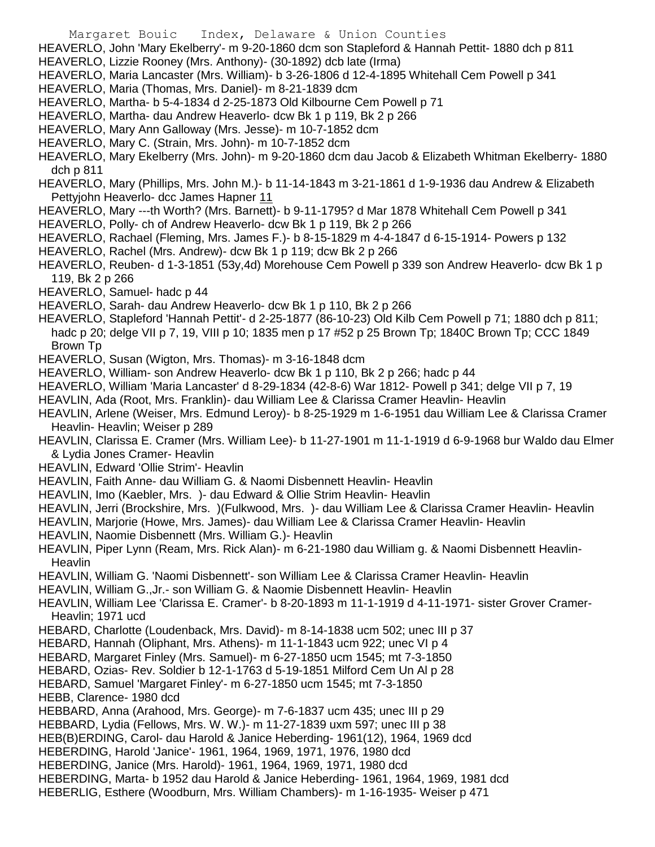HEAVERLO, John 'Mary Ekelberry'- m 9-20-1860 dcm son Stapleford & Hannah Pettit- 1880 dch p 811

- HEAVERLO, Lizzie Rooney (Mrs. Anthony)- (30-1892) dcb late (Irma)
- HEAVERLO, Maria Lancaster (Mrs. William)- b 3-26-1806 d 12-4-1895 Whitehall Cem Powell p 341
- HEAVERLO, Maria (Thomas, Mrs. Daniel)- m 8-21-1839 dcm
- HEAVERLO, Martha- b 5-4-1834 d 2-25-1873 Old Kilbourne Cem Powell p 71
- HEAVERLO, Martha- dau Andrew Heaverlo- dcw Bk 1 p 119, Bk 2 p 266
- HEAVERLO, Mary Ann Galloway (Mrs. Jesse)- m 10-7-1852 dcm
- HEAVERLO, Mary C. (Strain, Mrs. John)- m 10-7-1852 dcm
- HEAVERLO, Mary Ekelberry (Mrs. John)- m 9-20-1860 dcm dau Jacob & Elizabeth Whitman Ekelberry- 1880 dch p 811
- HEAVERLO, Mary (Phillips, Mrs. John M.)- b 11-14-1843 m 3-21-1861 d 1-9-1936 dau Andrew & Elizabeth Pettyjohn Heaverlo- dcc James Hapner 11
- HEAVERLO, Mary ---th Worth? (Mrs. Barnett)- b 9-11-1795? d Mar 1878 Whitehall Cem Powell p 341
- HEAVERLO, Polly- ch of Andrew Heaverlo- dcw Bk 1 p 119, Bk 2 p 266
- HEAVERLO, Rachael (Fleming, Mrs. James F.)- b 8-15-1829 m 4-4-1847 d 6-15-1914- Powers p 132
- HEAVERLO, Rachel (Mrs. Andrew)- dcw Bk 1 p 119; dcw Bk 2 p 266
- HEAVERLO, Reuben- d 1-3-1851 (53y,4d) Morehouse Cem Powell p 339 son Andrew Heaverlo- dcw Bk 1 p 119, Bk 2 p 266
- HEAVERLO, Samuel- hadc p 44
- HEAVERLO, Sarah- dau Andrew Heaverlo- dcw Bk 1 p 110, Bk 2 p 266
- HEAVERLO, Stapleford 'Hannah Pettit'- d 2-25-1877 (86-10-23) Old Kilb Cem Powell p 71; 1880 dch p 811; hadc p 20; delge VII p 7, 19, VIII p 10; 1835 men p 17 #52 p 25 Brown Tp; 1840C Brown Tp; CCC 1849 Brown Tp
- HEAVERLO, Susan (Wigton, Mrs. Thomas)- m 3-16-1848 dcm
- HEAVERLO, William- son Andrew Heaverlo- dcw Bk 1 p 110, Bk 2 p 266; hadc p 44
- HEAVERLO, William 'Maria Lancaster' d 8-29-1834 (42-8-6) War 1812- Powell p 341; delge VII p 7, 19
- HEAVLIN, Ada (Root, Mrs. Franklin)- dau William Lee & Clarissa Cramer Heavlin- Heavlin
- HEAVLIN, Arlene (Weiser, Mrs. Edmund Leroy)- b 8-25-1929 m 1-6-1951 dau William Lee & Clarissa Cramer Heavlin- Heavlin; Weiser p 289
- HEAVLIN, Clarissa E. Cramer (Mrs. William Lee)- b 11-27-1901 m 11-1-1919 d 6-9-1968 bur Waldo dau Elmer & Lydia Jones Cramer- Heavlin
- HEAVLIN, Edward 'Ollie Strim'- Heavlin
- HEAVLIN, Faith Anne- dau William G. & Naomi Disbennett Heavlin- Heavlin
- HEAVLIN, Imo (Kaebler, Mrs. )- dau Edward & Ollie Strim Heavlin- Heavlin
- HEAVLIN, Jerri (Brockshire, Mrs. )(Fulkwood, Mrs. )- dau William Lee & Clarissa Cramer Heavlin- Heavlin
- HEAVLIN, Marjorie (Howe, Mrs. James)- dau William Lee & Clarissa Cramer Heavlin- Heavlin
- HEAVLIN, Naomie Disbennett (Mrs. William G.)- Heavlin
- HEAVLIN, Piper Lynn (Ream, Mrs. Rick Alan)- m 6-21-1980 dau William g. & Naomi Disbennett Heavlin-**Heavlin**
- HEAVLIN, William G. 'Naomi Disbennett'- son William Lee & Clarissa Cramer Heavlin- Heavlin
- HEAVLIN, William G.,Jr.- son William G. & Naomie Disbennett Heavlin- Heavlin
- HEAVLIN, William Lee 'Clarissa E. Cramer'- b 8-20-1893 m 11-1-1919 d 4-11-1971- sister Grover Cramer-Heavlin; 1971 ucd
- HEBARD, Charlotte (Loudenback, Mrs. David)- m 8-14-1838 ucm 502; unec III p 37
- HEBARD, Hannah (Oliphant, Mrs. Athens)- m 11-1-1843 ucm 922; unec VI p 4
- HEBARD, Margaret Finley (Mrs. Samuel)- m 6-27-1850 ucm 1545; mt 7-3-1850
- HEBARD, Ozias- Rev. Soldier b 12-1-1763 d 5-19-1851 Milford Cem Un Al p 28
- HEBARD, Samuel 'Margaret Finley'- m 6-27-1850 ucm 1545; mt 7-3-1850
- HEBB, Clarence- 1980 dcd
- HEBBARD, Anna (Arahood, Mrs. George)- m 7-6-1837 ucm 435; unec III p 29
- HEBBARD, Lydia (Fellows, Mrs. W. W.)- m 11-27-1839 uxm 597; unec III p 38
- HEB(B)ERDING, Carol- dau Harold & Janice Heberding- 1961(12), 1964, 1969 dcd
- HEBERDING, Harold 'Janice'- 1961, 1964, 1969, 1971, 1976, 1980 dcd
- HEBERDING, Janice (Mrs. Harold)- 1961, 1964, 1969, 1971, 1980 dcd
- HEBERDING, Marta- b 1952 dau Harold & Janice Heberding- 1961, 1964, 1969, 1981 dcd
- HEBERLIG, Esthere (Woodburn, Mrs. William Chambers)- m 1-16-1935- Weiser p 471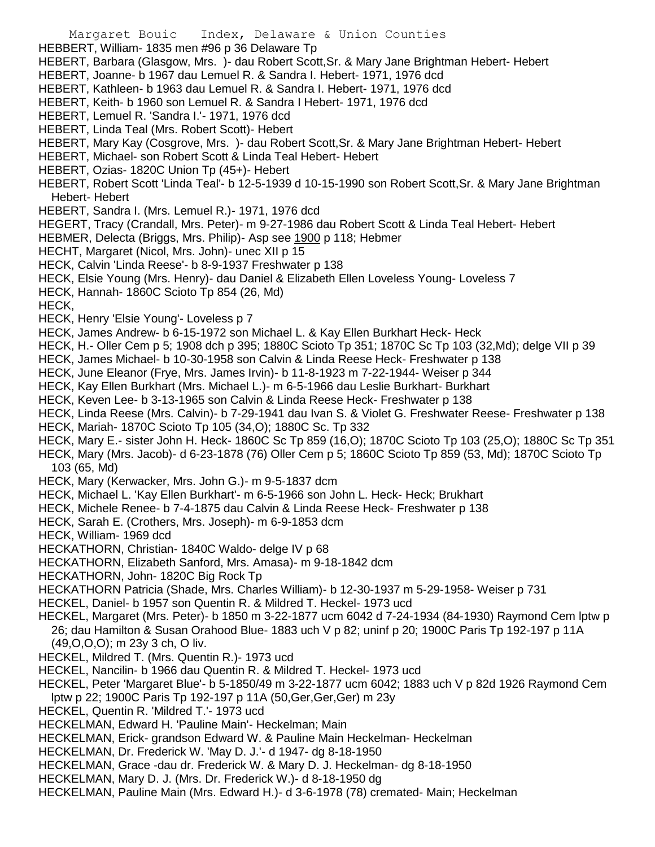Margaret Bouic Index, Delaware & Union Counties HEBBERT, William- 1835 men #96 p 36 Delaware Tp HEBERT, Barbara (Glasgow, Mrs. )- dau Robert Scott,Sr. & Mary Jane Brightman Hebert- Hebert HEBERT, Joanne- b 1967 dau Lemuel R. & Sandra I. Hebert- 1971, 1976 dcd HEBERT, Kathleen- b 1963 dau Lemuel R. & Sandra I. Hebert- 1971, 1976 dcd HEBERT, Keith- b 1960 son Lemuel R. & Sandra I Hebert- 1971, 1976 dcd HEBERT, Lemuel R. 'Sandra I.'- 1971, 1976 dcd HEBERT, Linda Teal (Mrs. Robert Scott)- Hebert HEBERT, Mary Kay (Cosgrove, Mrs. )- dau Robert Scott,Sr. & Mary Jane Brightman Hebert- Hebert HEBERT, Michael- son Robert Scott & Linda Teal Hebert- Hebert HEBERT, Ozias- 1820C Union Tp (45+)- Hebert HEBERT, Robert Scott 'Linda Teal'- b 12-5-1939 d 10-15-1990 son Robert Scott,Sr. & Mary Jane Brightman Hebert- Hebert HEBERT, Sandra I. (Mrs. Lemuel R.)- 1971, 1976 dcd HEGERT, Tracy (Crandall, Mrs. Peter)- m 9-27-1986 dau Robert Scott & Linda Teal Hebert- Hebert HEBMER, Delecta (Briggs, Mrs. Philip)- Asp see 1900 p 118; Hebmer HECHT, Margaret (Nicol, Mrs. John)- unec XII p 15 HECK, Calvin 'Linda Reese'- b 8-9-1937 Freshwater p 138 HECK, Elsie Young (Mrs. Henry)- dau Daniel & Elizabeth Ellen Loveless Young- Loveless 7 HECK, Hannah- 1860C Scioto Tp 854 (26, Md) HECK, HECK, Henry 'Elsie Young'- Loveless p 7 HECK, James Andrew- b 6-15-1972 son Michael L. & Kay Ellen Burkhart Heck- Heck HECK, H.- Oller Cem p 5; 1908 dch p 395; 1880C Scioto Tp 351; 1870C Sc Tp 103 (32,Md); delge VII p 39 HECK, James Michael- b 10-30-1958 son Calvin & Linda Reese Heck- Freshwater p 138 HECK, June Eleanor (Frye, Mrs. James Irvin)- b 11-8-1923 m 7-22-1944- Weiser p 344 HECK, Kay Ellen Burkhart (Mrs. Michael L.)- m 6-5-1966 dau Leslie Burkhart- Burkhart HECK, Keven Lee- b 3-13-1965 son Calvin & Linda Reese Heck- Freshwater p 138 HECK, Linda Reese (Mrs. Calvin)- b 7-29-1941 dau Ivan S. & Violet G. Freshwater Reese- Freshwater p 138 HECK, Mariah- 1870C Scioto Tp 105 (34,O); 1880C Sc. Tp 332 HECK, Mary E.- sister John H. Heck- 1860C Sc Tp 859 (16,O); 1870C Scioto Tp 103 (25,O); 1880C Sc Tp 351 HECK, Mary (Mrs. Jacob)- d 6-23-1878 (76) Oller Cem p 5; 1860C Scioto Tp 859 (53, Md); 1870C Scioto Tp 103 (65, Md) HECK, Mary (Kerwacker, Mrs. John G.)- m 9-5-1837 dcm HECK, Michael L. 'Kay Ellen Burkhart'- m 6-5-1966 son John L. Heck- Heck; Brukhart HECK, Michele Renee- b 7-4-1875 dau Calvin & Linda Reese Heck- Freshwater p 138 HECK, Sarah E. (Crothers, Mrs. Joseph)- m 6-9-1853 dcm HECK, William- 1969 dcd HECKATHORN, Christian- 1840C Waldo- delge IV p 68 HECKATHORN, Elizabeth Sanford, Mrs. Amasa)- m 9-18-1842 dcm HECKATHORN, John- 1820C Big Rock Tp HECKATHORN Patricia (Shade, Mrs. Charles William)- b 12-30-1937 m 5-29-1958- Weiser p 731 HECKEL, Daniel- b 1957 son Quentin R. & Mildred T. Heckel- 1973 ucd HECKEL, Margaret (Mrs. Peter)- b 1850 m 3-22-1877 ucm 6042 d 7-24-1934 (84-1930) Raymond Cem lptw p 26; dau Hamilton & Susan Orahood Blue- 1883 uch V p 82; uninf p 20; 1900C Paris Tp 192-197 p 11A (49,O,O,O); m 23y 3 ch, O liv. HECKEL, Mildred T. (Mrs. Quentin R.)- 1973 ucd HECKEL, Nancilin- b 1966 dau Quentin R. & Mildred T. Heckel- 1973 ucd HECKEL, Peter 'Margaret Blue'- b 5-1850/49 m 3-22-1877 ucm 6042; 1883 uch V p 82d 1926 Raymond Cem lptw p 22; 1900C Paris Tp 192-197 p 11A (50,Ger,Ger,Ger) m 23y HECKEL, Quentin R. 'Mildred T.'- 1973 ucd HECKELMAN, Edward H. 'Pauline Main'- Heckelman; Main HECKELMAN, Erick- grandson Edward W. & Pauline Main Heckelman- Heckelman HECKELMAN, Dr. Frederick W. 'May D. J.'- d 1947- dg 8-18-1950 HECKELMAN, Grace -dau dr. Frederick W. & Mary D. J. Heckelman- dg 8-18-1950 HECKELMAN, Mary D. J. (Mrs. Dr. Frederick W.)- d 8-18-1950 dg HECKELMAN, Pauline Main (Mrs. Edward H.)- d 3-6-1978 (78) cremated- Main; Heckelman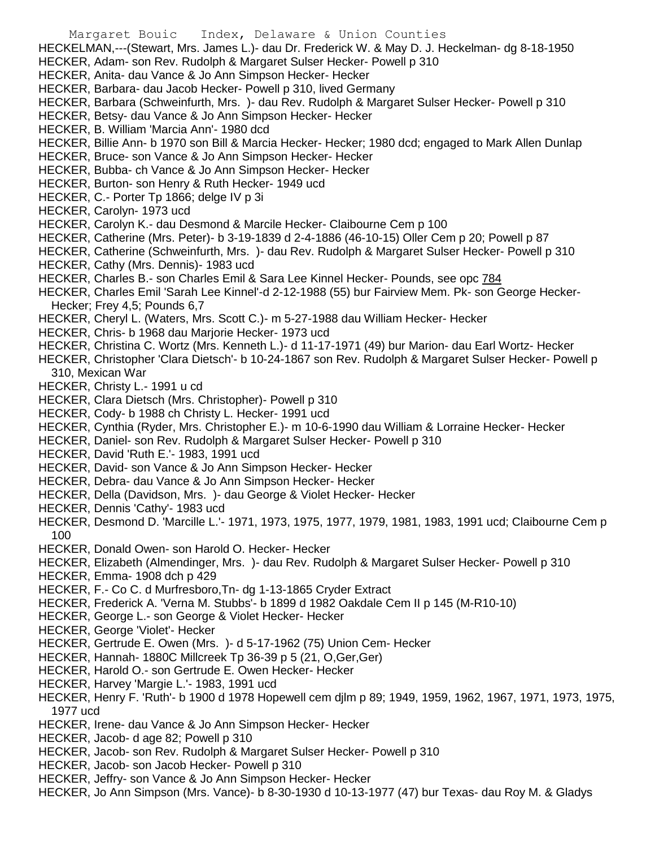- Margaret Bouic Index, Delaware & Union Counties HECKELMAN,---(Stewart, Mrs. James L.)- dau Dr. Frederick W. & May D. J. Heckelman- dg 8-18-1950 HECKER, Adam- son Rev. Rudolph & Margaret Sulser Hecker- Powell p 310 HECKER, Anita- dau Vance & Jo Ann Simpson Hecker- Hecker HECKER, Barbara- dau Jacob Hecker- Powell p 310, lived Germany HECKER, Barbara (Schweinfurth, Mrs. )- dau Rev. Rudolph & Margaret Sulser Hecker- Powell p 310 HECKER, Betsy- dau Vance & Jo Ann Simpson Hecker- Hecker HECKER, B. William 'Marcia Ann'- 1980 dcd HECKER, Billie Ann- b 1970 son Bill & Marcia Hecker- Hecker; 1980 dcd; engaged to Mark Allen Dunlap HECKER, Bruce- son Vance & Jo Ann Simpson Hecker- Hecker HECKER, Bubba- ch Vance & Jo Ann Simpson Hecker- Hecker HECKER, Burton- son Henry & Ruth Hecker- 1949 ucd HECKER, C.- Porter Tp 1866; delge IV p 3i HECKER, Carolyn- 1973 ucd HECKER, Carolyn K.- dau Desmond & Marcile Hecker- Claibourne Cem p 100 HECKER, Catherine (Mrs. Peter)- b 3-19-1839 d 2-4-1886 (46-10-15) Oller Cem p 20; Powell p 87 HECKER, Catherine (Schweinfurth, Mrs. )- dau Rev. Rudolph & Margaret Sulser Hecker- Powell p 310 HECKER, Cathy (Mrs. Dennis)- 1983 ucd HECKER, Charles B.- son Charles Emil & Sara Lee Kinnel Hecker- Pounds, see opc 784 HECKER, Charles Emil 'Sarah Lee Kinnel'-d 2-12-1988 (55) bur Fairview Mem. Pk- son George Hecker-Hecker; Frey 4,5; Pounds 6,7 HECKER, Cheryl L. (Waters, Mrs. Scott C.)- m 5-27-1988 dau William Hecker- Hecker HECKER, Chris- b 1968 dau Marjorie Hecker- 1973 ucd HECKER, Christina C. Wortz (Mrs. Kenneth L.)- d 11-17-1971 (49) bur Marion- dau Earl Wortz- Hecker HECKER, Christopher 'Clara Dietsch'- b 10-24-1867 son Rev. Rudolph & Margaret Sulser Hecker- Powell p 310, Mexican War HECKER, Christy L.- 1991 u cd HECKER, Clara Dietsch (Mrs. Christopher)- Powell p 310 HECKER, Cody- b 1988 ch Christy L. Hecker- 1991 ucd HECKER, Cynthia (Ryder, Mrs. Christopher E.)- m 10-6-1990 dau William & Lorraine Hecker- Hecker HECKER, Daniel- son Rev. Rudolph & Margaret Sulser Hecker- Powell p 310 HECKER, David 'Ruth E.'- 1983, 1991 ucd HECKER, David- son Vance & Jo Ann Simpson Hecker- Hecker HECKER, Debra- dau Vance & Jo Ann Simpson Hecker- Hecker HECKER, Della (Davidson, Mrs. )- dau George & Violet Hecker- Hecker HECKER, Dennis 'Cathy'- 1983 ucd HECKER, Desmond D. 'Marcille L.'- 1971, 1973, 1975, 1977, 1979, 1981, 1983, 1991 ucd; Claibourne Cem p 100 HECKER, Donald Owen- son Harold O. Hecker- Hecker HECKER, Elizabeth (Almendinger, Mrs. )- dau Rev. Rudolph & Margaret Sulser Hecker- Powell p 310 HECKER, Emma- 1908 dch p 429 HECKER, F.- Co C. d Murfresboro,Tn- dg 1-13-1865 Cryder Extract HECKER, Frederick A. 'Verna M. Stubbs'- b 1899 d 1982 Oakdale Cem II p 145 (M-R10-10) HECKER, George L.- son George & Violet Hecker- Hecker HECKER, George 'Violet'- Hecker HECKER, Gertrude E. Owen (Mrs. )- d 5-17-1962 (75) Union Cem- Hecker HECKER, Hannah- 1880C Millcreek Tp 36-39 p 5 (21, O,Ger,Ger) HECKER, Harold O.- son Gertrude E. Owen Hecker- Hecker HECKER, Harvey 'Margie L.'- 1983, 1991 ucd HECKER, Henry F. 'Ruth'- b 1900 d 1978 Hopewell cem djlm p 89; 1949, 1959, 1962, 1967, 1971, 1973, 1975, 1977 ucd HECKER, Irene- dau Vance & Jo Ann Simpson Hecker- Hecker
- 
- HECKER, Jacob- d age 82; Powell p 310
- HECKER, Jacob- son Rev. Rudolph & Margaret Sulser Hecker- Powell p 310
- HECKER, Jacob- son Jacob Hecker- Powell p 310
- HECKER, Jeffry- son Vance & Jo Ann Simpson Hecker- Hecker
- HECKER, Jo Ann Simpson (Mrs. Vance)- b 8-30-1930 d 10-13-1977 (47) bur Texas- dau Roy M. & Gladys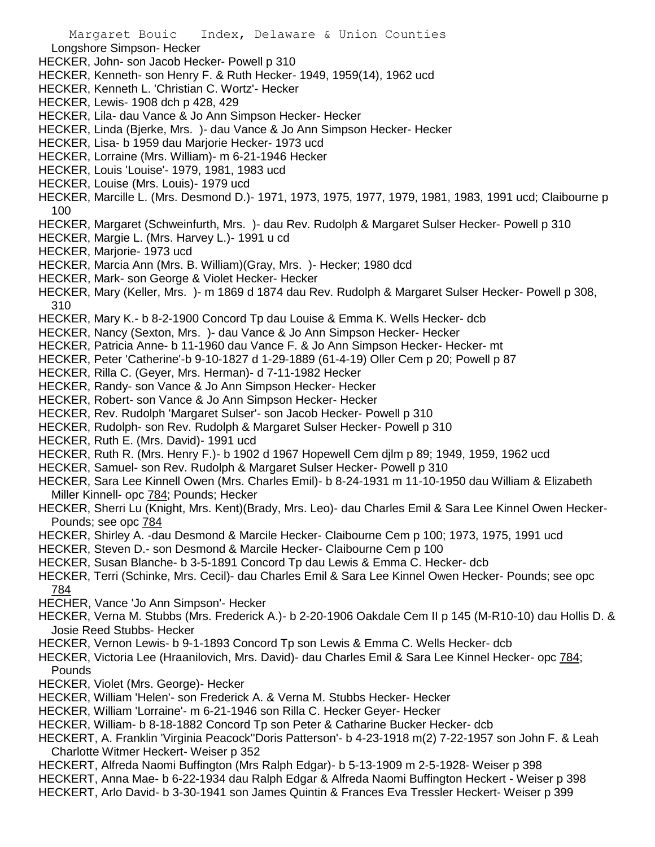Margaret Bouic Index, Delaware & Union Counties Longshore Simpson- Hecker HECKER, John- son Jacob Hecker- Powell p 310 HECKER, Kenneth- son Henry F. & Ruth Hecker- 1949, 1959(14), 1962 ucd HECKER, Kenneth L. 'Christian C. Wortz'- Hecker HECKER, Lewis- 1908 dch p 428, 429 HECKER, Lila- dau Vance & Jo Ann Simpson Hecker- Hecker HECKER, Linda (Bjerke, Mrs. )- dau Vance & Jo Ann Simpson Hecker- Hecker HECKER, Lisa- b 1959 dau Marjorie Hecker- 1973 ucd HECKER, Lorraine (Mrs. William)- m 6-21-1946 Hecker HECKER, Louis 'Louise'- 1979, 1981, 1983 ucd HECKER, Louise (Mrs. Louis)- 1979 ucd HECKER, Marcille L. (Mrs. Desmond D.)- 1971, 1973, 1975, 1977, 1979, 1981, 1983, 1991 ucd; Claibourne p 100 HECKER, Margaret (Schweinfurth, Mrs. )- dau Rev. Rudolph & Margaret Sulser Hecker- Powell p 310 HECKER, Margie L. (Mrs. Harvey L.)- 1991 u cd HECKER, Marjorie- 1973 ucd HECKER, Marcia Ann (Mrs. B. William)(Gray, Mrs. )- Hecker; 1980 dcd HECKER, Mark- son George & Violet Hecker- Hecker HECKER, Mary (Keller, Mrs. )- m 1869 d 1874 dau Rev. Rudolph & Margaret Sulser Hecker- Powell p 308, 310 HECKER, Mary K.- b 8-2-1900 Concord Tp dau Louise & Emma K. Wells Hecker- dcb HECKER, Nancy (Sexton, Mrs. )- dau Vance & Jo Ann Simpson Hecker- Hecker HECKER, Patricia Anne- b 11-1960 dau Vance F. & Jo Ann Simpson Hecker- Hecker- mt HECKER, Peter 'Catherine'-b 9-10-1827 d 1-29-1889 (61-4-19) Oller Cem p 20; Powell p 87 HECKER, Rilla C. (Geyer, Mrs. Herman)- d 7-11-1982 Hecker HECKER, Randy- son Vance & Jo Ann Simpson Hecker- Hecker HECKER, Robert- son Vance & Jo Ann Simpson Hecker- Hecker HECKER, Rev. Rudolph 'Margaret Sulser'- son Jacob Hecker- Powell p 310 HECKER, Rudolph- son Rev. Rudolph & Margaret Sulser Hecker- Powell p 310 HECKER, Ruth E. (Mrs. David)- 1991 ucd HECKER, Ruth R. (Mrs. Henry F.)- b 1902 d 1967 Hopewell Cem djlm p 89; 1949, 1959, 1962 ucd HECKER, Samuel- son Rev. Rudolph & Margaret Sulser Hecker- Powell p 310 HECKER, Sara Lee Kinnell Owen (Mrs. Charles Emil)- b 8-24-1931 m 11-10-1950 dau William & Elizabeth Miller Kinnell- opc 784; Pounds; Hecker HECKER, Sherri Lu (Knight, Mrs. Kent)(Brady, Mrs. Leo)- dau Charles Emil & Sara Lee Kinnel Owen Hecker-Pounds; see opc 784 HECKER, Shirley A. -dau Desmond & Marcile Hecker- Claibourne Cem p 100; 1973, 1975, 1991 ucd HECKER, Steven D.- son Desmond & Marcile Hecker- Claibourne Cem p 100 HECKER, Susan Blanche- b 3-5-1891 Concord Tp dau Lewis & Emma C. Hecker- dcb HECKER, Terri (Schinke, Mrs. Cecil)- dau Charles Emil & Sara Lee Kinnel Owen Hecker- Pounds; see opc 784 HECHER, Vance 'Jo Ann Simpson'- Hecker HECKER, Verna M. Stubbs (Mrs. Frederick A.)- b 2-20-1906 Oakdale Cem II p 145 (M-R10-10) dau Hollis D. & Josie Reed Stubbs- Hecker HECKER, Vernon Lewis- b 9-1-1893 Concord Tp son Lewis & Emma C. Wells Hecker- dcb

- HECKER, Victoria Lee (Hraanilovich, Mrs. David)- dau Charles Emil & Sara Lee Kinnel Hecker- opc 784; Pounds
- HECKER, Violet (Mrs. George)- Hecker
- HECKER, William 'Helen'- son Frederick A. & Verna M. Stubbs Hecker- Hecker
- HECKER, William 'Lorraine'- m 6-21-1946 son Rilla C. Hecker Geyer- Hecker
- HECKER, William- b 8-18-1882 Concord Tp son Peter & Catharine Bucker Hecker- dcb
- HECKERT, A. Franklin 'Virginia Peacock''Doris Patterson'- b 4-23-1918 m(2) 7-22-1957 son John F. & Leah Charlotte Witmer Heckert- Weiser p 352
- HECKERT, Alfreda Naomi Buffington (Mrs Ralph Edgar)- b 5-13-1909 m 2-5-1928- Weiser p 398
- HECKERT, Anna Mae- b 6-22-1934 dau Ralph Edgar & Alfreda Naomi Buffington Heckert Weiser p 398
- HECKERT, Arlo David- b 3-30-1941 son James Quintin & Frances Eva Tressler Heckert- Weiser p 399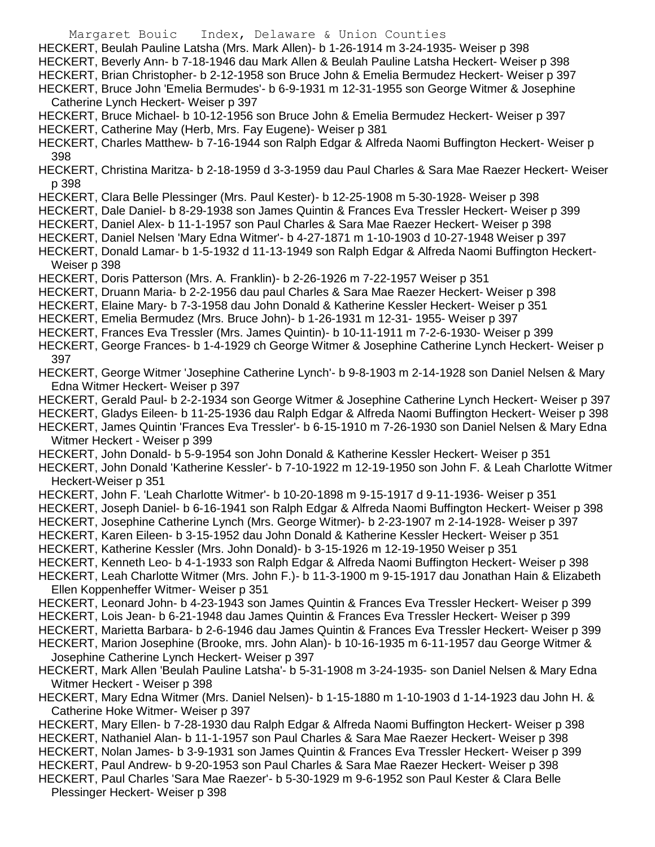- Margaret Bouic Index, Delaware & Union Counties HECKERT, Beulah Pauline Latsha (Mrs. Mark Allen)- b 1-26-1914 m 3-24-1935- Weiser p 398 HECKERT, Beverly Ann- b 7-18-1946 dau Mark Allen & Beulah Pauline Latsha Heckert- Weiser p 398 HECKERT, Brian Christopher- b 2-12-1958 son Bruce John & Emelia Bermudez Heckert- Weiser p 397 HECKERT, Bruce John 'Emelia Bermudes'- b 6-9-1931 m 12-31-1955 son George Witmer & Josephine Catherine Lynch Heckert- Weiser p 397 HECKERT, Bruce Michael- b 10-12-1956 son Bruce John & Emelia Bermudez Heckert- Weiser p 397 HECKERT, Catherine May (Herb, Mrs. Fay Eugene)- Weiser p 381 HECKERT, Charles Matthew- b 7-16-1944 son Ralph Edgar & Alfreda Naomi Buffington Heckert- Weiser p 398 HECKERT, Christina Maritza- b 2-18-1959 d 3-3-1959 dau Paul Charles & Sara Mae Raezer Heckert- Weiser p 398 HECKERT, Clara Belle Plessinger (Mrs. Paul Kester)- b 12-25-1908 m 5-30-1928- Weiser p 398 HECKERT, Dale Daniel- b 8-29-1938 son James Quintin & Frances Eva Tressler Heckert- Weiser p 399 HECKERT, Daniel Alex- b 11-1-1957 son Paul Charles & Sara Mae Raezer Heckert- Weiser p 398 HECKERT, Daniel Nelsen 'Mary Edna Witmer'- b 4-27-1871 m 1-10-1903 d 10-27-1948 Weiser p 397 HECKERT, Donald Lamar- b 1-5-1932 d 11-13-1949 son Ralph Edgar & Alfreda Naomi Buffington Heckert-Weiser p 398 HECKERT, Doris Patterson (Mrs. A. Franklin)- b 2-26-1926 m 7-22-1957 Weiser p 351 HECKERT, Druann Maria- b 2-2-1956 dau paul Charles & Sara Mae Raezer Heckert- Weiser p 398 HECKERT, Elaine Mary- b 7-3-1958 dau John Donald & Katherine Kessler Heckert- Weiser p 351 HECKERT, Emelia Bermudez (Mrs. Bruce John)- b 1-26-1931 m 12-31- 1955- Weiser p 397 HECKERT, Frances Eva Tressler (Mrs. James Quintin)- b 10-11-1911 m 7-2-6-1930- Weiser p 399 HECKERT, George Frances- b 1-4-1929 ch George Witmer & Josephine Catherine Lynch Heckert- Weiser p 397 HECKERT, George Witmer 'Josephine Catherine Lynch'- b 9-8-1903 m 2-14-1928 son Daniel Nelsen & Mary Edna Witmer Heckert- Weiser p 397 HECKERT, Gerald Paul- b 2-2-1934 son George Witmer & Josephine Catherine Lynch Heckert- Weiser p 397 HECKERT, Gladys Eileen- b 11-25-1936 dau Ralph Edgar & Alfreda Naomi Buffington Heckert- Weiser p 398 HECKERT, James Quintin 'Frances Eva Tressler'- b 6-15-1910 m 7-26-1930 son Daniel Nelsen & Mary Edna Witmer Heckert - Weiser p 399 HECKERT, John Donald- b 5-9-1954 son John Donald & Katherine Kessler Heckert- Weiser p 351 HECKERT, John Donald 'Katherine Kessler'- b 7-10-1922 m 12-19-1950 son John F. & Leah Charlotte Witmer Heckert-Weiser p 351 HECKERT, John F. 'Leah Charlotte Witmer'- b 10-20-1898 m 9-15-1917 d 9-11-1936- Weiser p 351 HECKERT, Joseph Daniel- b 6-16-1941 son Ralph Edgar & Alfreda Naomi Buffington Heckert- Weiser p 398 HECKERT, Josephine Catherine Lynch (Mrs. George Witmer)- b 2-23-1907 m 2-14-1928- Weiser p 397 HECKERT, Karen Eileen- b 3-15-1952 dau John Donald & Katherine Kessler Heckert- Weiser p 351 HECKERT, Katherine Kessler (Mrs. John Donald)- b 3-15-1926 m 12-19-1950 Weiser p 351 HECKERT, Kenneth Leo- b 4-1-1933 son Ralph Edgar & Alfreda Naomi Buffington Heckert- Weiser p 398 HECKERT, Leah Charlotte Witmer (Mrs. John F.)- b 11-3-1900 m 9-15-1917 dau Jonathan Hain & Elizabeth Ellen Koppenheffer Witmer- Weiser p 351 HECKERT, Leonard John- b 4-23-1943 son James Quintin & Frances Eva Tressler Heckert- Weiser p 399 HECKERT, Lois Jean- b 6-21-1948 dau James Quintin & Frances Eva Tressler Heckert- Weiser p 399 HECKERT, Marietta Barbara- b 2-6-1946 dau James Quintin & Frances Eva Tressler Heckert- Weiser p 399 HECKERT, Marion Josephine (Brooke, mrs. John Alan)- b 10-16-1935 m 6-11-1957 dau George Witmer & Josephine Catherine Lynch Heckert- Weiser p 397 HECKERT, Mark Allen 'Beulah Pauline Latsha'- b 5-31-1908 m 3-24-1935- son Daniel Nelsen & Mary Edna Witmer Heckert - Weiser p 398 HECKERT, Mary Edna Witmer (Mrs. Daniel Nelsen)- b 1-15-1880 m 1-10-1903 d 1-14-1923 dau John H. & Catherine Hoke Witmer- Weiser p 397 HECKERT, Mary Ellen- b 7-28-1930 dau Ralph Edgar & Alfreda Naomi Buffington Heckert- Weiser p 398 HECKERT, Nathaniel Alan- b 11-1-1957 son Paul Charles & Sara Mae Raezer Heckert- Weiser p 398 HECKERT, Nolan James- b 3-9-1931 son James Quintin & Frances Eva Tressler Heckert- Weiser p 399 HECKERT, Paul Andrew- b 9-20-1953 son Paul Charles & Sara Mae Raezer Heckert- Weiser p 398 HECKERT, Paul Charles 'Sara Mae Raezer'- b 5-30-1929 m 9-6-1952 son Paul Kester & Clara Belle
	- Plessinger Heckert- Weiser p 398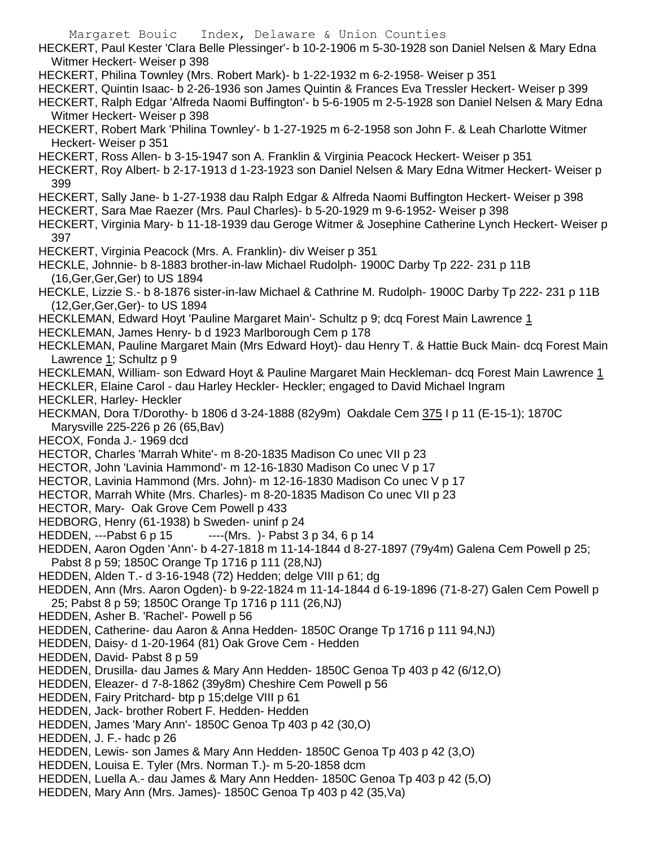Margaret Bouic Index, Delaware & Union Counties HECKERT, Paul Kester 'Clara Belle Plessinger'- b 10-2-1906 m 5-30-1928 son Daniel Nelsen & Mary Edna Witmer Heckert- Weiser p 398 HECKERT, Philina Townley (Mrs. Robert Mark)- b 1-22-1932 m 6-2-1958- Weiser p 351 HECKERT, Quintin Isaac- b 2-26-1936 son James Quintin & Frances Eva Tressler Heckert- Weiser p 399 HECKERT, Ralph Edgar 'Alfreda Naomi Buffington'- b 5-6-1905 m 2-5-1928 son Daniel Nelsen & Mary Edna Witmer Heckert- Weiser p 398 HECKERT, Robert Mark 'Philina Townley'- b 1-27-1925 m 6-2-1958 son John F. & Leah Charlotte Witmer Heckert- Weiser p 351 HECKERT, Ross Allen- b 3-15-1947 son A. Franklin & Virginia Peacock Heckert- Weiser p 351 HECKERT, Roy Albert- b 2-17-1913 d 1-23-1923 son Daniel Nelsen & Mary Edna Witmer Heckert- Weiser p 399 HECKERT, Sally Jane- b 1-27-1938 dau Ralph Edgar & Alfreda Naomi Buffington Heckert- Weiser p 398 HECKERT, Sara Mae Raezer (Mrs. Paul Charles)- b 5-20-1929 m 9-6-1952- Weiser p 398 HECKERT, Virginia Mary- b 11-18-1939 dau Geroge Witmer & Josephine Catherine Lynch Heckert- Weiser p 397 HECKERT, Virginia Peacock (Mrs. A. Franklin)- div Weiser p 351 HECKLE, Johnnie- b 8-1883 brother-in-law Michael Rudolph- 1900C Darby Tp 222- 231 p 11B (16,Ger,Ger,Ger) to US 1894 HECKLE, Lizzie S.- b 8-1876 sister-in-law Michael & Cathrine M. Rudolph- 1900C Darby Tp 222- 231 p 11B (12,Ger,Ger,Ger)- to US 1894 HECKLEMAN, Edward Hoyt 'Pauline Margaret Main'- Schultz p 9; dcq Forest Main Lawrence 1 HECKLEMAN, James Henry- b d 1923 Marlborough Cem p 178 HECKLEMAN, Pauline Margaret Main (Mrs Edward Hoyt)- dau Henry T. & Hattie Buck Main- dcq Forest Main Lawrence 1; Schultz p 9 HECKLEMAN, William- son Edward Hoyt & Pauline Margaret Main Heckleman- dcq Forest Main Lawrence 1 HECKLER, Elaine Carol - dau Harley Heckler- Heckler; engaged to David Michael Ingram HECKLER, Harley- Heckler HECKMAN, Dora T/Dorothy- b 1806 d 3-24-1888 (82y9m) Oakdale Cem 375 I p 11 (E-15-1); 1870C Marysville 225-226 p 26 (65,Bav) HECOX, Fonda J.- 1969 dcd HECTOR, Charles 'Marrah White'- m 8-20-1835 Madison Co unec VII p 23 HECTOR, John 'Lavinia Hammond'- m 12-16-1830 Madison Co unec V p 17 HECTOR, Lavinia Hammond (Mrs. John)- m 12-16-1830 Madison Co unec V p 17 HECTOR, Marrah White (Mrs. Charles)- m 8-20-1835 Madison Co unec VII p 23 HECTOR, Mary- Oak Grove Cem Powell p 433 HEDBORG, Henry (61-1938) b Sweden- uninf p 24 HEDDEN, ---Pabst 6 p 15 ----(Mrs.) - Pabst 3 p 34, 6 p 14 HEDDEN, Aaron Ogden 'Ann'- b 4-27-1818 m 11-14-1844 d 8-27-1897 (79y4m) Galena Cem Powell p 25; Pabst 8 p 59; 1850C Orange Tp 1716 p 111 (28,NJ) HEDDEN, Alden T.- d 3-16-1948 (72) Hedden; delge VIII p 61; dg HEDDEN, Ann (Mrs. Aaron Ogden)- b 9-22-1824 m 11-14-1844 d 6-19-1896 (71-8-27) Galen Cem Powell p 25; Pabst 8 p 59; 1850C Orange Tp 1716 p 111 (26,NJ) HEDDEN, Asher B. 'Rachel'- Powell p 56 HEDDEN, Catherine- dau Aaron & Anna Hedden- 1850C Orange Tp 1716 p 111 94,NJ) HEDDEN, Daisy- d 1-20-1964 (81) Oak Grove Cem - Hedden HEDDEN, David- Pabst 8 p 59 HEDDEN, Drusilla- dau James & Mary Ann Hedden- 1850C Genoa Tp 403 p 42 (6/12,O) HEDDEN, Eleazer- d 7-8-1862 (39y8m) Cheshire Cem Powell p 56 HEDDEN, Fairy Pritchard- btp p 15;delge VIII p 61 HEDDEN, Jack- brother Robert F. Hedden- Hedden HEDDEN, James 'Mary Ann'- 1850C Genoa Tp 403 p 42 (30,O) HEDDEN, J. F.- hadc p 26 HEDDEN, Lewis- son James & Mary Ann Hedden- 1850C Genoa Tp 403 p 42 (3,O) HEDDEN, Louisa E. Tyler (Mrs. Norman T.)- m 5-20-1858 dcm HEDDEN, Luella A.- dau James & Mary Ann Hedden- 1850C Genoa Tp 403 p 42 (5,O) HEDDEN, Mary Ann (Mrs. James)- 1850C Genoa Tp 403 p 42 (35,Va)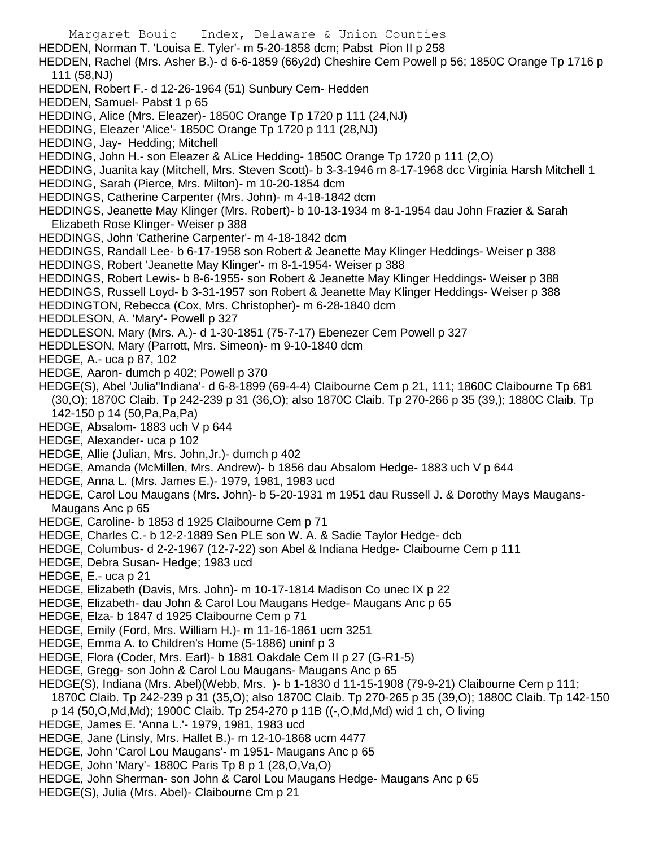Margaret Bouic Index, Delaware & Union Counties HEDDEN, Norman T. 'Louisa E. Tyler'- m 5-20-1858 dcm; Pabst Pion II p 258 HEDDEN, Rachel (Mrs. Asher B.)- d 6-6-1859 (66y2d) Cheshire Cem Powell p 56; 1850C Orange Tp 1716 p 111 (58,NJ) HEDDEN, Robert F.- d 12-26-1964 (51) Sunbury Cem- Hedden HEDDEN, Samuel- Pabst 1 p 65 HEDDING, Alice (Mrs. Eleazer)- 1850C Orange Tp 1720 p 111 (24,NJ) HEDDING, Eleazer 'Alice'- 1850C Orange Tp 1720 p 111 (28,NJ) HEDDING, Jay- Hedding; Mitchell HEDDING, John H.- son Eleazer & ALice Hedding- 1850C Orange Tp 1720 p 111 (2,O) HEDDING, Juanita kay (Mitchell, Mrs. Steven Scott)- b 3-3-1946 m 8-17-1968 dcc Virginia Harsh Mitchell 1 HEDDING, Sarah (Pierce, Mrs. Milton)- m 10-20-1854 dcm HEDDINGS, Catherine Carpenter (Mrs. John)- m 4-18-1842 dcm HEDDINGS, Jeanette May Klinger (Mrs. Robert)- b 10-13-1934 m 8-1-1954 dau John Frazier & Sarah Elizabeth Rose Klinger- Weiser p 388 HEDDINGS, John 'Catherine Carpenter'- m 4-18-1842 dcm HEDDINGS, Randall Lee- b 6-17-1958 son Robert & Jeanette May Klinger Heddings- Weiser p 388 HEDDINGS, Robert 'Jeanette May Klinger'- m 8-1-1954- Weiser p 388 HEDDINGS, Robert Lewis- b 8-6-1955- son Robert & Jeanette May Klinger Heddings- Weiser p 388 HEDDINGS, Russell Loyd- b 3-31-1957 son Robert & Jeanette May Klinger Heddings- Weiser p 388 HEDDINGTON, Rebecca (Cox, Mrs. Christopher)- m 6-28-1840 dcm HEDDLESON, A. 'Mary'- Powell p 327 HEDDLESON, Mary (Mrs. A.)- d 1-30-1851 (75-7-17) Ebenezer Cem Powell p 327 HEDDLESON, Mary (Parrott, Mrs. Simeon)- m 9-10-1840 dcm HEDGE, A.- uca p 87, 102 HEDGE, Aaron- dumch p 402; Powell p 370 HEDGE(S), Abel 'Julia''Indiana'- d 6-8-1899 (69-4-4) Claibourne Cem p 21, 111; 1860C Claibourne Tp 681 (30,O); 1870C Claib. Tp 242-239 p 31 (36,O); also 1870C Claib. Tp 270-266 p 35 (39,); 1880C Claib. Tp 142-150 p 14 (50,Pa,Pa,Pa) HEDGE, Absalom- 1883 uch V p 644 HEDGE, Alexander- uca p 102 HEDGE, Allie (Julian, Mrs. John,Jr.)- dumch p 402 HEDGE, Amanda (McMillen, Mrs. Andrew)- b 1856 dau Absalom Hedge- 1883 uch V p 644 HEDGE, Anna L. (Mrs. James E.)- 1979, 1981, 1983 ucd HEDGE, Carol Lou Maugans (Mrs. John)- b 5-20-1931 m 1951 dau Russell J. & Dorothy Mays Maugans-Maugans Anc p 65 HEDGE, Caroline- b 1853 d 1925 Claibourne Cem p 71 HEDGE, Charles C.- b 12-2-1889 Sen PLE son W. A. & Sadie Taylor Hedge- dcb HEDGE, Columbus- d 2-2-1967 (12-7-22) son Abel & Indiana Hedge- Claibourne Cem p 111 HEDGE, Debra Susan- Hedge; 1983 ucd HEDGE, E.- uca p 21 HEDGE, Elizabeth (Davis, Mrs. John)- m 10-17-1814 Madison Co unec IX p 22 HEDGE, Elizabeth- dau John & Carol Lou Maugans Hedge- Maugans Anc p 65 HEDGE, Elza- b 1847 d 1925 Claibourne Cem p 71 HEDGE, Emily (Ford, Mrs. William H.)- m 11-16-1861 ucm 3251 HEDGE, Emma A. to Children's Home (5-1886) uninf p 3 HEDGE, Flora (Coder, Mrs. Earl)- b 1881 Oakdale Cem II p 27 (G-R1-5) HEDGE, Gregg- son John & Carol Lou Maugans- Maugans Anc p 65 HEDGE(S), Indiana (Mrs. Abel)(Webb, Mrs. )- b 1-1830 d 11-15-1908 (79-9-21) Claibourne Cem p 111; 1870C Claib. Tp 242-239 p 31 (35,O); also 1870C Claib. Tp 270-265 p 35 (39,O); 1880C Claib. Tp 142-150 p 14 (50,O,Md,Md); 1900C Claib. Tp 254-270 p 11B ((-,O,Md,Md) wid 1 ch, O living HEDGE, James E. 'Anna L.'- 1979, 1981, 1983 ucd

- HEDGE, Jane (Linsly, Mrs. Hallet B.)- m 12-10-1868 ucm 4477
- HEDGE, John 'Carol Lou Maugans'- m 1951- Maugans Anc p 65
- HEDGE, John 'Mary'- 1880C Paris Tp 8 p 1 (28,O,Va,O)
- HEDGE, John Sherman- son John & Carol Lou Maugans Hedge- Maugans Anc p 65
- HEDGE(S), Julia (Mrs. Abel)- Claibourne Cm p 21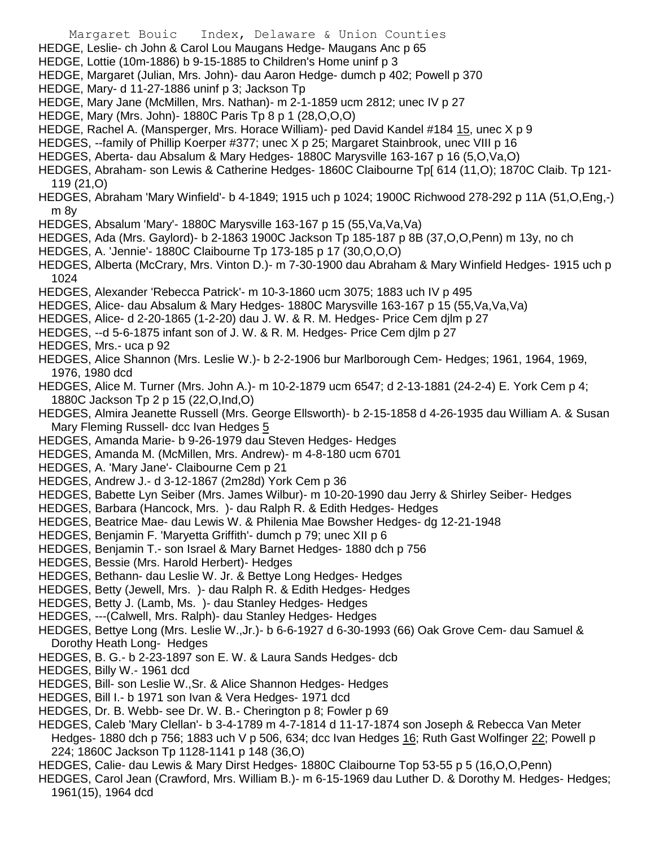- Margaret Bouic Index, Delaware & Union Counties
- HEDGE, Leslie- ch John & Carol Lou Maugans Hedge- Maugans Anc p 65
- HEDGE, Lottie (10m-1886) b 9-15-1885 to Children's Home uninf p 3
- HEDGE, Margaret (Julian, Mrs. John)- dau Aaron Hedge- dumch p 402; Powell p 370
- HEDGE, Mary- d 11-27-1886 uninf p 3; Jackson Tp
- HEDGE, Mary Jane (McMillen, Mrs. Nathan)- m 2-1-1859 ucm 2812; unec IV p 27
- HEDGE, Mary (Mrs. John)- 1880C Paris Tp 8 p 1 (28,O,O,O)
- HEDGE, Rachel A. (Mansperger, Mrs. Horace William)- ped David Kandel #184 15, unec X p 9
- HEDGES, --family of Phillip Koerper #377; unec X p 25; Margaret Stainbrook, unec VIII p 16
- HEDGES, Aberta- dau Absalum & Mary Hedges- 1880C Marysville 163-167 p 16 (5,O,Va,O)
- HEDGES, Abraham- son Lewis & Catherine Hedges- 1860C Claibourne Tp[ 614 (11,O); 1870C Claib. Tp 121- 119 (21,O)
- HEDGES, Abraham 'Mary Winfield'- b 4-1849; 1915 uch p 1024; 1900C Richwood 278-292 p 11A (51,O,Eng,-) m 8y
- HEDGES, Absalum 'Mary'- 1880C Marysville 163-167 p 15 (55,Va,Va,Va)
- HEDGES, Ada (Mrs. Gaylord)- b 2-1863 1900C Jackson Tp 185-187 p 8B (37,O,O,Penn) m 13y, no ch
- HEDGES, A. 'Jennie'- 1880C Claibourne Tp 173-185 p 17 (30,O,O,O)
- HEDGES, Alberta (McCrary, Mrs. Vinton D.)- m 7-30-1900 dau Abraham & Mary Winfield Hedges- 1915 uch p 1024
- HEDGES, Alexander 'Rebecca Patrick'- m 10-3-1860 ucm 3075; 1883 uch IV p 495
- HEDGES, Alice- dau Absalum & Mary Hedges- 1880C Marysville 163-167 p 15 (55,Va,Va,Va)
- HEDGES, Alice- d 2-20-1865 (1-2-20) dau J. W. & R. M. Hedges- Price Cem djlm p 27
- HEDGES, --d 5-6-1875 infant son of J. W. & R. M. Hedges- Price Cem djlm p 27
- HEDGES, Mrs.- uca p 92
- HEDGES, Alice Shannon (Mrs. Leslie W.)- b 2-2-1906 bur Marlborough Cem- Hedges; 1961, 1964, 1969, 1976, 1980 dcd
- HEDGES, Alice M. Turner (Mrs. John A.)- m 10-2-1879 ucm 6547; d 2-13-1881 (24-2-4) E. York Cem p 4; 1880C Jackson Tp 2 p 15 (22,O,Ind,O)
- HEDGES, Almira Jeanette Russell (Mrs. George Ellsworth)- b 2-15-1858 d 4-26-1935 dau William A. & Susan Mary Fleming Russell- dcc Ivan Hedges 5
- HEDGES, Amanda Marie- b 9-26-1979 dau Steven Hedges- Hedges
- HEDGES, Amanda M. (McMillen, Mrs. Andrew)- m 4-8-180 ucm 6701
- HEDGES, A. 'Mary Jane'- Claibourne Cem p 21
- HEDGES, Andrew J.- d 3-12-1867 (2m28d) York Cem p 36
- HEDGES, Babette Lyn Seiber (Mrs. James Wilbur)- m 10-20-1990 dau Jerry & Shirley Seiber- Hedges
- HEDGES, Barbara (Hancock, Mrs. )- dau Ralph R. & Edith Hedges- Hedges
- HEDGES, Beatrice Mae- dau Lewis W. & Philenia Mae Bowsher Hedges- dg 12-21-1948
- HEDGES, Benjamin F. 'Maryetta Griffith'- dumch p 79; unec XII p 6
- HEDGES, Benjamin T.- son Israel & Mary Barnet Hedges- 1880 dch p 756
- HEDGES, Bessie (Mrs. Harold Herbert)- Hedges
- HEDGES, Bethann- dau Leslie W. Jr. & Bettye Long Hedges- Hedges
- HEDGES, Betty (Jewell, Mrs. )- dau Ralph R. & Edith Hedges- Hedges
- HEDGES, Betty J. (Lamb, Ms. )- dau Stanley Hedges- Hedges
- HEDGES, ---(Calwell, Mrs. Ralph)- dau Stanley Hedges- Hedges
- HEDGES, Bettye Long (Mrs. Leslie W.,Jr.)- b 6-6-1927 d 6-30-1993 (66) Oak Grove Cem- dau Samuel & Dorothy Heath Long- Hedges
- HEDGES, B. G.- b 2-23-1897 son E. W. & Laura Sands Hedges- dcb
- HEDGES, Billy W.- 1961 dcd
- HEDGES, Bill- son Leslie W.,Sr. & Alice Shannon Hedges- Hedges
- HEDGES, Bill I.- b 1971 son Ivan & Vera Hedges- 1971 dcd
- HEDGES, Dr. B. Webb- see Dr. W. B.- Cherington p 8; Fowler p 69
- HEDGES, Caleb 'Mary Clellan'- b 3-4-1789 m 4-7-1814 d 11-17-1874 son Joseph & Rebecca Van Meter Hedges- 1880 dch p 756; 1883 uch V p 506, 634; dcc Ivan Hedges 16; Ruth Gast Wolfinger 22; Powell p 224; 1860C Jackson Tp 1128-1141 p 148 (36,O)
- HEDGES, Calie- dau Lewis & Mary Dirst Hedges- 1880C Claibourne Top 53-55 p 5 (16,O,O,Penn)
- HEDGES, Carol Jean (Crawford, Mrs. William B.)- m 6-15-1969 dau Luther D. & Dorothy M. Hedges- Hedges; 1961(15), 1964 dcd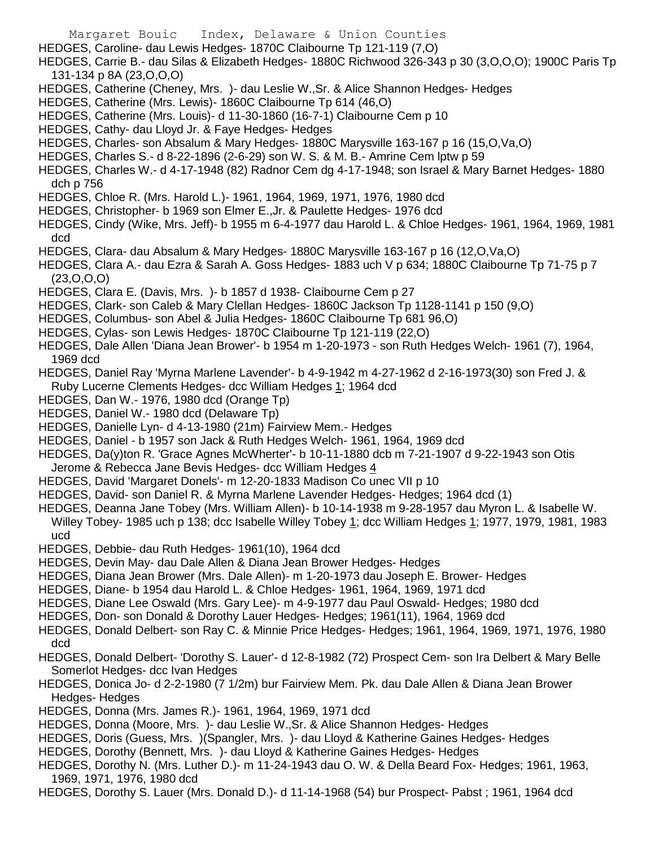- HEDGES, Caroline- dau Lewis Hedges- 1870C Claibourne Tp 121-119 (7,O)
- HEDGES, Carrie B.- dau Silas & Elizabeth Hedges- 1880C Richwood 326-343 p 30 (3,O,O,O); 1900C Paris Tp 131-134 p 8A (23,O,O,O)
- HEDGES, Catherine (Cheney, Mrs. )- dau Leslie W.,Sr. & Alice Shannon Hedges- Hedges
- HEDGES, Catherine (Mrs. Lewis)- 1860C Claibourne Tp 614 (46,O)
- HEDGES, Catherine (Mrs. Louis)- d 11-30-1860 (16-7-1) Claibourne Cem p 10
- HEDGES, Cathy- dau Lloyd Jr. & Faye Hedges- Hedges
- HEDGES, Charles- son Absalum & Mary Hedges- 1880C Marysville 163-167 p 16 (15,O,Va,O)
- HEDGES, Charles S.- d 8-22-1896 (2-6-29) son W. S. & M. B.- Amrine Cem lptw p 59
- HEDGES, Charles W.- d 4-17-1948 (82) Radnor Cem dg 4-17-1948; son Israel & Mary Barnet Hedges- 1880 dch p 756
- HEDGES, Chloe R. (Mrs. Harold L.)- 1961, 1964, 1969, 1971, 1976, 1980 dcd
- HEDGES, Christopher- b 1969 son Elmer E.,Jr. & Paulette Hedges- 1976 dcd
- HEDGES, Cindy (Wike, Mrs. Jeff)- b 1955 m 6-4-1977 dau Harold L. & Chloe Hedges- 1961, 1964, 1969, 1981 dcd
- HEDGES, Clara- dau Absalum & Mary Hedges- 1880C Marysville 163-167 p 16 (12,O,Va,O)
- HEDGES, Clara A.- dau Ezra & Sarah A. Goss Hedges- 1883 uch V p 634; 1880C Claibourne Tp 71-75 p 7 (23,O,O,O)
- HEDGES, Clara E. (Davis, Mrs. )- b 1857 d 1938- Claibourne Cem p 27
- HEDGES, Clark- son Caleb & Mary Clellan Hedges- 1860C Jackson Tp 1128-1141 p 150 (9,O)
- HEDGES, Columbus- son Abel & Julia Hedges- 1860C Claibourne Tp 681 96,O)
- HEDGES, Cylas- son Lewis Hedges- 1870C Claibourne Tp 121-119 (22,O)
- HEDGES, Dale Allen 'Diana Jean Brower'- b 1954 m 1-20-1973 son Ruth Hedges Welch- 1961 (7), 1964, 1969 dcd
- HEDGES, Daniel Ray 'Myrna Marlene Lavender'- b 4-9-1942 m 4-27-1962 d 2-16-1973(30) son Fred J. & Ruby Lucerne Clements Hedges- dcc William Hedges 1; 1964 dcd
- HEDGES, Dan W.- 1976, 1980 dcd (Orange Tp)
- HEDGES, Daniel W.- 1980 dcd (Delaware Tp)
- HEDGES, Danielle Lyn- d 4-13-1980 (21m) Fairview Mem.- Hedges
- HEDGES, Daniel b 1957 son Jack & Ruth Hedges Welch- 1961, 1964, 1969 dcd
- HEDGES, Da(y)ton R. 'Grace Agnes McWherter'- b 10-11-1880 dcb m 7-21-1907 d 9-22-1943 son Otis
- Jerome & Rebecca Jane Bevis Hedges- dcc William Hedges 4
- HEDGES, David 'Margaret Donels'- m 12-20-1833 Madison Co unec VII p 10
- HEDGES, David- son Daniel R. & Myrna Marlene Lavender Hedges- Hedges; 1964 dcd (1)
- HEDGES, Deanna Jane Tobey (Mrs. William Allen)- b 10-14-1938 m 9-28-1957 dau Myron L. & Isabelle W. Willey Tobey- 1985 uch p 138; dcc Isabelle Willey Tobey 1; dcc William Hedges 1; 1977, 1979, 1981, 1983 ucd
- HEDGES, Debbie- dau Ruth Hedges- 1961(10), 1964 dcd
- HEDGES, Devin May- dau Dale Allen & Diana Jean Brower Hedges- Hedges
- HEDGES, Diana Jean Brower (Mrs. Dale Allen)- m 1-20-1973 dau Joseph E. Brower- Hedges
- HEDGES, Diane- b 1954 dau Harold L. & Chloe Hedges- 1961, 1964, 1969, 1971 dcd
- HEDGES, Diane Lee Oswald (Mrs. Gary Lee)- m 4-9-1977 dau Paul Oswald- Hedges; 1980 dcd
- HEDGES, Don- son Donald & Dorothy Lauer Hedges- Hedges; 1961(11), 1964, 1969 dcd
- HEDGES, Donald Delbert- son Ray C. & Minnie Price Hedges- Hedges; 1961, 1964, 1969, 1971, 1976, 1980 dcd
- HEDGES, Donald Delbert- 'Dorothy S. Lauer'- d 12-8-1982 (72) Prospect Cem- son Ira Delbert & Mary Belle Somerlot Hedges- dcc Ivan Hedges
- HEDGES, Donica Jo- d 2-2-1980 (7 1/2m) bur Fairview Mem. Pk. dau Dale Allen & Diana Jean Brower Hedges- Hedges
- HEDGES, Donna (Mrs. James R.)- 1961, 1964, 1969, 1971 dcd
- HEDGES, Donna (Moore, Mrs. )- dau Leslie W.,Sr. & Alice Shannon Hedges- Hedges
- HEDGES, Doris (Guess, Mrs. )(Spangler, Mrs. )- dau Lloyd & Katherine Gaines Hedges- Hedges
- HEDGES, Dorothy (Bennett, Mrs. )- dau Lloyd & Katherine Gaines Hedges- Hedges
- HEDGES, Dorothy N. (Mrs. Luther D.)- m 11-24-1943 dau O. W. & Della Beard Fox- Hedges; 1961, 1963, 1969, 1971, 1976, 1980 dcd
- HEDGES, Dorothy S. Lauer (Mrs. Donald D.)- d 11-14-1968 (54) bur Prospect- Pabst ; 1961, 1964 dcd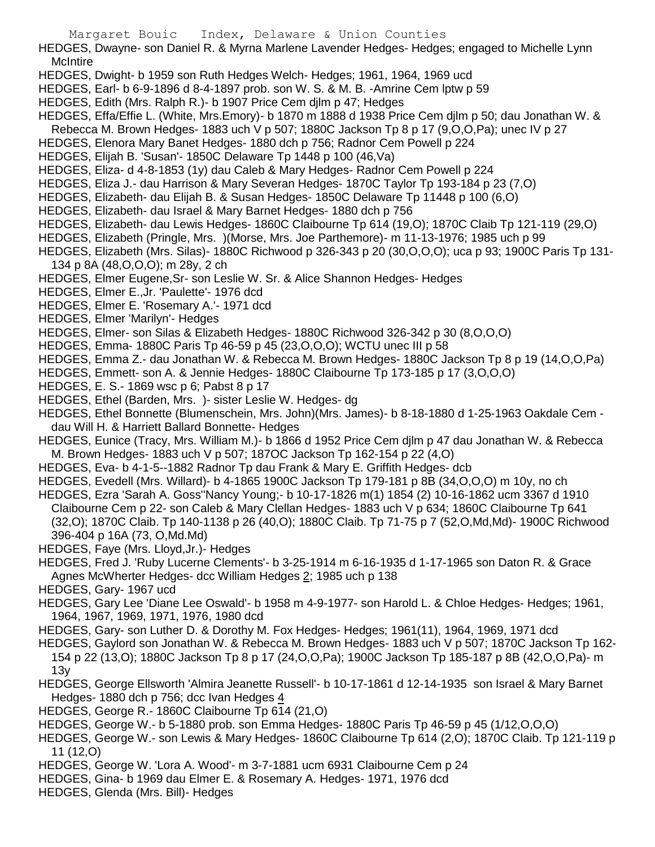- HEDGES, Dwayne- son Daniel R. & Myrna Marlene Lavender Hedges- Hedges; engaged to Michelle Lynn **McIntire**
- HEDGES, Dwight- b 1959 son Ruth Hedges Welch- Hedges; 1961, 1964, 1969 ucd
- HEDGES, Earl- b 6-9-1896 d 8-4-1897 prob. son W. S. & M. B. -Amrine Cem lptw p 59
- HEDGES, Edith (Mrs. Ralph R.)- b 1907 Price Cem djlm p 47; Hedges
- HEDGES, Effa/Effie L. (White, Mrs.Emory)- b 1870 m 1888 d 1938 Price Cem djlm p 50; dau Jonathan W. &
- Rebecca M. Brown Hedges- 1883 uch V p 507; 1880C Jackson Tp 8 p 17 (9,O,O,Pa); unec IV p 27
- HEDGES, Elenora Mary Banet Hedges- 1880 dch p 756; Radnor Cem Powell p 224
- HEDGES, Elijah B. 'Susan'- 1850C Delaware Tp 1448 p 100 (46,Va)
- HEDGES, Eliza- d 4-8-1853 (1y) dau Caleb & Mary Hedges- Radnor Cem Powell p 224
- HEDGES, Eliza J.- dau Harrison & Mary Severan Hedges- 1870C Taylor Tp 193-184 p 23 (7,O)
- HEDGES, Elizabeth- dau Elijah B. & Susan Hedges- 1850C Delaware Tp 11448 p 100 (6,O)
- HEDGES, Elizabeth- dau Israel & Mary Barnet Hedges- 1880 dch p 756
- HEDGES, Elizabeth- dau Lewis Hedges- 1860C Claibourne Tp 614 (19,O); 1870C Claib Tp 121-119 (29,O)
- HEDGES, Elizabeth (Pringle, Mrs. )(Morse, Mrs. Joe Parthemore)- m 11-13-1976; 1985 uch p 99
- HEDGES, Elizabeth (Mrs. Silas)- 1880C Richwood p 326-343 p 20 (30,O,O,O); uca p 93; 1900C Paris Tp 131- 134 p 8A (48,O,O,O); m 28y, 2 ch
- HEDGES, Elmer Eugene,Sr- son Leslie W. Sr. & Alice Shannon Hedges- Hedges
- HEDGES, Elmer E.,Jr. 'Paulette'- 1976 dcd
- HEDGES, Elmer E. 'Rosemary A.'- 1971 dcd
- HEDGES, Elmer 'Marilyn'- Hedges
- HEDGES, Elmer- son Silas & Elizabeth Hedges- 1880C Richwood 326-342 p 30 (8,O,O,O)
- HEDGES, Emma- 1880C Paris Tp 46-59 p 45 (23,O,O,O); WCTU unec III p 58
- HEDGES, Emma Z.- dau Jonathan W. & Rebecca M. Brown Hedges- 1880C Jackson Tp 8 p 19 (14,O,O,Pa)
- HEDGES, Emmett- son A. & Jennie Hedges- 1880C Claibourne Tp 173-185 p 17 (3,O,O,O)
- HEDGES, E. S.- 1869 wsc p 6; Pabst 8 p 17
- HEDGES, Ethel (Barden, Mrs. )- sister Leslie W. Hedges- dg
- HEDGES, Ethel Bonnette (Blumenschein, Mrs. John)(Mrs. James)- b 8-18-1880 d 1-25-1963 Oakdale Cem dau Will H. & Harriett Ballard Bonnette- Hedges
- HEDGES, Eunice (Tracy, Mrs. William M.)- b 1866 d 1952 Price Cem djlm p 47 dau Jonathan W. & Rebecca M. Brown Hedges- 1883 uch V p 507; 187OC Jackson Tp 162-154 p 22 (4,O)
- HEDGES, Eva- b 4-1-5--1882 Radnor Tp dau Frank & Mary E. Griffith Hedges- dcb
- HEDGES, Evedell (Mrs. Willard)- b 4-1865 1900C Jackson Tp 179-181 p 8B (34,O,O,O) m 10y, no ch
- HEDGES, Ezra 'Sarah A. Goss''Nancy Young;- b 10-17-1826 m(1) 1854 (2) 10-16-1862 ucm 3367 d 1910 Claibourne Cem p 22- son Caleb & Mary Clellan Hedges- 1883 uch V p 634; 1860C Claibourne Tp 641 (32,O); 1870C Claib. Tp 140-1138 p 26 (40,O); 1880C Claib. Tp 71-75 p 7 (52,O,Md,Md)- 1900C Richwood 396-404 p 16A (73, O,Md.Md)
- HEDGES, Faye (Mrs. Lloyd,Jr.)- Hedges
- HEDGES, Fred J. 'Ruby Lucerne Clements'- b 3-25-1914 m 6-16-1935 d 1-17-1965 son Daton R. & Grace Agnes McWherter Hedges- dcc William Hedges 2; 1985 uch p 138
- HEDGES, Gary- 1967 ucd
- HEDGES, Gary Lee 'Diane Lee Oswald'- b 1958 m 4-9-1977- son Harold L. & Chloe Hedges- Hedges; 1961, 1964, 1967, 1969, 1971, 1976, 1980 dcd
- HEDGES, Gary- son Luther D. & Dorothy M. Fox Hedges- Hedges; 1961(11), 1964, 1969, 1971 dcd
- HEDGES, Gaylord son Jonathan W. & Rebecca M. Brown Hedges- 1883 uch V p 507; 1870C Jackson Tp 162- 154 p 22 (13,O); 1880C Jackson Tp 8 p 17 (24,O,O,Pa); 1900C Jackson Tp 185-187 p 8B (42,O,O,Pa)- m 13y
- HEDGES, George Ellsworth 'Almira Jeanette Russell'- b 10-17-1861 d 12-14-1935 son Israel & Mary Barnet Hedges- 1880 dch p 756; dcc Ivan Hedges 4
- HEDGES, George R.- 1860C Claibourne Tp 614 (21,O)
- HEDGES, George W.- b 5-1880 prob. son Emma Hedges- 1880C Paris Tp 46-59 p 45 (1/12,O,O,O)
- HEDGES, George W.- son Lewis & Mary Hedges- 1860C Claibourne Tp 614 (2,O); 1870C Claib. Tp 121-119 p 11 (12,O)
- HEDGES, George W. 'Lora A. Wood'- m 3-7-1881 ucm 6931 Claibourne Cem p 24
- HEDGES, Gina- b 1969 dau Elmer E. & Rosemary A. Hedges- 1971, 1976 dcd
- HEDGES, Glenda (Mrs. Bill)- Hedges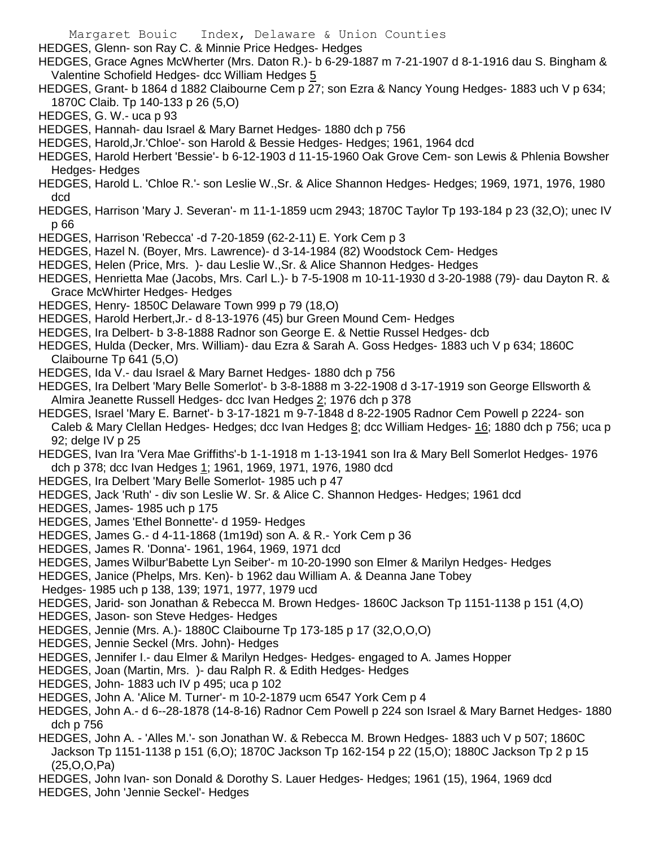- Margaret Bouic Index, Delaware & Union Counties
- HEDGES, Glenn- son Ray C. & Minnie Price Hedges- Hedges
- HEDGES, Grace Agnes McWherter (Mrs. Daton R.)- b 6-29-1887 m 7-21-1907 d 8-1-1916 dau S. Bingham & Valentine Schofield Hedges- dcc William Hedges 5
- HEDGES, Grant- b 1864 d 1882 Claibourne Cem p 27; son Ezra & Nancy Young Hedges- 1883 uch V p 634; 1870C Claib. Tp 140-133 p 26 (5,O)
- HEDGES, G. W.- uca p 93
- HEDGES, Hannah- dau Israel & Mary Barnet Hedges- 1880 dch p 756
- HEDGES, Harold,Jr.'Chloe'- son Harold & Bessie Hedges- Hedges; 1961, 1964 dcd
- HEDGES, Harold Herbert 'Bessie'- b 6-12-1903 d 11-15-1960 Oak Grove Cem- son Lewis & Phlenia Bowsher Hedges- Hedges
- HEDGES, Harold L. 'Chloe R.'- son Leslie W.,Sr. & Alice Shannon Hedges- Hedges; 1969, 1971, 1976, 1980 dcd
- HEDGES, Harrison 'Mary J. Severan'- m 11-1-1859 ucm 2943; 1870C Taylor Tp 193-184 p 23 (32,O); unec IV p 66
- HEDGES, Harrison 'Rebecca' -d 7-20-1859 (62-2-11) E. York Cem p 3
- HEDGES, Hazel N. (Boyer, Mrs. Lawrence)- d 3-14-1984 (82) Woodstock Cem- Hedges
- HEDGES, Helen (Price, Mrs. )- dau Leslie W.,Sr. & Alice Shannon Hedges- Hedges
- HEDGES, Henrietta Mae (Jacobs, Mrs. Carl L.)- b 7-5-1908 m 10-11-1930 d 3-20-1988 (79)- dau Dayton R. & Grace McWhirter Hedges- Hedges
- HEDGES, Henry- 1850C Delaware Town 999 p 79 (18,O)
- HEDGES, Harold Herbert,Jr.- d 8-13-1976 (45) bur Green Mound Cem- Hedges
- HEDGES, Ira Delbert- b 3-8-1888 Radnor son George E. & Nettie Russel Hedges- dcb
- HEDGES, Hulda (Decker, Mrs. William)- dau Ezra & Sarah A. Goss Hedges- 1883 uch V p 634; 1860C Claibourne Tp 641 (5,O)
- HEDGES, Ida V.- dau Israel & Mary Barnet Hedges- 1880 dch p 756
- HEDGES, Ira Delbert 'Mary Belle Somerlot'- b 3-8-1888 m 3-22-1908 d 3-17-1919 son George Ellsworth & Almira Jeanette Russell Hedges- dcc Ivan Hedges 2; 1976 dch p 378
- HEDGES, Israel 'Mary E. Barnet'- b 3-17-1821 m 9-7-1848 d 8-22-1905 Radnor Cem Powell p 2224- son Caleb & Mary Clellan Hedges- Hedges; dcc Ivan Hedges 8; dcc William Hedges- 16; 1880 dch p 756; uca p 92; delge IV p 25
- HEDGES, Ivan Ira 'Vera Mae Griffiths'-b 1-1-1918 m 1-13-1941 son Ira & Mary Bell Somerlot Hedges- 1976 dch p 378; dcc Ivan Hedges 1; 1961, 1969, 1971, 1976, 1980 dcd
- HEDGES, Ira Delbert 'Mary Belle Somerlot- 1985 uch p 47
- HEDGES, Jack 'Ruth' div son Leslie W. Sr. & Alice C. Shannon Hedges- Hedges; 1961 dcd
- HEDGES, James- 1985 uch p 175
- HEDGES, James 'Ethel Bonnette'- d 1959- Hedges
- HEDGES, James G.- d 4-11-1868 (1m19d) son A. & R.- York Cem p 36
- HEDGES, James R. 'Donna'- 1961, 1964, 1969, 1971 dcd
- HEDGES, James Wilbur'Babette Lyn Seiber'- m 10-20-1990 son Elmer & Marilyn Hedges- Hedges
- HEDGES, Janice (Phelps, Mrs. Ken)- b 1962 dau William A. & Deanna Jane Tobey
- Hedges- 1985 uch p 138, 139; 1971, 1977, 1979 ucd
- HEDGES, Jarid- son Jonathan & Rebecca M. Brown Hedges- 1860C Jackson Tp 1151-1138 p 151 (4,O)
- HEDGES, Jason- son Steve Hedges- Hedges
- HEDGES, Jennie (Mrs. A.)- 1880C Claibourne Tp 173-185 p 17 (32,O,O,O)
- HEDGES, Jennie Seckel (Mrs. John)- Hedges
- HEDGES, Jennifer I.- dau Elmer & Marilyn Hedges- Hedges- engaged to A. James Hopper
- HEDGES, Joan (Martin, Mrs. )- dau Ralph R. & Edith Hedges- Hedges
- HEDGES, John- 1883 uch IV p 495; uca p 102
- HEDGES, John A. 'Alice M. Turner'- m 10-2-1879 ucm 6547 York Cem p 4
- HEDGES, John A.- d 6--28-1878 (14-8-16) Radnor Cem Powell p 224 son Israel & Mary Barnet Hedges- 1880 dch p 756
- HEDGES, John A. 'Alles M.'- son Jonathan W. & Rebecca M. Brown Hedges- 1883 uch V p 507; 1860C Jackson Tp 1151-1138 p 151 (6,O); 1870C Jackson Tp 162-154 p 22 (15,O); 1880C Jackson Tp 2 p 15 (25,O,O,Pa)
- HEDGES, John Ivan- son Donald & Dorothy S. Lauer Hedges- Hedges; 1961 (15), 1964, 1969 dcd
- HEDGES, John 'Jennie Seckel'- Hedges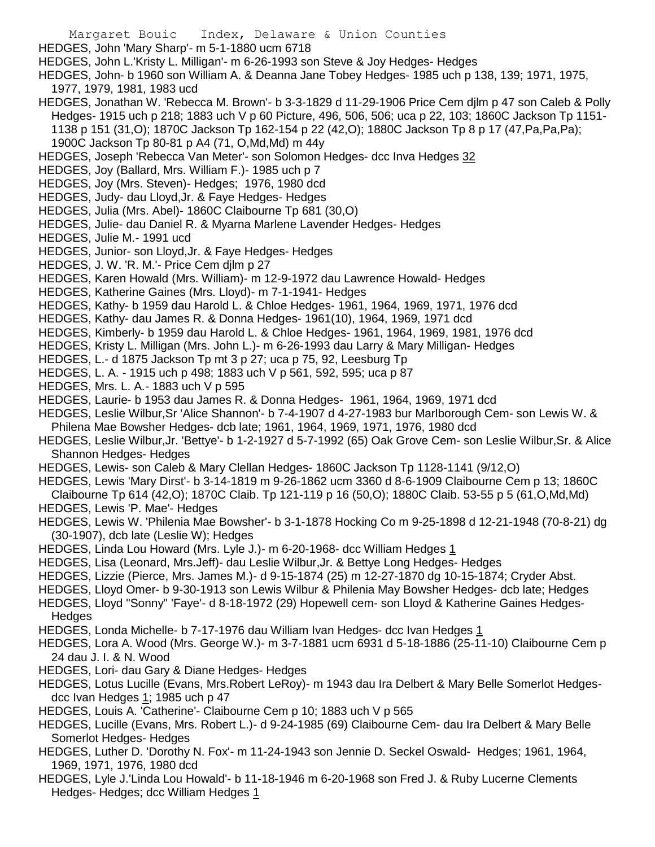Margaret Bouic Index, Delaware & Union Counties HEDGES, John 'Mary Sharp'- m 5-1-1880 ucm 6718 HEDGES, John L.'Kristy L. Milligan'- m 6-26-1993 son Steve & Joy Hedges- Hedges HEDGES, John- b 1960 son William A. & Deanna Jane Tobey Hedges- 1985 uch p 138, 139; 1971, 1975, 1977, 1979, 1981, 1983 ucd HEDGES, Jonathan W. 'Rebecca M. Brown'- b 3-3-1829 d 11-29-1906 Price Cem djlm p 47 son Caleb & Polly Hedges- 1915 uch p 218; 1883 uch V p 60 Picture, 496, 506, 506; uca p 22, 103; 1860C Jackson Tp 1151- 1138 p 151 (31,O); 1870C Jackson Tp 162-154 p 22 (42,O); 1880C Jackson Tp 8 p 17 (47,Pa,Pa,Pa); 1900C Jackson Tp 80-81 p A4 (71, O,Md,Md) m 44y HEDGES, Joseph 'Rebecca Van Meter'- son Solomon Hedges- dcc Inva Hedges 32 HEDGES, Joy (Ballard, Mrs. William F.)- 1985 uch p 7 HEDGES, Joy (Mrs. Steven)- Hedges; 1976, 1980 dcd HEDGES, Judy- dau Lloyd,Jr. & Faye Hedges- Hedges HEDGES, Julia (Mrs. Abel)- 1860C Claibourne Tp 681 (30,O) HEDGES, Julie- dau Daniel R. & Myarna Marlene Lavender Hedges- Hedges HEDGES, Julie M.- 1991 ucd HEDGES, Junior- son Lloyd,Jr. & Faye Hedges- Hedges HEDGES, J. W. 'R. M.'- Price Cem djlm p 27 HEDGES, Karen Howald (Mrs. William)- m 12-9-1972 dau Lawrence Howald- Hedges HEDGES, Katherine Gaines (Mrs. Lloyd)- m 7-1-1941- Hedges HEDGES, Kathy- b 1959 dau Harold L. & Chloe Hedges- 1961, 1964, 1969, 1971, 1976 dcd HEDGES, Kathy- dau James R. & Donna Hedges- 1961(10), 1964, 1969, 1971 dcd HEDGES, Kimberly- b 1959 dau Harold L. & Chloe Hedges- 1961, 1964, 1969, 1981, 1976 dcd HEDGES, Kristy L. Milligan (Mrs. John L.)- m 6-26-1993 dau Larry & Mary Milligan- Hedges HEDGES, L.- d 1875 Jackson Tp mt 3 p 27; uca p 75, 92, Leesburg Tp HEDGES, L. A. - 1915 uch p 498; 1883 uch V p 561, 592, 595; uca p 87 HEDGES, Mrs. L. A.- 1883 uch V p 595 HEDGES, Laurie- b 1953 dau James R. & Donna Hedges- 1961, 1964, 1969, 1971 dcd HEDGES, Leslie Wilbur,Sr 'Alice Shannon'- b 7-4-1907 d 4-27-1983 bur Marlborough Cem- son Lewis W. & Philena Mae Bowsher Hedges- dcb late; 1961, 1964, 1969, 1971, 1976, 1980 dcd

- HEDGES, Leslie Wilbur,Jr. 'Bettye'- b 1-2-1927 d 5-7-1992 (65) Oak Grove Cem- son Leslie Wilbur,Sr. & Alice Shannon Hedges- Hedges
- HEDGES, Lewis- son Caleb & Mary Clellan Hedges- 1860C Jackson Tp 1128-1141 (9/12,O)
- HEDGES, Lewis 'Mary Dirst'- b 3-14-1819 m 9-26-1862 ucm 3360 d 8-6-1909 Claibourne Cem p 13; 1860C
- Claibourne Tp 614 (42,O); 1870C Claib. Tp 121-119 p 16 (50,O); 1880C Claib. 53-55 p 5 (61,O,Md,Md) HEDGES, Lewis 'P. Mae'- Hedges
- HEDGES, Lewis W. 'Philenia Mae Bowsher'- b 3-1-1878 Hocking Co m 9-25-1898 d 12-21-1948 (70-8-21) dg (30-1907), dcb late (Leslie W); Hedges
- HEDGES, Linda Lou Howard (Mrs. Lyle J.)- m 6-20-1968- dcc William Hedges 1
- HEDGES, Lisa (Leonard, Mrs.Jeff)- dau Leslie Wilbur,Jr. & Bettye Long Hedges- Hedges
- HEDGES, Lizzie (Pierce, Mrs. James M.)- d 9-15-1874 (25) m 12-27-1870 dg 10-15-1874; Cryder Abst.
- HEDGES, Lloyd Omer- b 9-30-1913 son Lewis Wilbur & Philenia May Bowsher Hedges- dcb late; Hedges
- HEDGES, Lloyd "Sonny" 'Faye'- d 8-18-1972 (29) Hopewell cem- son Lloyd & Katherine Gaines Hedges-**Hedges**
- HEDGES, Londa Michelle- b 7-17-1976 dau William Ivan Hedges- dcc Ivan Hedges 1
- HEDGES, Lora A. Wood (Mrs. George W.)- m 3-7-1881 ucm 6931 d 5-18-1886 (25-11-10) Claibourne Cem p 24 dau J. I. & N. Wood
- HEDGES, Lori- dau Gary & Diane Hedges- Hedges
- HEDGES, Lotus Lucille (Evans, Mrs.Robert LeRoy)- m 1943 dau Ira Delbert & Mary Belle Somerlot Hedgesdcc Ivan Hedges 1; 1985 uch p 47
- HEDGES, Louis A. 'Catherine'- Claibourne Cem p 10; 1883 uch V p 565
- HEDGES, Lucille (Evans, Mrs. Robert L.)- d 9-24-1985 (69) Claibourne Cem- dau Ira Delbert & Mary Belle Somerlot Hedges- Hedges
- HEDGES, Luther D. 'Dorothy N. Fox'- m 11-24-1943 son Jennie D. Seckel Oswald- Hedges; 1961, 1964, 1969, 1971, 1976, 1980 dcd
- HEDGES, Lyle J.'Linda Lou Howald'- b 11-18-1946 m 6-20-1968 son Fred J. & Ruby Lucerne Clements Hedges- Hedges; dcc William Hedges 1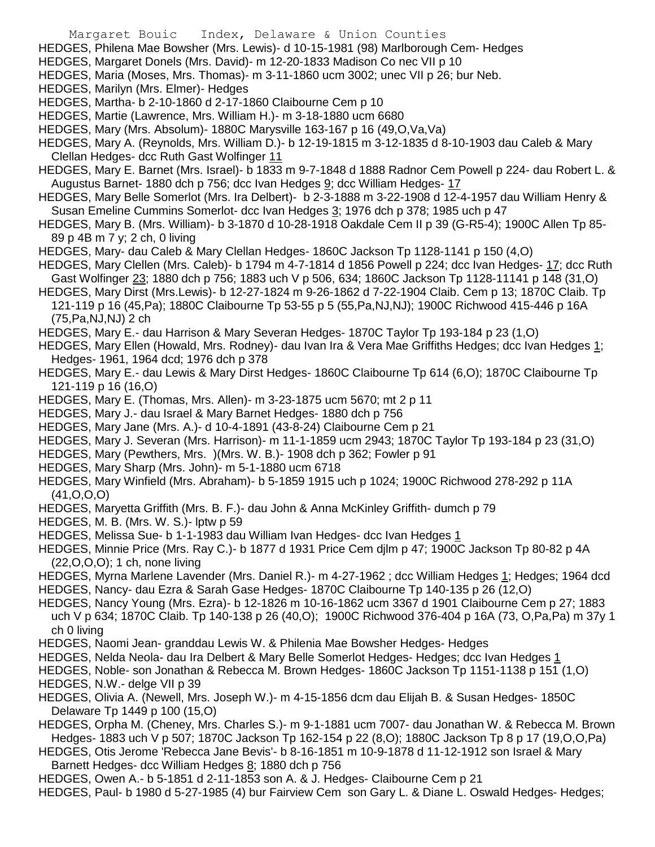- Margaret Bouic Index, Delaware & Union Counties
- HEDGES, Philena Mae Bowsher (Mrs. Lewis)- d 10-15-1981 (98) Marlborough Cem- Hedges
- HEDGES, Margaret Donels (Mrs. David)- m 12-20-1833 Madison Co nec VII p 10
- HEDGES, Maria (Moses, Mrs. Thomas)- m 3-11-1860 ucm 3002; unec VII p 26; bur Neb.
- HEDGES, Marilyn (Mrs. Elmer)- Hedges
- HEDGES, Martha- b 2-10-1860 d 2-17-1860 Claibourne Cem p 10
- HEDGES, Martie (Lawrence, Mrs. William H.)- m 3-18-1880 ucm 6680
- HEDGES, Mary (Mrs. Absolum)- 1880C Marysville 163-167 p 16 (49,O,Va,Va)
- HEDGES, Mary A. (Reynolds, Mrs. William D.)- b 12-19-1815 m 3-12-1835 d 8-10-1903 dau Caleb & Mary Clellan Hedges- dcc Ruth Gast Wolfinger 11
- HEDGES, Mary E. Barnet (Mrs. Israel)- b 1833 m 9-7-1848 d 1888 Radnor Cem Powell p 224- dau Robert L. & Augustus Barnet- 1880 dch p 756; dcc Ivan Hedges 9; dcc William Hedges- 17
- HEDGES, Mary Belle Somerlot (Mrs. Ira Delbert)- b 2-3-1888 m 3-22-1908 d 12-4-1957 dau William Henry & Susan Emeline Cummins Somerlot- dcc Ivan Hedges 3; 1976 dch p 378; 1985 uch p 47
- HEDGES, Mary B. (Mrs. William)- b 3-1870 d 10-28-1918 Oakdale Cem II p 39 (G-R5-4); 1900C Allen Tp 85- 89 p 4B m 7 y; 2 ch, 0 living
- HEDGES, Mary- dau Caleb & Mary Clellan Hedges- 1860C Jackson Tp 1128-1141 p 150 (4,O)
- HEDGES, Mary Clellen (Mrs. Caleb)- b 1794 m 4-7-1814 d 1856 Powell p 224; dcc Ivan Hedges- 17; dcc Ruth Gast Wolfinger 23; 1880 dch p 756; 1883 uch V p 506, 634; 1860C Jackson Tp 1128-11141 p 148 (31,O)
- HEDGES, Mary Dirst (Mrs.Lewis)- b 12-27-1824 m 9-26-1862 d 7-22-1904 Claib. Cem p 13; 1870C Claib. Tp 121-119 p 16 (45,Pa); 1880C Claibourne Tp 53-55 p 5 (55,Pa,NJ,NJ); 1900C Richwood 415-446 p 16A (75,Pa,NJ,NJ) 2 ch
- HEDGES, Mary E.- dau Harrison & Mary Severan Hedges- 1870C Taylor Tp 193-184 p 23 (1,O)
- HEDGES, Mary Ellen (Howald, Mrs. Rodney)- dau Ivan Ira & Vera Mae Griffiths Hedges; dcc Ivan Hedges 1; Hedges- 1961, 1964 dcd; 1976 dch p 378
- HEDGES, Mary E.- dau Lewis & Mary Dirst Hedges- 1860C Claibourne Tp 614 (6,O); 1870C Claibourne Tp 121-119 p 16 (16,O)
- HEDGES, Mary E. (Thomas, Mrs. Allen)- m 3-23-1875 ucm 5670; mt 2 p 11
- HEDGES, Mary J.- dau Israel & Mary Barnet Hedges- 1880 dch p 756
- HEDGES, Mary Jane (Mrs. A.)- d 10-4-1891 (43-8-24) Claibourne Cem p 21
- HEDGES, Mary J. Severan (Mrs. Harrison)- m 11-1-1859 ucm 2943; 1870C Taylor Tp 193-184 p 23 (31,O)
- HEDGES, Mary (Pewthers, Mrs. )(Mrs. W. B.)- 1908 dch p 362; Fowler p 91
- HEDGES, Mary Sharp (Mrs. John)- m 5-1-1880 ucm 6718
- HEDGES, Mary Winfield (Mrs. Abraham)- b 5-1859 1915 uch p 1024; 1900C Richwood 278-292 p 11A (41,O,O,O)
- HEDGES, Maryetta Griffith (Mrs. B. F.)- dau John & Anna McKinley Griffith- dumch p 79
- HEDGES, M. B. (Mrs. W. S.)- lptw p 59
- HEDGES, Melissa Sue- b 1-1-1983 dau William Ivan Hedges- dcc Ivan Hedges 1
- HEDGES, Minnie Price (Mrs. Ray C.)- b 1877 d 1931 Price Cem djlm p 47; 1900C Jackson Tp 80-82 p 4A (22,O,O,O); 1 ch, none living
- HEDGES, Myrna Marlene Lavender (Mrs. Daniel R.)- m 4-27-1962 ; dcc William Hedges 1; Hedges; 1964 dcd
- HEDGES, Nancy- dau Ezra & Sarah Gase Hedges- 1870C Claibourne Tp 140-135 p 26 (12,O)
- HEDGES, Nancy Young (Mrs. Ezra)- b 12-1826 m 10-16-1862 ucm 3367 d 1901 Claibourne Cem p 27; 1883 uch V p 634; 1870C Claib. Tp 140-138 p 26 (40,O); 1900C Richwood 376-404 p 16A (73, O,Pa,Pa) m 37y 1 ch 0 living
- HEDGES, Naomi Jean- granddau Lewis W. & Philenia Mae Bowsher Hedges- Hedges
- HEDGES, Nelda Neola- dau Ira Delbert & Mary Belle Somerlot Hedges- Hedges; dcc Ivan Hedges 1
- HEDGES, Noble- son Jonathan & Rebecca M. Brown Hedges- 1860C Jackson Tp 1151-1138 p 151 (1,O)
- HEDGES, N.W.- delge VII p 39
- HEDGES, Olivia A. (Newell, Mrs. Joseph W.)- m 4-15-1856 dcm dau Elijah B. & Susan Hedges- 1850C Delaware Tp 1449 p 100 (15,O)
- HEDGES, Orpha M. (Cheney, Mrs. Charles S.)- m 9-1-1881 ucm 7007- dau Jonathan W. & Rebecca M. Brown Hedges- 1883 uch V p 507; 1870C Jackson Tp 162-154 p 22 (8,O); 1880C Jackson Tp 8 p 17 (19,O,O,Pa)
- HEDGES, Otis Jerome 'Rebecca Jane Bevis'- b 8-16-1851 m 10-9-1878 d 11-12-1912 son Israel & Mary Barnett Hedges- dcc William Hedges 8; 1880 dch p 756
- HEDGES, Owen A.- b 5-1851 d 2-11-1853 son A. & J. Hedges- Claibourne Cem p 21
- HEDGES, Paul- b 1980 d 5-27-1985 (4) bur Fairview Cem son Gary L. & Diane L. Oswald Hedges- Hedges;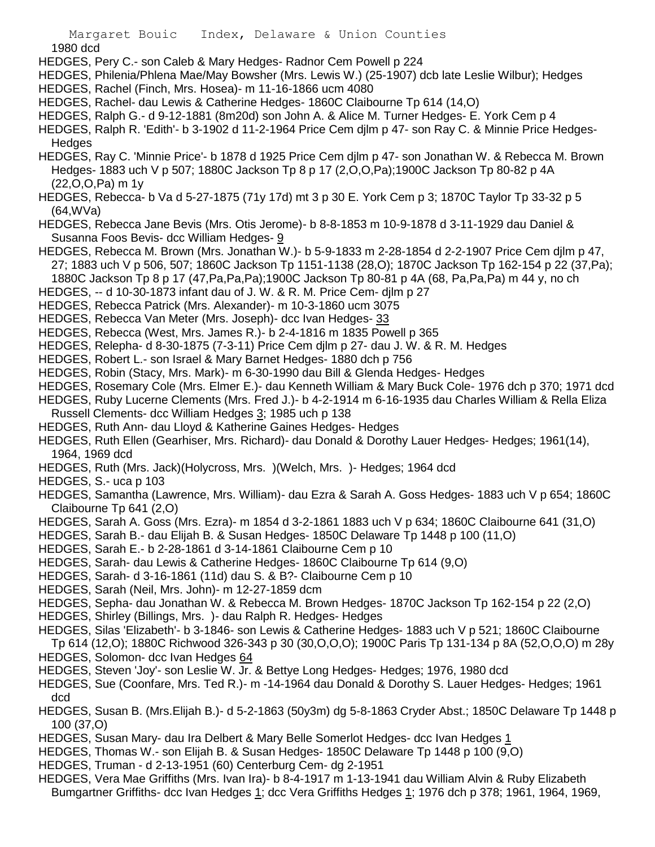1980 dcd

- HEDGES, Pery C.- son Caleb & Mary Hedges- Radnor Cem Powell p 224
- HEDGES, Philenia/Phlena Mae/May Bowsher (Mrs. Lewis W.) (25-1907) dcb late Leslie Wilbur); Hedges
- HEDGES, Rachel (Finch, Mrs. Hosea)- m 11-16-1866 ucm 4080
- HEDGES, Rachel- dau Lewis & Catherine Hedges- 1860C Claibourne Tp 614 (14,O)
- HEDGES, Ralph G.- d 9-12-1881 (8m20d) son John A. & Alice M. Turner Hedges- E. York Cem p 4
- HEDGES, Ralph R. 'Edith'- b 3-1902 d 11-2-1964 Price Cem djlm p 47- son Ray C. & Minnie Price Hedges-**Hedges**
- HEDGES, Ray C. 'Minnie Price'- b 1878 d 1925 Price Cem djlm p 47- son Jonathan W. & Rebecca M. Brown Hedges- 1883 uch V p 507; 1880C Jackson Tp 8 p 17 (2,O,O,Pa);1900C Jackson Tp 80-82 p 4A (22,O,O,Pa) m 1y
- HEDGES, Rebecca- b Va d 5-27-1875 (71y 17d) mt 3 p 30 E. York Cem p 3; 1870C Taylor Tp 33-32 p 5 (64,WVa)
- HEDGES, Rebecca Jane Bevis (Mrs. Otis Jerome)- b 8-8-1853 m 10-9-1878 d 3-11-1929 dau Daniel & Susanna Foos Bevis- dcc William Hedges- 9
- HEDGES, Rebecca M. Brown (Mrs. Jonathan W.)- b 5-9-1833 m 2-28-1854 d 2-2-1907 Price Cem djlm p 47, 27; 1883 uch V p 506, 507; 1860C Jackson Tp 1151-1138 (28,O); 1870C Jackson Tp 162-154 p 22 (37,Pa); 1880C Jackson Tp 8 p 17 (47,Pa,Pa,Pa);1900C Jackson Tp 80-81 p 4A (68, Pa,Pa,Pa) m 44 y, no ch
- 
- HEDGES, -- d 10-30-1873 infant dau of J. W. & R. M. Price Cem- djlm p 27
- HEDGES, Rebecca Patrick (Mrs. Alexander)- m 10-3-1860 ucm 3075
- HEDGES, Rebecca Van Meter (Mrs. Joseph)- dcc Ivan Hedges- 33
- HEDGES, Rebecca (West, Mrs. James R.)- b 2-4-1816 m 1835 Powell p 365
- HEDGES, Relepha- d 8-30-1875 (7-3-11) Price Cem djlm p 27- dau J. W. & R. M. Hedges
- HEDGES, Robert L.- son Israel & Mary Barnet Hedges- 1880 dch p 756
- HEDGES, Robin (Stacy, Mrs. Mark)- m 6-30-1990 dau Bill & Glenda Hedges- Hedges
- HEDGES, Rosemary Cole (Mrs. Elmer E.)- dau Kenneth William & Mary Buck Cole- 1976 dch p 370; 1971 dcd
- HEDGES, Ruby Lucerne Clements (Mrs. Fred J.)- b 4-2-1914 m 6-16-1935 dau Charles William & Rella Eliza Russell Clements- dcc William Hedges 3; 1985 uch p 138
- HEDGES, Ruth Ann- dau Lloyd & Katherine Gaines Hedges- Hedges
- HEDGES, Ruth Ellen (Gearhiser, Mrs. Richard)- dau Donald & Dorothy Lauer Hedges- Hedges; 1961(14), 1964, 1969 dcd
- HEDGES, Ruth (Mrs. Jack)(Holycross, Mrs. )(Welch, Mrs. )- Hedges; 1964 dcd
- HEDGES, S.- uca p 103
- HEDGES, Samantha (Lawrence, Mrs. William)- dau Ezra & Sarah A. Goss Hedges- 1883 uch V p 654; 1860C Claibourne Tp 641 (2,O)
- HEDGES, Sarah A. Goss (Mrs. Ezra)- m 1854 d 3-2-1861 1883 uch V p 634; 1860C Claibourne 641 (31,O)
- HEDGES, Sarah B.- dau Elijah B. & Susan Hedges- 1850C Delaware Tp 1448 p 100 (11,O)
- HEDGES, Sarah E.- b 2-28-1861 d 3-14-1861 Claibourne Cem p 10
- HEDGES, Sarah- dau Lewis & Catherine Hedges- 1860C Claibourne Tp 614 (9,O)
- HEDGES, Sarah- d 3-16-1861 (11d) dau S. & B?- Claibourne Cem p 10
- HEDGES, Sarah (Neil, Mrs. John)- m 12-27-1859 dcm
- HEDGES, Sepha- dau Jonathan W. & Rebecca M. Brown Hedges- 1870C Jackson Tp 162-154 p 22 (2,O)
- HEDGES, Shirley (Billings, Mrs. )- dau Ralph R. Hedges- Hedges
- HEDGES, Silas 'Elizabeth'- b 3-1846- son Lewis & Catherine Hedges- 1883 uch V p 521; 1860C Claibourne
- Tp 614 (12,O); 1880C Richwood 326-343 p 30 (30,O,O,O); 1900C Paris Tp 131-134 p 8A (52,O,O,O) m 28y HEDGES, Solomon- dcc Ivan Hedges 64
- HEDGES, Steven 'Joy'- son Leslie W. Jr. & Bettye Long Hedges- Hedges; 1976, 1980 dcd
- HEDGES, Sue (Coonfare, Mrs. Ted R.)- m -14-1964 dau Donald & Dorothy S. Lauer Hedges- Hedges; 1961 dcd
- HEDGES, Susan B. (Mrs.Elijah B.)- d 5-2-1863 (50y3m) dg 5-8-1863 Cryder Abst.; 1850C Delaware Tp 1448 p 100 (37,O)
- HEDGES, Susan Mary- dau Ira Delbert & Mary Belle Somerlot Hedges- dcc Ivan Hedges 1
- HEDGES, Thomas W.- son Elijah B. & Susan Hedges- 1850C Delaware Tp 1448 p 100 (9,O)
- HEDGES, Truman d 2-13-1951 (60) Centerburg Cem- dg 2-1951
- HEDGES, Vera Mae Griffiths (Mrs. Ivan Ira)- b 8-4-1917 m 1-13-1941 dau William Alvin & Ruby Elizabeth Bumgartner Griffiths- dcc Ivan Hedges 1; dcc Vera Griffiths Hedges 1; 1976 dch p 378; 1961, 1964, 1969,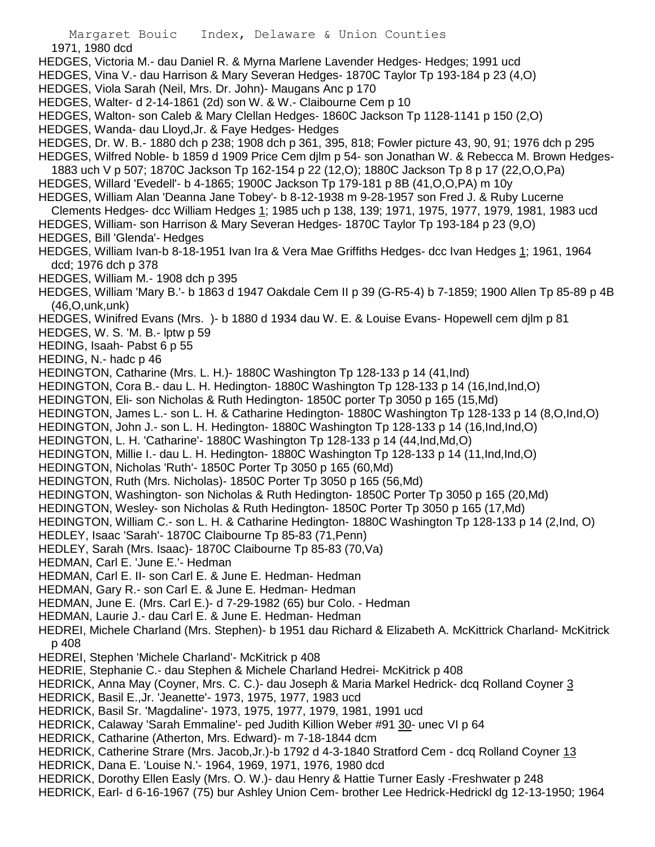Margaret Bouic Index, Delaware & Union Counties 1971, 1980 dcd HEDGES, Victoria M.- dau Daniel R. & Myrna Marlene Lavender Hedges- Hedges; 1991 ucd HEDGES, Vina V.- dau Harrison & Mary Severan Hedges- 1870C Taylor Tp 193-184 p 23 (4,O) HEDGES, Viola Sarah (Neil, Mrs. Dr. John)- Maugans Anc p 170 HEDGES, Walter- d 2-14-1861 (2d) son W. & W.- Claibourne Cem p 10 HEDGES, Walton- son Caleb & Mary Clellan Hedges- 1860C Jackson Tp 1128-1141 p 150 (2,O) HEDGES, Wanda- dau Lloyd,Jr. & Faye Hedges- Hedges HEDGES, Dr. W. B.- 1880 dch p 238; 1908 dch p 361, 395, 818; Fowler picture 43, 90, 91; 1976 dch p 295 HEDGES, Wilfred Noble- b 1859 d 1909 Price Cem djlm p 54- son Jonathan W. & Rebecca M. Brown Hedges-1883 uch V p 507; 1870C Jackson Tp 162-154 p 22 (12,O); 1880C Jackson Tp 8 p 17 (22,O,O,Pa) HEDGES, Willard 'Evedell'- b 4-1865; 1900C Jackson Tp 179-181 p 8B (41,O,O,PA) m 10y HEDGES, William Alan 'Deanna Jane Tobey'- b 8-12-1938 m 9-28-1957 son Fred J. & Ruby Lucerne Clements Hedges- dcc William Hedges 1; 1985 uch p 138, 139; 1971, 1975, 1977, 1979, 1981, 1983 ucd HEDGES, William- son Harrison & Mary Severan Hedges- 1870C Taylor Tp 193-184 p 23 (9,O) HEDGES, Bill 'Glenda'- Hedges HEDGES, William Ivan-b 8-18-1951 Ivan Ira & Vera Mae Griffiths Hedges- dcc Ivan Hedges 1; 1961, 1964 dcd; 1976 dch p 378 HEDGES, William M.- 1908 dch p 395 HEDGES, William 'Mary B.'- b 1863 d 1947 Oakdale Cem II p 39 (G-R5-4) b 7-1859; 1900 Allen Tp 85-89 p 4B (46,O,unk,unk) HEDGES, Winifred Evans (Mrs. )- b 1880 d 1934 dau W. E. & Louise Evans- Hopewell cem djlm p 81 HEDGES, W. S. 'M. B.- lptw p 59 HEDING, Isaah- Pabst 6 p 55 HEDING, N.- hadc p 46 HEDINGTON, Catharine (Mrs. L. H.)- 1880C Washington Tp 128-133 p 14 (41,Ind) HEDINGTON, Cora B.- dau L. H. Hedington- 1880C Washington Tp 128-133 p 14 (16,Ind,Ind,O) HEDINGTON, Eli- son Nicholas & Ruth Hedington- 1850C porter Tp 3050 p 165 (15,Md) HEDINGTON, James L.- son L. H. & Catharine Hedington- 1880C Washington Tp 128-133 p 14 (8,O,Ind,O) HEDINGTON, John J.- son L. H. Hedington- 1880C Washington Tp 128-133 p 14 (16,Ind,Ind,O) HEDINGTON, L. H. 'Catharine'- 1880C Washington Tp 128-133 p 14 (44, Ind, Md, O) HEDINGTON, Millie I.- dau L. H. Hedington- 1880C Washington Tp 128-133 p 14 (11,Ind,Ind,O) HEDINGTON, Nicholas 'Ruth'- 1850C Porter Tp 3050 p 165 (60,Md) HEDINGTON, Ruth (Mrs. Nicholas)- 1850C Porter Tp 3050 p 165 (56,Md) HEDINGTON, Washington- son Nicholas & Ruth Hedington- 1850C Porter Tp 3050 p 165 (20,Md) HEDINGTON, Wesley- son Nicholas & Ruth Hedington- 1850C Porter Tp 3050 p 165 (17,Md) HEDINGTON, William C.- son L. H. & Catharine Hedington- 1880C Washington Tp 128-133 p 14 (2,Ind, O) HEDLEY, Isaac 'Sarah'- 1870C Claibourne Tp 85-83 (71,Penn) HEDLEY, Sarah (Mrs. Isaac)- 1870C Claibourne Tp 85-83 (70,Va) HEDMAN, Carl E. 'June E.'- Hedman HEDMAN, Carl E. II- son Carl E. & June E. Hedman- Hedman HEDMAN, Gary R.- son Carl E. & June E. Hedman- Hedman HEDMAN, June E. (Mrs. Carl E.)- d 7-29-1982 (65) bur Colo. - Hedman HEDMAN, Laurie J.- dau Carl E. & June E. Hedman- Hedman HEDREI, Michele Charland (Mrs. Stephen)- b 1951 dau Richard & Elizabeth A. McKittrick Charland- McKitrick p 408 HEDREI, Stephen 'Michele Charland'- McKitrick p 408 HEDRIE, Stephanie C.- dau Stephen & Michele Charland Hedrei- McKitrick p 408 HEDRICK, Anna May (Coyner, Mrs. C. C.)- dau Joseph & Maria Markel Hedrick- dcq Rolland Coyner 3 HEDRICK, Basil E.,Jr. 'Jeanette'- 1973, 1975, 1977, 1983 ucd HEDRICK, Basil Sr. 'Magdaline'- 1973, 1975, 1977, 1979, 1981, 1991 ucd HEDRICK, Calaway 'Sarah Emmaline'- ped Judith Killion Weber #91 30- unec VI p 64 HEDRICK, Catharine (Atherton, Mrs. Edward)- m 7-18-1844 dcm HEDRICK, Catherine Strare (Mrs. Jacob,Jr.)-b 1792 d 4-3-1840 Stratford Cem - dcq Rolland Coyner 13 HEDRICK, Dana E. 'Louise N.'- 1964, 1969, 1971, 1976, 1980 dcd HEDRICK, Dorothy Ellen Easly (Mrs. O. W.)- dau Henry & Hattie Turner Easly -Freshwater p 248 HEDRICK, Earl- d 6-16-1967 (75) bur Ashley Union Cem- brother Lee Hedrick-Hedrickl dg 12-13-1950; 1964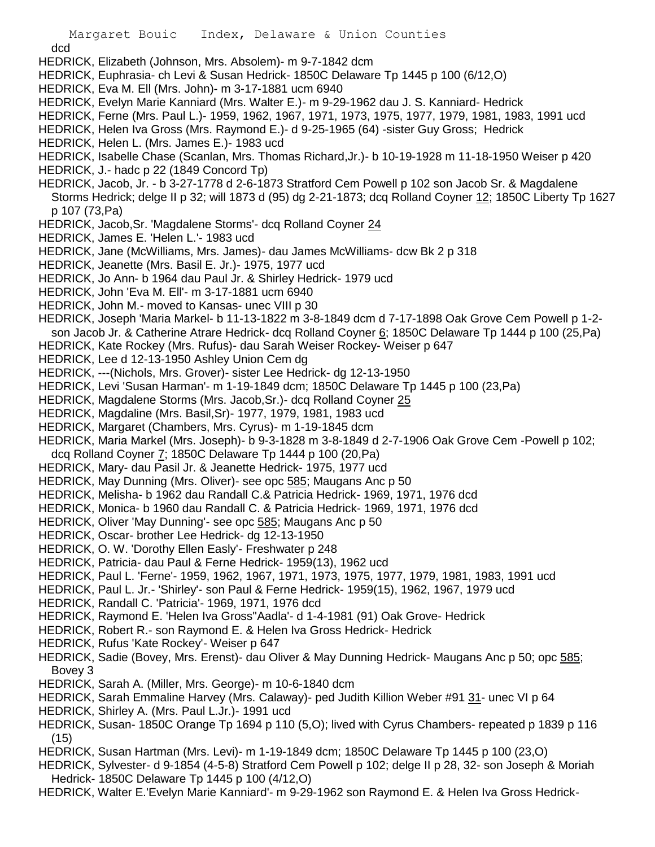dcd

- HEDRICK, Elizabeth (Johnson, Mrs. Absolem)- m 9-7-1842 dcm
- HEDRICK, Euphrasia- ch Levi & Susan Hedrick- 1850C Delaware Tp 1445 p 100 (6/12,O)
- HEDRICK, Eva M. Ell (Mrs. John)- m 3-17-1881 ucm 6940
- HEDRICK, Evelyn Marie Kanniard (Mrs. Walter E.)- m 9-29-1962 dau J. S. Kanniard- Hedrick
- HEDRICK, Ferne (Mrs. Paul L.)- 1959, 1962, 1967, 1971, 1973, 1975, 1977, 1979, 1981, 1983, 1991 ucd
- HEDRICK, Helen Iva Gross (Mrs. Raymond E.)- d 9-25-1965 (64) -sister Guy Gross; Hedrick
- HEDRICK, Helen L. (Mrs. James E.)- 1983 ucd
- HEDRICK, Isabelle Chase (Scanlan, Mrs. Thomas Richard,Jr.)- b 10-19-1928 m 11-18-1950 Weiser p 420
- HEDRICK, J.- hadc p 22 (1849 Concord Tp)
- HEDRICK, Jacob, Jr. b 3-27-1778 d 2-6-1873 Stratford Cem Powell p 102 son Jacob Sr. & Magdalene Storms Hedrick; delge II p 32; will 1873 d (95) dg 2-21-1873; dcq Rolland Coyner 12; 1850C Liberty Tp 1627 p 107 (73,Pa)
- HEDRICK, Jacob,Sr. 'Magdalene Storms'- dcq Rolland Coyner 24
- HEDRICK, James E. 'Helen L.'- 1983 ucd
- HEDRICK, Jane (McWilliams, Mrs. James)- dau James McWilliams- dcw Bk 2 p 318
- HEDRICK, Jeanette (Mrs. Basil E. Jr.)- 1975, 1977 ucd
- HEDRICK, Jo Ann- b 1964 dau Paul Jr. & Shirley Hedrick- 1979 ucd
- HEDRICK, John 'Eva M. Ell'- m 3-17-1881 ucm 6940
- HEDRICK, John M.- moved to Kansas- unec VIII p 30
- HEDRICK, Joseph 'Maria Markel- b 11-13-1822 m 3-8-1849 dcm d 7-17-1898 Oak Grove Cem Powell p 1-2 son Jacob Jr. & Catherine Atrare Hedrick- dcq Rolland Coyner 6; 1850C Delaware Tp 1444 p 100 (25,Pa) HEDRICK, Kate Rockey (Mrs. Rufus)- dau Sarah Weiser Rockey- Weiser p 647
- HEDRICK, Lee d 12-13-1950 Ashley Union Cem dg
- HEDRICK, ---(Nichols, Mrs. Grover)- sister Lee Hedrick- dg 12-13-1950
- HEDRICK, Levi 'Susan Harman'- m 1-19-1849 dcm; 1850C Delaware Tp 1445 p 100 (23,Pa)
- HEDRICK, Magdalene Storms (Mrs. Jacob,Sr.)- dcq Rolland Coyner 25
- HEDRICK, Magdaline (Mrs. Basil,Sr)- 1977, 1979, 1981, 1983 ucd
- HEDRICK, Margaret (Chambers, Mrs. Cyrus)- m 1-19-1845 dcm
- HEDRICK, Maria Markel (Mrs. Joseph)- b 9-3-1828 m 3-8-1849 d 2-7-1906 Oak Grove Cem -Powell p 102; dcq Rolland Coyner 7; 1850C Delaware Tp 1444 p 100 (20,Pa)
- 
- HEDRICK, Mary- dau Pasil Jr. & Jeanette Hedrick- 1975, 1977 ucd
- HEDRICK, May Dunning (Mrs. Oliver)- see opc 585; Maugans Anc p 50
- HEDRICK, Melisha- b 1962 dau Randall C.& Patricia Hedrick- 1969, 1971, 1976 dcd
- HEDRICK, Monica- b 1960 dau Randall C. & Patricia Hedrick- 1969, 1971, 1976 dcd
- HEDRICK, Oliver 'May Dunning'- see opc 585; Maugans Anc p 50
- HEDRICK, Oscar- brother Lee Hedrick- dg 12-13-1950
- HEDRICK, O. W. 'Dorothy Ellen Easly'- Freshwater p 248
- HEDRICK, Patricia- dau Paul & Ferne Hedrick- 1959(13), 1962 ucd
- HEDRICK, Paul L. 'Ferne'- 1959, 1962, 1967, 1971, 1973, 1975, 1977, 1979, 1981, 1983, 1991 ucd
- HEDRICK, Paul L. Jr.- 'Shirley'- son Paul & Ferne Hedrick- 1959(15), 1962, 1967, 1979 ucd
- HEDRICK, Randall C. 'Patricia'- 1969, 1971, 1976 dcd
- HEDRICK, Raymond E. 'Helen Iva Gross''Aadla'- d 1-4-1981 (91) Oak Grove- Hedrick
- HEDRICK, Robert R.- son Raymond E. & Helen Iva Gross Hedrick- Hedrick
- HEDRICK, Rufus 'Kate Rockey'- Weiser p 647
- HEDRICK, Sadie (Bovey, Mrs. Erenst)- dau Oliver & May Dunning Hedrick- Maugans Anc p 50; opc 585; Bovey 3
- HEDRICK, Sarah A. (Miller, Mrs. George)- m 10-6-1840 dcm
- HEDRICK, Sarah Emmaline Harvey (Mrs. Calaway)- ped Judith Killion Weber #91 31- unec VI p 64
- HEDRICK, Shirley A. (Mrs. Paul L.Jr.)- 1991 ucd
- HEDRICK, Susan- 1850C Orange Tp 1694 p 110 (5,O); lived with Cyrus Chambers- repeated p 1839 p 116 (15)
- HEDRICK, Susan Hartman (Mrs. Levi)- m 1-19-1849 dcm; 1850C Delaware Tp 1445 p 100 (23,O)
- HEDRICK, Sylvester- d 9-1854 (4-5-8) Stratford Cem Powell p 102; delge II p 28, 32- son Joseph & Moriah Hedrick- 1850C Delaware Tp 1445 p 100 (4/12,O)
- HEDRICK, Walter E.'Evelyn Marie Kanniard'- m 9-29-1962 son Raymond E. & Helen Iva Gross Hedrick-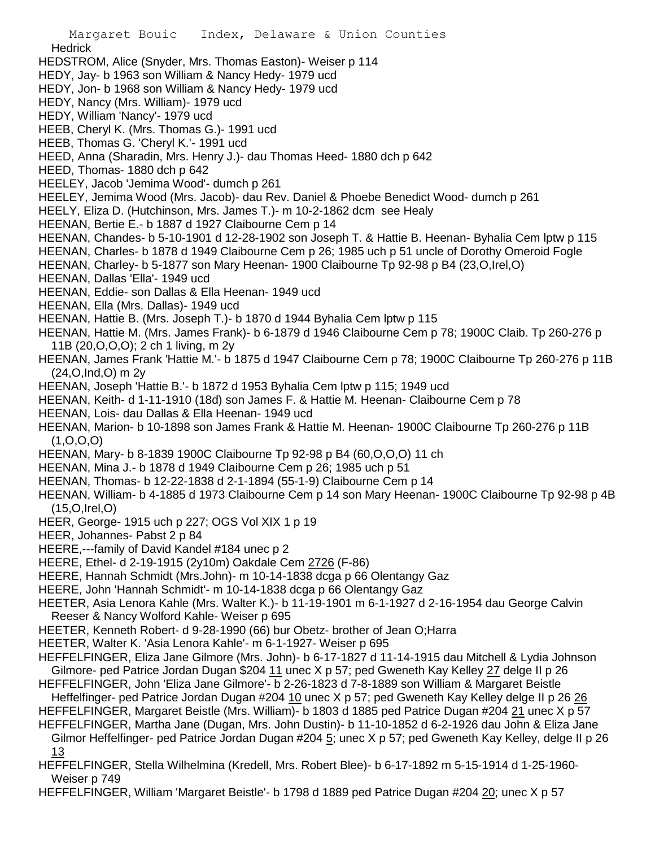- Margaret Bouic Index, Delaware & Union Counties **Hedrick** HEDSTROM, Alice (Snyder, Mrs. Thomas Easton)- Weiser p 114 HEDY, Jay- b 1963 son William & Nancy Hedy- 1979 ucd HEDY, Jon- b 1968 son William & Nancy Hedy- 1979 ucd HEDY, Nancy (Mrs. William)- 1979 ucd HEDY, William 'Nancy'- 1979 ucd HEEB, Cheryl K. (Mrs. Thomas G.)- 1991 ucd HEEB, Thomas G. 'Cheryl K.'- 1991 ucd HEED, Anna (Sharadin, Mrs. Henry J.)- dau Thomas Heed- 1880 dch p 642 HEED, Thomas- 1880 dch p 642 HEELEY, Jacob 'Jemima Wood'- dumch p 261 HEELEY, Jemima Wood (Mrs. Jacob)- dau Rev. Daniel & Phoebe Benedict Wood- dumch p 261 HEELY, Eliza D. (Hutchinson, Mrs. James T.)- m 10-2-1862 dcm see Healy HEENAN, Bertie E.- b 1887 d 1927 Claibourne Cem p 14 HEENAN, Chandes- b 5-10-1901 d 12-28-1902 son Joseph T. & Hattie B. Heenan- Byhalia Cem lptw p 115 HEENAN, Charles- b 1878 d 1949 Claibourne Cem p 26; 1985 uch p 51 uncle of Dorothy Omeroid Fogle HEENAN, Charley- b 5-1877 son Mary Heenan- 1900 Claibourne Tp 92-98 p B4 (23,O,Irel,O) HEENAN, Dallas 'Ella'- 1949 ucd HEENAN, Eddie- son Dallas & Ella Heenan- 1949 ucd HEENAN, Ella (Mrs. Dallas)- 1949 ucd HEENAN, Hattie B. (Mrs. Joseph T.)- b 1870 d 1944 Byhalia Cem lptw p 115 HEENAN, Hattie M. (Mrs. James Frank)- b 6-1879 d 1946 Claibourne Cem p 78; 1900C Claib. Tp 260-276 p 11B (20,O,O,O); 2 ch 1 living, m 2y HEENAN, James Frank 'Hattie M.'- b 1875 d 1947 Claibourne Cem p 78; 1900C Claibourne Tp 260-276 p 11B (24,O,Ind,O) m 2y HEENAN, Joseph 'Hattie B.'- b 1872 d 1953 Byhalia Cem lptw p 115; 1949 ucd HEENAN, Keith- d 1-11-1910 (18d) son James F. & Hattie M. Heenan- Claibourne Cem p 78 HEENAN, Lois- dau Dallas & Ella Heenan- 1949 ucd HEENAN, Marion- b 10-1898 son James Frank & Hattie M. Heenan- 1900C Claibourne Tp 260-276 p 11B  $(1, 0, 0, 0)$ HEENAN, Mary- b 8-1839 1900C Claibourne Tp 92-98 p B4 (60,O,O,O) 11 ch HEENAN, Mina J.- b 1878 d 1949 Claibourne Cem p 26; 1985 uch p 51 HEENAN, Thomas- b 12-22-1838 d 2-1-1894 (55-1-9) Claibourne Cem p 14 HEENAN, William- b 4-1885 d 1973 Claibourne Cem p 14 son Mary Heenan- 1900C Claibourne Tp 92-98 p 4B (15,O,Irel,O) HEER, George- 1915 uch p 227; OGS Vol XIX 1 p 19 HEER, Johannes- Pabst 2 p 84 HEERE,---family of David Kandel #184 unec p 2 HEERE, Ethel- d 2-19-1915 (2y10m) Oakdale Cem 2726 (F-86) HEERE, Hannah Schmidt (Mrs.John)- m 10-14-1838 dcga p 66 Olentangy Gaz HEERE, John 'Hannah Schmidt'- m 10-14-1838 dcga p 66 Olentangy Gaz HEETER, Asia Lenora Kahle (Mrs. Walter K.)- b 11-19-1901 m 6-1-1927 d 2-16-1954 dau George Calvin Reeser & Nancy Wolford Kahle- Weiser p 695 HEETER, Kenneth Robert- d 9-28-1990 (66) bur Obetz- brother of Jean O;Harra HEETER, Walter K. 'Asia Lenora Kahle'- m 6-1-1927- Weiser p 695 HEFFELFINGER, Eliza Jane Gilmore (Mrs. John)- b 6-17-1827 d 11-14-1915 dau Mitchell & Lydia Johnson Gilmore- ped Patrice Jordan Dugan \$204 11 unec X p 57; ped Gweneth Kay Kelley 27 delge II p 26 HEFFELFINGER, John 'Eliza Jane Gilmore'- b 2-26-1823 d 7-8-1889 son William & Margaret Beistle Heffelfinger- ped Patrice Jordan Dugan #204 10 unec X p 57; ped Gweneth Kay Kelley delge II p 26 26 HEFFELFINGER, Margaret Beistle (Mrs. William)- b 1803 d 1885 ped Patrice Dugan #204 21 unec X p 57 HEFFELFINGER, Martha Jane (Dugan, Mrs. John Dustin)- b 11-10-1852 d 6-2-1926 dau John & Eliza Jane Gilmor Heffelfinger- ped Patrice Jordan Dugan #204 5; unec X p 57; ped Gweneth Kay Kelley, delge II p 26
	- 13
- HEFFELFINGER, Stella Wilhelmina (Kredell, Mrs. Robert Blee)- b 6-17-1892 m 5-15-1914 d 1-25-1960- Weiser p 749
- HEFFELFINGER, William 'Margaret Beistle'- b 1798 d 1889 ped Patrice Dugan #204 20; unec X p 57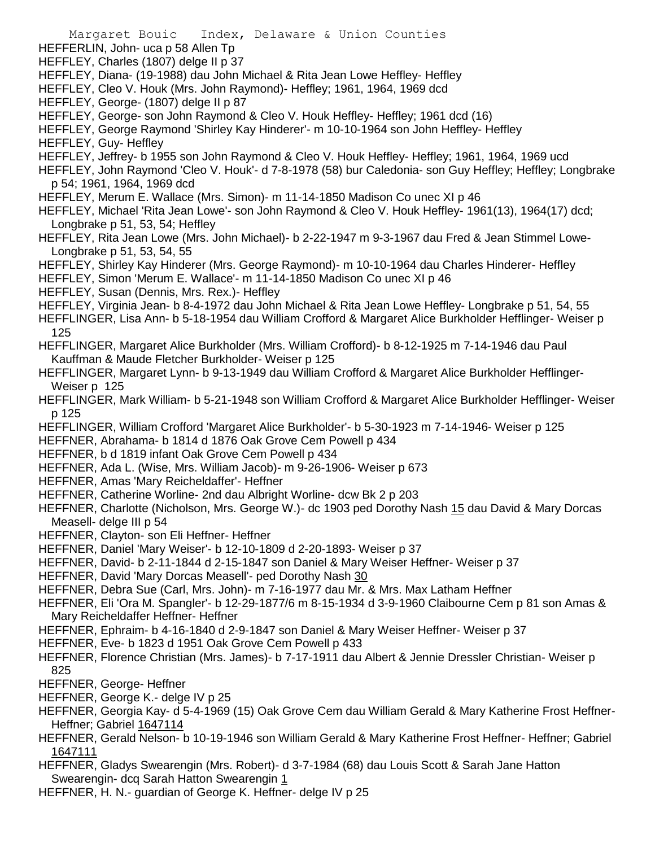Margaret Bouic Index, Delaware & Union Counties HEFFERLIN, John- uca p 58 Allen Tp HEFFLEY, Charles (1807) delge II p 37 HEFFLEY, Diana- (19-1988) dau John Michael & Rita Jean Lowe Heffley- Heffley HEFFLEY, Cleo V. Houk (Mrs. John Raymond)- Heffley; 1961, 1964, 1969 dcd HEFFLEY, George- (1807) delge II p 87 HEFFLEY, George- son John Raymond & Cleo V. Houk Heffley- Heffley; 1961 dcd (16) HEFFLEY, George Raymond 'Shirley Kay Hinderer'- m 10-10-1964 son John Heffley- Heffley HEFFLEY, Guy- Heffley HEFFLEY, Jeffrey- b 1955 son John Raymond & Cleo V. Houk Heffley- Heffley; 1961, 1964, 1969 ucd HEFFLEY, John Raymond 'Cleo V. Houk'- d 7-8-1978 (58) bur Caledonia- son Guy Heffley; Heffley; Longbrake p 54; 1961, 1964, 1969 dcd HEFFLEY, Merum E. Wallace (Mrs. Simon)- m 11-14-1850 Madison Co unec XI p 46 HEFFLEY, Michael 'Rita Jean Lowe'- son John Raymond & Cleo V. Houk Heffley- 1961(13), 1964(17) dcd; Longbrake p 51, 53, 54; Heffley HEFFLEY, Rita Jean Lowe (Mrs. John Michael)- b 2-22-1947 m 9-3-1967 dau Fred & Jean Stimmel Lowe-Longbrake p 51, 53, 54, 55 HEFFLEY, Shirley Kay Hinderer (Mrs. George Raymond)- m 10-10-1964 dau Charles Hinderer- Heffley HEFFLEY, Simon 'Merum E. Wallace'- m 11-14-1850 Madison Co unec XI p 46 HEFFLEY, Susan (Dennis, Mrs. Rex.)- Heffley HEFFLEY, Virginia Jean- b 8-4-1972 dau John Michael & Rita Jean Lowe Heffley- Longbrake p 51, 54, 55 HEFFLINGER, Lisa Ann- b 5-18-1954 dau William Crofford & Margaret Alice Burkholder Hefflinger- Weiser p 125 HEFFLINGER, Margaret Alice Burkholder (Mrs. William Crofford)- b 8-12-1925 m 7-14-1946 dau Paul Kauffman & Maude Fletcher Burkholder- Weiser p 125 HEFFLINGER, Margaret Lynn- b 9-13-1949 dau William Crofford & Margaret Alice Burkholder Hefflinger-Weiser p 125 HEFFLINGER, Mark William- b 5-21-1948 son William Crofford & Margaret Alice Burkholder Hefflinger- Weiser p 125 HEFFLINGER, William Crofford 'Margaret Alice Burkholder'- b 5-30-1923 m 7-14-1946- Weiser p 125 HEFFNER, Abrahama- b 1814 d 1876 Oak Grove Cem Powell p 434 HEFFNER, b d 1819 infant Oak Grove Cem Powell p 434 HEFFNER, Ada L. (Wise, Mrs. William Jacob)- m 9-26-1906- Weiser p 673 HEFFNER, Amas 'Mary Reicheldaffer'- Heffner HEFFNER, Catherine Worline- 2nd dau Albright Worline- dcw Bk 2 p 203 HEFFNER, Charlotte (Nicholson, Mrs. George W.)- dc 1903 ped Dorothy Nash 15 dau David & Mary Dorcas Measell- delge III p 54 HEFFNER, Clayton- son Eli Heffner- Heffner HEFFNER, Daniel 'Mary Weiser'- b 12-10-1809 d 2-20-1893- Weiser p 37 HEFFNER, David- b 2-11-1844 d 2-15-1847 son Daniel & Mary Weiser Heffner- Weiser p 37 HEFFNER, David 'Mary Dorcas Measell'- ped Dorothy Nash 30 HEFFNER, Debra Sue (Carl, Mrs. John)- m 7-16-1977 dau Mr. & Mrs. Max Latham Heffner HEFFNER, Eli 'Ora M. Spangler'- b 12-29-1877/6 m 8-15-1934 d 3-9-1960 Claibourne Cem p 81 son Amas & Mary Reicheldaffer Heffner- Heffner HEFFNER, Ephraim- b 4-16-1840 d 2-9-1847 son Daniel & Mary Weiser Heffner- Weiser p 37 HEFFNER, Eve- b 1823 d 1951 Oak Grove Cem Powell p 433 HEFFNER, Florence Christian (Mrs. James)- b 7-17-1911 dau Albert & Jennie Dressler Christian- Weiser p 825 HEFFNER, George- Heffner HEFFNER, George K.- delge IV p 25 HEFFNER, Georgia Kay- d 5-4-1969 (15) Oak Grove Cem dau William Gerald & Mary Katherine Frost Heffner-Heffner; Gabriel 1647114 HEFFNER, Gerald Nelson- b 10-19-1946 son William Gerald & Mary Katherine Frost Heffner- Heffner; Gabriel 1647111 HEFFNER, Gladys Swearengin (Mrs. Robert)- d 3-7-1984 (68) dau Louis Scott & Sarah Jane Hatton

Swearengin- dcq Sarah Hatton Swearengin 1

HEFFNER, H. N.- guardian of George K. Heffner- delge IV p 25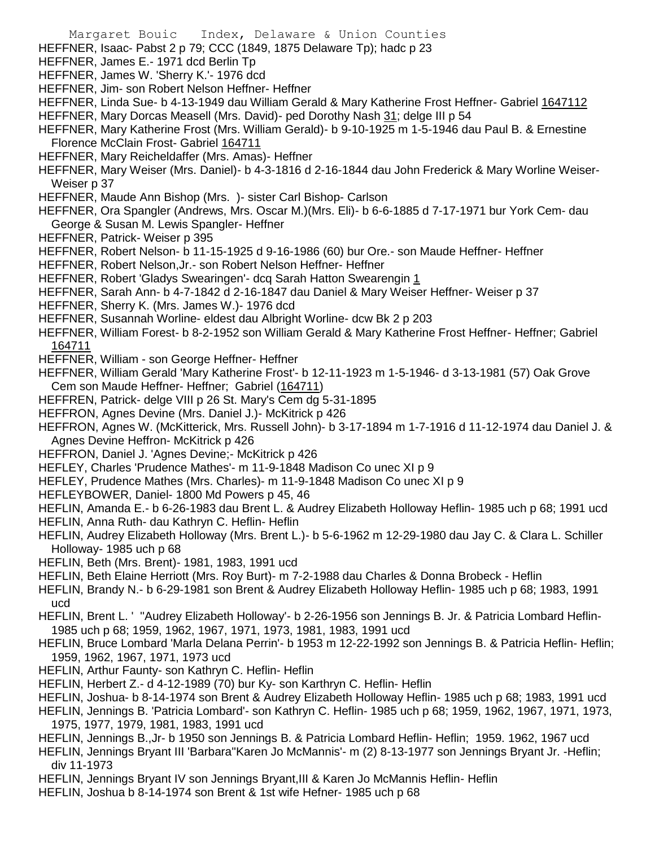- Margaret Bouic Index, Delaware & Union Counties HEFFNER, Isaac- Pabst 2 p 79; CCC (1849, 1875 Delaware Tp); hadc p 23 HEFFNER, James E.- 1971 dcd Berlin Tp HEFFNER, James W. 'Sherry K.'- 1976 dcd HEFFNER, Jim- son Robert Nelson Heffner- Heffner HEFFNER, Linda Sue- b 4-13-1949 dau William Gerald & Mary Katherine Frost Heffner- Gabriel 1647112 HEFFNER, Mary Dorcas Measell (Mrs. David)- ped Dorothy Nash 31; delge III p 54 HEFFNER, Mary Katherine Frost (Mrs. William Gerald)- b 9-10-1925 m 1-5-1946 dau Paul B. & Ernestine Florence McClain Frost- Gabriel 164711 HEFFNER, Mary Reicheldaffer (Mrs. Amas)- Heffner HEFFNER, Mary Weiser (Mrs. Daniel)- b 4-3-1816 d 2-16-1844 dau John Frederick & Mary Worline Weiser-Weiser p 37 HEFFNER, Maude Ann Bishop (Mrs. )- sister Carl Bishop- Carlson HEFFNER, Ora Spangler (Andrews, Mrs. Oscar M.)(Mrs. Eli)- b 6-6-1885 d 7-17-1971 bur York Cem- dau George & Susan M. Lewis Spangler- Heffner HEFFNER, Patrick- Weiser p 395 HEFFNER, Robert Nelson- b 11-15-1925 d 9-16-1986 (60) bur Ore.- son Maude Heffner- Heffner HEFFNER, Robert Nelson,Jr.- son Robert Nelson Heffner- Heffner HEFFNER, Robert 'Gladys Swearingen'- dcq Sarah Hatton Swearengin 1 HEFFNER, Sarah Ann- b 4-7-1842 d 2-16-1847 dau Daniel & Mary Weiser Heffner- Weiser p 37 HEFFNER, Sherry K. (Mrs. James W.)- 1976 dcd HEFFNER, Susannah Worline- eldest dau Albright Worline- dcw Bk 2 p 203 HEFFNER, William Forest- b 8-2-1952 son William Gerald & Mary Katherine Frost Heffner- Heffner; Gabriel 164711 HEFFNER, William - son George Heffner- Heffner HEFFNER, William Gerald 'Mary Katherine Frost'- b 12-11-1923 m 1-5-1946- d 3-13-1981 (57) Oak Grove Cem son Maude Heffner- Heffner; Gabriel (164711) HEFFREN, Patrick- delge VIII p 26 St. Mary's Cem dg 5-31-1895 HEFFRON, Agnes Devine (Mrs. Daniel J.)- McKitrick p 426 HEFFRON, Agnes W. (McKitterick, Mrs. Russell John)- b 3-17-1894 m 1-7-1916 d 11-12-1974 dau Daniel J. & Agnes Devine Heffron- McKitrick p 426 HEFFRON, Daniel J. 'Agnes Devine;- McKitrick p 426 HEFLEY, Charles 'Prudence Mathes'- m 11-9-1848 Madison Co unec XI p 9 HEFLEY, Prudence Mathes (Mrs. Charles)- m 11-9-1848 Madison Co unec XI p 9 HEFLEYBOWER, Daniel- 1800 Md Powers p 45, 46 HEFLIN, Amanda E.- b 6-26-1983 dau Brent L. & Audrey Elizabeth Holloway Heflin- 1985 uch p 68; 1991 ucd HEFLIN, Anna Ruth- dau Kathryn C. Heflin- Heflin HEFLIN, Audrey Elizabeth Holloway (Mrs. Brent L.)- b 5-6-1962 m 12-29-1980 dau Jay C. & Clara L. Schiller Holloway- 1985 uch p 68 HEFLIN, Beth (Mrs. Brent)- 1981, 1983, 1991 ucd HEFLIN, Beth Elaine Herriott (Mrs. Roy Burt)- m 7-2-1988 dau Charles & Donna Brobeck - Heflin HEFLIN, Brandy N.- b 6-29-1981 son Brent & Audrey Elizabeth Holloway Heflin- 1985 uch p 68; 1983, 1991 ucd HEFLIN, Brent L. ' ''Audrey Elizabeth Holloway'- b 2-26-1956 son Jennings B. Jr. & Patricia Lombard Heflin-1985 uch p 68; 1959, 1962, 1967, 1971, 1973, 1981, 1983, 1991 ucd HEFLIN, Bruce Lombard 'Marla Delana Perrin'- b 1953 m 12-22-1992 son Jennings B. & Patricia Heflin- Heflin;
- 1959, 1962, 1967, 1971, 1973 ucd
- HEFLIN, Arthur Faunty- son Kathryn C. Heflin- Heflin
- HEFLIN, Herbert Z.- d 4-12-1989 (70) bur Ky- son Karthryn C. Heflin- Heflin
- HEFLIN, Joshua- b 8-14-1974 son Brent & Audrey Elizabeth Holloway Heflin- 1985 uch p 68; 1983, 1991 ucd
- HEFLIN, Jennings B. 'Patricia Lombard'- son Kathryn C. Heflin- 1985 uch p 68; 1959, 1962, 1967, 1971, 1973, 1975, 1977, 1979, 1981, 1983, 1991 ucd
- HEFLIN, Jennings B.,Jr- b 1950 son Jennings B. & Patricia Lombard Heflin- Heflin; 1959. 1962, 1967 ucd
- HEFLIN, Jennings Bryant III 'Barbara''Karen Jo McMannis'- m (2) 8-13-1977 son Jennings Bryant Jr. -Heflin; div 11-1973
- HEFLIN, Jennings Bryant IV son Jennings Bryant,III & Karen Jo McMannis Heflin- Heflin
- HEFLIN, Joshua b 8-14-1974 son Brent & 1st wife Hefner- 1985 uch p 68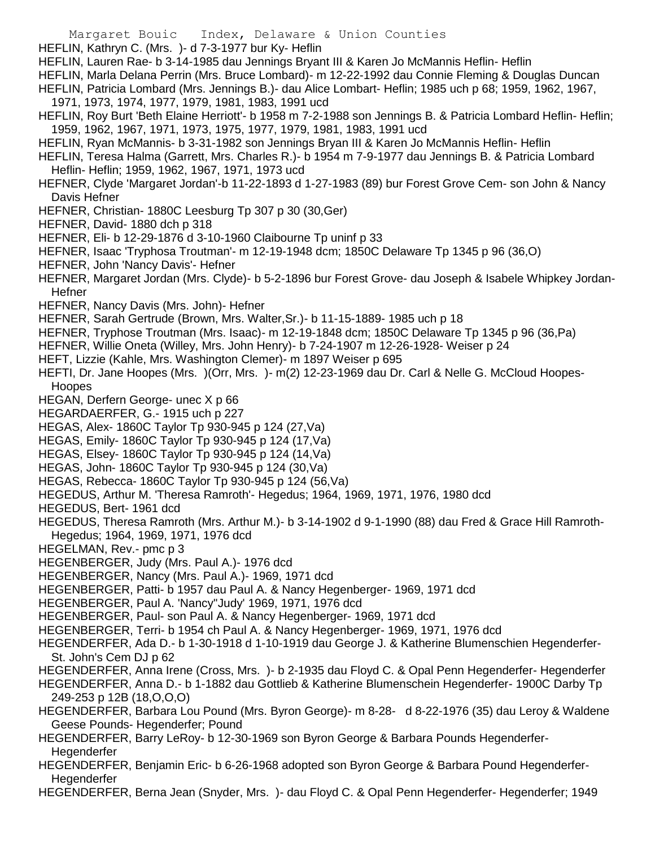- Margaret Bouic Index, Delaware & Union Counties
- HEFLIN, Kathryn C. (Mrs. )- d 7-3-1977 bur Ky- Heflin
- HEFLIN, Lauren Rae- b 3-14-1985 dau Jennings Bryant III & Karen Jo McMannis Heflin- Heflin
- HEFLIN, Marla Delana Perrin (Mrs. Bruce Lombard)- m 12-22-1992 dau Connie Fleming & Douglas Duncan
- HEFLIN, Patricia Lombard (Mrs. Jennings B.)- dau Alice Lombart- Heflin; 1985 uch p 68; 1959, 1962, 1967,
- 1971, 1973, 1974, 1977, 1979, 1981, 1983, 1991 ucd
- HEFLIN, Roy Burt 'Beth Elaine Herriott'- b 1958 m 7-2-1988 son Jennings B. & Patricia Lombard Heflin- Heflin; 1959, 1962, 1967, 1971, 1973, 1975, 1977, 1979, 1981, 1983, 1991 ucd
- HEFLIN, Ryan McMannis- b 3-31-1982 son Jennings Bryan III & Karen Jo McMannis Heflin- Heflin
- HEFLIN, Teresa Halma (Garrett, Mrs. Charles R.)- b 1954 m 7-9-1977 dau Jennings B. & Patricia Lombard Heflin- Heflin; 1959, 1962, 1967, 1971, 1973 ucd
- HEFNER, Clyde 'Margaret Jordan'-b 11-22-1893 d 1-27-1983 (89) bur Forest Grove Cem- son John & Nancy Davis Hefner
- HEFNER, Christian- 1880C Leesburg Tp 307 p 30 (30,Ger)
- HEFNER, David- 1880 dch p 318
- HEFNER, Eli- b 12-29-1876 d 3-10-1960 Claibourne Tp uninf p 33
- HEFNER, Isaac 'Tryphosa Troutman'- m 12-19-1948 dcm; 1850C Delaware Tp 1345 p 96 (36,O)
- HEFNER, John 'Nancy Davis'- Hefner
- HEFNER, Margaret Jordan (Mrs. Clyde)- b 5-2-1896 bur Forest Grove- dau Joseph & Isabele Whipkey Jordan-Hefner
- HEFNER, Nancy Davis (Mrs. John)- Hefner
- HEFNER, Sarah Gertrude (Brown, Mrs. Walter,Sr.)- b 11-15-1889- 1985 uch p 18
- HEFNER, Tryphose Troutman (Mrs. Isaac)- m 12-19-1848 dcm; 1850C Delaware Tp 1345 p 96 (36,Pa)
- HEFNER, Willie Oneta (Willey, Mrs. John Henry)- b 7-24-1907 m 12-26-1928- Weiser p 24
- HEFT, Lizzie (Kahle, Mrs. Washington Clemer)- m 1897 Weiser p 695
- HEFTI, Dr. Jane Hoopes (Mrs. )(Orr, Mrs. )- m(2) 12-23-1969 dau Dr. Carl & Nelle G. McCloud Hoopes-**Hoopes**
- HEGAN, Derfern George- unec X p 66
- HEGARDAERFER, G.- 1915 uch p 227
- HEGAS, Alex- 1860C Taylor Tp 930-945 p 124 (27,Va)
- HEGAS, Emily- 1860C Taylor Tp 930-945 p 124 (17,Va)
- HEGAS, Elsey- 1860C Taylor Tp 930-945 p 124 (14,Va)
- HEGAS, John- 1860C Taylor Tp 930-945 p 124 (30,Va)
- HEGAS, Rebecca- 1860C Taylor Tp 930-945 p 124 (56,Va)
- HEGEDUS, Arthur M. 'Theresa Ramroth'- Hegedus; 1964, 1969, 1971, 1976, 1980 dcd
- HEGEDUS, Bert- 1961 dcd
- HEGEDUS, Theresa Ramroth (Mrs. Arthur M.)- b 3-14-1902 d 9-1-1990 (88) dau Fred & Grace Hill Ramroth-Hegedus; 1964, 1969, 1971, 1976 dcd
- HEGELMAN, Rev.- pmc p 3
- HEGENBERGER, Judy (Mrs. Paul A.)- 1976 dcd
- HEGENBERGER, Nancy (Mrs. Paul A.)- 1969, 1971 dcd
- HEGENBERGER, Patti- b 1957 dau Paul A. & Nancy Hegenberger- 1969, 1971 dcd
- HEGENBERGER, Paul A. 'Nancy''Judy' 1969, 1971, 1976 dcd
- HEGENBERGER, Paul- son Paul A. & Nancy Hegenberger- 1969, 1971 dcd
- HEGENBERGER, Terri- b 1954 ch Paul A. & Nancy Hegenberger- 1969, 1971, 1976 dcd
- HEGENDERFER, Ada D.- b 1-30-1918 d 1-10-1919 dau George J. & Katherine Blumenschien Hegenderfer-St. John's Cem DJ p 62
- HEGENDERFER, Anna Irene (Cross, Mrs. )- b 2-1935 dau Floyd C. & Opal Penn Hegenderfer- Hegenderfer
- HEGENDERFER, Anna D.- b 1-1882 dau Gottlieb & Katherine Blumenschein Hegenderfer- 1900C Darby Tp 249-253 p 12B (18,O,O,O)
- HEGENDERFER, Barbara Lou Pound (Mrs. Byron George)- m 8-28- d 8-22-1976 (35) dau Leroy & Waldene Geese Pounds- Hegenderfer; Pound
- HEGENDERFER, Barry LeRoy- b 12-30-1969 son Byron George & Barbara Pounds Hegenderfer-**Hegenderfer**
- HEGENDERFER, Benjamin Eric- b 6-26-1968 adopted son Byron George & Barbara Pound Hegenderfer-Hegenderfer
- HEGENDERFER, Berna Jean (Snyder, Mrs. )- dau Floyd C. & Opal Penn Hegenderfer- Hegenderfer; 1949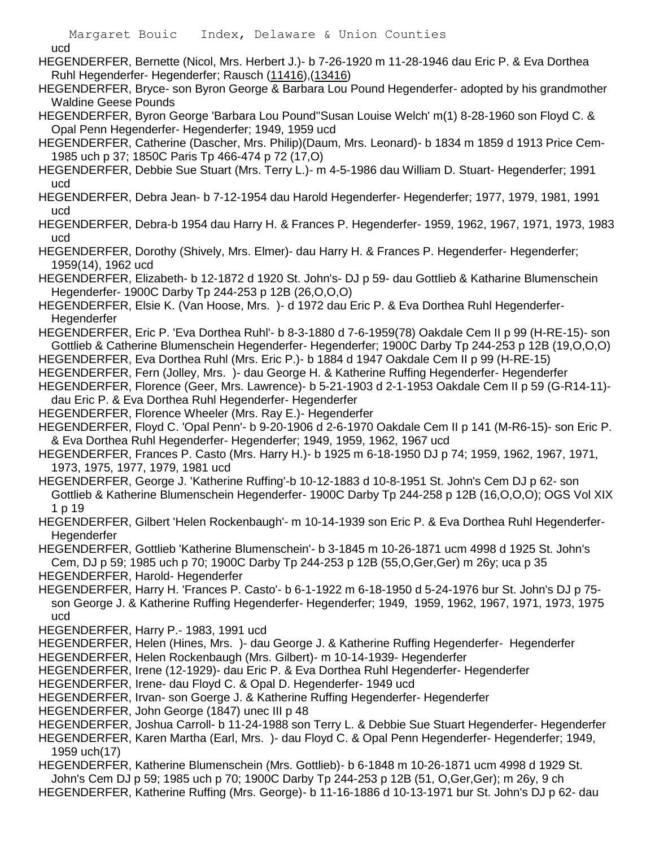ucd

HEGENDERFER, Bernette (Nicol, Mrs. Herbert J.)- b 7-26-1920 m 11-28-1946 dau Eric P. & Eva Dorthea Ruhl Hegenderfer- Hegenderfer; Rausch (11416),(13416)

HEGENDERFER, Bryce- son Byron George & Barbara Lou Pound Hegenderfer- adopted by his grandmother Waldine Geese Pounds

HEGENDERFER, Byron George 'Barbara Lou Pound''Susan Louise Welch' m(1) 8-28-1960 son Floyd C. & Opal Penn Hegenderfer- Hegenderfer; 1949, 1959 ucd

HEGENDERFER, Catherine (Dascher, Mrs. Philip)(Daum, Mrs. Leonard)- b 1834 m 1859 d 1913 Price Cem-1985 uch p 37; 1850C Paris Tp 466-474 p 72 (17,O)

HEGENDERFER, Debbie Sue Stuart (Mrs. Terry L.)- m 4-5-1986 dau William D. Stuart- Hegenderfer; 1991 ucd

HEGENDERFER, Debra Jean- b 7-12-1954 dau Harold Hegenderfer- Hegenderfer; 1977, 1979, 1981, 1991 ucd

HEGENDERFER, Debra-b 1954 dau Harry H. & Frances P. Hegenderfer- 1959, 1962, 1967, 1971, 1973, 1983 ucd

HEGENDERFER, Dorothy (Shively, Mrs. Elmer)- dau Harry H. & Frances P. Hegenderfer- Hegenderfer; 1959(14), 1962 ucd

HEGENDERFER, Elizabeth- b 12-1872 d 1920 St. John's- DJ p 59- dau Gottlieb & Katharine Blumenschein Hegenderfer- 1900C Darby Tp 244-253 p 12B (26,O,O,O)

HEGENDERFER, Elsie K. (Van Hoose, Mrs. )- d 1972 dau Eric P. & Eva Dorthea Ruhl Hegenderfer-**Hegenderfer** 

HEGENDERFER, Eric P. 'Eva Dorthea Ruhl'- b 8-3-1880 d 7-6-1959(78) Oakdale Cem II p 99 (H-RE-15)- son Gottlieb & Catherine Blumenschein Hegenderfer- Hegenderfer; 1900C Darby Tp 244-253 p 12B (19,O,O,O)

HEGENDERFER, Eva Dorthea Ruhl (Mrs. Eric P.)- b 1884 d 1947 Oakdale Cem II p 99 (H-RE-15)

HEGENDERFER, Fern (Jolley, Mrs. )- dau George H. & Katherine Ruffing Hegenderfer- Hegenderfer

HEGENDERFER, Florence (Geer, Mrs. Lawrence)- b 5-21-1903 d 2-1-1953 Oakdale Cem II p 59 (G-R14-11) dau Eric P. & Eva Dorthea Ruhl Hegenderfer- Hegenderfer

HEGENDERFER, Florence Wheeler (Mrs. Ray E.)- Hegenderfer

HEGENDERFER, Floyd C. 'Opal Penn'- b 9-20-1906 d 2-6-1970 Oakdale Cem II p 141 (M-R6-15)- son Eric P. & Eva Dorthea Ruhl Hegenderfer- Hegenderfer; 1949, 1959, 1962, 1967 ucd

HEGENDERFER, Frances P. Casto (Mrs. Harry H.)- b 1925 m 6-18-1950 DJ p 74; 1959, 1962, 1967, 1971, 1973, 1975, 1977, 1979, 1981 ucd

HEGENDERFER, George J. 'Katherine Ruffing'-b 10-12-1883 d 10-8-1951 St. John's Cem DJ p 62- son Gottlieb & Katherine Blumenschein Hegenderfer- 1900C Darby Tp 244-258 p 12B (16,O,O,O); OGS Vol XIX 1 p 19

HEGENDERFER, Gilbert 'Helen Rockenbaugh'- m 10-14-1939 son Eric P. & Eva Dorthea Ruhl Hegenderfer-**Hegenderfer** 

HEGENDERFER, Gottlieb 'Katherine Blumenschein'- b 3-1845 m 10-26-1871 ucm 4998 d 1925 St. John's Cem, DJ p 59; 1985 uch p 70; 1900C Darby Tp 244-253 p 12B (55,O,Ger,Ger) m 26y; uca p 35 HEGENDERFER, Harold- Hegenderfer

HEGENDERFER, Harry H. 'Frances P. Casto'- b 6-1-1922 m 6-18-1950 d 5-24-1976 bur St. John's DJ p 75 son George J. & Katherine Ruffing Hegenderfer- Hegenderfer; 1949, 1959, 1962, 1967, 1971, 1973, 1975 ucd

HEGENDERFER, Harry P.- 1983, 1991 ucd

HEGENDERFER, Helen (Hines, Mrs. )- dau George J. & Katherine Ruffing Hegenderfer- Hegenderfer HEGENDERFER, Helen Rockenbaugh (Mrs. Gilbert)- m 10-14-1939- Hegenderfer

HEGENDERFER, Irene (12-1929)- dau Eric P. & Eva Dorthea Ruhl Hegenderfer- Hegenderfer

HEGENDERFER, Irene- dau Floyd C. & Opal D. Hegenderfer- 1949 ucd

HEGENDERFER, Irvan- son Goerge J. & Katherine Ruffing Hegenderfer- Hegenderfer

HEGENDERFER, John George (1847) unec III p 48

HEGENDERFER, Joshua Carroll- b 11-24-1988 son Terry L. & Debbie Sue Stuart Hegenderfer- Hegenderfer

HEGENDERFER, Karen Martha (Earl, Mrs. )- dau Floyd C. & Opal Penn Hegenderfer- Hegenderfer; 1949, 1959 uch(17)

HEGENDERFER, Katherine Blumenschein (Mrs. Gottlieb)- b 6-1848 m 10-26-1871 ucm 4998 d 1929 St. John's Cem DJ p 59; 1985 uch p 70; 1900C Darby Tp 244-253 p 12B (51, O,Ger,Ger); m 26y, 9 ch

HEGENDERFER, Katherine Ruffing (Mrs. George)- b 11-16-1886 d 10-13-1971 bur St. John's DJ p 62- dau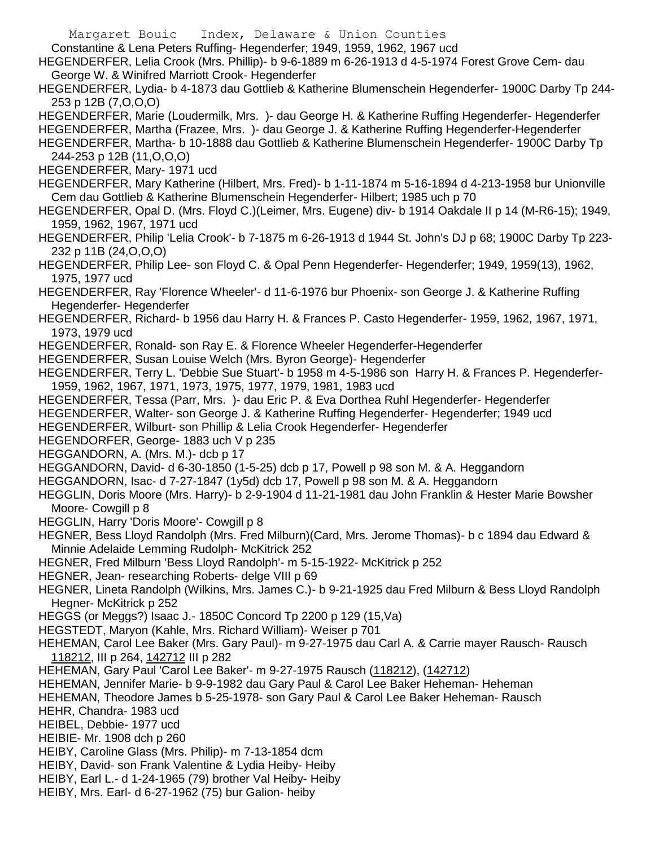Margaret Bouic Index, Delaware & Union Counties Constantine & Lena Peters Ruffing- Hegenderfer; 1949, 1959, 1962, 1967 ucd HEGENDERFER, Lelia Crook (Mrs. Phillip)- b 9-6-1889 m 6-26-1913 d 4-5-1974 Forest Grove Cem- dau George W. & Winifred Marriott Crook- Hegenderfer HEGENDERFER, Lydia- b 4-1873 dau Gottlieb & Katherine Blumenschein Hegenderfer- 1900C Darby Tp 244- 253 p 12B (7,O,O,O) HEGENDERFER, Marie (Loudermilk, Mrs. )- dau George H. & Katherine Ruffing Hegenderfer- Hegenderfer HEGENDERFER, Martha (Frazee, Mrs. )- dau George J. & Katherine Ruffing Hegenderfer-Hegenderfer HEGENDERFER, Martha- b 10-1888 dau Gottlieb & Katherine Blumenschein Hegenderfer- 1900C Darby Tp 244-253 p 12B (11,O,O,O) HEGENDERFER, Mary- 1971 ucd HEGENDERFER, Mary Katherine (Hilbert, Mrs. Fred)- b 1-11-1874 m 5-16-1894 d 4-213-1958 bur Unionville Cem dau Gottlieb & Katherine Blumenschein Hegenderfer- Hilbert; 1985 uch p 70 HEGENDERFER, Opal D. (Mrs. Floyd C.)(Leimer, Mrs. Eugene) div- b 1914 Oakdale II p 14 (M-R6-15); 1949, 1959, 1962, 1967, 1971 ucd HEGENDERFER, Philip 'Lelia Crook'- b 7-1875 m 6-26-1913 d 1944 St. John's DJ p 68; 1900C Darby Tp 223- 232 p 11B (24,O,O,O) HEGENDERFER, Philip Lee- son Floyd C. & Opal Penn Hegenderfer- Hegenderfer; 1949, 1959(13), 1962, 1975, 1977 ucd HEGENDERFER, Ray 'Florence Wheeler'- d 11-6-1976 bur Phoenix- son George J. & Katherine Ruffing Hegenderfer- Hegenderfer HEGENDERFER, Richard- b 1956 dau Harry H. & Frances P. Casto Hegenderfer- 1959, 1962, 1967, 1971, 1973, 1979 ucd HEGENDERFER, Ronald- son Ray E. & Florence Wheeler Hegenderfer-Hegenderfer HEGENDERFER, Susan Louise Welch (Mrs. Byron George)- Hegenderfer HEGENDERFER, Terry L. 'Debbie Sue Stuart'- b 1958 m 4-5-1986 son Harry H. & Frances P. Hegenderfer-1959, 1962, 1967, 1971, 1973, 1975, 1977, 1979, 1981, 1983 ucd HEGENDERFER, Tessa (Parr, Mrs. )- dau Eric P. & Eva Dorthea Ruhl Hegenderfer- Hegenderfer HEGENDERFER, Walter- son George J. & Katherine Ruffing Hegenderfer- Hegenderfer; 1949 ucd HEGENDERFER, Wilburt- son Phillip & Lelia Crook Hegenderfer- Hegenderfer HEGENDORFER, George- 1883 uch V p 235 HEGGANDORN, A. (Mrs. M.)- dcb p 17 HEGGANDORN, David- d 6-30-1850 (1-5-25) dcb p 17, Powell p 98 son M. & A. Heggandorn HEGGANDORN, Isac- d 7-27-1847 (1y5d) dcb 17, Powell p 98 son M. & A. Heggandorn HEGGLIN, Doris Moore (Mrs. Harry)- b 2-9-1904 d 11-21-1981 dau John Franklin & Hester Marie Bowsher Moore- Cowgill p 8 HEGGLIN, Harry 'Doris Moore'- Cowgill p 8 HEGNER, Bess Lloyd Randolph (Mrs. Fred Milburn)(Card, Mrs. Jerome Thomas)- b c 1894 dau Edward & Minnie Adelaide Lemming Rudolph- McKitrick 252 HEGNER, Fred Milburn 'Bess Lloyd Randolph'- m 5-15-1922- McKitrick p 252 HEGNER, Jean- researching Roberts- delge VIII p 69 HEGNER, Lineta Randolph (Wilkins, Mrs. James C.)- b 9-21-1925 dau Fred Milburn & Bess Lloyd Randolph Hegner- McKitrick p 252 HEGGS (or Meggs?) Isaac J.- 1850C Concord Tp 2200 p 129 (15,Va) HEGSTEDT, Maryon (Kahle, Mrs. Richard William)- Weiser p 701 HEHEMAN, Carol Lee Baker (Mrs. Gary Paul)- m 9-27-1975 dau Carl A. & Carrie mayer Rausch- Rausch 118212, III p 264, 142712 III p 282 HEHEMAN, Gary Paul 'Carol Lee Baker'- m 9-27-1975 Rausch (118212), (142712) HEHEMAN, Jennifer Marie- b 9-9-1982 dau Gary Paul & Carol Lee Baker Heheman- Heheman HEHEMAN, Theodore James b 5-25-1978- son Gary Paul & Carol Lee Baker Heheman- Rausch HEHR, Chandra- 1983 ucd HEIBEL, Debbie- 1977 ucd HEIBIE- Mr. 1908 dch p 260 HEIBY, Caroline Glass (Mrs. Philip)- m 7-13-1854 dcm HEIBY, David- son Frank Valentine & Lydia Heiby- Heiby HEIBY, Earl L.- d 1-24-1965 (79) brother Val Heiby- Heiby HEIBY, Mrs. Earl- d 6-27-1962 (75) bur Galion- heiby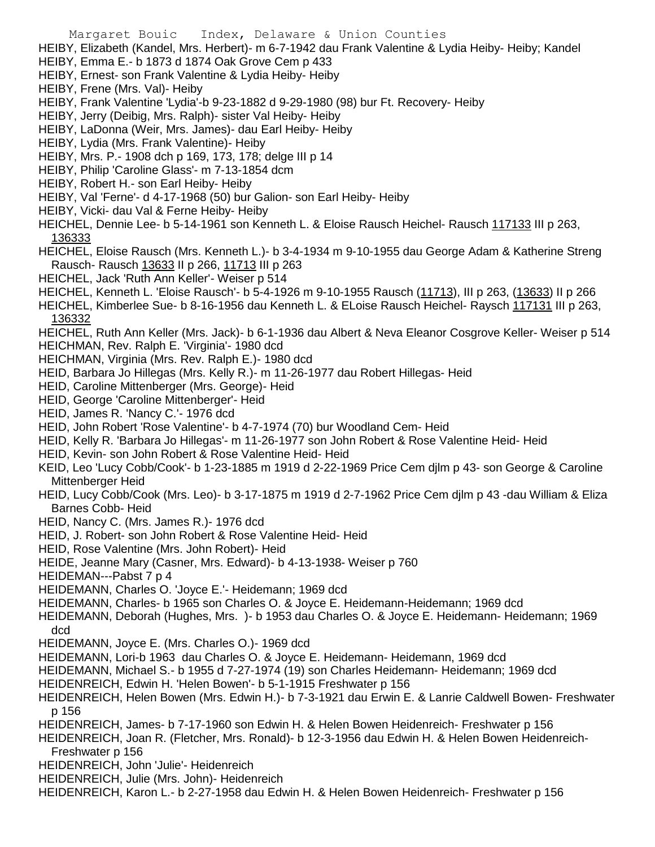Margaret Bouic Index, Delaware & Union Counties HEIBY, Elizabeth (Kandel, Mrs. Herbert)- m 6-7-1942 dau Frank Valentine & Lydia Heiby- Heiby; Kandel HEIBY, Emma E.- b 1873 d 1874 Oak Grove Cem p 433 HEIBY, Ernest- son Frank Valentine & Lydia Heiby- Heiby HEIBY, Frene (Mrs. Val)- Heiby HEIBY, Frank Valentine 'Lydia'-b 9-23-1882 d 9-29-1980 (98) bur Ft. Recovery- Heiby HEIBY, Jerry (Deibig, Mrs. Ralph)- sister Val Heiby- Heiby HEIBY, LaDonna (Weir, Mrs. James)- dau Earl Heiby- Heiby HEIBY, Lydia (Mrs. Frank Valentine)- Heiby HEIBY, Mrs. P.- 1908 dch p 169, 173, 178; delge III p 14 HEIBY, Philip 'Caroline Glass'- m 7-13-1854 dcm HEIBY, Robert H.- son Earl Heiby- Heiby HEIBY, Val 'Ferne'- d 4-17-1968 (50) bur Galion- son Earl Heiby- Heiby HEIBY, Vicki- dau Val & Ferne Heiby- Heiby HEICHEL, Dennie Lee- b 5-14-1961 son Kenneth L. & Eloise Rausch Heichel- Rausch 117133 III p 263, 136333 HEICHEL, Eloise Rausch (Mrs. Kenneth L.)- b 3-4-1934 m 9-10-1955 dau George Adam & Katherine Streng Rausch- Rausch 13633 II p 266, 11713 III p 263 HEICHEL, Jack 'Ruth Ann Keller'- Weiser p 514 HEICHEL, Kenneth L. 'Eloise Rausch'- b 5-4-1926 m 9-10-1955 Rausch (11713), III p 263, (13633) II p 266 HEICHEL, Kimberlee Sue- b 8-16-1956 dau Kenneth L. & ELoise Rausch Heichel- Raysch 117131 III p 263, 136332 HEICHEL, Ruth Ann Keller (Mrs. Jack)- b 6-1-1936 dau Albert & Neva Eleanor Cosgrove Keller- Weiser p 514 HEICHMAN, Rev. Ralph E. 'Virginia'- 1980 dcd HEICHMAN, Virginia (Mrs. Rev. Ralph E.)- 1980 dcd HEID, Barbara Jo Hillegas (Mrs. Kelly R.)- m 11-26-1977 dau Robert Hillegas- Heid HEID, Caroline Mittenberger (Mrs. George)- Heid HEID, George 'Caroline Mittenberger'- Heid HEID, James R. 'Nancy C.'- 1976 dcd HEID, John Robert 'Rose Valentine'- b 4-7-1974 (70) bur Woodland Cem- Heid HEID, Kelly R. 'Barbara Jo Hillegas'- m 11-26-1977 son John Robert & Rose Valentine Heid- Heid HEID, Kevin- son John Robert & Rose Valentine Heid- Heid KEID, Leo 'Lucy Cobb/Cook'- b 1-23-1885 m 1919 d 2-22-1969 Price Cem djlm p 43- son George & Caroline Mittenberger Heid HEID, Lucy Cobb/Cook (Mrs. Leo)- b 3-17-1875 m 1919 d 2-7-1962 Price Cem djlm p 43 -dau William & Eliza Barnes Cobb- Heid HEID, Nancy C. (Mrs. James R.)- 1976 dcd HEID, J. Robert- son John Robert & Rose Valentine Heid- Heid HEID, Rose Valentine (Mrs. John Robert)- Heid HEIDE, Jeanne Mary (Casner, Mrs. Edward)- b 4-13-1938- Weiser p 760 HEIDEMAN---Pabst 7 p 4 HEIDEMANN, Charles O. 'Joyce E.'- Heidemann; 1969 dcd HEIDEMANN, Charles- b 1965 son Charles O. & Joyce E. Heidemann-Heidemann; 1969 dcd HEIDEMANN, Deborah (Hughes, Mrs. )- b 1953 dau Charles O. & Joyce E. Heidemann- Heidemann; 1969 dcd HEIDEMANN, Joyce E. (Mrs. Charles O.)- 1969 dcd HEIDEMANN, Lori-b 1963 dau Charles O. & Joyce E. Heidemann- Heidemann, 1969 dcd

HEIDEMANN, Michael S.- b 1955 d 7-27-1974 (19) son Charles Heidemann- Heidemann; 1969 dcd

- HEIDENREICH, Edwin H. 'Helen Bowen'- b 5-1-1915 Freshwater p 156
- HEIDENREICH, Helen Bowen (Mrs. Edwin H.)- b 7-3-1921 dau Erwin E. & Lanrie Caldwell Bowen- Freshwater p 156
- HEIDENREICH, James- b 7-17-1960 son Edwin H. & Helen Bowen Heidenreich- Freshwater p 156
- HEIDENREICH, Joan R. (Fletcher, Mrs. Ronald)- b 12-3-1956 dau Edwin H. & Helen Bowen Heidenreich-Freshwater p 156
- HEIDENREICH, John 'Julie'- Heidenreich
- HEIDENREICH, Julie (Mrs. John)- Heidenreich
- HEIDENREICH, Karon L.- b 2-27-1958 dau Edwin H. & Helen Bowen Heidenreich- Freshwater p 156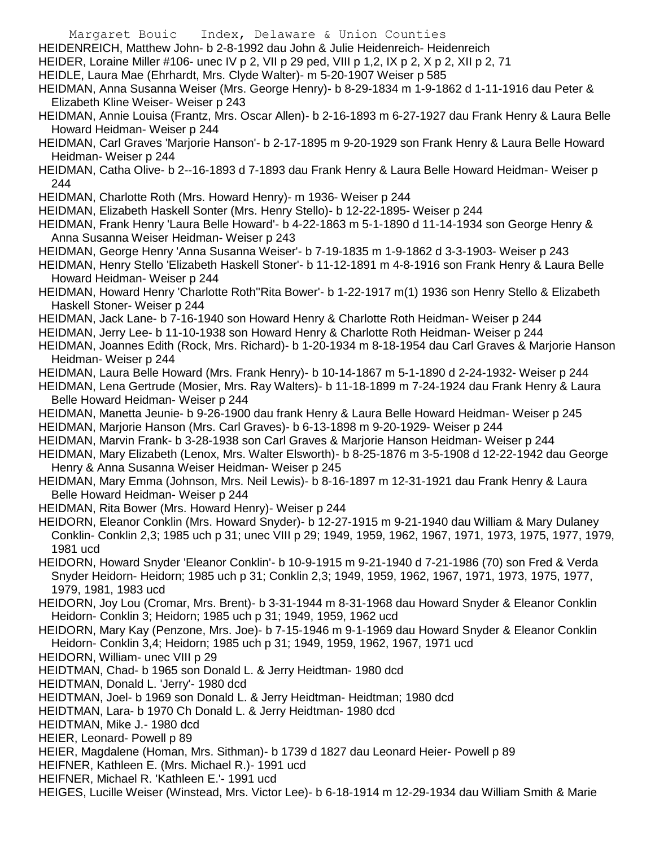- Margaret Bouic Index, Delaware & Union Counties
- HEIDENREICH, Matthew John- b 2-8-1992 dau John & Julie Heidenreich- Heidenreich
- HEIDER, Loraine Miller #106- unec IV p 2, VII p 29 ped, VIII p 1,2, IX p 2, X p 2, XII p 2, 71
- HEIDLE, Laura Mae (Ehrhardt, Mrs. Clyde Walter)- m 5-20-1907 Weiser p 585
- HEIDMAN, Anna Susanna Weiser (Mrs. George Henry)- b 8-29-1834 m 1-9-1862 d 1-11-1916 dau Peter & Elizabeth Kline Weiser- Weiser p 243
- HEIDMAN, Annie Louisa (Frantz, Mrs. Oscar Allen)- b 2-16-1893 m 6-27-1927 dau Frank Henry & Laura Belle Howard Heidman- Weiser p 244
- HEIDMAN, Carl Graves 'Marjorie Hanson'- b 2-17-1895 m 9-20-1929 son Frank Henry & Laura Belle Howard Heidman- Weiser p 244
- HEIDMAN, Catha Olive- b 2--16-1893 d 7-1893 dau Frank Henry & Laura Belle Howard Heidman- Weiser p 244
- HEIDMAN, Charlotte Roth (Mrs. Howard Henry)- m 1936- Weiser p 244
- HEIDMAN, Elizabeth Haskell Sonter (Mrs. Henry Stello)- b 12-22-1895- Weiser p 244
- HEIDMAN, Frank Henry 'Laura Belle Howard'- b 4-22-1863 m 5-1-1890 d 11-14-1934 son George Henry & Anna Susanna Weiser Heidman- Weiser p 243
- HEIDMAN, George Henry 'Anna Susanna Weiser'- b 7-19-1835 m 1-9-1862 d 3-3-1903- Weiser p 243
- HEIDMAN, Henry Stello 'Elizabeth Haskell Stoner'- b 11-12-1891 m 4-8-1916 son Frank Henry & Laura Belle Howard Heidman- Weiser p 244
- HEIDMAN, Howard Henry 'Charlotte Roth''Rita Bower'- b 1-22-1917 m(1) 1936 son Henry Stello & Elizabeth Haskell Stoner- Weiser p 244
- HEIDMAN, Jack Lane- b 7-16-1940 son Howard Henry & Charlotte Roth Heidman- Weiser p 244
- HEIDMAN, Jerry Lee- b 11-10-1938 son Howard Henry & Charlotte Roth Heidman- Weiser p 244
- HEIDMAN, Joannes Edith (Rock, Mrs. Richard)- b 1-20-1934 m 8-18-1954 dau Carl Graves & Marjorie Hanson Heidman- Weiser p 244
- HEIDMAN, Laura Belle Howard (Mrs. Frank Henry)- b 10-14-1867 m 5-1-1890 d 2-24-1932- Weiser p 244
- HEIDMAN, Lena Gertrude (Mosier, Mrs. Ray Walters)- b 11-18-1899 m 7-24-1924 dau Frank Henry & Laura Belle Howard Heidman- Weiser p 244
- HEIDMAN, Manetta Jeunie- b 9-26-1900 dau frank Henry & Laura Belle Howard Heidman- Weiser p 245
- HEIDMAN, Marjorie Hanson (Mrs. Carl Graves)- b 6-13-1898 m 9-20-1929- Weiser p 244
- HEIDMAN, Marvin Frank- b 3-28-1938 son Carl Graves & Marjorie Hanson Heidman- Weiser p 244
- HEIDMAN, Mary Elizabeth (Lenox, Mrs. Walter Elsworth)- b 8-25-1876 m 3-5-1908 d 12-22-1942 dau George Henry & Anna Susanna Weiser Heidman- Weiser p 245
- HEIDMAN, Mary Emma (Johnson, Mrs. Neil Lewis)- b 8-16-1897 m 12-31-1921 dau Frank Henry & Laura Belle Howard Heidman- Weiser p 244
- HEIDMAN, Rita Bower (Mrs. Howard Henry)- Weiser p 244
- HEIDORN, Eleanor Conklin (Mrs. Howard Snyder)- b 12-27-1915 m 9-21-1940 dau William & Mary Dulaney Conklin- Conklin 2,3; 1985 uch p 31; unec VIII p 29; 1949, 1959, 1962, 1967, 1971, 1973, 1975, 1977, 1979, 1981 ucd
- HEIDORN, Howard Snyder 'Eleanor Conklin'- b 10-9-1915 m 9-21-1940 d 7-21-1986 (70) son Fred & Verda Snyder Heidorn- Heidorn; 1985 uch p 31; Conklin 2,3; 1949, 1959, 1962, 1967, 1971, 1973, 1975, 1977, 1979, 1981, 1983 ucd
- HEIDORN, Joy Lou (Cromar, Mrs. Brent)- b 3-31-1944 m 8-31-1968 dau Howard Snyder & Eleanor Conklin Heidorn- Conklin 3; Heidorn; 1985 uch p 31; 1949, 1959, 1962 ucd
- HEIDORN, Mary Kay (Penzone, Mrs. Joe)- b 7-15-1946 m 9-1-1969 dau Howard Snyder & Eleanor Conklin Heidorn- Conklin 3,4; Heidorn; 1985 uch p 31; 1949, 1959, 1962, 1967, 1971 ucd
- HEIDORN, William- unec VIII p 29
- HEIDTMAN, Chad- b 1965 son Donald L. & Jerry Heidtman- 1980 dcd
- HEIDTMAN, Donald L. 'Jerry'- 1980 dcd
- HEIDTMAN, Joel- b 1969 son Donald L. & Jerry Heidtman- Heidtman; 1980 dcd
- HEIDTMAN, Lara- b 1970 Ch Donald L. & Jerry Heidtman- 1980 dcd
- HEIDTMAN, Mike J.- 1980 dcd
- HEIER, Leonard- Powell p 89
- HEIER, Magdalene (Homan, Mrs. Sithman)- b 1739 d 1827 dau Leonard Heier- Powell p 89
- HEIFNER, Kathleen E. (Mrs. Michael R.)- 1991 ucd
- HEIFNER, Michael R. 'Kathleen E.'- 1991 ucd
- HEIGES, Lucille Weiser (Winstead, Mrs. Victor Lee)- b 6-18-1914 m 12-29-1934 dau William Smith & Marie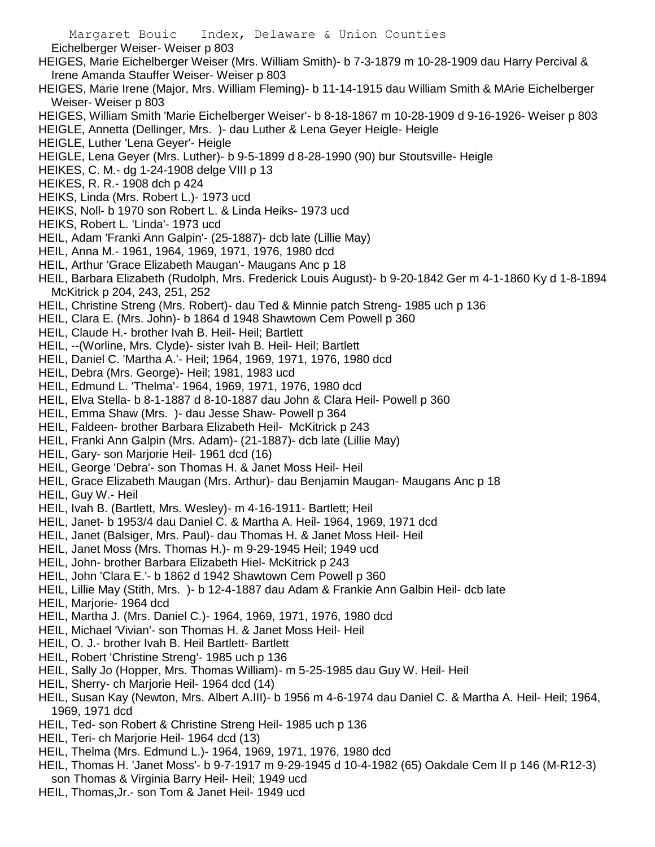Margaret Bouic Index, Delaware & Union Counties Eichelberger Weiser- Weiser p 803 HEIGES, Marie Eichelberger Weiser (Mrs. William Smith)- b 7-3-1879 m 10-28-1909 dau Harry Percival & Irene Amanda Stauffer Weiser- Weiser p 803 HEIGES, Marie Irene (Major, Mrs. William Fleming)- b 11-14-1915 dau William Smith & MArie Eichelberger Weiser- Weiser p 803 HEIGES, William Smith 'Marie Eichelberger Weiser'- b 8-18-1867 m 10-28-1909 d 9-16-1926- Weiser p 803 HEIGLE, Annetta (Dellinger, Mrs. )- dau Luther & Lena Geyer Heigle- Heigle HEIGLE, Luther 'Lena Geyer'- Heigle HEIGLE, Lena Geyer (Mrs. Luther)- b 9-5-1899 d 8-28-1990 (90) bur Stoutsville- Heigle HEIKES, C. M.- dg 1-24-1908 delge VIII p 13 HEIKES, R. R.- 1908 dch p 424 HEIKS, Linda (Mrs. Robert L.)- 1973 ucd HEIKS, Noll- b 1970 son Robert L. & Linda Heiks- 1973 ucd HEIKS, Robert L. 'Linda'- 1973 ucd HEIL, Adam 'Franki Ann Galpin'- (25-1887)- dcb late (Lillie May) HEIL, Anna M.- 1961, 1964, 1969, 1971, 1976, 1980 dcd HEIL, Arthur 'Grace Elizabeth Maugan'- Maugans Anc p 18 HEIL, Barbara Elizabeth (Rudolph, Mrs. Frederick Louis August)- b 9-20-1842 Ger m 4-1-1860 Ky d 1-8-1894 McKitrick p 204, 243, 251, 252 HEIL, Christine Streng (Mrs. Robert)- dau Ted & Minnie patch Streng- 1985 uch p 136 HEIL, Clara E. (Mrs. John)- b 1864 d 1948 Shawtown Cem Powell p 360 HEIL, Claude H.- brother Ivah B. Heil- Heil; Bartlett HEIL, --(Worline, Mrs. Clyde)- sister Ivah B. Heil- Heil; Bartlett HEIL, Daniel C. 'Martha A.'- Heil; 1964, 1969, 1971, 1976, 1980 dcd HEIL, Debra (Mrs. George)- Heil; 1981, 1983 ucd HEIL, Edmund L. 'Thelma'- 1964, 1969, 1971, 1976, 1980 dcd HEIL, Elva Stella- b 8-1-1887 d 8-10-1887 dau John & Clara Heil- Powell p 360 HEIL, Emma Shaw (Mrs. )- dau Jesse Shaw- Powell p 364 HEIL, Faldeen- brother Barbara Elizabeth Heil- McKitrick p 243 HEIL, Franki Ann Galpin (Mrs. Adam)- (21-1887)- dcb late (Lillie May) HEIL, Gary- son Marjorie Heil- 1961 dcd (16) HEIL, George 'Debra'- son Thomas H. & Janet Moss Heil- Heil HEIL, Grace Elizabeth Maugan (Mrs. Arthur)- dau Benjamin Maugan- Maugans Anc p 18 HEIL, Guy W.- Heil HEIL, Ivah B. (Bartlett, Mrs. Wesley)- m 4-16-1911- Bartlett; Heil HEIL, Janet- b 1953/4 dau Daniel C. & Martha A. Heil- 1964, 1969, 1971 dcd HEIL, Janet (Balsiger, Mrs. Paul)- dau Thomas H. & Janet Moss Heil- Heil HEIL, Janet Moss (Mrs. Thomas H.)- m 9-29-1945 Heil; 1949 ucd HEIL, John- brother Barbara Elizabeth Hiel- McKitrick p 243 HEIL, John 'Clara E.'- b 1862 d 1942 Shawtown Cem Powell p 360 HEIL, Lillie May (Stith, Mrs. )- b 12-4-1887 dau Adam & Frankie Ann Galbin Heil- dcb late HEIL, Marjorie- 1964 dcd HEIL, Martha J. (Mrs. Daniel C.)- 1964, 1969, 1971, 1976, 1980 dcd HEIL, Michael 'Vivian'- son Thomas H. & Janet Moss Heil- Heil HEIL, O. J.- brother Ivah B. Heil Bartlett- Bartlett HEIL, Robert 'Christine Streng'- 1985 uch p 136 HEIL, Sally Jo (Hopper, Mrs. Thomas William)- m 5-25-1985 dau Guy W. Heil- Heil HEIL, Sherry- ch Marjorie Heil- 1964 dcd (14) HEIL, Susan Kay (Newton, Mrs. Albert A.III)- b 1956 m 4-6-1974 dau Daniel C. & Martha A. Heil- Heil; 1964, 1969, 1971 dcd

- HEIL, Ted- son Robert & Christine Streng Heil- 1985 uch p 136
- HEIL, Teri- ch Marjorie Heil- 1964 dcd (13)
- HEIL, Thelma (Mrs. Edmund L.)- 1964, 1969, 1971, 1976, 1980 dcd
- HEIL, Thomas H. 'Janet Moss'- b 9-7-1917 m 9-29-1945 d 10-4-1982 (65) Oakdale Cem II p 146 (M-R12-3) son Thomas & Virginia Barry Heil- Heil; 1949 ucd
- HEIL, Thomas,Jr.- son Tom & Janet Heil- 1949 ucd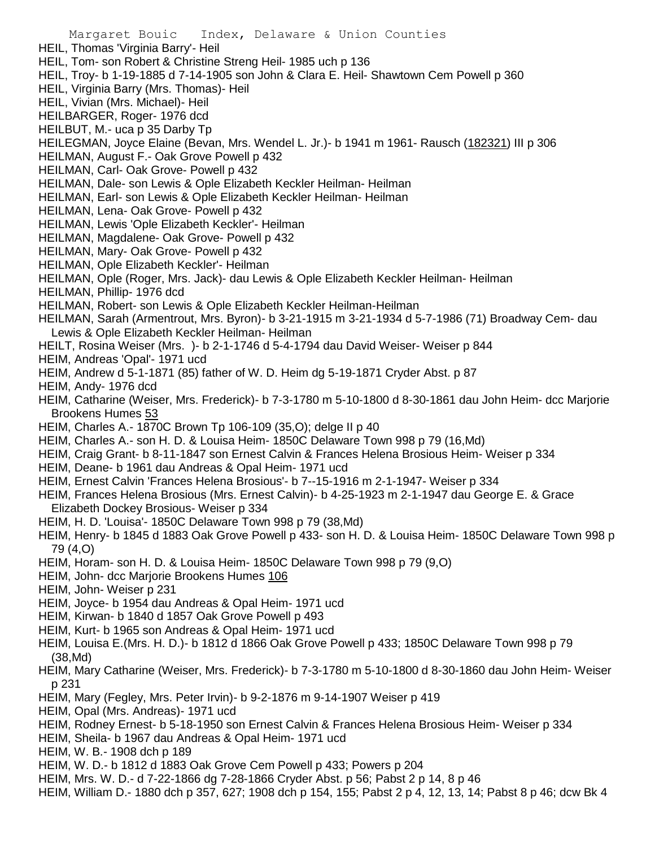Margaret Bouic Index, Delaware & Union Counties HEIL, Thomas 'Virginia Barry'- Heil HEIL, Tom- son Robert & Christine Streng Heil- 1985 uch p 136 HEIL, Troy- b 1-19-1885 d 7-14-1905 son John & Clara E. Heil- Shawtown Cem Powell p 360 HEIL, Virginia Barry (Mrs. Thomas)- Heil HEIL, Vivian (Mrs. Michael)- Heil HEILBARGER, Roger- 1976 dcd HEILBUT, M.- uca p 35 Darby Tp HEILEGMAN, Joyce Elaine (Bevan, Mrs. Wendel L. Jr.)- b 1941 m 1961- Rausch (182321) III p 306 HEILMAN, August F.- Oak Grove Powell p 432 HEILMAN, Carl- Oak Grove- Powell p 432 HEILMAN, Dale- son Lewis & Ople Elizabeth Keckler Heilman- Heilman HEILMAN, Earl- son Lewis & Ople Elizabeth Keckler Heilman- Heilman HEILMAN, Lena- Oak Grove- Powell p 432 HEILMAN, Lewis 'Ople Elizabeth Keckler'- Heilman HEILMAN, Magdalene- Oak Grove- Powell p 432 HEILMAN, Mary- Oak Grove- Powell p 432 HEILMAN, Ople Elizabeth Keckler'- Heilman HEILMAN, Ople (Roger, Mrs. Jack)- dau Lewis & Ople Elizabeth Keckler Heilman- Heilman HEILMAN, Phillip- 1976 dcd HEILMAN, Robert- son Lewis & Ople Elizabeth Keckler Heilman-Heilman HEILMAN, Sarah (Armentrout, Mrs. Byron)- b 3-21-1915 m 3-21-1934 d 5-7-1986 (71) Broadway Cem- dau Lewis & Ople Elizabeth Keckler Heilman- Heilman HEILT, Rosina Weiser (Mrs. )- b 2-1-1746 d 5-4-1794 dau David Weiser- Weiser p 844 HEIM, Andreas 'Opal'- 1971 ucd HEIM, Andrew d 5-1-1871 (85) father of W. D. Heim dg 5-19-1871 Cryder Abst. p 87 HEIM, Andy- 1976 dcd HEIM, Catharine (Weiser, Mrs. Frederick)- b 7-3-1780 m 5-10-1800 d 8-30-1861 dau John Heim- dcc Marjorie Brookens Humes 53 HEIM, Charles A.- 1870C Brown Tp 106-109 (35,O); delge II p 40 HEIM, Charles A.- son H. D. & Louisa Heim- 1850C Delaware Town 998 p 79 (16,Md) HEIM, Craig Grant- b 8-11-1847 son Ernest Calvin & Frances Helena Brosious Heim- Weiser p 334 HEIM, Deane- b 1961 dau Andreas & Opal Heim- 1971 ucd HEIM, Ernest Calvin 'Frances Helena Brosious'- b 7--15-1916 m 2-1-1947- Weiser p 334 HEIM, Frances Helena Brosious (Mrs. Ernest Calvin)- b 4-25-1923 m 2-1-1947 dau George E. & Grace Elizabeth Dockey Brosious- Weiser p 334 HEIM, H. D. 'Louisa'- 1850C Delaware Town 998 p 79 (38,Md) HEIM, Henry- b 1845 d 1883 Oak Grove Powell p 433- son H. D. & Louisa Heim- 1850C Delaware Town 998 p 79 (4,O) HEIM, Horam- son H. D. & Louisa Heim- 1850C Delaware Town 998 p 79 (9,O) HEIM, John- dcc Marjorie Brookens Humes 106 HEIM, John- Weiser p 231 HEIM, Joyce- b 1954 dau Andreas & Opal Heim- 1971 ucd HEIM, Kirwan- b 1840 d 1857 Oak Grove Powell p 493 HEIM, Kurt- b 1965 son Andreas & Opal Heim- 1971 ucd HEIM, Louisa E.(Mrs. H. D.)- b 1812 d 1866 Oak Grove Powell p 433; 1850C Delaware Town 998 p 79 (38,Md) HEIM, Mary Catharine (Weiser, Mrs. Frederick)- b 7-3-1780 m 5-10-1800 d 8-30-1860 dau John Heim- Weiser p 231 HEIM, Mary (Fegley, Mrs. Peter Irvin)- b 9-2-1876 m 9-14-1907 Weiser p 419 HEIM, Opal (Mrs. Andreas)- 1971 ucd HEIM, Rodney Ernest- b 5-18-1950 son Ernest Calvin & Frances Helena Brosious Heim- Weiser p 334 HEIM, Sheila- b 1967 dau Andreas & Opal Heim- 1971 ucd HEIM, W. B.- 1908 dch p 189 HEIM, W. D.- b 1812 d 1883 Oak Grove Cem Powell p 433; Powers p 204 HEIM, Mrs. W. D.- d 7-22-1866 dg 7-28-1866 Cryder Abst. p 56; Pabst 2 p 14, 8 p 46 HEIM, William D.- 1880 dch p 357, 627; 1908 dch p 154, 155; Pabst 2 p 4, 12, 13, 14; Pabst 8 p 46; dcw Bk 4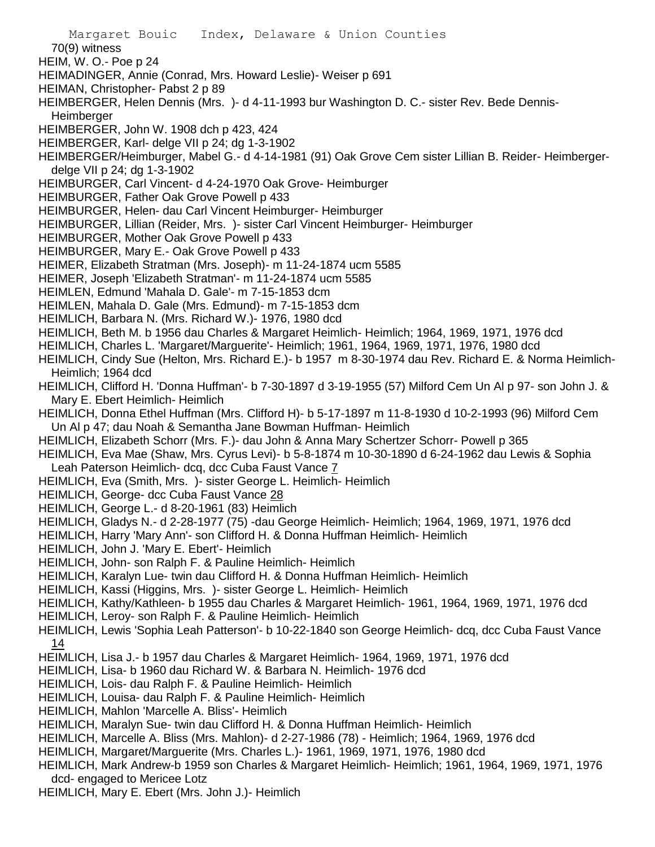Margaret Bouic Index, Delaware & Union Counties 70(9) witness HEIM, W. O.- Poe p 24 HEIMADINGER, Annie (Conrad, Mrs. Howard Leslie)- Weiser p 691 HEIMAN, Christopher- Pabst 2 p 89 HEIMBERGER, Helen Dennis (Mrs. )- d 4-11-1993 bur Washington D. C.- sister Rev. Bede Dennis-**Heimberger** HEIMBERGER, John W. 1908 dch p 423, 424 HEIMBERGER, Karl- delge VII p 24; dg 1-3-1902 HEIMBERGER/Heimburger, Mabel G.- d 4-14-1981 (91) Oak Grove Cem sister Lillian B. Reider- Heimbergerdelge VII p 24; dg 1-3-1902 HEIMBURGER, Carl Vincent- d 4-24-1970 Oak Grove- Heimburger HEIMBURGER, Father Oak Grove Powell p 433 HEIMBURGER, Helen- dau Carl Vincent Heimburger- Heimburger HEIMBURGER, Lillian (Reider, Mrs. )- sister Carl Vincent Heimburger- Heimburger HEIMBURGER, Mother Oak Grove Powell p 433 HEIMBURGER, Mary E.- Oak Grove Powell p 433 HEIMER, Elizabeth Stratman (Mrs. Joseph)- m 11-24-1874 ucm 5585 HEIMER, Joseph 'Elizabeth Stratman'- m 11-24-1874 ucm 5585 HEIMLEN, Edmund 'Mahala D. Gale'- m 7-15-1853 dcm HEIMLEN, Mahala D. Gale (Mrs. Edmund)- m 7-15-1853 dcm HEIMLICH, Barbara N. (Mrs. Richard W.)- 1976, 1980 dcd HEIMLICH, Beth M. b 1956 dau Charles & Margaret Heimlich- Heimlich; 1964, 1969, 1971, 1976 dcd HEIMLICH, Charles L. 'Margaret/Marguerite'- Heimlich; 1961, 1964, 1969, 1971, 1976, 1980 dcd HEIMLICH, Cindy Sue (Helton, Mrs. Richard E.)- b 1957 m 8-30-1974 dau Rev. Richard E. & Norma Heimlich-Heimlich; 1964 dcd HEIMLICH, Clifford H. 'Donna Huffman'- b 7-30-1897 d 3-19-1955 (57) Milford Cem Un Al p 97- son John J. & Mary E. Ebert Heimlich- Heimlich HEIMLICH, Donna Ethel Huffman (Mrs. Clifford H)- b 5-17-1897 m 11-8-1930 d 10-2-1993 (96) Milford Cem Un Al p 47; dau Noah & Semantha Jane Bowman Huffman- Heimlich HEIMLICH, Elizabeth Schorr (Mrs. F.)- dau John & Anna Mary Schertzer Schorr- Powell p 365 HEIMLICH, Eva Mae (Shaw, Mrs. Cyrus Levi)- b 5-8-1874 m 10-30-1890 d 6-24-1962 dau Lewis & Sophia Leah Paterson Heimlich- dcq, dcc Cuba Faust Vance 7 HEIMLICH, Eva (Smith, Mrs. )- sister George L. Heimlich- Heimlich HEIMLICH, George- dcc Cuba Faust Vance 28 HEIMLICH, George L.- d 8-20-1961 (83) Heimlich HEIMLICH, Gladys N.- d 2-28-1977 (75) -dau George Heimlich- Heimlich; 1964, 1969, 1971, 1976 dcd HEIMLICH, Harry 'Mary Ann'- son Clifford H. & Donna Huffman Heimlich- Heimlich HEIMLICH, John J. 'Mary E. Ebert'- Heimlich HEIMLICH, John- son Ralph F. & Pauline Heimlich- Heimlich HEIMLICH, Karalyn Lue- twin dau Clifford H. & Donna Huffman Heimlich- Heimlich HEIMLICH, Kassi (Higgins, Mrs. )- sister George L. Heimlich- Heimlich HEIMLICH, Kathy/Kathleen- b 1955 dau Charles & Margaret Heimlich- 1961, 1964, 1969, 1971, 1976 dcd HEIMLICH, Leroy- son Ralph F. & Pauline Heimlich- Heimlich HEIMLICH, Lewis 'Sophia Leah Patterson'- b 10-22-1840 son George Heimlich- dcq, dcc Cuba Faust Vance 14 HEIMLICH, Lisa J.- b 1957 dau Charles & Margaret Heimlich- 1964, 1969, 1971, 1976 dcd HEIMLICH, Lisa- b 1960 dau Richard W. & Barbara N. Heimlich- 1976 dcd HEIMLICH, Lois- dau Ralph F. & Pauline Heimlich- Heimlich HEIMLICH, Louisa- dau Ralph F. & Pauline Heimlich- Heimlich HEIMLICH, Mahlon 'Marcelle A. Bliss'- Heimlich HEIMLICH, Maralyn Sue- twin dau Clifford H. & Donna Huffman Heimlich- Heimlich HEIMLICH, Marcelle A. Bliss (Mrs. Mahlon)- d 2-27-1986 (78) - Heimlich; 1964, 1969, 1976 dcd HEIMLICH, Margaret/Marguerite (Mrs. Charles L.)- 1961, 1969, 1971, 1976, 1980 dcd HEIMLICH, Mark Andrew-b 1959 son Charles & Margaret Heimlich- Heimlich; 1961, 1964, 1969, 1971, 1976 dcd- engaged to Mericee Lotz HEIMLICH, Mary E. Ebert (Mrs. John J.)- Heimlich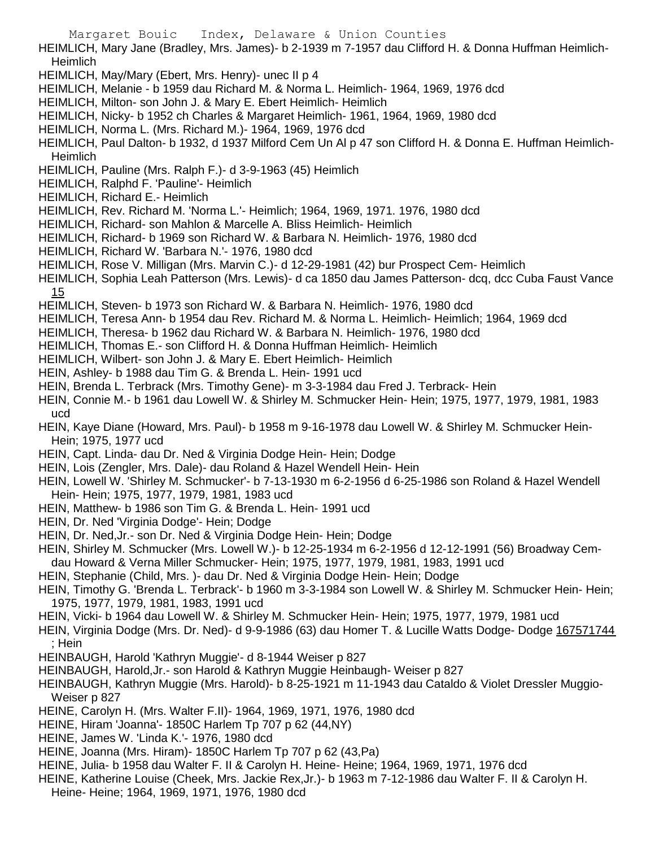Margaret Bouic Index, Delaware & Union Counties HEIMLICH, Mary Jane (Bradley, Mrs. James)- b 2-1939 m 7-1957 dau Clifford H. & Donna Huffman Heimlich-Heimlich HEIMLICH, May/Mary (Ebert, Mrs. Henry)- unec II p 4 HEIMLICH, Melanie - b 1959 dau Richard M. & Norma L. Heimlich- 1964, 1969, 1976 dcd HEIMLICH, Milton- son John J. & Mary E. Ebert Heimlich- Heimlich HEIMLICH, Nicky- b 1952 ch Charles & Margaret Heimlich- 1961, 1964, 1969, 1980 dcd HEIMLICH, Norma L. (Mrs. Richard M.)- 1964, 1969, 1976 dcd HEIMLICH, Paul Dalton- b 1932, d 1937 Milford Cem Un Al p 47 son Clifford H. & Donna E. Huffman Heimlich-

Heimlich

- HEIMLICH, Pauline (Mrs. Ralph F.)- d 3-9-1963 (45) Heimlich
- HEIMLICH, Ralphd F. 'Pauline'- Heimlich
- HEIMLICH, Richard E.- Heimlich
- HEIMLICH, Rev. Richard M. 'Norma L.'- Heimlich; 1964, 1969, 1971. 1976, 1980 dcd
- HEIMLICH, Richard- son Mahlon & Marcelle A. Bliss Heimlich- Heimlich
- HEIMLICH, Richard- b 1969 son Richard W. & Barbara N. Heimlich- 1976, 1980 dcd
- HEIMLICH, Richard W. 'Barbara N.'- 1976, 1980 dcd
- HEIMLICH, Rose V. Milligan (Mrs. Marvin C.)- d 12-29-1981 (42) bur Prospect Cem- Heimlich
- HEIMLICH, Sophia Leah Patterson (Mrs. Lewis)- d ca 1850 dau James Patterson- dcq, dcc Cuba Faust Vance 15
- HEIMLICH, Steven- b 1973 son Richard W. & Barbara N. Heimlich- 1976, 1980 dcd
- HEIMLICH, Teresa Ann- b 1954 dau Rev. Richard M. & Norma L. Heimlich- Heimlich; 1964, 1969 dcd
- HEIMLICH, Theresa- b 1962 dau Richard W. & Barbara N. Heimlich- 1976, 1980 dcd
- HEIMLICH, Thomas E.- son Clifford H. & Donna Huffman Heimlich- Heimlich
- HEIMLICH, Wilbert- son John J. & Mary E. Ebert Heimlich- Heimlich
- HEIN, Ashley- b 1988 dau Tim G. & Brenda L. Hein- 1991 ucd
- HEIN, Brenda L. Terbrack (Mrs. Timothy Gene)- m 3-3-1984 dau Fred J. Terbrack- Hein
- HEIN, Connie M.- b 1961 dau Lowell W. & Shirley M. Schmucker Hein- Hein; 1975, 1977, 1979, 1981, 1983 ucd
- HEIN, Kaye Diane (Howard, Mrs. Paul)- b 1958 m 9-16-1978 dau Lowell W. & Shirley M. Schmucker Hein-Hein; 1975, 1977 ucd
- HEIN, Capt. Linda- dau Dr. Ned & Virginia Dodge Hein- Hein; Dodge
- HEIN, Lois (Zengler, Mrs. Dale)- dau Roland & Hazel Wendell Hein- Hein
- HEIN, Lowell W. 'Shirley M. Schmucker'- b 7-13-1930 m 6-2-1956 d 6-25-1986 son Roland & Hazel Wendell Hein- Hein; 1975, 1977, 1979, 1981, 1983 ucd
- HEIN, Matthew- b 1986 son Tim G. & Brenda L. Hein- 1991 ucd
- HEIN, Dr. Ned 'Virginia Dodge'- Hein; Dodge
- HEIN, Dr. Ned,Jr.- son Dr. Ned & Virginia Dodge Hein- Hein; Dodge
- HEIN, Shirley M. Schmucker (Mrs. Lowell W.)- b 12-25-1934 m 6-2-1956 d 12-12-1991 (56) Broadway Cemdau Howard & Verna Miller Schmucker- Hein; 1975, 1977, 1979, 1981, 1983, 1991 ucd
- HEIN, Stephanie (Child, Mrs. )- dau Dr. Ned & Virginia Dodge Hein- Hein; Dodge
- HEIN, Timothy G. 'Brenda L. Terbrack'- b 1960 m 3-3-1984 son Lowell W. & Shirley M. Schmucker Hein- Hein; 1975, 1977, 1979, 1981, 1983, 1991 ucd
- HEIN, Vicki- b 1964 dau Lowell W. & Shirley M. Schmucker Hein- Hein; 1975, 1977, 1979, 1981 ucd
- HEIN, Virginia Dodge (Mrs. Dr. Ned)- d 9-9-1986 (63) dau Homer T. & Lucille Watts Dodge- Dodge 167571744 ; Hein
- HEINBAUGH, Harold 'Kathryn Muggie'- d 8-1944 Weiser p 827
- HEINBAUGH, Harold,Jr.- son Harold & Kathryn Muggie Heinbaugh- Weiser p 827
- HEINBAUGH, Kathryn Muggie (Mrs. Harold)- b 8-25-1921 m 11-1943 dau Cataldo & Violet Dressler Muggio-Weiser p 827
- HEINE, Carolyn H. (Mrs. Walter F.II)- 1964, 1969, 1971, 1976, 1980 dcd
- HEINE, Hiram 'Joanna'- 1850C Harlem Tp 707 p 62 (44,NY)
- HEINE, James W. 'Linda K.'- 1976, 1980 dcd
- HEINE, Joanna (Mrs. Hiram)- 1850C Harlem Tp 707 p 62 (43,Pa)
- HEINE, Julia- b 1958 dau Walter F. II & Carolyn H. Heine- Heine; 1964, 1969, 1971, 1976 dcd
- HEINE, Katherine Louise (Cheek, Mrs. Jackie Rex,Jr.)- b 1963 m 7-12-1986 dau Walter F. II & Carolyn H. Heine- Heine; 1964, 1969, 1971, 1976, 1980 dcd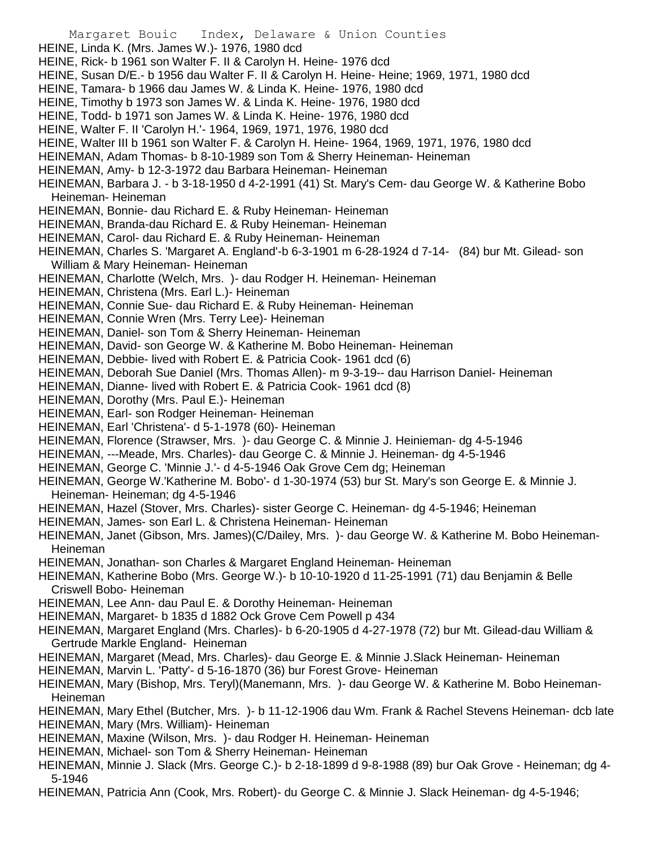- Margaret Bouic Index, Delaware & Union Counties
- HEINE, Linda K. (Mrs. James W.)- 1976, 1980 dcd
- HEINE, Rick- b 1961 son Walter F. II & Carolyn H. Heine- 1976 dcd
- HEINE, Susan D/E.- b 1956 dau Walter F. II & Carolyn H. Heine- Heine; 1969, 1971, 1980 dcd
- HEINE, Tamara- b 1966 dau James W. & Linda K. Heine- 1976, 1980 dcd
- HEINE, Timothy b 1973 son James W. & Linda K. Heine- 1976, 1980 dcd
- HEINE, Todd- b 1971 son James W. & Linda K. Heine- 1976, 1980 dcd
- HEINE, Walter F. II 'Carolyn H.'- 1964, 1969, 1971, 1976, 1980 dcd
- HEINE, Walter III b 1961 son Walter F. & Carolyn H. Heine- 1964, 1969, 1971, 1976, 1980 dcd
- HEINEMAN, Adam Thomas- b 8-10-1989 son Tom & Sherry Heineman- Heineman
- HEINEMAN, Amy- b 12-3-1972 dau Barbara Heineman- Heineman
- HEINEMAN, Barbara J. b 3-18-1950 d 4-2-1991 (41) St. Mary's Cem- dau George W. & Katherine Bobo Heineman- Heineman
- HEINEMAN, Bonnie- dau Richard E. & Ruby Heineman- Heineman
- HEINEMAN, Branda-dau Richard E. & Ruby Heineman- Heineman
- HEINEMAN, Carol- dau Richard E. & Ruby Heineman- Heineman
- HEINEMAN, Charles S. 'Margaret A. England'-b 6-3-1901 m 6-28-1924 d 7-14- (84) bur Mt. Gilead- son William & Mary Heineman- Heineman
- HEINEMAN, Charlotte (Welch, Mrs. )- dau Rodger H. Heineman- Heineman
- HEINEMAN, Christena (Mrs. Earl L.)- Heineman
- HEINEMAN, Connie Sue- dau Richard E. & Ruby Heineman- Heineman
- HEINEMAN, Connie Wren (Mrs. Terry Lee)- Heineman
- HEINEMAN, Daniel- son Tom & Sherry Heineman- Heineman
- HEINEMAN, David- son George W. & Katherine M. Bobo Heineman- Heineman
- HEINEMAN, Debbie- lived with Robert E. & Patricia Cook- 1961 dcd (6)
- HEINEMAN, Deborah Sue Daniel (Mrs. Thomas Allen)- m 9-3-19-- dau Harrison Daniel- Heineman
- HEINEMAN, Dianne- lived with Robert E. & Patricia Cook- 1961 dcd (8)
- HEINEMAN, Dorothy (Mrs. Paul E.)- Heineman
- HEINEMAN, Earl- son Rodger Heineman- Heineman
- HEINEMAN, Earl 'Christena'- d 5-1-1978 (60)- Heineman
- HEINEMAN, Florence (Strawser, Mrs. )- dau George C. & Minnie J. Heinieman- dg 4-5-1946
- HEINEMAN, ---Meade, Mrs. Charles)- dau George C. & Minnie J. Heineman- dg 4-5-1946
- HEINEMAN, George C. 'Minnie J.'- d 4-5-1946 Oak Grove Cem dg; Heineman
- HEINEMAN, George W.'Katherine M. Bobo'- d 1-30-1974 (53) bur St. Mary's son George E. & Minnie J. Heineman- Heineman; dg 4-5-1946
- HEINEMAN, Hazel (Stover, Mrs. Charles)- sister George C. Heineman- dg 4-5-1946; Heineman
- HEINEMAN, James- son Earl L. & Christena Heineman- Heineman
- HEINEMAN, Janet (Gibson, Mrs. James)(C/Dailey, Mrs. )- dau George W. & Katherine M. Bobo Heineman-Heineman
- HEINEMAN, Jonathan- son Charles & Margaret England Heineman- Heineman
- HEINEMAN, Katherine Bobo (Mrs. George W.)- b 10-10-1920 d 11-25-1991 (71) dau Benjamin & Belle Criswell Bobo- Heineman
- HEINEMAN, Lee Ann- dau Paul E. & Dorothy Heineman- Heineman
- HEINEMAN, Margaret- b 1835 d 1882 Ock Grove Cem Powell p 434
- HEINEMAN, Margaret England (Mrs. Charles)- b 6-20-1905 d 4-27-1978 (72) bur Mt. Gilead-dau William & Gertrude Markle England- Heineman
- HEINEMAN, Margaret (Mead, Mrs. Charles)- dau George E. & Minnie J.Slack Heineman- Heineman
- HEINEMAN, Marvin L. 'Patty'- d 5-16-1870 (36) bur Forest Grove- Heineman
- HEINEMAN, Mary (Bishop, Mrs. Teryl)(Manemann, Mrs. )- dau George W. & Katherine M. Bobo Heineman-Heineman
- HEINEMAN, Mary Ethel (Butcher, Mrs. )- b 11-12-1906 dau Wm. Frank & Rachel Stevens Heineman- dcb late HEINEMAN, Mary (Mrs. William)- Heineman
- HEINEMAN, Maxine (Wilson, Mrs. )- dau Rodger H. Heineman- Heineman
- HEINEMAN, Michael- son Tom & Sherry Heineman- Heineman
- HEINEMAN, Minnie J. Slack (Mrs. George C.)- b 2-18-1899 d 9-8-1988 (89) bur Oak Grove Heineman; dg 4- 5-1946
- HEINEMAN, Patricia Ann (Cook, Mrs. Robert)- du George C. & Minnie J. Slack Heineman- dg 4-5-1946;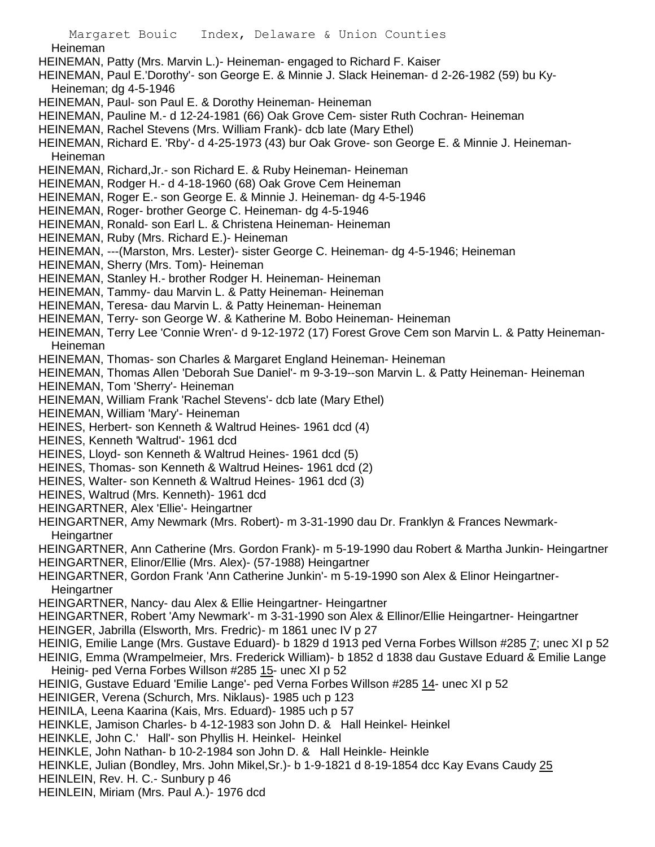Margaret Bouic Index, Delaware & Union Counties **Heineman** HEINEMAN, Patty (Mrs. Marvin L.)- Heineman- engaged to Richard F. Kaiser HEINEMAN, Paul E.'Dorothy'- son George E. & Minnie J. Slack Heineman- d 2-26-1982 (59) bu Ky-Heineman; dg 4-5-1946 HEINEMAN, Paul- son Paul E. & Dorothy Heineman- Heineman HEINEMAN, Pauline M.- d 12-24-1981 (66) Oak Grove Cem- sister Ruth Cochran- Heineman HEINEMAN, Rachel Stevens (Mrs. William Frank)- dcb late (Mary Ethel) HEINEMAN, Richard E. 'Rby'- d 4-25-1973 (43) bur Oak Grove- son George E. & Minnie J. Heineman-Heineman HEINEMAN, Richard,Jr.- son Richard E. & Ruby Heineman- Heineman HEINEMAN, Rodger H.- d 4-18-1960 (68) Oak Grove Cem Heineman HEINEMAN, Roger E.- son George E. & Minnie J. Heineman- dg 4-5-1946 HEINEMAN, Roger- brother George C. Heineman- dg 4-5-1946 HEINEMAN, Ronald- son Earl L. & Christena Heineman- Heineman HEINEMAN, Ruby (Mrs. Richard E.)- Heineman HEINEMAN, ---(Marston, Mrs. Lester)- sister George C. Heineman- dg 4-5-1946; Heineman HEINEMAN, Sherry (Mrs. Tom)- Heineman HEINEMAN, Stanley H.- brother Rodger H. Heineman- Heineman HEINEMAN, Tammy- dau Marvin L. & Patty Heineman- Heineman HEINEMAN, Teresa- dau Marvin L. & Patty Heineman- Heineman HEINEMAN, Terry- son George W. & Katherine M. Bobo Heineman- Heineman HEINEMAN, Terry Lee 'Connie Wren'- d 9-12-1972 (17) Forest Grove Cem son Marvin L. & Patty Heineman-Heineman HEINEMAN, Thomas- son Charles & Margaret England Heineman- Heineman HEINEMAN, Thomas Allen 'Deborah Sue Daniel'- m 9-3-19--son Marvin L. & Patty Heineman- Heineman HEINEMAN, Tom 'Sherry'- Heineman HEINEMAN, William Frank 'Rachel Stevens'- dcb late (Mary Ethel) HEINEMAN, William 'Mary'- Heineman HEINES, Herbert- son Kenneth & Waltrud Heines- 1961 dcd (4) HEINES, Kenneth 'Waltrud'- 1961 dcd HEINES, Lloyd- son Kenneth & Waltrud Heines- 1961 dcd (5) HEINES, Thomas- son Kenneth & Waltrud Heines- 1961 dcd (2) HEINES, Walter- son Kenneth & Waltrud Heines- 1961 dcd (3) HEINES, Waltrud (Mrs. Kenneth)- 1961 dcd HEINGARTNER, Alex 'Ellie'- Heingartner HEINGARTNER, Amy Newmark (Mrs. Robert)- m 3-31-1990 dau Dr. Franklyn & Frances Newmark-**Heingartner** HEINGARTNER, Ann Catherine (Mrs. Gordon Frank)- m 5-19-1990 dau Robert & Martha Junkin- Heingartner HEINGARTNER, Elinor/Ellie (Mrs. Alex)- (57-1988) Heingartner HEINGARTNER, Gordon Frank 'Ann Catherine Junkin'- m 5-19-1990 son Alex & Elinor Heingartner-**Heingartner** HEINGARTNER, Nancy- dau Alex & Ellie Heingartner- Heingartner HEINGARTNER, Robert 'Amy Newmark'- m 3-31-1990 son Alex & Ellinor/Ellie Heingartner- Heingartner HEINGER, Jabrilla (Elsworth, Mrs. Fredric)- m 1861 unec IV p 27 HEINIG, Emilie Lange (Mrs. Gustave Eduard)- b 1829 d 1913 ped Verna Forbes Willson #285 7; unec XI p 52 HEINIG, Emma (Wrampelmeier, Mrs. Frederick William)- b 1852 d 1838 dau Gustave Eduard & Emilie Lange Heinig- ped Verna Forbes Willson #285 15- unec XI p 52 HEINIG, Gustave Eduard 'Emilie Lange'- ped Verna Forbes Willson #285 14- unec XI p 52 HEINIGER, Verena (Schurch, Mrs. Niklaus)- 1985 uch p 123 HEINILA, Leena Kaarina (Kais, Mrs. Eduard)- 1985 uch p 57 HEINKLE, Jamison Charles- b 4-12-1983 son John D. & Hall Heinkel- Heinkel HEINKLE, John C.' Hall'- son Phyllis H. Heinkel- Heinkel HEINKLE, John Nathan- b 10-2-1984 son John D. & Hall Heinkle- Heinkle HEINKLE, Julian (Bondley, Mrs. John Mikel,Sr.)- b 1-9-1821 d 8-19-1854 dcc Kay Evans Caudy 25 HEINLEIN, Rev. H. C.- Sunbury p 46 HEINLEIN, Miriam (Mrs. Paul A.)- 1976 dcd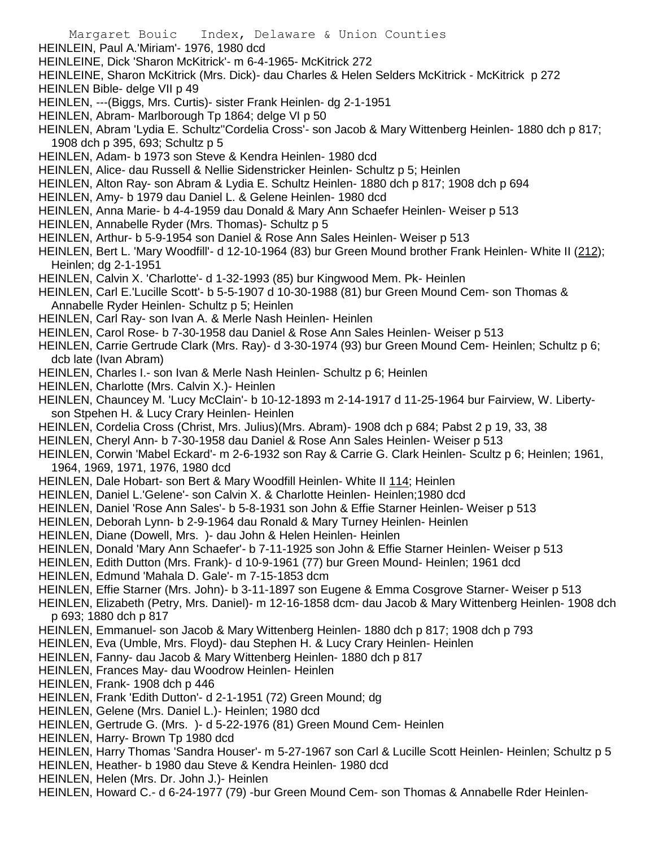- HEINLEIN, Paul A.'Miriam'- 1976, 1980 dcd
- HEINLEINE, Dick 'Sharon McKitrick'- m 6-4-1965- McKitrick 272
- HEINLEINE, Sharon McKitrick (Mrs. Dick)- dau Charles & Helen Selders McKitrick McKitrick p 272
- HEINLEN Bible- delge VII p 49
- HEINLEN, ---(Biggs, Mrs. Curtis)- sister Frank Heinlen- dg 2-1-1951
- HEINLEN, Abram- Marlborough Tp 1864; delge VI p 50
- HEINLEN, Abram 'Lydia E. Schultz''Cordelia Cross'- son Jacob & Mary Wittenberg Heinlen- 1880 dch p 817; 1908 dch p 395, 693; Schultz p 5
- HEINLEN, Adam- b 1973 son Steve & Kendra Heinlen- 1980 dcd
- HEINLEN, Alice- dau Russell & Nellie Sidenstricker Heinlen- Schultz p 5; Heinlen
- HEINLEN, Alton Ray- son Abram & Lydia E. Schultz Heinlen- 1880 dch p 817; 1908 dch p 694
- HEINLEN, Amy- b 1979 dau Daniel L. & Gelene Heinlen- 1980 dcd
- HEINLEN, Anna Marie- b 4-4-1959 dau Donald & Mary Ann Schaefer Heinlen- Weiser p 513
- HEINLEN, Annabelle Ryder (Mrs. Thomas)- Schultz p 5
- HEINLEN, Arthur- b 5-9-1954 son Daniel & Rose Ann Sales Heinlen- Weiser p 513
- HEINLEN, Bert L. 'Mary Woodfill'- d 12-10-1964 (83) bur Green Mound brother Frank Heinlen- White II (212); Heinlen; dg 2-1-1951
- HEINLEN, Calvin X. 'Charlotte'- d 1-32-1993 (85) bur Kingwood Mem. Pk- Heinlen
- HEINLEN, Carl E.'Lucille Scott'- b 5-5-1907 d 10-30-1988 (81) bur Green Mound Cem- son Thomas & Annabelle Ryder Heinlen- Schultz p 5; Heinlen
- HEINLEN, Carl Ray- son Ivan A. & Merle Nash Heinlen- Heinlen
- HEINLEN, Carol Rose- b 7-30-1958 dau Daniel & Rose Ann Sales Heinlen- Weiser p 513

HEINLEN, Carrie Gertrude Clark (Mrs. Ray)- d 3-30-1974 (93) bur Green Mound Cem- Heinlen; Schultz p 6; dcb late (Ivan Abram)

- HEINLEN, Charles I.- son Ivan & Merle Nash Heinlen- Schultz p 6; Heinlen
- HEINLEN, Charlotte (Mrs. Calvin X.)- Heinlen
- HEINLEN, Chauncey M. 'Lucy McClain'- b 10-12-1893 m 2-14-1917 d 11-25-1964 bur Fairview, W. Libertyson Stpehen H. & Lucy Crary Heinlen- Heinlen
- HEINLEN, Cordelia Cross (Christ, Mrs. Julius)(Mrs. Abram)- 1908 dch p 684; Pabst 2 p 19, 33, 38
- HEINLEN, Cheryl Ann- b 7-30-1958 dau Daniel & Rose Ann Sales Heinlen- Weiser p 513
- HEINLEN, Corwin 'Mabel Eckard'- m 2-6-1932 son Ray & Carrie G. Clark Heinlen- Scultz p 6; Heinlen; 1961, 1964, 1969, 1971, 1976, 1980 dcd
- HEINLEN, Dale Hobart- son Bert & Mary Woodfill Heinlen- White II 114; Heinlen
- HEINLEN, Daniel L.'Gelene'- son Calvin X. & Charlotte Heinlen- Heinlen;1980 dcd
- HEINLEN, Daniel 'Rose Ann Sales'- b 5-8-1931 son John & Effie Starner Heinlen- Weiser p 513
- HEINLEN, Deborah Lynn- b 2-9-1964 dau Ronald & Mary Turney Heinlen- Heinlen
- HEINLEN, Diane (Dowell, Mrs. )- dau John & Helen Heinlen- Heinlen
- HEINLEN, Donald 'Mary Ann Schaefer'- b 7-11-1925 son John & Effie Starner Heinlen- Weiser p 513
- HEINLEN, Edith Dutton (Mrs. Frank)- d 10-9-1961 (77) bur Green Mound- Heinlen; 1961 dcd
- HEINLEN, Edmund 'Mahala D. Gale'- m 7-15-1853 dcm
- HEINLEN, Effie Starner (Mrs. John)- b 3-11-1897 son Eugene & Emma Cosgrove Starner- Weiser p 513
- HEINLEN, Elizabeth (Petry, Mrs. Daniel)- m 12-16-1858 dcm- dau Jacob & Mary Wittenberg Heinlen- 1908 dch p 693; 1880 dch p 817
- HEINLEN, Emmanuel- son Jacob & Mary Wittenberg Heinlen- 1880 dch p 817; 1908 dch p 793
- HEINLEN, Eva (Umble, Mrs. Floyd)- dau Stephen H. & Lucy Crary Heinlen- Heinlen
- HEINLEN, Fanny- dau Jacob & Mary Wittenberg Heinlen- 1880 dch p 817
- HEINLEN, Frances May- dau Woodrow Heinlen- Heinlen
- HEINLEN, Frank- 1908 dch p 446
- HEINLEN, Frank 'Edith Dutton'- d 2-1-1951 (72) Green Mound; dg
- HEINLEN, Gelene (Mrs. Daniel L.)- Heinlen; 1980 dcd
- HEINLEN, Gertrude G. (Mrs. )- d 5-22-1976 (81) Green Mound Cem- Heinlen
- HEINLEN, Harry- Brown Tp 1980 dcd
- HEINLEN, Harry Thomas 'Sandra Houser'- m 5-27-1967 son Carl & Lucille Scott Heinlen- Heinlen; Schultz p 5
- HEINLEN, Heather- b 1980 dau Steve & Kendra Heinlen- 1980 dcd
- HEINLEN, Helen (Mrs. Dr. John J.)- Heinlen
- HEINLEN, Howard C.- d 6-24-1977 (79) -bur Green Mound Cem- son Thomas & Annabelle Rder Heinlen-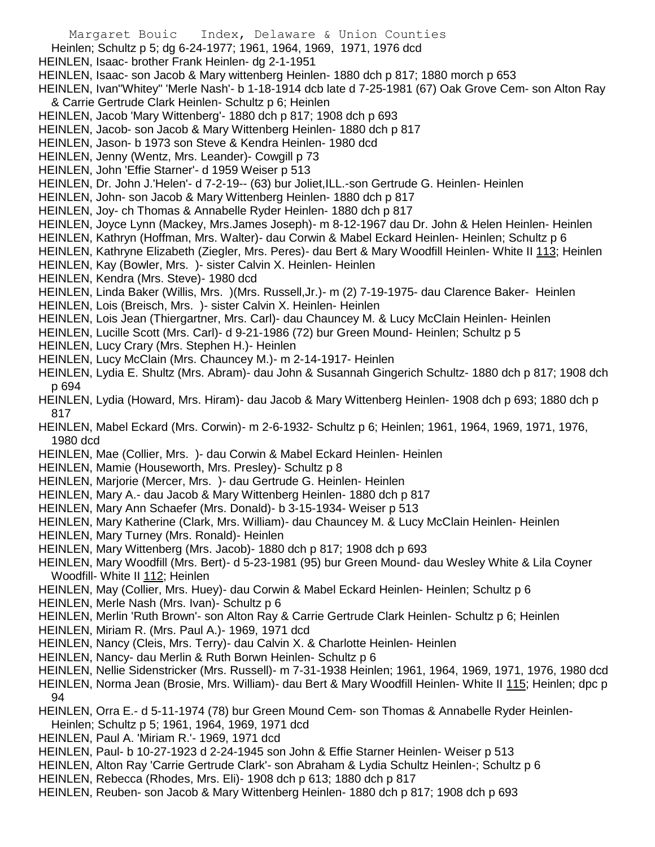- Margaret Bouic Index, Delaware & Union Counties
- Heinlen; Schultz p 5; dg 6-24-1977; 1961, 1964, 1969, 1971, 1976 dcd
- HEINLEN, Isaac- brother Frank Heinlen- dg 2-1-1951
- HEINLEN, Isaac- son Jacob & Mary wittenberg Heinlen- 1880 dch p 817; 1880 morch p 653
- HEINLEN, Ivan"Whitey" 'Merle Nash'- b 1-18-1914 dcb late d 7-25-1981 (67) Oak Grove Cem- son Alton Ray & Carrie Gertrude Clark Heinlen- Schultz p 6; Heinlen
- HEINLEN, Jacob 'Mary Wittenberg'- 1880 dch p 817; 1908 dch p 693
- HEINLEN, Jacob- son Jacob & Mary Wittenberg Heinlen- 1880 dch p 817
- HEINLEN, Jason- b 1973 son Steve & Kendra Heinlen- 1980 dcd
- HEINLEN, Jenny (Wentz, Mrs. Leander) Cowgill p 73
- HEINLEN, John 'Effie Starner'- d 1959 Weiser p 513
- HEINLEN, Dr. John J.'Helen'- d 7-2-19-- (63) bur Joliet,ILL.-son Gertrude G. Heinlen- Heinlen
- HEINLEN, John- son Jacob & Mary Wittenberg Heinlen- 1880 dch p 817
- HEINLEN, Joy- ch Thomas & Annabelle Ryder Heinlen- 1880 dch p 817
- HEINLEN, Joyce Lynn (Mackey, Mrs.James Joseph)- m 8-12-1967 dau Dr. John & Helen Heinlen- Heinlen
- HEINLEN, Kathryn (Hoffman, Mrs. Walter)- dau Corwin & Mabel Eckard Heinlen- Heinlen; Schultz p 6
- HEINLEN, Kathryne Elizabeth (Ziegler, Mrs. Peres)- dau Bert & Mary Woodfill Heinlen- White II 113; Heinlen
- HEINLEN, Kay (Bowler, Mrs. )- sister Calvin X. Heinlen- Heinlen
- HEINLEN, Kendra (Mrs. Steve)- 1980 dcd
- HEINLEN, Linda Baker (Willis, Mrs. )(Mrs. Russell,Jr.)- m (2) 7-19-1975- dau Clarence Baker- Heinlen
- HEINLEN, Lois (Breisch, Mrs. )- sister Calvin X. Heinlen- Heinlen
- HEINLEN, Lois Jean (Thiergartner, Mrs. Carl)- dau Chauncey M. & Lucy McClain Heinlen- Heinlen
- HEINLEN, Lucille Scott (Mrs. Carl)- d 9-21-1986 (72) bur Green Mound- Heinlen; Schultz p 5
- HEINLEN, Lucy Crary (Mrs. Stephen H.)- Heinlen
- HEINLEN, Lucy McClain (Mrs. Chauncey M.)- m 2-14-1917- Heinlen
- HEINLEN, Lydia E. Shultz (Mrs. Abram)- dau John & Susannah Gingerich Schultz- 1880 dch p 817; 1908 dch p 694
- HEINLEN, Lydia (Howard, Mrs. Hiram)- dau Jacob & Mary Wittenberg Heinlen- 1908 dch p 693; 1880 dch p 817
- HEINLEN, Mabel Eckard (Mrs. Corwin)- m 2-6-1932- Schultz p 6; Heinlen; 1961, 1964, 1969, 1971, 1976, 1980 dcd
- HEINLEN, Mae (Collier, Mrs. )- dau Corwin & Mabel Eckard Heinlen- Heinlen
- HEINLEN, Mamie (Houseworth, Mrs. Presley)- Schultz p 8
- HEINLEN, Marjorie (Mercer, Mrs. )- dau Gertrude G. Heinlen- Heinlen
- HEINLEN, Mary A.- dau Jacob & Mary Wittenberg Heinlen- 1880 dch p 817
- HEINLEN, Mary Ann Schaefer (Mrs. Donald)- b 3-15-1934- Weiser p 513
- HEINLEN, Mary Katherine (Clark, Mrs. William)- dau Chauncey M. & Lucy McClain Heinlen- Heinlen
- HEINLEN, Mary Turney (Mrs. Ronald)- Heinlen
- HEINLEN, Mary Wittenberg (Mrs. Jacob)- 1880 dch p 817; 1908 dch p 693
- HEINLEN, Mary Woodfill (Mrs. Bert)- d 5-23-1981 (95) bur Green Mound- dau Wesley White & Lila Coyner Woodfill- White II 112; Heinlen
- HEINLEN, May (Collier, Mrs. Huey)- dau Corwin & Mabel Eckard Heinlen- Heinlen; Schultz p 6
- HEINLEN, Merle Nash (Mrs. Ivan)- Schultz p 6
- HEINLEN, Merlin 'Ruth Brown'- son Alton Ray & Carrie Gertrude Clark Heinlen- Schultz p 6; Heinlen
- HEINLEN, Miriam R. (Mrs. Paul A.)- 1969, 1971 dcd
- HEINLEN, Nancy (Cleis, Mrs. Terry)- dau Calvin X. & Charlotte Heinlen- Heinlen
- HEINLEN, Nancy- dau Merlin & Ruth Borwn Heinlen- Schultz p 6
- HEINLEN, Nellie Sidenstricker (Mrs. Russell)- m 7-31-1938 Heinlen; 1961, 1964, 1969, 1971, 1976, 1980 dcd
- HEINLEN, Norma Jean (Brosie, Mrs. William)- dau Bert & Mary Woodfill Heinlen- White II 115; Heinlen; dpc p 94
- HEINLEN, Orra E.- d 5-11-1974 (78) bur Green Mound Cem- son Thomas & Annabelle Ryder Heinlen-Heinlen; Schultz p 5; 1961, 1964, 1969, 1971 dcd
- HEINLEN, Paul A. 'Miriam R.'- 1969, 1971 dcd
- HEINLEN, Paul- b 10-27-1923 d 2-24-1945 son John & Effie Starner Heinlen- Weiser p 513
- HEINLEN, Alton Ray 'Carrie Gertrude Clark'- son Abraham & Lydia Schultz Heinlen-; Schultz p 6
- HEINLEN, Rebecca (Rhodes, Mrs. Eli)- 1908 dch p 613; 1880 dch p 817
- HEINLEN, Reuben- son Jacob & Mary Wittenberg Heinlen- 1880 dch p 817; 1908 dch p 693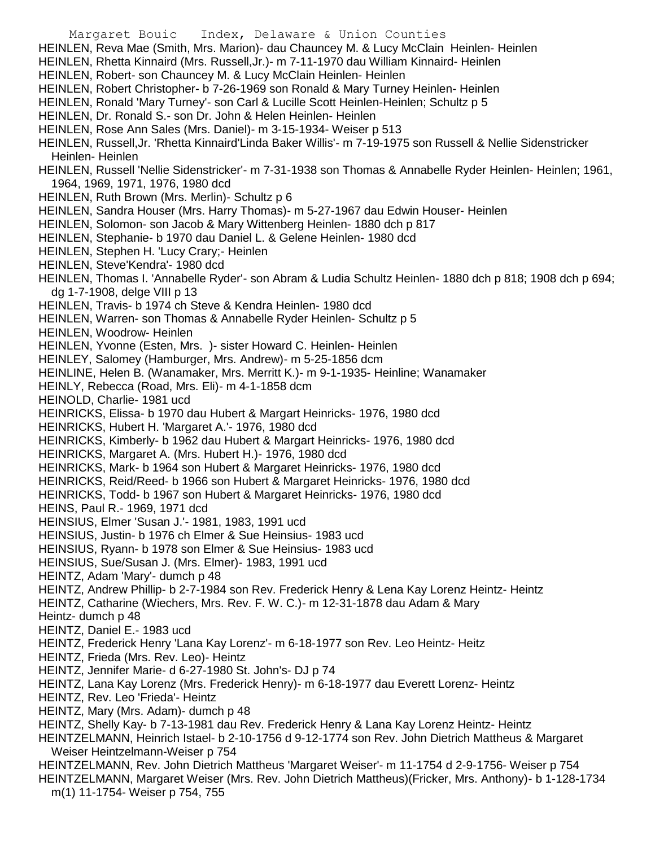HEINLEN, Reva Mae (Smith, Mrs. Marion)- dau Chauncey M. & Lucy McClain Heinlen- Heinlen

- HEINLEN, Rhetta Kinnaird (Mrs. Russell,Jr.)- m 7-11-1970 dau William Kinnaird- Heinlen
- HEINLEN, Robert- son Chauncey M. & Lucy McClain Heinlen- Heinlen
- HEINLEN, Robert Christopher- b 7-26-1969 son Ronald & Mary Turney Heinlen- Heinlen
- HEINLEN, Ronald 'Mary Turney'- son Carl & Lucille Scott Heinlen-Heinlen; Schultz p 5
- HEINLEN, Dr. Ronald S.- son Dr. John & Helen Heinlen- Heinlen
- HEINLEN, Rose Ann Sales (Mrs. Daniel)- m 3-15-1934- Weiser p 513
- HEINLEN, Russell,Jr. 'Rhetta Kinnaird'Linda Baker Willis'- m 7-19-1975 son Russell & Nellie Sidenstricker Heinlen- Heinlen
- HEINLEN, Russell 'Nellie Sidenstricker'- m 7-31-1938 son Thomas & Annabelle Ryder Heinlen- Heinlen; 1961, 1964, 1969, 1971, 1976, 1980 dcd
- HEINLEN, Ruth Brown (Mrs. Merlin)- Schultz p 6
- HEINLEN, Sandra Houser (Mrs. Harry Thomas)- m 5-27-1967 dau Edwin Houser- Heinlen
- HEINLEN, Solomon- son Jacob & Mary Wittenberg Heinlen- 1880 dch p 817
- HEINLEN, Stephanie- b 1970 dau Daniel L. & Gelene Heinlen- 1980 dcd
- HEINLEN, Stephen H. 'Lucy Crary;- Heinlen
- HEINLEN, Steve'Kendra'- 1980 dcd
- HEINLEN, Thomas I. 'Annabelle Ryder'- son Abram & Ludia Schultz Heinlen- 1880 dch p 818; 1908 dch p 694; dg 1-7-1908, delge VIII p 13
- HEINLEN, Travis- b 1974 ch Steve & Kendra Heinlen- 1980 dcd
- HEINLEN, Warren- son Thomas & Annabelle Ryder Heinlen- Schultz p 5
- HEINLEN, Woodrow- Heinlen
- HEINLEN, Yvonne (Esten, Mrs. )- sister Howard C. Heinlen- Heinlen
- HEINLEY, Salomey (Hamburger, Mrs. Andrew)- m 5-25-1856 dcm
- HEINLINE, Helen B. (Wanamaker, Mrs. Merritt K.)- m 9-1-1935- Heinline; Wanamaker
- HEINLY, Rebecca (Road, Mrs. Eli)- m 4-1-1858 dcm
- HEINOLD, Charlie- 1981 ucd
- HEINRICKS, Elissa- b 1970 dau Hubert & Margart Heinricks- 1976, 1980 dcd
- HEINRICKS, Hubert H. 'Margaret A.'- 1976, 1980 dcd
- HEINRICKS, Kimberly- b 1962 dau Hubert & Margart Heinricks- 1976, 1980 dcd
- HEINRICKS, Margaret A. (Mrs. Hubert H.)- 1976, 1980 dcd
- HEINRICKS, Mark- b 1964 son Hubert & Margaret Heinricks- 1976, 1980 dcd
- HEINRICKS, Reid/Reed- b 1966 son Hubert & Margaret Heinricks- 1976, 1980 dcd
- HEINRICKS, Todd- b 1967 son Hubert & Margaret Heinricks- 1976, 1980 dcd
- HEINS, Paul R.- 1969, 1971 dcd
- HEINSIUS, Elmer 'Susan J.'- 1981, 1983, 1991 ucd
- HEINSIUS, Justin- b 1976 ch Elmer & Sue Heinsius- 1983 ucd
- HEINSIUS, Ryann- b 1978 son Elmer & Sue Heinsius- 1983 ucd
- HEINSIUS, Sue/Susan J. (Mrs. Elmer)- 1983, 1991 ucd
- HEINTZ, Adam 'Mary'- dumch p 48
- HEINTZ, Andrew Phillip- b 2-7-1984 son Rev. Frederick Henry & Lena Kay Lorenz Heintz- Heintz
- HEINTZ, Catharine (Wiechers, Mrs. Rev. F. W. C.)- m 12-31-1878 dau Adam & Mary
- Heintz- dumch p 48
- HEINTZ, Daniel E.- 1983 ucd
- HEINTZ, Frederick Henry 'Lana Kay Lorenz'- m 6-18-1977 son Rev. Leo Heintz- Heitz
- HEINTZ, Frieda (Mrs. Rev. Leo)- Heintz
- HEINTZ, Jennifer Marie- d 6-27-1980 St. John's- DJ p 74
- HEINTZ, Lana Kay Lorenz (Mrs. Frederick Henry)- m 6-18-1977 dau Everett Lorenz- Heintz
- HEINTZ, Rev. Leo 'Frieda'- Heintz
- HEINTZ, Mary (Mrs. Adam)- dumch p 48
- HEINTZ, Shelly Kay- b 7-13-1981 dau Rev. Frederick Henry & Lana Kay Lorenz Heintz- Heintz
- HEINTZELMANN, Heinrich Istael- b 2-10-1756 d 9-12-1774 son Rev. John Dietrich Mattheus & Margaret Weiser Heintzelmann-Weiser p 754
- HEINTZELMANN, Rev. John Dietrich Mattheus 'Margaret Weiser'- m 11-1754 d 2-9-1756- Weiser p 754 HEINTZELMANN, Margaret Weiser (Mrs. Rev. John Dietrich Mattheus)(Fricker, Mrs. Anthony)- b 1-128-1734
	- m(1) 11-1754- Weiser p 754, 755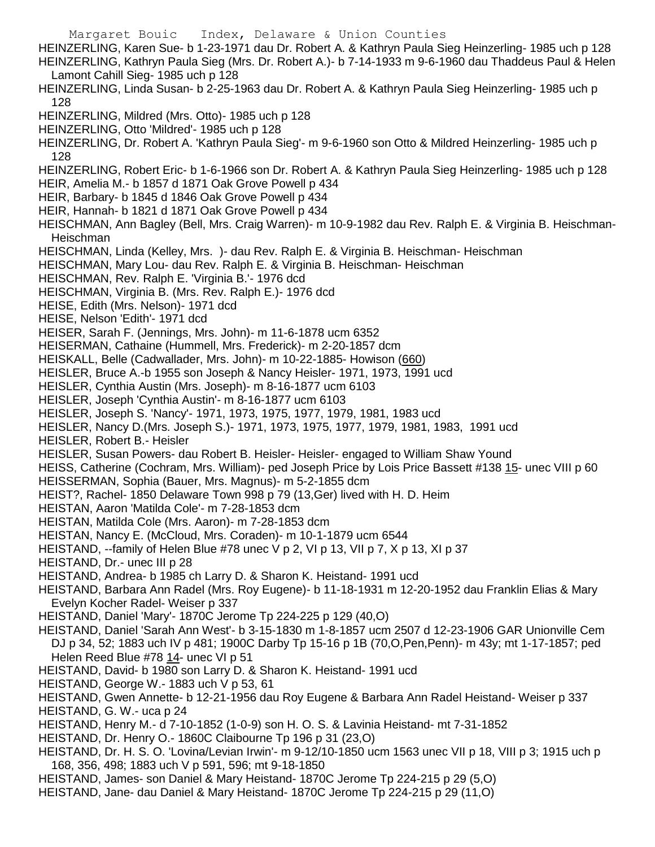Margaret Bouic Index, Delaware & Union Counties HEINZERLING, Karen Sue- b 1-23-1971 dau Dr. Robert A. & Kathryn Paula Sieg Heinzerling- 1985 uch p 128 HEINZERLING, Kathryn Paula Sieg (Mrs. Dr. Robert A.)- b 7-14-1933 m 9-6-1960 dau Thaddeus Paul & Helen Lamont Cahill Sieg- 1985 uch p 128 HEINZERLING, Linda Susan- b 2-25-1963 dau Dr. Robert A. & Kathryn Paula Sieg Heinzerling- 1985 uch p 128 HEINZERLING, Mildred (Mrs. Otto)- 1985 uch p 128 HEINZERLING, Otto 'Mildred'- 1985 uch p 128 HEINZERLING, Dr. Robert A. 'Kathryn Paula Sieg'- m 9-6-1960 son Otto & Mildred Heinzerling- 1985 uch p 128 HEINZERLING, Robert Eric- b 1-6-1966 son Dr. Robert A. & Kathryn Paula Sieg Heinzerling- 1985 uch p 128 HEIR, Amelia M.- b 1857 d 1871 Oak Grove Powell p 434 HEIR, Barbary- b 1845 d 1846 Oak Grove Powell p 434 HEIR, Hannah- b 1821 d 1871 Oak Grove Powell p 434 HEISCHMAN, Ann Bagley (Bell, Mrs. Craig Warren)- m 10-9-1982 dau Rev. Ralph E. & Virginia B. Heischman-**Heischman** HEISCHMAN, Linda (Kelley, Mrs. )- dau Rev. Ralph E. & Virginia B. Heischman- Heischman HEISCHMAN, Mary Lou- dau Rev. Ralph E. & Virginia B. Heischman- Heischman HEISCHMAN, Rev. Ralph E. 'Virginia B.'- 1976 dcd HEISCHMAN, Virginia B. (Mrs. Rev. Ralph E.)- 1976 dcd HEISE, Edith (Mrs. Nelson)- 1971 dcd HEISE, Nelson 'Edith'- 1971 dcd HEISER, Sarah F. (Jennings, Mrs. John)- m 11-6-1878 ucm 6352 HEISERMAN, Cathaine (Hummell, Mrs. Frederick)- m 2-20-1857 dcm HEISKALL, Belle (Cadwallader, Mrs. John)- m 10-22-1885- Howison (660) HEISLER, Bruce A.-b 1955 son Joseph & Nancy Heisler- 1971, 1973, 1991 ucd HEISLER, Cynthia Austin (Mrs. Joseph)- m 8-16-1877 ucm 6103 HEISLER, Joseph 'Cynthia Austin'- m 8-16-1877 ucm 6103 HEISLER, Joseph S. 'Nancy'- 1971, 1973, 1975, 1977, 1979, 1981, 1983 ucd HEISLER, Nancy D.(Mrs. Joseph S.)- 1971, 1973, 1975, 1977, 1979, 1981, 1983, 1991 ucd HEISLER, Robert B.- Heisler HEISLER, Susan Powers- dau Robert B. Heisler- Heisler- engaged to William Shaw Yound HEISS, Catherine (Cochram, Mrs. William)- ped Joseph Price by Lois Price Bassett #138 15- unec VIII p 60 HEISSERMAN, Sophia (Bauer, Mrs. Magnus)- m 5-2-1855 dcm HEIST?, Rachel- 1850 Delaware Town 998 p 79 (13,Ger) lived with H. D. Heim HEISTAN, Aaron 'Matilda Cole'- m 7-28-1853 dcm HEISTAN, Matilda Cole (Mrs. Aaron)- m 7-28-1853 dcm HEISTAN, Nancy E. (McCloud, Mrs. Coraden)- m 10-1-1879 ucm 6544 HEISTAND, --family of Helen Blue #78 unec V p 2, VI p 13, VII p 7, X p 13, XI p 37 HEISTAND, Dr.- unec III p 28 HEISTAND, Andrea- b 1985 ch Larry D. & Sharon K. Heistand- 1991 ucd HEISTAND, Barbara Ann Radel (Mrs. Roy Eugene)- b 11-18-1931 m 12-20-1952 dau Franklin Elias & Mary Evelyn Kocher Radel- Weiser p 337 HEISTAND, Daniel 'Mary'- 1870C Jerome Tp 224-225 p 129 (40,O) HEISTAND, Daniel 'Sarah Ann West'- b 3-15-1830 m 1-8-1857 ucm 2507 d 12-23-1906 GAR Unionville Cem DJ p 34, 52; 1883 uch IV p 481; 1900C Darby Tp 15-16 p 1B (70,O,Pen,Penn)- m 43y; mt 1-17-1857; ped Helen Reed Blue #78 14- unec VI p 51 HEISTAND, David- b 1980 son Larry D. & Sharon K. Heistand- 1991 ucd HEISTAND, George W.- 1883 uch V p 53, 61 HEISTAND, Gwen Annette- b 12-21-1956 dau Roy Eugene & Barbara Ann Radel Heistand- Weiser p 337 HEISTAND, G. W.- uca p 24 HEISTAND, Henry M.- d 7-10-1852 (1-0-9) son H. O. S. & Lavinia Heistand- mt 7-31-1852 HEISTAND, Dr. Henry O.- 1860C Claibourne Tp 196 p 31 (23,O) HEISTAND, Dr. H. S. O. 'Lovina/Levian Irwin'- m 9-12/10-1850 ucm 1563 unec VII p 18, VIII p 3; 1915 uch p 168, 356, 498; 1883 uch V p 591, 596; mt 9-18-1850

- HEISTAND, James- son Daniel & Mary Heistand- 1870C Jerome Tp 224-215 p 29 (5,O)
- HEISTAND, Jane- dau Daniel & Mary Heistand- 1870C Jerome Tp 224-215 p 29 (11,O)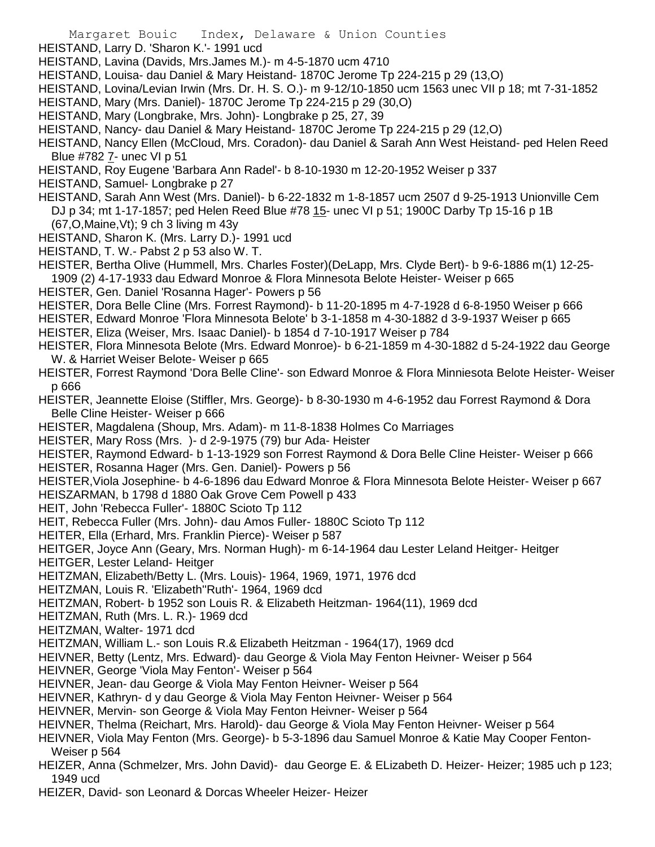- HEISTAND, Larry D. 'Sharon K.'- 1991 ucd
- HEISTAND, Lavina (Davids, Mrs.James M.)- m 4-5-1870 ucm 4710
- HEISTAND, Louisa- dau Daniel & Mary Heistand- 1870C Jerome Tp 224-215 p 29 (13,O)
- HEISTAND, Lovina/Levian Irwin (Mrs. Dr. H. S. O.)- m 9-12/10-1850 ucm 1563 unec VII p 18; mt 7-31-1852
- HEISTAND, Mary (Mrs. Daniel)- 1870C Jerome Tp 224-215 p 29 (30,O)
- HEISTAND, Mary (Longbrake, Mrs. John)- Longbrake p 25, 27, 39
- HEISTAND, Nancy- dau Daniel & Mary Heistand- 1870C Jerome Tp 224-215 p 29 (12,O)
- HEISTAND, Nancy Ellen (McCloud, Mrs. Coradon)- dau Daniel & Sarah Ann West Heistand- ped Helen Reed Blue #782 7- unec VI p 51
- HEISTAND, Roy Eugene 'Barbara Ann Radel'- b 8-10-1930 m 12-20-1952 Weiser p 337
- HEISTAND, Samuel- Longbrake p 27
- HEISTAND, Sarah Ann West (Mrs. Daniel)- b 6-22-1832 m 1-8-1857 ucm 2507 d 9-25-1913 Unionville Cem DJ p 34; mt 1-17-1857; ped Helen Reed Blue #78 15- unec VI p 51; 1900C Darby Tp 15-16 p 1B
	- (67,O,Maine,Vt); 9 ch 3 living m 43y
- HEISTAND, Sharon K. (Mrs. Larry D.)- 1991 ucd
- HEISTAND, T. W.- Pabst 2 p 53 also W. T.
- HEISTER, Bertha Olive (Hummell, Mrs. Charles Foster)(DeLapp, Mrs. Clyde Bert)- b 9-6-1886 m(1) 12-25- 1909 (2) 4-17-1933 dau Edward Monroe & Flora Minnesota Belote Heister- Weiser p 665
- HEISTER, Gen. Daniel 'Rosanna Hager'- Powers p 56
- HEISTER, Dora Belle Cline (Mrs. Forrest Raymond)- b 11-20-1895 m 4-7-1928 d 6-8-1950 Weiser p 666
- HEISTER, Edward Monroe 'Flora Minnesota Belote' b 3-1-1858 m 4-30-1882 d 3-9-1937 Weiser p 665
- HEISTER, Eliza (Weiser, Mrs. Isaac Daniel)- b 1854 d 7-10-1917 Weiser p 784
- HEISTER, Flora Minnesota Belote (Mrs. Edward Monroe)- b 6-21-1859 m 4-30-1882 d 5-24-1922 dau George W. & Harriet Weiser Belote- Weiser p 665
- HEISTER, Forrest Raymond 'Dora Belle Cline'- son Edward Monroe & Flora Minniesota Belote Heister- Weiser p 666
- HEISTER, Jeannette Eloise (Stiffler, Mrs. George)- b 8-30-1930 m 4-6-1952 dau Forrest Raymond & Dora Belle Cline Heister- Weiser p 666
- HEISTER, Magdalena (Shoup, Mrs. Adam)- m 11-8-1838 Holmes Co Marriages
- HEISTER, Mary Ross (Mrs. )- d 2-9-1975 (79) bur Ada- Heister
- HEISTER, Raymond Edward- b 1-13-1929 son Forrest Raymond & Dora Belle Cline Heister- Weiser p 666 HEISTER, Rosanna Hager (Mrs. Gen. Daniel)- Powers p 56
- HEISTER,Viola Josephine- b 4-6-1896 dau Edward Monroe & Flora Minnesota Belote Heister- Weiser p 667 HEISZARMAN, b 1798 d 1880 Oak Grove Cem Powell p 433
- HEIT, John 'Rebecca Fuller'- 1880C Scioto Tp 112
- HEIT, Rebecca Fuller (Mrs. John)- dau Amos Fuller- 1880C Scioto Tp 112
- HEITER, Ella (Erhard, Mrs. Franklin Pierce)- Weiser p 587
- HEITGER, Joyce Ann (Geary, Mrs. Norman Hugh)- m 6-14-1964 dau Lester Leland Heitger- Heitger
- HEITGER, Lester Leland- Heitger
- HEITZMAN, Elizabeth/Betty L. (Mrs. Louis)- 1964, 1969, 1971, 1976 dcd
- HEITZMAN, Louis R. 'Elizabeth''Ruth'- 1964, 1969 dcd
- HEITZMAN, Robert- b 1952 son Louis R. & Elizabeth Heitzman- 1964(11), 1969 dcd
- HEITZMAN, Ruth (Mrs. L. R.)- 1969 dcd
- HEITZMAN, Walter- 1971 dcd
- HEITZMAN, William L.- son Louis R.& Elizabeth Heitzman 1964(17), 1969 dcd
- HEIVNER, Betty (Lentz, Mrs. Edward)- dau George & Viola May Fenton Heivner- Weiser p 564
- HEIVNER, George 'Viola May Fenton'- Weiser p 564
- HEIVNER, Jean- dau George & Viola May Fenton Heivner- Weiser p 564
- HEIVNER, Kathryn- d y dau George & Viola May Fenton Heivner- Weiser p 564
- HEIVNER, Mervin- son George & Viola May Fenton Heivner- Weiser p 564
- HEIVNER, Thelma (Reichart, Mrs. Harold)- dau George & Viola May Fenton Heivner- Weiser p 564
- HEIVNER, Viola May Fenton (Mrs. George)- b 5-3-1896 dau Samuel Monroe & Katie May Cooper Fenton-Weiser p 564
- HEIZER, Anna (Schmelzer, Mrs. John David)- dau George E. & ELizabeth D. Heizer- Heizer; 1985 uch p 123; 1949 ucd
- HEIZER, David- son Leonard & Dorcas Wheeler Heizer- Heizer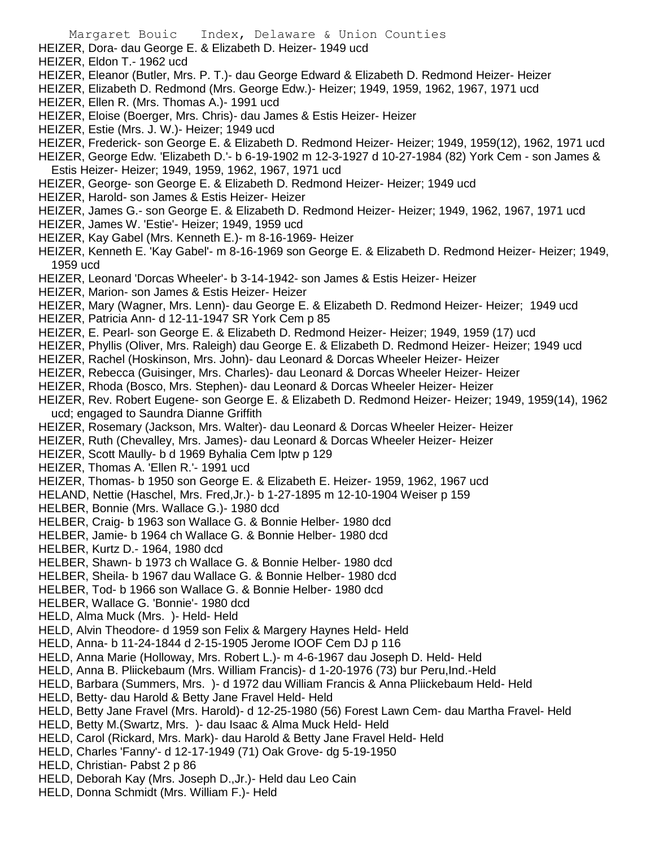- HEIZER, Dora- dau George E. & Elizabeth D. Heizer- 1949 ucd
- HEIZER, Eldon T.- 1962 ucd
- HEIZER, Eleanor (Butler, Mrs. P. T.)- dau George Edward & Elizabeth D. Redmond Heizer- Heizer
- HEIZER, Elizabeth D. Redmond (Mrs. George Edw.)- Heizer; 1949, 1959, 1962, 1967, 1971 ucd
- HEIZER, Ellen R. (Mrs. Thomas A.)- 1991 ucd
- HEIZER, Eloise (Boerger, Mrs. Chris)- dau James & Estis Heizer- Heizer
- HEIZER, Estie (Mrs. J. W.)- Heizer; 1949 ucd
- HEIZER, Frederick- son George E. & Elizabeth D. Redmond Heizer- Heizer; 1949, 1959(12), 1962, 1971 ucd
- HEIZER, George Edw. 'Elizabeth D.'- b 6-19-1902 m 12-3-1927 d 10-27-1984 (82) York Cem son James &
- Estis Heizer- Heizer; 1949, 1959, 1962, 1967, 1971 ucd
- HEIZER, George- son George E. & Elizabeth D. Redmond Heizer- Heizer; 1949 ucd
- HEIZER, Harold- son James & Estis Heizer- Heizer
- HEIZER, James G.- son George E. & Elizabeth D. Redmond Heizer- Heizer; 1949, 1962, 1967, 1971 ucd
- HEIZER, James W. 'Estie'- Heizer; 1949, 1959 ucd
- HEIZER, Kay Gabel (Mrs. Kenneth E.)- m 8-16-1969- Heizer
- HEIZER, Kenneth E. 'Kay Gabel'- m 8-16-1969 son George E. & Elizabeth D. Redmond Heizer- Heizer; 1949, 1959 ucd
- HEIZER, Leonard 'Dorcas Wheeler'- b 3-14-1942- son James & Estis Heizer- Heizer
- HEIZER, Marion- son James & Estis Heizer- Heizer
- HEIZER, Mary (Wagner, Mrs. Lenn)- dau George E. & Elizabeth D. Redmond Heizer- Heizer; 1949 ucd
- HEIZER, Patricia Ann- d 12-11-1947 SR York Cem p 85
- HEIZER, E. Pearl- son George E. & Elizabeth D. Redmond Heizer- Heizer; 1949, 1959 (17) ucd
- HEIZER, Phyllis (Oliver, Mrs. Raleigh) dau George E. & Elizabeth D. Redmond Heizer- Heizer; 1949 ucd
- HEIZER, Rachel (Hoskinson, Mrs. John)- dau Leonard & Dorcas Wheeler Heizer- Heizer
- HEIZER, Rebecca (Guisinger, Mrs. Charles)- dau Leonard & Dorcas Wheeler Heizer- Heizer
- HEIZER, Rhoda (Bosco, Mrs. Stephen)- dau Leonard & Dorcas Wheeler Heizer- Heizer
- HEIZER, Rev. Robert Eugene- son George E. & Elizabeth D. Redmond Heizer- Heizer; 1949, 1959(14), 1962 ucd; engaged to Saundra Dianne Griffith
- HEIZER, Rosemary (Jackson, Mrs. Walter)- dau Leonard & Dorcas Wheeler Heizer- Heizer
- HEIZER, Ruth (Chevalley, Mrs. James)- dau Leonard & Dorcas Wheeler Heizer- Heizer
- HEIZER, Scott Maully- b d 1969 Byhalia Cem lptw p 129
- HEIZER, Thomas A. 'Ellen R.'- 1991 ucd
- HEIZER, Thomas- b 1950 son George E. & Elizabeth E. Heizer- 1959, 1962, 1967 ucd
- HELAND, Nettie (Haschel, Mrs. Fred,Jr.)- b 1-27-1895 m 12-10-1904 Weiser p 159
- HELBER, Bonnie (Mrs. Wallace G.)- 1980 dcd
- HELBER, Craig- b 1963 son Wallace G. & Bonnie Helber- 1980 dcd
- HELBER, Jamie- b 1964 ch Wallace G. & Bonnie Helber- 1980 dcd
- HELBER, Kurtz D.- 1964, 1980 dcd
- HELBER, Shawn- b 1973 ch Wallace G. & Bonnie Helber- 1980 dcd
- HELBER, Sheila- b 1967 dau Wallace G. & Bonnie Helber- 1980 dcd
- HELBER, Tod- b 1966 son Wallace G. & Bonnie Helber- 1980 dcd
- HELBER, Wallace G. 'Bonnie'- 1980 dcd
- HELD, Alma Muck (Mrs. )- Held- Held
- HELD, Alvin Theodore- d 1959 son Felix & Margery Haynes Held- Held
- HELD, Anna- b 11-24-1844 d 2-15-1905 Jerome IOOF Cem DJ p 116
- HELD, Anna Marie (Holloway, Mrs. Robert L.)- m 4-6-1967 dau Joseph D. Held- Held
- HELD, Anna B. Pliickebaum (Mrs. William Francis)- d 1-20-1976 (73) bur Peru,Ind.-Held
- HELD, Barbara (Summers, Mrs. )- d 1972 dau William Francis & Anna Pliickebaum Held- Held
- HELD, Betty- dau Harold & Betty Jane Fravel Held- Held
- HELD, Betty Jane Fravel (Mrs. Harold)- d 12-25-1980 (56) Forest Lawn Cem- dau Martha Fravel- Held
- HELD, Betty M.(Swartz, Mrs. )- dau Isaac & Alma Muck Held- Held
- HELD, Carol (Rickard, Mrs. Mark)- dau Harold & Betty Jane Fravel Held- Held
- HELD, Charles 'Fanny'- d 12-17-1949 (71) Oak Grove- dg 5-19-1950
- HELD, Christian- Pabst 2 p 86
- HELD, Deborah Kay (Mrs. Joseph D.,Jr.)- Held dau Leo Cain
- HELD, Donna Schmidt (Mrs. William F.)- Held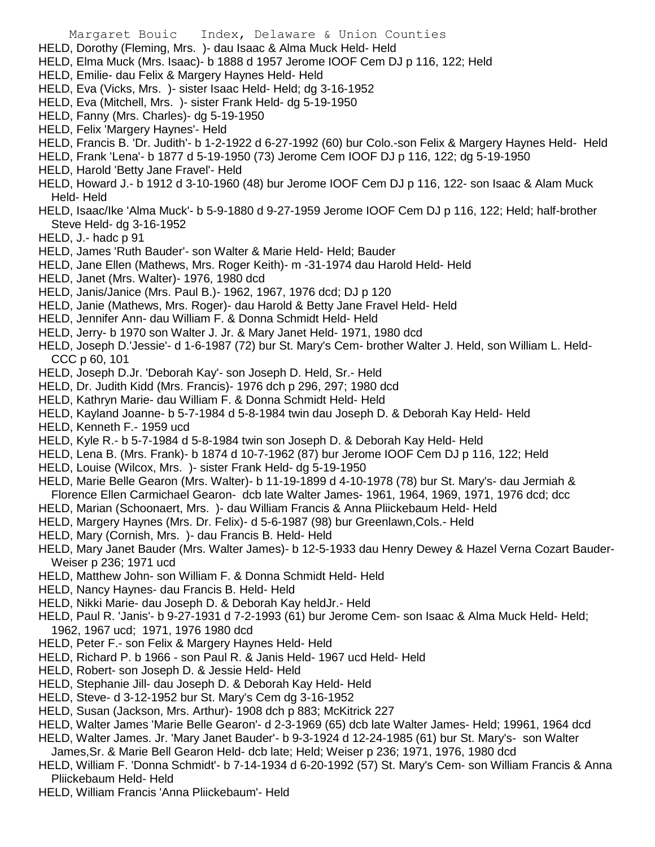- HELD, Dorothy (Fleming, Mrs. )- dau Isaac & Alma Muck Held- Held
- HELD, Elma Muck (Mrs. Isaac)- b 1888 d 1957 Jerome IOOF Cem DJ p 116, 122; Held
- HELD, Emilie- dau Felix & Margery Haynes Held- Held
- HELD, Eva (Vicks, Mrs. )- sister Isaac Held- Held; dg 3-16-1952
- HELD, Eva (Mitchell, Mrs. )- sister Frank Held- dg 5-19-1950
- HELD, Fanny (Mrs. Charles)- dg 5-19-1950
- HELD, Felix 'Margery Haynes'- Held
- HELD, Francis B. 'Dr. Judith'- b 1-2-1922 d 6-27-1992 (60) bur Colo.-son Felix & Margery Haynes Held- Held
- HELD, Frank 'Lena'- b 1877 d 5-19-1950 (73) Jerome Cem IOOF DJ p 116, 122; dg 5-19-1950
- HELD, Harold 'Betty Jane Fravel'- Held
- HELD, Howard J.- b 1912 d 3-10-1960 (48) bur Jerome IOOF Cem DJ p 116, 122- son Isaac & Alam Muck Held- Held
- HELD, Isaac/Ike 'Alma Muck'- b 5-9-1880 d 9-27-1959 Jerome IOOF Cem DJ p 116, 122; Held; half-brother Steve Held- dg 3-16-1952
- HELD, J.- hadc p 91
- HELD, James 'Ruth Bauder'- son Walter & Marie Held- Held; Bauder
- HELD, Jane Ellen (Mathews, Mrs. Roger Keith)- m -31-1974 dau Harold Held- Held
- HELD, Janet (Mrs. Walter)- 1976, 1980 dcd
- HELD, Janis/Janice (Mrs. Paul B.)- 1962, 1967, 1976 dcd; DJ p 120
- HELD, Janie (Mathews, Mrs. Roger)- dau Harold & Betty Jane Fravel Held- Held
- HELD, Jennifer Ann- dau William F. & Donna Schmidt Held- Held
- HELD, Jerry- b 1970 son Walter J. Jr. & Mary Janet Held- 1971, 1980 dcd
- HELD, Joseph D.'Jessie'- d 1-6-1987 (72) bur St. Mary's Cem- brother Walter J. Held, son William L. Held-CCC p 60, 101
- HELD, Joseph D.Jr. 'Deborah Kay'- son Joseph D. Held, Sr.- Held
- HELD, Dr. Judith Kidd (Mrs. Francis)- 1976 dch p 296, 297; 1980 dcd
- HELD, Kathryn Marie- dau William F. & Donna Schmidt Held- Held
- HELD, Kayland Joanne- b 5-7-1984 d 5-8-1984 twin dau Joseph D. & Deborah Kay Held- Held
- HELD, Kenneth F.- 1959 ucd
- HELD, Kyle R.- b 5-7-1984 d 5-8-1984 twin son Joseph D. & Deborah Kay Held- Held
- HELD, Lena B. (Mrs. Frank)- b 1874 d 10-7-1962 (87) bur Jerome IOOF Cem DJ p 116, 122; Held
- HELD, Louise (Wilcox, Mrs. )- sister Frank Held- dg 5-19-1950
- HELD, Marie Belle Gearon (Mrs. Walter)- b 11-19-1899 d 4-10-1978 (78) bur St. Mary's- dau Jermiah & Florence Ellen Carmichael Gearon- dcb late Walter James- 1961, 1964, 1969, 1971, 1976 dcd; dcc
- HELD, Marian (Schoonaert, Mrs. )- dau William Francis & Anna Pliickebaum Held- Held
- HELD, Margery Haynes (Mrs. Dr. Felix)- d 5-6-1987 (98) bur Greenlawn,Cols.- Held
- HELD, Mary (Cornish, Mrs. )- dau Francis B. Held- Held
- HELD, Mary Janet Bauder (Mrs. Walter James)- b 12-5-1933 dau Henry Dewey & Hazel Verna Cozart Bauder-Weiser p 236; 1971 ucd
- HELD, Matthew John- son William F. & Donna Schmidt Held- Held
- HELD, Nancy Haynes- dau Francis B. Held- Held
- HELD, Nikki Marie- dau Joseph D. & Deborah Kay heldJr.- Held
- HELD, Paul R. 'Janis'- b 9-27-1931 d 7-2-1993 (61) bur Jerome Cem- son Isaac & Alma Muck Held- Held; 1962, 1967 ucd; 1971, 1976 1980 dcd
- HELD, Peter F.- son Felix & Margery Haynes Held- Held
- HELD, Richard P. b 1966 son Paul R. & Janis Held- 1967 ucd Held- Held
- HELD, Robert- son Joseph D. & Jessie Held- Held
- HELD, Stephanie Jill- dau Joseph D. & Deborah Kay Held- Held
- HELD, Steve- d 3-12-1952 bur St. Mary's Cem dg 3-16-1952
- HELD, Susan (Jackson, Mrs. Arthur)- 1908 dch p 883; McKitrick 227
- HELD, Walter James 'Marie Belle Gearon'- d 2-3-1969 (65) dcb late Walter James- Held; 19961, 1964 dcd
- HELD, Walter James. Jr. 'Mary Janet Bauder'- b 9-3-1924 d 12-24-1985 (61) bur St. Mary's- son Walter James,Sr. & Marie Bell Gearon Held- dcb late; Held; Weiser p 236; 1971, 1976, 1980 dcd
- HELD, William F. 'Donna Schmidt'- b 7-14-1934 d 6-20-1992 (57) St. Mary's Cem- son William Francis & Anna Pliickebaum Held- Held
- HELD, William Francis 'Anna Pliickebaum'- Held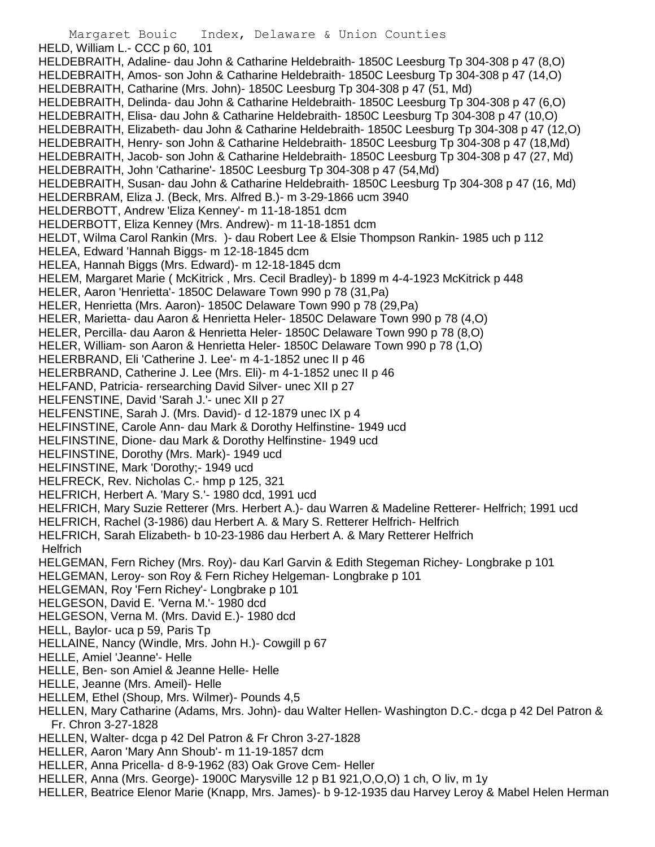Margaret Bouic Index, Delaware & Union Counties HELD, William L.- CCC p 60, 101 HELDEBRAITH, Adaline- dau John & Catharine Heldebraith- 1850C Leesburg Tp 304-308 p 47 (8,O) HELDEBRAITH, Amos- son John & Catharine Heldebraith- 1850C Leesburg Tp 304-308 p 47 (14,O) HELDEBRAITH, Catharine (Mrs. John)- 1850C Leesburg Tp 304-308 p 47 (51, Md) HELDEBRAITH, Delinda- dau John & Catharine Heldebraith- 1850C Leesburg Tp 304-308 p 47 (6,O) HELDEBRAITH, Elisa- dau John & Catharine Heldebraith- 1850C Leesburg Tp 304-308 p 47 (10,O) HELDEBRAITH, Elizabeth- dau John & Catharine Heldebraith- 1850C Leesburg Tp 304-308 p 47 (12,O) HELDEBRAITH, Henry- son John & Catharine Heldebraith- 1850C Leesburg Tp 304-308 p 47 (18,Md) HELDEBRAITH, Jacob- son John & Catharine Heldebraith- 1850C Leesburg Tp 304-308 p 47 (27, Md) HELDEBRAITH, John 'Catharine'- 1850C Leesburg Tp 304-308 p 47 (54,Md) HELDEBRAITH, Susan- dau John & Catharine Heldebraith- 1850C Leesburg Tp 304-308 p 47 (16, Md) HELDERBRAM, Eliza J. (Beck, Mrs. Alfred B.)- m 3-29-1866 ucm 3940 HELDERBOTT, Andrew 'Eliza Kenney'- m 11-18-1851 dcm HELDERBOTT, Eliza Kenney (Mrs. Andrew)- m 11-18-1851 dcm HELDT, Wilma Carol Rankin (Mrs. )- dau Robert Lee & Elsie Thompson Rankin- 1985 uch p 112 HELEA, Edward 'Hannah Biggs- m 12-18-1845 dcm HELEA, Hannah Biggs (Mrs. Edward)- m 12-18-1845 dcm HELEM, Margaret Marie ( McKitrick , Mrs. Cecil Bradley)- b 1899 m 4-4-1923 McKitrick p 448 HELER, Aaron 'Henrietta'- 1850C Delaware Town 990 p 78 (31,Pa) HELER, Henrietta (Mrs. Aaron)- 1850C Delaware Town 990 p 78 (29,Pa) HELER, Marietta- dau Aaron & Henrietta Heler- 1850C Delaware Town 990 p 78 (4,O) HELER, Percilla- dau Aaron & Henrietta Heler- 1850C Delaware Town 990 p 78 (8,O) HELER, William- son Aaron & Henrietta Heler- 1850C Delaware Town 990 p 78 (1,O) HELERBRAND, Eli 'Catherine J. Lee'- m 4-1-1852 unec II p 46 HELERBRAND, Catherine J. Lee (Mrs. Eli)- m 4-1-1852 unec II p 46 HELFAND, Patricia- rersearching David Silver- unec XII p 27 HELFENSTINE, David 'Sarah J.'- unec XII p 27 HELFENSTINE, Sarah J. (Mrs. David)- d 12-1879 unec IX p 4 HELFINSTINE, Carole Ann- dau Mark & Dorothy Helfinstine- 1949 ucd HELFINSTINE, Dione- dau Mark & Dorothy Helfinstine- 1949 ucd HELFINSTINE, Dorothy (Mrs. Mark)- 1949 ucd HELFINSTINE, Mark 'Dorothy;- 1949 ucd HELFRECK, Rev. Nicholas C.- hmp p 125, 321 HELFRICH, Herbert A. 'Mary S.'- 1980 dcd, 1991 ucd HELFRICH, Mary Suzie Retterer (Mrs. Herbert A.)- dau Warren & Madeline Retterer- Helfrich; 1991 ucd HELFRICH, Rachel (3-1986) dau Herbert A. & Mary S. Retterer Helfrich- Helfrich HELFRICH, Sarah Elizabeth- b 10-23-1986 dau Herbert A. & Mary Retterer Helfrich **Helfrich** HELGEMAN, Fern Richey (Mrs. Roy)- dau Karl Garvin & Edith Stegeman Richey- Longbrake p 101 HELGEMAN, Leroy- son Roy & Fern Richey Helgeman- Longbrake p 101 HELGEMAN, Roy 'Fern Richey'- Longbrake p 101 HELGESON, David E. 'Verna M.'- 1980 dcd HELGESON, Verna M. (Mrs. David E.)- 1980 dcd HELL, Baylor- uca p 59, Paris Tp HELLAINE, Nancy (Windle, Mrs. John H.)- Cowgill p 67 HELLE, Amiel 'Jeanne'- Helle HELLE, Ben- son Amiel & Jeanne Helle- Helle HELLE, Jeanne (Mrs. Ameil)- Helle HELLEM, Ethel (Shoup, Mrs. Wilmer)- Pounds 4,5 HELLEN, Mary Catharine (Adams, Mrs. John)- dau Walter Hellen- Washington D.C.- dcga p 42 Del Patron & Fr. Chron 3-27-1828 HELLEN, Walter- dcga p 42 Del Patron & Fr Chron 3-27-1828 HELLER, Aaron 'Mary Ann Shoub'- m 11-19-1857 dcm HELLER, Anna Pricella- d 8-9-1962 (83) Oak Grove Cem- Heller HELLER, Anna (Mrs. George)- 1900C Marysville 12 p B1 921,O,O,O) 1 ch, O liv, m 1y HELLER, Beatrice Elenor Marie (Knapp, Mrs. James)- b 9-12-1935 dau Harvey Leroy & Mabel Helen Herman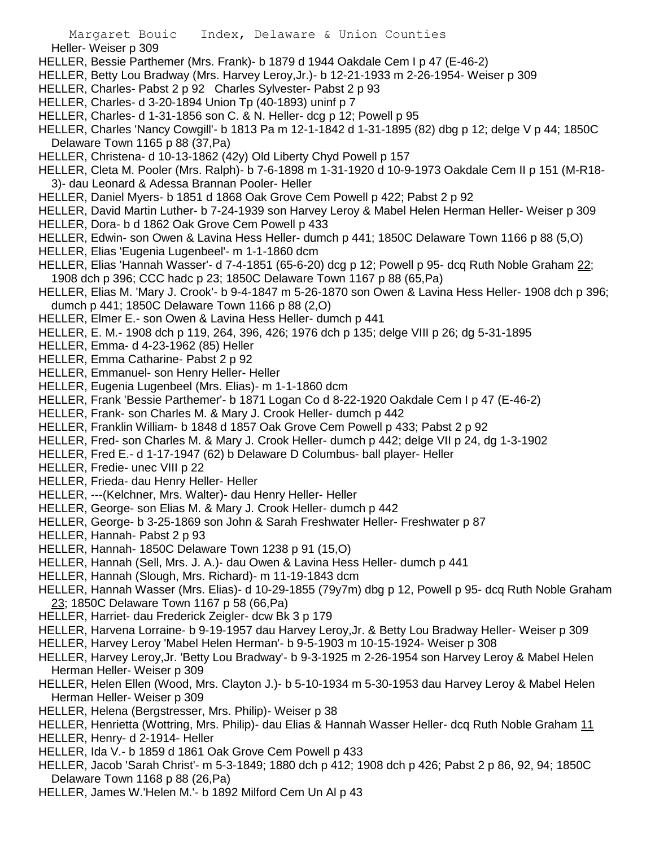Heller- Weiser p 309

- HELLER, Bessie Parthemer (Mrs. Frank)- b 1879 d 1944 Oakdale Cem I p 47 (E-46-2)
- HELLER, Betty Lou Bradway (Mrs. Harvey Leroy,Jr.)- b 12-21-1933 m 2-26-1954- Weiser p 309
- HELLER, Charles- Pabst 2 p 92 Charles Sylvester- Pabst 2 p 93
- HELLER, Charles- d 3-20-1894 Union Tp (40-1893) uninf p 7
- HELLER, Charles- d 1-31-1856 son C. & N. Heller- dcg p 12; Powell p 95
- HELLER, Charles 'Nancy Cowgill'- b 1813 Pa m 12-1-1842 d 1-31-1895 (82) dbg p 12; delge V p 44; 1850C Delaware Town 1165 p 88 (37,Pa)
- HELLER, Christena- d 10-13-1862 (42y) Old Liberty Chyd Powell p 157
- HELLER, Cleta M. Pooler (Mrs. Ralph)- b 7-6-1898 m 1-31-1920 d 10-9-1973 Oakdale Cem II p 151 (M-R18- 3)- dau Leonard & Adessa Brannan Pooler- Heller
- HELLER, Daniel Myers- b 1851 d 1868 Oak Grove Cem Powell p 422; Pabst 2 p 92
- HELLER, David Martin Luther- b 7-24-1939 son Harvey Leroy & Mabel Helen Herman Heller- Weiser p 309
- HELLER, Dora- b d 1862 Oak Grove Cem Powell p 433
- HELLER, Edwin- son Owen & Lavina Hess Heller- dumch p 441; 1850C Delaware Town 1166 p 88 (5,O)
- HELLER, Elias 'Eugenia Lugenbeel'- m 1-1-1860 dcm
- HELLER, Elias 'Hannah Wasser'- d 7-4-1851 (65-6-20) dcg p 12; Powell p 95- dcq Ruth Noble Graham 22; 1908 dch p 396; CCC hadc p 23; 1850C Delaware Town 1167 p 88 (65,Pa)
- HELLER, Elias M. 'Mary J. Crook'- b 9-4-1847 m 5-26-1870 son Owen & Lavina Hess Heller- 1908 dch p 396; dumch p 441; 1850C Delaware Town 1166 p 88 (2,O)
- HELLER, Elmer E.- son Owen & Lavina Hess Heller- dumch p 441
- HELLER, E. M.- 1908 dch p 119, 264, 396, 426; 1976 dch p 135; delge VIII p 26; dg 5-31-1895
- HELLER, Emma- d 4-23-1962 (85) Heller
- HELLER, Emma Catharine- Pabst 2 p 92
- HELLER, Emmanuel- son Henry Heller- Heller
- HELLER, Eugenia Lugenbeel (Mrs. Elias)- m 1-1-1860 dcm
- HELLER, Frank 'Bessie Parthemer'- b 1871 Logan Co d 8-22-1920 Oakdale Cem I p 47 (E-46-2)
- HELLER, Frank- son Charles M. & Mary J. Crook Heller- dumch p 442
- HELLER, Franklin William- b 1848 d 1857 Oak Grove Cem Powell p 433; Pabst 2 p 92
- HELLER, Fred- son Charles M. & Mary J. Crook Heller- dumch p 442; delge VII p 24, dg 1-3-1902
- HELLER, Fred E.- d 1-17-1947 (62) b Delaware D Columbus- ball player- Heller
- HELLER, Fredie- unec VIII p 22
- HELLER, Frieda- dau Henry Heller- Heller
- HELLER, ---(Kelchner, Mrs. Walter)- dau Henry Heller- Heller
- HELLER, George- son Elias M. & Mary J. Crook Heller- dumch p 442
- HELLER, George- b 3-25-1869 son John & Sarah Freshwater Heller- Freshwater p 87
- HELLER, Hannah- Pabst 2 p 93
- HELLER, Hannah- 1850C Delaware Town 1238 p 91 (15,O)
- HELLER, Hannah (Sell, Mrs. J. A.)- dau Owen & Lavina Hess Heller- dumch p 441
- HELLER, Hannah (Slough, Mrs. Richard)- m 11-19-1843 dcm
- HELLER, Hannah Wasser (Mrs. Elias)- d 10-29-1855 (79y7m) dbg p 12, Powell p 95- dcq Ruth Noble Graham 23; 1850C Delaware Town 1167 p 58 (66,Pa)
- HELLER, Harriet- dau Frederick Zeigler- dcw Bk 3 p 179
- HELLER, Harvena Lorraine- b 9-19-1957 dau Harvey Leroy,Jr. & Betty Lou Bradway Heller- Weiser p 309
- HELLER, Harvey Leroy 'Mabel Helen Herman'- b 9-5-1903 m 10-15-1924- Weiser p 308
- HELLER, Harvey Leroy,Jr. 'Betty Lou Bradway'- b 9-3-1925 m 2-26-1954 son Harvey Leroy & Mabel Helen Herman Heller- Weiser p 309
- HELLER, Helen Ellen (Wood, Mrs. Clayton J.)- b 5-10-1934 m 5-30-1953 dau Harvey Leroy & Mabel Helen Herman Heller- Weiser p 309
- HELLER, Helena (Bergstresser, Mrs. Philip)- Weiser p 38
- HELLER, Henrietta (Wottring, Mrs. Philip)- dau Elias & Hannah Wasser Heller- dcq Ruth Noble Graham 11 HELLER, Henry- d 2-1914- Heller
- HELLER, Ida V.- b 1859 d 1861 Oak Grove Cem Powell p 433
- HELLER, Jacob 'Sarah Christ'- m 5-3-1849; 1880 dch p 412; 1908 dch p 426; Pabst 2 p 86, 92, 94; 1850C Delaware Town 1168 p 88 (26,Pa)
- HELLER, James W.'Helen M.'- b 1892 Milford Cem Un Al p 43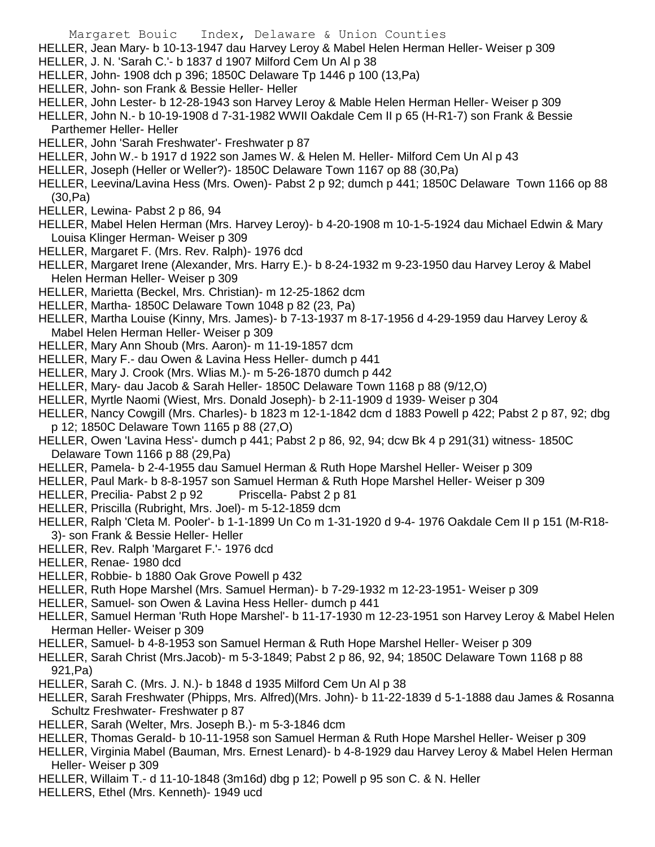HELLER, Jean Mary- b 10-13-1947 dau Harvey Leroy & Mabel Helen Herman Heller- Weiser p 309

- HELLER, J. N. 'Sarah C.'- b 1837 d 1907 Milford Cem Un Al p 38
- HELLER, John- 1908 dch p 396; 1850C Delaware Tp 1446 p 100 (13,Pa)
- HELLER, John- son Frank & Bessie Heller- Heller
- HELLER, John Lester- b 12-28-1943 son Harvey Leroy & Mable Helen Herman Heller- Weiser p 309

HELLER, John N.- b 10-19-1908 d 7-31-1982 WWII Oakdale Cem II p 65 (H-R1-7) son Frank & Bessie Parthemer Heller- Heller

- HELLER, John 'Sarah Freshwater'- Freshwater p 87
- HELLER, John W.- b 1917 d 1922 son James W. & Helen M. Heller- Milford Cem Un Al p 43
- HELLER, Joseph (Heller or Weller?)- 1850C Delaware Town 1167 op 88 (30,Pa)
- HELLER, Leevina/Lavina Hess (Mrs. Owen)- Pabst 2 p 92; dumch p 441; 1850C Delaware Town 1166 op 88 (30,Pa)
- HELLER, Lewina- Pabst 2 p 86, 94
- HELLER, Mabel Helen Herman (Mrs. Harvey Leroy)- b 4-20-1908 m 10-1-5-1924 dau Michael Edwin & Mary Louisa Klinger Herman- Weiser p 309
- HELLER, Margaret F. (Mrs. Rev. Ralph)- 1976 dcd
- HELLER, Margaret Irene (Alexander, Mrs. Harry E.)- b 8-24-1932 m 9-23-1950 dau Harvey Leroy & Mabel Helen Herman Heller- Weiser p 309
- HELLER, Marietta (Beckel, Mrs. Christian)- m 12-25-1862 dcm
- HELLER, Martha- 1850C Delaware Town 1048 p 82 (23, Pa)
- HELLER, Martha Louise (Kinny, Mrs. James)- b 7-13-1937 m 8-17-1956 d 4-29-1959 dau Harvey Leroy & Mabel Helen Herman Heller- Weiser p 309
- HELLER, Mary Ann Shoub (Mrs. Aaron)- m 11-19-1857 dcm
- HELLER, Mary F.- dau Owen & Lavina Hess Heller- dumch p 441
- HELLER, Mary J. Crook (Mrs. Wlias M.)- m 5-26-1870 dumch p 442
- HELLER, Mary- dau Jacob & Sarah Heller- 1850C Delaware Town 1168 p 88 (9/12,O)
- HELLER, Myrtle Naomi (Wiest, Mrs. Donald Joseph)- b 2-11-1909 d 1939- Weiser p 304
- HELLER, Nancy Cowgill (Mrs. Charles)- b 1823 m 12-1-1842 dcm d 1883 Powell p 422; Pabst 2 p 87, 92; dbg p 12; 1850C Delaware Town 1165 p 88 (27,O)
- HELLER, Owen 'Lavina Hess'- dumch p 441; Pabst 2 p 86, 92, 94; dcw Bk 4 p 291(31) witness- 1850C Delaware Town 1166 p 88 (29,Pa)
- HELLER, Pamela- b 2-4-1955 dau Samuel Herman & Ruth Hope Marshel Heller- Weiser p 309
- HELLER, Paul Mark- b 8-8-1957 son Samuel Herman & Ruth Hope Marshel Heller- Weiser p 309
- HELLER, Precilia- Pabst 2 p 92 Priscella- Pabst 2 p 81
- HELLER, Priscilla (Rubright, Mrs. Joel)- m 5-12-1859 dcm
- HELLER, Ralph 'Cleta M. Pooler'- b 1-1-1899 Un Co m 1-31-1920 d 9-4- 1976 Oakdale Cem II p 151 (M-R18- 3)- son Frank & Bessie Heller- Heller
- HELLER, Rev. Ralph 'Margaret F.'- 1976 dcd
- HELLER, Renae- 1980 dcd
- HELLER, Robbie- b 1880 Oak Grove Powell p 432
- HELLER, Ruth Hope Marshel (Mrs. Samuel Herman)- b 7-29-1932 m 12-23-1951- Weiser p 309
- HELLER, Samuel- son Owen & Lavina Hess Heller- dumch p 441
- HELLER, Samuel Herman 'Ruth Hope Marshel'- b 11-17-1930 m 12-23-1951 son Harvey Leroy & Mabel Helen Herman Heller- Weiser p 309
- HELLER, Samuel- b 4-8-1953 son Samuel Herman & Ruth Hope Marshel Heller- Weiser p 309
- HELLER, Sarah Christ (Mrs.Jacob)- m 5-3-1849; Pabst 2 p 86, 92, 94; 1850C Delaware Town 1168 p 88 921,Pa)
- HELLER, Sarah C. (Mrs. J. N.)- b 1848 d 1935 Milford Cem Un Al p 38
- HELLER, Sarah Freshwater (Phipps, Mrs. Alfred)(Mrs. John)- b 11-22-1839 d 5-1-1888 dau James & Rosanna Schultz Freshwater- Freshwater p 87
- HELLER, Sarah (Welter, Mrs. Joseph B.)- m 5-3-1846 dcm
- HELLER, Thomas Gerald- b 10-11-1958 son Samuel Herman & Ruth Hope Marshel Heller- Weiser p 309
- HELLER, Virginia Mabel (Bauman, Mrs. Ernest Lenard)- b 4-8-1929 dau Harvey Leroy & Mabel Helen Herman Heller- Weiser p 309
- HELLER, Willaim T.- d 11-10-1848 (3m16d) dbg p 12; Powell p 95 son C. & N. Heller
- HELLERS, Ethel (Mrs. Kenneth)- 1949 ucd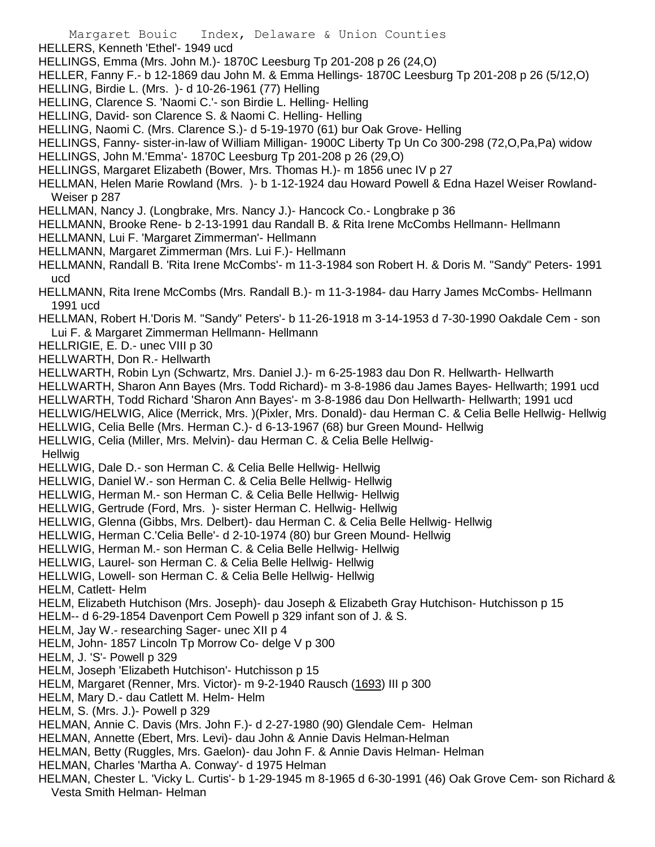- HELLERS, Kenneth 'Ethel'- 1949 ucd
- HELLINGS, Emma (Mrs. John M.)- 1870C Leesburg Tp 201-208 p 26 (24,O)
- HELLER, Fanny F.- b 12-1869 dau John M. & Emma Hellings- 1870C Leesburg Tp 201-208 p 26 (5/12,O)
- HELLING, Birdie L. (Mrs. )- d 10-26-1961 (77) Helling
- HELLING, Clarence S. 'Naomi C.'- son Birdie L. Helling- Helling
- HELLING, David- son Clarence S. & Naomi C. Helling- Helling
- HELLING, Naomi C. (Mrs. Clarence S.)- d 5-19-1970 (61) bur Oak Grove- Helling
- HELLINGS, Fanny- sister-in-law of William Milligan- 1900C Liberty Tp Un Co 300-298 (72,O,Pa,Pa) widow
- HELLINGS, John M.'Emma'- 1870C Leesburg Tp 201-208 p 26 (29,O)
- HELLINGS, Margaret Elizabeth (Bower, Mrs. Thomas H.)- m 1856 unec IV p 27
- HELLMAN, Helen Marie Rowland (Mrs. )- b 1-12-1924 dau Howard Powell & Edna Hazel Weiser Rowland-Weiser p 287
- HELLMAN, Nancy J. (Longbrake, Mrs. Nancy J.)- Hancock Co.- Longbrake p 36
- HELLMANN, Brooke Rene- b 2-13-1991 dau Randall B. & Rita Irene McCombs Hellmann- Hellmann
- HELLMANN, Lui F. 'Margaret Zimmerman'- Hellmann
- HELLMANN, Margaret Zimmerman (Mrs. Lui F.)- Hellmann
- HELLMANN, Randall B. 'Rita Irene McCombs'- m 11-3-1984 son Robert H. & Doris M. "Sandy" Peters- 1991 ucd
- HELLMANN, Rita Irene McCombs (Mrs. Randall B.)- m 11-3-1984- dau Harry James McCombs- Hellmann 1991 ucd
- HELLMAN, Robert H.'Doris M. "Sandy" Peters'- b 11-26-1918 m 3-14-1953 d 7-30-1990 Oakdale Cem son Lui F. & Margaret Zimmerman Hellmann- Hellmann
- HELLRIGIE, E. D.- unec VIII p 30
- HELLWARTH, Don R.- Hellwarth
- HELLWARTH, Robin Lyn (Schwartz, Mrs. Daniel J.)- m 6-25-1983 dau Don R. Hellwarth- Hellwarth
- HELLWARTH, Sharon Ann Bayes (Mrs. Todd Richard)- m 3-8-1986 dau James Bayes- Hellwarth; 1991 ucd
- HELLWARTH, Todd Richard 'Sharon Ann Bayes'- m 3-8-1986 dau Don Hellwarth- Hellwarth; 1991 ucd
- HELLWIG/HELWIG, Alice (Merrick, Mrs. )(Pixler, Mrs. Donald)- dau Herman C. & Celia Belle Hellwig- Hellwig
- HELLWIG, Celia Belle (Mrs. Herman C.)- d 6-13-1967 (68) bur Green Mound- Hellwig
- HELLWIG, Celia (Miller, Mrs. Melvin)- dau Herman C. & Celia Belle Hellwig-
- **Hellwig**
- HELLWIG, Dale D.- son Herman C. & Celia Belle Hellwig- Hellwig
- HELLWIG, Daniel W.- son Herman C. & Celia Belle Hellwig- Hellwig
- HELLWIG, Herman M.- son Herman C. & Celia Belle Hellwig- Hellwig
- HELLWIG, Gertrude (Ford, Mrs. )- sister Herman C. Hellwig- Hellwig
- HELLWIG, Glenna (Gibbs, Mrs. Delbert)- dau Herman C. & Celia Belle Hellwig- Hellwig
- HELLWIG, Herman C.'Celia Belle'- d 2-10-1974 (80) bur Green Mound- Hellwig
- HELLWIG, Herman M.- son Herman C. & Celia Belle Hellwig- Hellwig
- HELLWIG, Laurel- son Herman C. & Celia Belle Hellwig- Hellwig
- HELLWIG, Lowell- son Herman C. & Celia Belle Hellwig- Hellwig
- HELM, Catlett- Helm
- HELM, Elizabeth Hutchison (Mrs. Joseph)- dau Joseph & Elizabeth Gray Hutchison- Hutchisson p 15
- HELM-- d 6-29-1854 Davenport Cem Powell p 329 infant son of J. & S.
- HELM, Jay W.- researching Sager- unec XII p 4
- HELM, John- 1857 Lincoln Tp Morrow Co- delge V p 300
- HELM, J. 'S'- Powell p 329
- HELM, Joseph 'Elizabeth Hutchison'- Hutchisson p 15
- HELM, Margaret (Renner, Mrs. Victor)- m 9-2-1940 Rausch (1693) III p 300
- HELM, Mary D.- dau Catlett M. Helm- Helm
- HELM, S. (Mrs. J.)- Powell p 329
- HELMAN, Annie C. Davis (Mrs. John F.)- d 2-27-1980 (90) Glendale Cem- Helman
- HELMAN, Annette (Ebert, Mrs. Levi)- dau John & Annie Davis Helman-Helman
- HELMAN, Betty (Ruggles, Mrs. Gaelon)- dau John F. & Annie Davis Helman- Helman
- HELMAN, Charles 'Martha A. Conway'- d 1975 Helman
- HELMAN, Chester L. 'Vicky L. Curtis'- b 1-29-1945 m 8-1965 d 6-30-1991 (46) Oak Grove Cem- son Richard & Vesta Smith Helman- Helman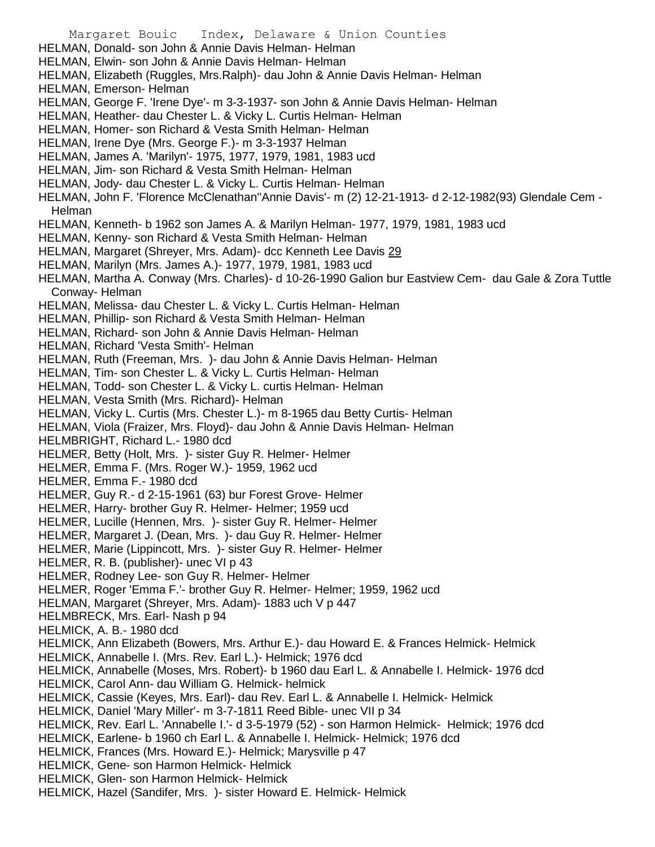Margaret Bouic Index, Delaware & Union Counties HELMAN, Donald- son John & Annie Davis Helman- Helman HELMAN, Elwin- son John & Annie Davis Helman- Helman HELMAN, Elizabeth (Ruggles, Mrs.Ralph)- dau John & Annie Davis Helman- Helman HELMAN, Emerson- Helman HELMAN, George F. 'Irene Dye'- m 3-3-1937- son John & Annie Davis Helman- Helman HELMAN, Heather- dau Chester L. & Vicky L. Curtis Helman- Helman HELMAN, Homer- son Richard & Vesta Smith Helman- Helman HELMAN, Irene Dye (Mrs. George F.)- m 3-3-1937 Helman HELMAN, James A. 'Marilyn'- 1975, 1977, 1979, 1981, 1983 ucd HELMAN, Jim- son Richard & Vesta Smith Helman- Helman HELMAN, Jody- dau Chester L. & Vicky L. Curtis Helman- Helman HELMAN, John F. 'Florence McClenathan''Annie Davis'- m (2) 12-21-1913- d 2-12-1982(93) Glendale Cem - Helman HELMAN, Kenneth- b 1962 son James A. & Marilyn Helman- 1977, 1979, 1981, 1983 ucd HELMAN, Kenny- son Richard & Vesta Smith Helman- Helman HELMAN, Margaret (Shreyer, Mrs. Adam)- dcc Kenneth Lee Davis 29 HELMAN, Marilyn (Mrs. James A.)- 1977, 1979, 1981, 1983 ucd HELMAN, Martha A. Conway (Mrs. Charles)- d 10-26-1990 Galion bur Eastview Cem- dau Gale & Zora Tuttle Conway- Helman HELMAN, Melissa- dau Chester L. & Vicky L. Curtis Helman- Helman HELMAN, Phillip- son Richard & Vesta Smith Helman- Helman HELMAN, Richard- son John & Annie Davis Helman- Helman HELMAN, Richard 'Vesta Smith'- Helman HELMAN, Ruth (Freeman, Mrs. )- dau John & Annie Davis Helman- Helman HELMAN, Tim- son Chester L. & Vicky L. Curtis Helman- Helman HELMAN, Todd- son Chester L. & Vicky L. curtis Helman- Helman HELMAN, Vesta Smith (Mrs. Richard)- Helman HELMAN, Vicky L. Curtis (Mrs. Chester L.)- m 8-1965 dau Betty Curtis- Helman HELMAN, Viola (Fraizer, Mrs. Floyd)- dau John & Annie Davis Helman- Helman HELMBRIGHT, Richard L.- 1980 dcd HELMER, Betty (Holt, Mrs. )- sister Guy R. Helmer- Helmer HELMER, Emma F. (Mrs. Roger W.)- 1959, 1962 ucd HELMER, Emma F.- 1980 dcd HELMER, Guy R.- d 2-15-1961 (63) bur Forest Grove- Helmer HELMER, Harry- brother Guy R. Helmer- Helmer; 1959 ucd HELMER, Lucille (Hennen, Mrs. )- sister Guy R. Helmer- Helmer HELMER, Margaret J. (Dean, Mrs. )- dau Guy R. Helmer- Helmer HELMER, Marie (Lippincott, Mrs. )- sister Guy R. Helmer- Helmer HELMER, R. B. (publisher)- unec VI p 43 HELMER, Rodney Lee- son Guy R. Helmer- Helmer HELMER, Roger 'Emma F.'- brother Guy R. Helmer- Helmer; 1959, 1962 ucd HELMAN, Margaret (Shreyer, Mrs. Adam)- 1883 uch V p 447 HELMBRECK, Mrs. Earl- Nash p 94 HELMICK, A. B.- 1980 dcd HELMICK, Ann Elizabeth (Bowers, Mrs. Arthur E.)- dau Howard E. & Frances Helmick- Helmick HELMICK, Annabelle I. (Mrs. Rev. Earl L.)- Helmick; 1976 dcd HELMICK, Annabelle (Moses, Mrs. Robert)- b 1960 dau Earl L. & Annabelle I. Helmick- 1976 dcd HELMICK, Carol Ann- dau William G. Helmick- helmick HELMICK, Cassie (Keyes, Mrs. Earl)- dau Rev. Earl L. & Annabelle I. Helmick- Helmick HELMICK, Daniel 'Mary Miller'- m 3-7-1811 Reed Bible- unec VII p 34 HELMICK, Rev. Earl L. 'Annabelle I.'- d 3-5-1979 (52) - son Harmon Helmick- Helmick; 1976 dcd HELMICK, Earlene- b 1960 ch Earl L. & Annabelle I. Helmick- Helmick; 1976 dcd HELMICK, Frances (Mrs. Howard E.)- Helmick; Marysville p 47 HELMICK, Gene- son Harmon Helmick- Helmick HELMICK, Glen- son Harmon Helmick- Helmick HELMICK, Hazel (Sandifer, Mrs. )- sister Howard E. Helmick- Helmick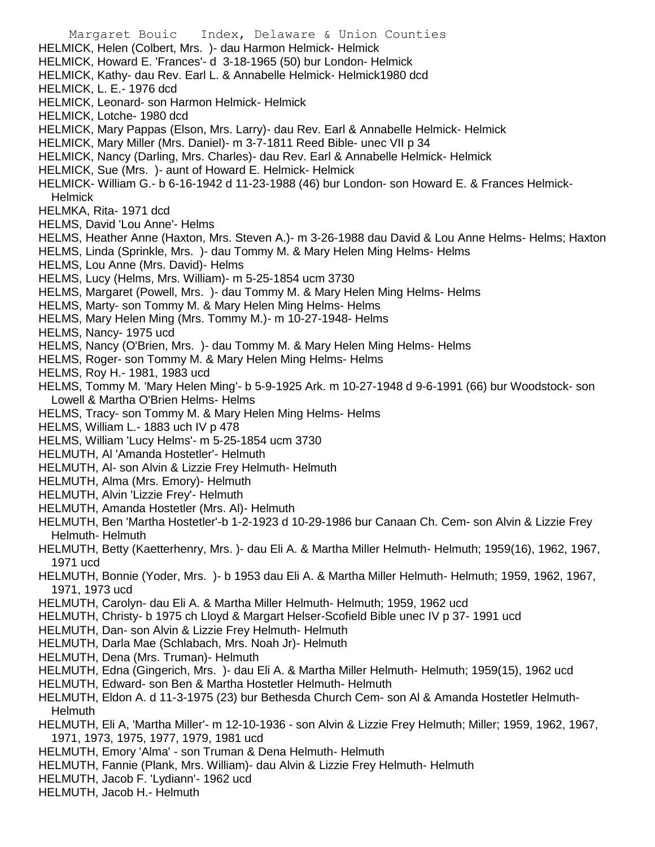Margaret Bouic Index, Delaware & Union Counties HELMICK, Helen (Colbert, Mrs. )- dau Harmon Helmick- Helmick HELMICK, Howard E. 'Frances'- d 3-18-1965 (50) bur London- Helmick HELMICK, Kathy- dau Rev. Earl L. & Annabelle Helmick- Helmick1980 dcd HELMICK, L. E.- 1976 dcd HELMICK, Leonard- son Harmon Helmick- Helmick HELMICK, Lotche- 1980 dcd HELMICK, Mary Pappas (Elson, Mrs. Larry)- dau Rev. Earl & Annabelle Helmick- Helmick HELMICK, Mary Miller (Mrs. Daniel)- m 3-7-1811 Reed Bible- unec VII p 34 HELMICK, Nancy (Darling, Mrs. Charles)- dau Rev. Earl & Annabelle Helmick- Helmick HELMICK, Sue (Mrs. )- aunt of Howard E. Helmick- Helmick HELMICK- William G.- b 6-16-1942 d 11-23-1988 (46) bur London- son Howard E. & Frances Helmick-**Helmick** HELMKA, Rita- 1971 dcd HELMS, David 'Lou Anne'- Helms HELMS, Heather Anne (Haxton, Mrs. Steven A.)- m 3-26-1988 dau David & Lou Anne Helms- Helms; Haxton HELMS, Linda (Sprinkle, Mrs. )- dau Tommy M. & Mary Helen Ming Helms- Helms HELMS, Lou Anne (Mrs. David)- Helms HELMS, Lucy (Helms, Mrs. William)- m 5-25-1854 ucm 3730 HELMS, Margaret (Powell, Mrs. )- dau Tommy M. & Mary Helen Ming Helms- Helms HELMS, Marty- son Tommy M. & Mary Helen Ming Helms- Helms HELMS, Mary Helen Ming (Mrs. Tommy M.)- m 10-27-1948- Helms HELMS, Nancy- 1975 ucd HELMS, Nancy (O'Brien, Mrs. )- dau Tommy M. & Mary Helen Ming Helms- Helms HELMS, Roger- son Tommy M. & Mary Helen Ming Helms- Helms HELMS, Roy H.- 1981, 1983 ucd HELMS, Tommy M. 'Mary Helen Ming'- b 5-9-1925 Ark. m 10-27-1948 d 9-6-1991 (66) bur Woodstock- son Lowell & Martha O'Brien Helms- Helms HELMS, Tracy- son Tommy M. & Mary Helen Ming Helms- Helms HELMS, William L.- 1883 uch IV p 478 HELMS, William 'Lucy Helms'- m 5-25-1854 ucm 3730 HELMUTH, Al 'Amanda Hostetler'- Helmuth HELMUTH, Al- son Alvin & Lizzie Frey Helmuth- Helmuth HELMUTH, Alma (Mrs. Emory)- Helmuth HELMUTH, Alvin 'Lizzie Frey'- Helmuth HELMUTH, Amanda Hostetler (Mrs. Al)- Helmuth HELMUTH, Ben 'Martha Hostetler'-b 1-2-1923 d 10-29-1986 bur Canaan Ch. Cem- son Alvin & Lizzie Frey Helmuth- Helmuth HELMUTH, Betty (Kaetterhenry, Mrs. )- dau Eli A. & Martha Miller Helmuth- Helmuth; 1959(16), 1962, 1967, 1971 ucd HELMUTH, Bonnie (Yoder, Mrs. )- b 1953 dau Eli A. & Martha Miller Helmuth- Helmuth; 1959, 1962, 1967, 1971, 1973 ucd HELMUTH, Carolyn- dau Eli A. & Martha Miller Helmuth- Helmuth; 1959, 1962 ucd HELMUTH, Christy- b 1975 ch Lloyd & Margart Helser-Scofield Bible unec IV p 37- 1991 ucd HELMUTH, Dan- son Alvin & Lizzie Frey Helmuth- Helmuth HELMUTH, Darla Mae (Schlabach, Mrs. Noah Jr)- Helmuth HELMUTH, Dena (Mrs. Truman)- Helmuth HELMUTH, Edna (Gingerich, Mrs. )- dau Eli A. & Martha Miller Helmuth- Helmuth; 1959(15), 1962 ucd HELMUTH, Edward- son Ben & Martha Hostetler Helmuth- Helmuth HELMUTH, Eldon A. d 11-3-1975 (23) bur Bethesda Church Cem- son Al & Amanda Hostetler Helmuth-

- Helmuth HELMUTH, Eli A, 'Martha Miller'- m 12-10-1936 - son Alvin & Lizzie Frey Helmuth; Miller; 1959, 1962, 1967, 1971, 1973, 1975, 1977, 1979, 1981 ucd
- HELMUTH, Emory 'Alma' son Truman & Dena Helmuth- Helmuth
- HELMUTH, Fannie (Plank, Mrs. William)- dau Alvin & Lizzie Frey Helmuth- Helmuth
- HELMUTH, Jacob F. 'Lydiann'- 1962 ucd
- HELMUTH, Jacob H.- Helmuth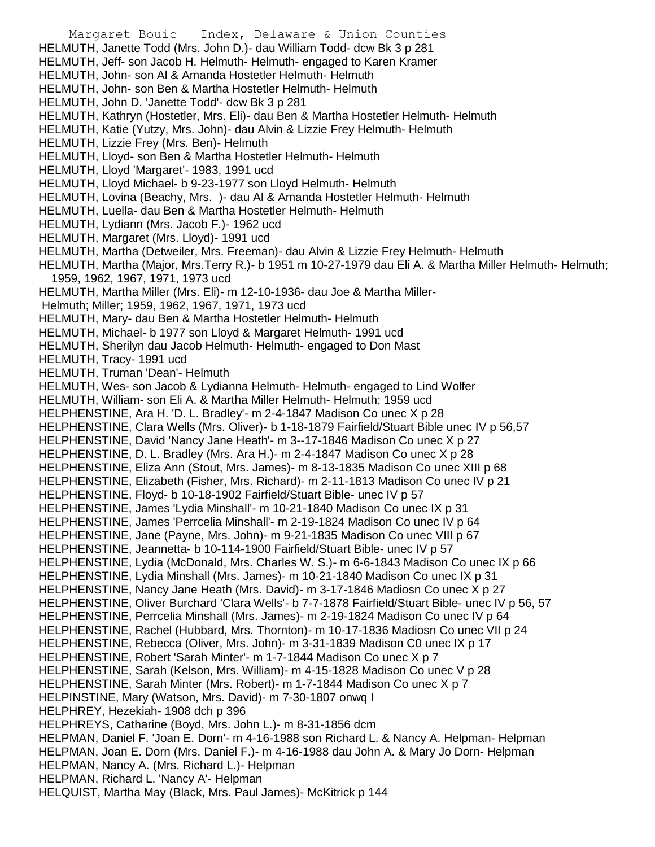Margaret Bouic Index, Delaware & Union Counties HELMUTH, Janette Todd (Mrs. John D.)- dau William Todd- dcw Bk 3 p 281 HELMUTH, Jeff- son Jacob H. Helmuth- Helmuth- engaged to Karen Kramer HELMUTH, John- son Al & Amanda Hostetler Helmuth- Helmuth HELMUTH, John- son Ben & Martha Hostetler Helmuth- Helmuth HELMUTH, John D. 'Janette Todd'- dcw Bk 3 p 281 HELMUTH, Kathryn (Hostetler, Mrs. Eli)- dau Ben & Martha Hostetler Helmuth- Helmuth HELMUTH, Katie (Yutzy, Mrs. John)- dau Alvin & Lizzie Frey Helmuth- Helmuth HELMUTH, Lizzie Frey (Mrs. Ben)- Helmuth HELMUTH, Lloyd- son Ben & Martha Hostetler Helmuth- Helmuth HELMUTH, Lloyd 'Margaret'- 1983, 1991 ucd HELMUTH, Lloyd Michael- b 9-23-1977 son Lloyd Helmuth- Helmuth HELMUTH, Lovina (Beachy, Mrs. )- dau Al & Amanda Hostetler Helmuth- Helmuth HELMUTH, Luella- dau Ben & Martha Hostetler Helmuth- Helmuth HELMUTH, Lydiann (Mrs. Jacob F.)- 1962 ucd HELMUTH, Margaret (Mrs. Lloyd)- 1991 ucd HELMUTH, Martha (Detweiler, Mrs. Freeman)- dau Alvin & Lizzie Frey Helmuth- Helmuth HELMUTH, Martha (Major, Mrs.Terry R.)- b 1951 m 10-27-1979 dau Eli A. & Martha Miller Helmuth- Helmuth; 1959, 1962, 1967, 1971, 1973 ucd HELMUTH, Martha Miller (Mrs. Eli)- m 12-10-1936- dau Joe & Martha Miller-Helmuth; Miller; 1959, 1962, 1967, 1971, 1973 ucd HELMUTH, Mary- dau Ben & Martha Hostetler Helmuth- Helmuth HELMUTH, Michael- b 1977 son Lloyd & Margaret Helmuth- 1991 ucd HELMUTH, Sherilyn dau Jacob Helmuth- Helmuth- engaged to Don Mast HELMUTH, Tracy- 1991 ucd HELMUTH, Truman 'Dean'- Helmuth HELMUTH, Wes- son Jacob & Lydianna Helmuth- Helmuth- engaged to Lind Wolfer HELMUTH, William- son Eli A. & Martha Miller Helmuth- Helmuth; 1959 ucd HELPHENSTINE, Ara H. 'D. L. Bradley'- m 2-4-1847 Madison Co unec X p 28 HELPHENSTINE, Clara Wells (Mrs. Oliver)- b 1-18-1879 Fairfield/Stuart Bible unec IV p 56,57 HELPHENSTINE, David 'Nancy Jane Heath'- m 3--17-1846 Madison Co unec X p 27 HELPHENSTINE, D. L. Bradley (Mrs. Ara H.)- m 2-4-1847 Madison Co unec X p 28 HELPHENSTINE, Eliza Ann (Stout, Mrs. James)- m 8-13-1835 Madison Co unec XIII p 68 HELPHENSTINE, Elizabeth (Fisher, Mrs. Richard)- m 2-11-1813 Madison Co unec IV p 21 HELPHENSTINE, Floyd- b 10-18-1902 Fairfield/Stuart Bible- unec IV p 57 HELPHENSTINE, James 'Lydia Minshall'- m 10-21-1840 Madison Co unec IX p 31 HELPHENSTINE, James 'Perrcelia Minshall'- m 2-19-1824 Madison Co unec IV p 64 HELPHENSTINE, Jane (Payne, Mrs. John)- m 9-21-1835 Madison Co unec VIII p 67 HELPHENSTINE, Jeannetta- b 10-114-1900 Fairfield/Stuart Bible- unec IV p 57 HELPHENSTINE, Lydia (McDonald, Mrs. Charles W. S.)- m 6-6-1843 Madison Co unec IX p 66 HELPHENSTINE, Lydia Minshall (Mrs. James)- m 10-21-1840 Madison Co unec IX p 31 HELPHENSTINE, Nancy Jane Heath (Mrs. David)- m 3-17-1846 Madiosn Co unec X p 27 HELPHENSTINE, Oliver Burchard 'Clara Wells'- b 7-7-1878 Fairfield/Stuart Bible- unec IV p 56, 57 HELPHENSTINE, Perrcelia Minshall (Mrs. James)- m 2-19-1824 Madison Co unec IV p 64 HELPHENSTINE, Rachel (Hubbard, Mrs. Thornton)- m 10-17-1836 Madiosn Co unec VII p 24 HELPHENSTINE, Rebecca (Oliver, Mrs. John)- m 3-31-1839 Madison C0 unec IX p 17 HELPHENSTINE, Robert 'Sarah Minter'- m 1-7-1844 Madison Co unec X p 7 HELPHENSTINE, Sarah (Kelson, Mrs. William)- m 4-15-1828 Madison Co unec V p 28 HELPHENSTINE, Sarah Minter (Mrs. Robert)- m 1-7-1844 Madison Co unec X p 7 HELPINSTINE, Mary (Watson, Mrs. David)- m 7-30-1807 onwq I HELPHREY, Hezekiah- 1908 dch p 396 HELPHREYS, Catharine (Boyd, Mrs. John L.)- m 8-31-1856 dcm HELPMAN, Daniel F. 'Joan E. Dorn'- m 4-16-1988 son Richard L. & Nancy A. Helpman- Helpman HELPMAN, Joan E. Dorn (Mrs. Daniel F.)- m 4-16-1988 dau John A. & Mary Jo Dorn- Helpman HELPMAN, Nancy A. (Mrs. Richard L.)- Helpman HELPMAN, Richard L. 'Nancy A'- Helpman HELQUIST, Martha May (Black, Mrs. Paul James)- McKitrick p 144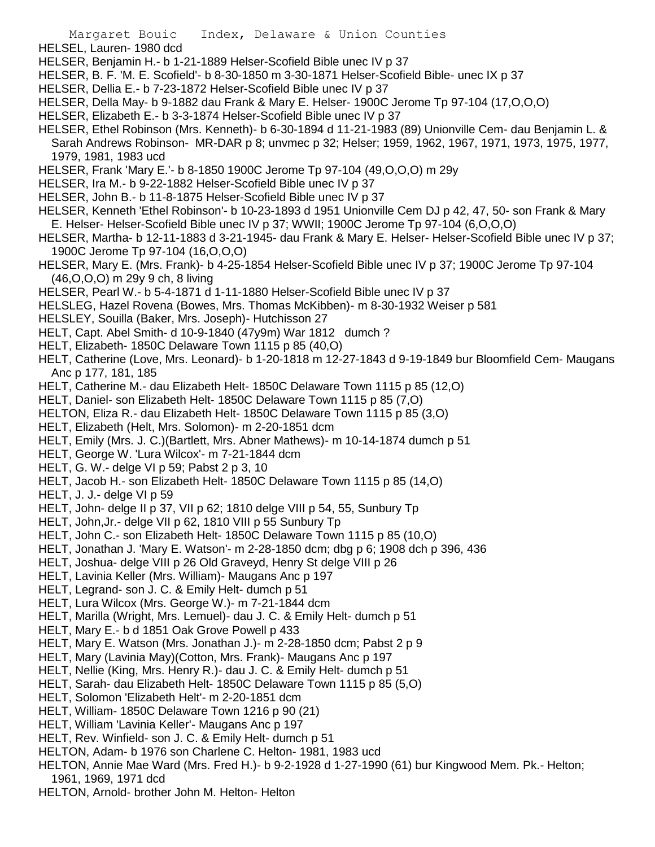- HELSEL, Lauren- 1980 dcd
- HELSER, Benjamin H.- b 1-21-1889 Helser-Scofield Bible unec IV p 37
- HELSER, B. F. 'M. E. Scofield'- b 8-30-1850 m 3-30-1871 Helser-Scofield Bible- unec IX p 37
- HELSER, Dellia E.- b 7-23-1872 Helser-Scofield Bible unec IV p 37
- HELSER, Della May- b 9-1882 dau Frank & Mary E. Helser- 1900C Jerome Tp 97-104 (17,O,O,O)
- HELSER, Elizabeth E.- b 3-3-1874 Helser-Scofield Bible unec IV p 37
- HELSER, Ethel Robinson (Mrs. Kenneth)- b 6-30-1894 d 11-21-1983 (89) Unionville Cem- dau Benjamin L. & Sarah Andrews Robinson- MR-DAR p 8; unvmec p 32; Helser; 1959, 1962, 1967, 1971, 1973, 1975, 1977, 1979, 1981, 1983 ucd
- HELSER, Frank 'Mary E.'- b 8-1850 1900C Jerome Tp 97-104 (49,O,O,O) m 29y
- HELSER, Ira M.- b 9-22-1882 Helser-Scofield Bible unec IV p 37
- HELSER, John B.- b 11-8-1875 Helser-Scofield Bible unec IV p 37
- HELSER, Kenneth 'Ethel Robinson'- b 10-23-1893 d 1951 Unionville Cem DJ p 42, 47, 50- son Frank & Mary E. Helser- Helser-Scofield Bible unec IV p 37; WWII; 1900C Jerome Tp 97-104 (6,O,O,O)
- HELSER, Martha- b 12-11-1883 d 3-21-1945- dau Frank & Mary E. Helser- Helser-Scofield Bible unec IV p 37; 1900C Jerome Tp 97-104 (16,O,O,O)
- HELSER, Mary E. (Mrs. Frank)- b 4-25-1854 Helser-Scofield Bible unec IV p 37; 1900C Jerome Tp 97-104 (46,O,O,O) m 29y 9 ch, 8 living
- HELSER, Pearl W.- b 5-4-1871 d 1-11-1880 Helser-Scofield Bible unec IV p 37
- HELSLEG, Hazel Rovena (Bowes, Mrs. Thomas McKibben)- m 8-30-1932 Weiser p 581
- HELSLEY, Souilla (Baker, Mrs. Joseph)- Hutchisson 27
- HELT, Capt. Abel Smith- d 10-9-1840 (47y9m) War 1812 dumch ?
- HELT, Elizabeth- 1850C Delaware Town 1115 p 85 (40,O)
- HELT, Catherine (Love, Mrs. Leonard)- b 1-20-1818 m 12-27-1843 d 9-19-1849 bur Bloomfield Cem- Maugans Anc p 177, 181, 185
- HELT, Catherine M.- dau Elizabeth Helt- 1850C Delaware Town 1115 p 85 (12,O)
- HELT, Daniel- son Elizabeth Helt- 1850C Delaware Town 1115 p 85 (7,O)
- HELTON, Eliza R.- dau Elizabeth Helt- 1850C Delaware Town 1115 p 85 (3,O)
- HELT, Elizabeth (Helt, Mrs. Solomon)- m 2-20-1851 dcm
- HELT, Emily (Mrs. J. C.)(Bartlett, Mrs. Abner Mathews)- m 10-14-1874 dumch p 51
- HELT, George W. 'Lura Wilcox'- m 7-21-1844 dcm
- HELT, G. W.- delge VI p 59; Pabst 2 p 3, 10
- HELT, Jacob H.- son Elizabeth Helt- 1850C Delaware Town 1115 p 85 (14,O)
- HELT, J. J.- delge VI p 59
- HELT, John- delge II p 37, VII p 62; 1810 delge VIII p 54, 55, Sunbury Tp
- HELT, John,Jr.- delge VII p 62, 1810 VIII p 55 Sunbury Tp
- HELT, John C.- son Elizabeth Helt- 1850C Delaware Town 1115 p 85 (10,O)
- HELT, Jonathan J. 'Mary E. Watson'- m 2-28-1850 dcm; dbg p 6; 1908 dch p 396, 436
- HELT, Joshua- delge VIII p 26 Old Graveyd, Henry St delge VIII p 26
- HELT, Lavinia Keller (Mrs. William)- Maugans Anc p 197
- HELT, Legrand- son J. C. & Emily Helt- dumch p 51
- HELT, Lura Wilcox (Mrs. George W.)- m 7-21-1844 dcm
- HELT, Marilla (Wright, Mrs. Lemuel)- dau J. C. & Emily Helt- dumch p 51
- HELT, Mary E.- b d 1851 Oak Grove Powell p 433
- HELT, Mary E. Watson (Mrs. Jonathan J.)- m 2-28-1850 dcm; Pabst 2 p 9
- HELT, Mary (Lavinia May)(Cotton, Mrs. Frank)- Maugans Anc p 197
- HELT, Nellie (King, Mrs. Henry R.)- dau J. C. & Emily Helt- dumch p 51
- HELT, Sarah- dau Elizabeth Helt- 1850C Delaware Town 1115 p 85 (5,O)
- HELT, Solomon 'Elizabeth Helt'- m 2-20-1851 dcm
- HELT, William- 1850C Delaware Town 1216 p 90 (21)
- HELT, William 'Lavinia Keller'- Maugans Anc p 197
- HELT, Rev. Winfield- son J. C. & Emily Helt- dumch p 51
- HELTON, Adam- b 1976 son Charlene C. Helton- 1981, 1983 ucd
- HELTON, Annie Mae Ward (Mrs. Fred H.)- b 9-2-1928 d 1-27-1990 (61) bur Kingwood Mem. Pk.- Helton; 1961, 1969, 1971 dcd
- HELTON, Arnold- brother John M. Helton- Helton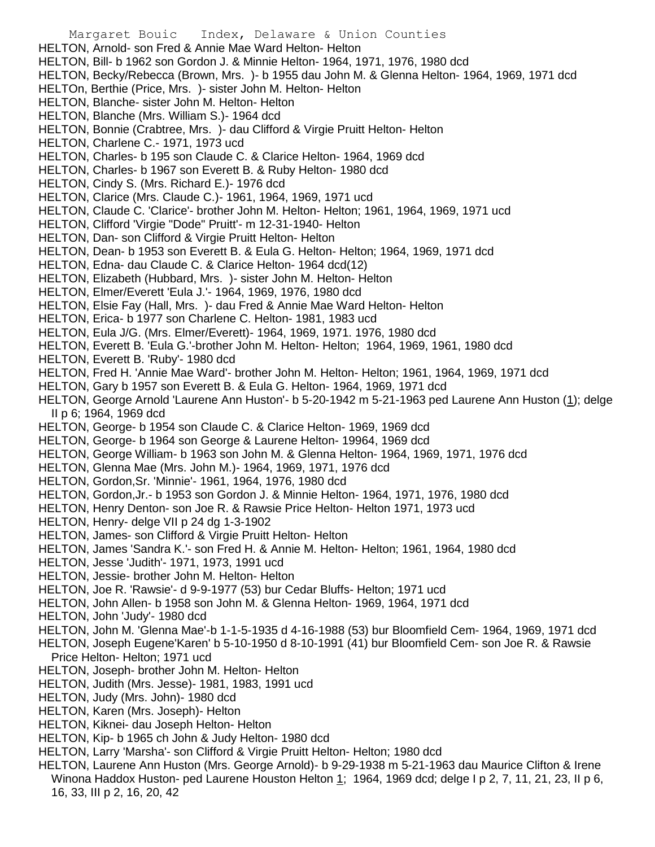Margaret Bouic Index, Delaware & Union Counties HELTON, Arnold- son Fred & Annie Mae Ward Helton- Helton HELTON, Bill- b 1962 son Gordon J. & Minnie Helton- 1964, 1971, 1976, 1980 dcd HELTON, Becky/Rebecca (Brown, Mrs. )- b 1955 dau John M. & Glenna Helton- 1964, 1969, 1971 dcd HELTOn, Berthie (Price, Mrs. )- sister John M. Helton- Helton HELTON, Blanche- sister John M. Helton- Helton HELTON, Blanche (Mrs. William S.)- 1964 dcd HELTON, Bonnie (Crabtree, Mrs. )- dau Clifford & Virgie Pruitt Helton- Helton HELTON, Charlene C.- 1971, 1973 ucd HELTON, Charles- b 195 son Claude C. & Clarice Helton- 1964, 1969 dcd HELTON, Charles- b 1967 son Everett B. & Ruby Helton- 1980 dcd HELTON, Cindy S. (Mrs. Richard E.)- 1976 dcd HELTON, Clarice (Mrs. Claude C.)- 1961, 1964, 1969, 1971 ucd HELTON, Claude C. 'Clarice'- brother John M. Helton- Helton; 1961, 1964, 1969, 1971 ucd HELTON, Clifford 'Virgie "Dode" Pruitt'- m 12-31-1940- Helton HELTON, Dan- son Clifford & Virgie Pruitt Helton- Helton HELTON, Dean- b 1953 son Everett B. & Eula G. Helton- Helton; 1964, 1969, 1971 dcd HELTON, Edna- dau Claude C. & Clarice Helton- 1964 dcd(12) HELTON, Elizabeth (Hubbard, Mrs. )- sister John M. Helton- Helton HELTON, Elmer/Everett 'Eula J.'- 1964, 1969, 1976, 1980 dcd HELTON, Elsie Fay (Hall, Mrs. )- dau Fred & Annie Mae Ward Helton- Helton HELTON, Erica- b 1977 son Charlene C. Helton- 1981, 1983 ucd HELTON, Eula J/G. (Mrs. Elmer/Everett)- 1964, 1969, 1971. 1976, 1980 dcd HELTON, Everett B. 'Eula G.'-brother John M. Helton- Helton; 1964, 1969, 1961, 1980 dcd HELTON, Everett B. 'Ruby'- 1980 dcd HELTON, Fred H. 'Annie Mae Ward'- brother John M. Helton- Helton; 1961, 1964, 1969, 1971 dcd HELTON, Gary b 1957 son Everett B. & Eula G. Helton- 1964, 1969, 1971 dcd HELTON, George Arnold 'Laurene Ann Huston'- b 5-20-1942 m 5-21-1963 ped Laurene Ann Huston (1); delge II p 6; 1964, 1969 dcd HELTON, George- b 1954 son Claude C. & Clarice Helton- 1969, 1969 dcd HELTON, George- b 1964 son George & Laurene Helton- 19964, 1969 dcd HELTON, George William- b 1963 son John M. & Glenna Helton- 1964, 1969, 1971, 1976 dcd HELTON, Glenna Mae (Mrs. John M.)- 1964, 1969, 1971, 1976 dcd HELTON, Gordon,Sr. 'Minnie'- 1961, 1964, 1976, 1980 dcd HELTON, Gordon,Jr.- b 1953 son Gordon J. & Minnie Helton- 1964, 1971, 1976, 1980 dcd HELTON, Henry Denton- son Joe R. & Rawsie Price Helton- Helton 1971, 1973 ucd HELTON, Henry- delge VII p 24 dg 1-3-1902 HELTON, James- son Clifford & Virgie Pruitt Helton- Helton HELTON, James 'Sandra K.'- son Fred H. & Annie M. Helton- Helton; 1961, 1964, 1980 dcd HELTON, Jesse 'Judith'- 1971, 1973, 1991 ucd HELTON, Jessie- brother John M. Helton- Helton HELTON, Joe R. 'Rawsie'- d 9-9-1977 (53) bur Cedar Bluffs- Helton; 1971 ucd HELTON, John Allen- b 1958 son John M. & Glenna Helton- 1969, 1964, 1971 dcd HELTON, John 'Judy'- 1980 dcd HELTON, John M. 'Glenna Mae'-b 1-1-5-1935 d 4-16-1988 (53) bur Bloomfield Cem- 1964, 1969, 1971 dcd HELTON, Joseph Eugene'Karen' b 5-10-1950 d 8-10-1991 (41) bur Bloomfield Cem- son Joe R. & Rawsie Price Helton- Helton; 1971 ucd HELTON, Joseph- brother John M. Helton- Helton HELTON, Judith (Mrs. Jesse)- 1981, 1983, 1991 ucd HELTON, Judy (Mrs. John)- 1980 dcd HELTON, Karen (Mrs. Joseph)- Helton HELTON, Kiknei- dau Joseph Helton- Helton HELTON, Kip- b 1965 ch John & Judy Helton- 1980 dcd HELTON, Larry 'Marsha'- son Clifford & Virgie Pruitt Helton- Helton; 1980 dcd HELTON, Laurene Ann Huston (Mrs. George Arnold)- b 9-29-1938 m 5-21-1963 dau Maurice Clifton & Irene Winona Haddox Huston- ped Laurene Houston Helton 1; 1964, 1969 dcd; delge I p 2, 7, 11, 21, 23, II p 6,

16, 33, III p 2, 16, 20, 42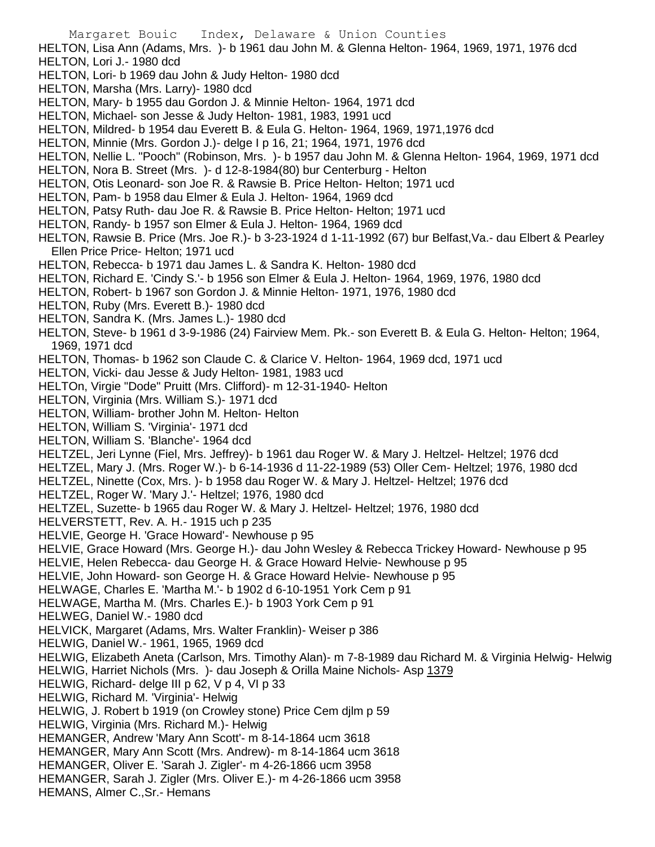Margaret Bouic Index, Delaware & Union Counties HELTON, Lisa Ann (Adams, Mrs. )- b 1961 dau John M. & Glenna Helton- 1964, 1969, 1971, 1976 dcd HELTON, Lori J.- 1980 dcd HELTON, Lori- b 1969 dau John & Judy Helton- 1980 dcd HELTON, Marsha (Mrs. Larry)- 1980 dcd HELTON, Mary- b 1955 dau Gordon J. & Minnie Helton- 1964, 1971 dcd HELTON, Michael- son Jesse & Judy Helton- 1981, 1983, 1991 ucd HELTON, Mildred- b 1954 dau Everett B. & Eula G. Helton- 1964, 1969, 1971,1976 dcd HELTON, Minnie (Mrs. Gordon J.)- delge I p 16, 21; 1964, 1971, 1976 dcd HELTON, Nellie L. "Pooch" (Robinson, Mrs. )- b 1957 dau John M. & Glenna Helton- 1964, 1969, 1971 dcd HELTON, Nora B. Street (Mrs. )- d 12-8-1984(80) bur Centerburg - Helton HELTON, Otis Leonard- son Joe R. & Rawsie B. Price Helton- Helton; 1971 ucd HELTON, Pam- b 1958 dau Elmer & Eula J. Helton- 1964, 1969 dcd HELTON, Patsy Ruth- dau Joe R. & Rawsie B. Price Helton- Helton; 1971 ucd HELTON, Randy- b 1957 son Elmer & Eula J. Helton- 1964, 1969 dcd HELTON, Rawsie B. Price (Mrs. Joe R.)- b 3-23-1924 d 1-11-1992 (67) bur Belfast, Va.- dau Elbert & Pearley Ellen Price Price- Helton; 1971 ucd HELTON, Rebecca- b 1971 dau James L. & Sandra K. Helton- 1980 dcd HELTON, Richard E. 'Cindy S.'- b 1956 son Elmer & Eula J. Helton- 1964, 1969, 1976, 1980 dcd HELTON, Robert- b 1967 son Gordon J. & Minnie Helton- 1971, 1976, 1980 dcd HELTON, Ruby (Mrs. Everett B.)- 1980 dcd HELTON, Sandra K. (Mrs. James L.)- 1980 dcd HELTON, Steve- b 1961 d 3-9-1986 (24) Fairview Mem. Pk.- son Everett B. & Eula G. Helton- Helton; 1964, 1969, 1971 dcd HELTON, Thomas- b 1962 son Claude C. & Clarice V. Helton- 1964, 1969 dcd, 1971 ucd HELTON, Vicki- dau Jesse & Judy Helton- 1981, 1983 ucd HELTOn, Virgie "Dode" Pruitt (Mrs. Clifford)- m 12-31-1940- Helton HELTON, Virginia (Mrs. William S.)- 1971 dcd HELTON, William- brother John M. Helton- Helton HELTON, William S. 'Virginia'- 1971 dcd HELTON, William S. 'Blanche'- 1964 dcd HELTZEL, Jeri Lynne (Fiel, Mrs. Jeffrey)- b 1961 dau Roger W. & Mary J. Heltzel- Heltzel; 1976 dcd HELTZEL, Mary J. (Mrs. Roger W.)- b 6-14-1936 d 11-22-1989 (53) Oller Cem- Heltzel; 1976, 1980 dcd HELTZEL, Ninette (Cox, Mrs. )- b 1958 dau Roger W. & Mary J. Heltzel- Heltzel; 1976 dcd HELTZEL, Roger W. 'Mary J.'- Heltzel; 1976, 1980 dcd HELTZEL, Suzette- b 1965 dau Roger W. & Mary J. Heltzel- Heltzel; 1976, 1980 dcd HELVERSTETT, Rev. A. H.- 1915 uch p 235 HELVIE, George H. 'Grace Howard'- Newhouse p 95 HELVIE, Grace Howard (Mrs. George H.)- dau John Wesley & Rebecca Trickey Howard- Newhouse p 95 HELVIE, Helen Rebecca- dau George H. & Grace Howard Helvie- Newhouse p 95 HELVIE, John Howard- son George H. & Grace Howard Helvie- Newhouse p 95 HELWAGE, Charles E. 'Martha M.'- b 1902 d 6-10-1951 York Cem p 91 HELWAGE, Martha M. (Mrs. Charles E.)- b 1903 York Cem p 91 HELWEG, Daniel W.- 1980 dcd HELVICK, Margaret (Adams, Mrs. Walter Franklin)- Weiser p 386 HELWIG, Daniel W.- 1961, 1965, 1969 dcd HELWIG, Elizabeth Aneta (Carlson, Mrs. Timothy Alan)- m 7-8-1989 dau Richard M. & Virginia Helwig- Helwig HELWIG, Harriet Nichols (Mrs. ) - dau Joseph & Orilla Maine Nichols- Asp 1379 HELWIG, Richard- delge III p 62, V p 4, VI p 33 HELWIG, Richard M. 'Virginia'- Helwig HELWIG, J. Robert b 1919 (on Crowley stone) Price Cem djlm p 59 HELWIG, Virginia (Mrs. Richard M.)- Helwig HEMANGER, Andrew 'Mary Ann Scott'- m 8-14-1864 ucm 3618 HEMANGER, Mary Ann Scott (Mrs. Andrew)- m 8-14-1864 ucm 3618 HEMANGER, Oliver E. 'Sarah J. Zigler'- m 4-26-1866 ucm 3958 HEMANGER, Sarah J. Zigler (Mrs. Oliver E.)- m 4-26-1866 ucm 3958 HEMANS, Almer C.,Sr.- Hemans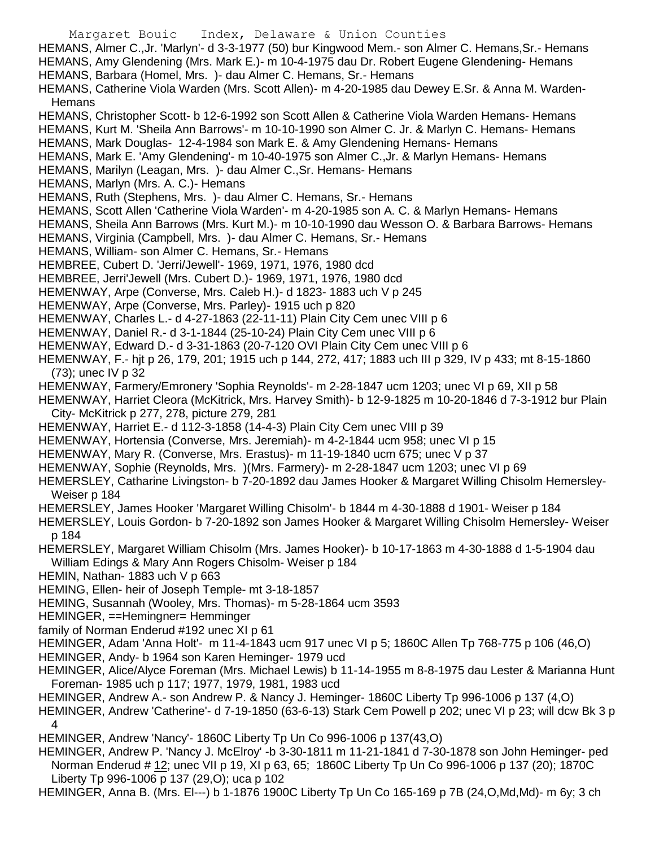Margaret Bouic Index, Delaware & Union Counties HEMANS, Almer C.,Jr. 'Marlyn'- d 3-3-1977 (50) bur Kingwood Mem.- son Almer C. Hemans,Sr.- Hemans HEMANS, Amy Glendening (Mrs. Mark E.)- m 10-4-1975 dau Dr. Robert Eugene Glendening- Hemans HEMANS, Barbara (Homel, Mrs. )- dau Almer C. Hemans, Sr.- Hemans HEMANS, Catherine Viola Warden (Mrs. Scott Allen)- m 4-20-1985 dau Dewey E.Sr. & Anna M. Warden-**Hemans** HEMANS, Christopher Scott- b 12-6-1992 son Scott Allen & Catherine Viola Warden Hemans- Hemans HEMANS, Kurt M. 'Sheila Ann Barrows'- m 10-10-1990 son Almer C. Jr. & Marlyn C. Hemans- Hemans HEMANS, Mark Douglas- 12-4-1984 son Mark E. & Amy Glendening Hemans- Hemans HEMANS, Mark E. 'Amy Glendening'- m 10-40-1975 son Almer C.,Jr. & Marlyn Hemans- Hemans HEMANS, Marilyn (Leagan, Mrs. )- dau Almer C.,Sr. Hemans- Hemans HEMANS, Marlyn (Mrs. A. C.)- Hemans HEMANS, Ruth (Stephens, Mrs. )- dau Almer C. Hemans, Sr.- Hemans HEMANS, Scott Allen 'Catherine Viola Warden'- m 4-20-1985 son A. C. & Marlyn Hemans- Hemans HEMANS, Sheila Ann Barrows (Mrs. Kurt M.)- m 10-10-1990 dau Wesson O. & Barbara Barrows- Hemans HEMANS, Virginia (Campbell, Mrs. )- dau Almer C. Hemans, Sr.- Hemans HEMANS, William- son Almer C. Hemans, Sr.- Hemans HEMBREE, Cubert D. 'Jerri/Jewell'- 1969, 1971, 1976, 1980 dcd HEMBREE, Jerri'Jewell (Mrs. Cubert D.)- 1969, 1971, 1976, 1980 dcd HEMENWAY, Arpe (Converse, Mrs. Caleb H.)- d 1823- 1883 uch V p 245 HEMENWAY, Arpe (Converse, Mrs. Parley)- 1915 uch p 820 HEMENWAY, Charles L.- d 4-27-1863 (22-11-11) Plain City Cem unec VIII p 6 HEMENWAY, Daniel R.- d 3-1-1844 (25-10-24) Plain City Cem unec VIII p 6 HEMENWAY, Edward D.- d 3-31-1863 (20-7-120 OVI Plain City Cem unec VIII p 6 HEMENWAY, F.- hjt p 26, 179, 201; 1915 uch p 144, 272, 417; 1883 uch III p 329, IV p 433; mt 8-15-1860 (73); unec IV p 32 HEMENWAY, Farmery/Emronery 'Sophia Reynolds'- m 2-28-1847 ucm 1203; unec VI p 69, XII p 58 HEMENWAY, Harriet Cleora (McKitrick, Mrs. Harvey Smith)- b 12-9-1825 m 10-20-1846 d 7-3-1912 bur Plain City- McKitrick p 277, 278, picture 279, 281 HEMENWAY, Harriet E.- d 112-3-1858 (14-4-3) Plain City Cem unec VIII p 39 HEMENWAY, Hortensia (Converse, Mrs. Jeremiah)- m 4-2-1844 ucm 958; unec VI p 15 HEMENWAY, Mary R. (Converse, Mrs. Erastus)- m 11-19-1840 ucm 675; unec V p 37 HEMENWAY, Sophie (Reynolds, Mrs. )(Mrs. Farmery)- m 2-28-1847 ucm 1203; unec VI p 69 HEMERSLEY, Catharine Livingston- b 7-20-1892 dau James Hooker & Margaret Willing Chisolm Hemersley-Weiser p 184 HEMERSLEY, James Hooker 'Margaret Willing Chisolm'- b 1844 m 4-30-1888 d 1901- Weiser p 184 HEMERSLEY, Louis Gordon- b 7-20-1892 son James Hooker & Margaret Willing Chisolm Hemersley- Weiser p 184 HEMERSLEY, Margaret William Chisolm (Mrs. James Hooker)- b 10-17-1863 m 4-30-1888 d 1-5-1904 dau William Edings & Mary Ann Rogers Chisolm- Weiser p 184 HEMIN, Nathan- 1883 uch V p 663 HEMING, Ellen- heir of Joseph Temple- mt 3-18-1857 HEMING, Susannah (Wooley, Mrs. Thomas)- m 5-28-1864 ucm 3593 HEMINGER, ==Hemingner= Hemminger family of Norman Enderud #192 unec XI p 61 HEMINGER, Adam 'Anna Holt'- m 11-4-1843 ucm 917 unec VI p 5; 1860C Allen Tp 768-775 p 106 (46,O) HEMINGER, Andy- b 1964 son Karen Heminger- 1979 ucd HEMINGER, Alice/Alyce Foreman (Mrs. Michael Lewis) b 11-14-1955 m 8-8-1975 dau Lester & Marianna Hunt Foreman- 1985 uch p 117; 1977, 1979, 1981, 1983 ucd HEMINGER, Andrew A.- son Andrew P. & Nancy J. Heminger- 1860C Liberty Tp 996-1006 p 137 (4,O) HEMINGER, Andrew 'Catherine'- d 7-19-1850 (63-6-13) Stark Cem Powell p 202; unec VI p 23; will dcw Bk 3 p 4 HEMINGER, Andrew 'Nancy'- 1860C Liberty Tp Un Co 996-1006 p 137(43,O) HEMINGER, Andrew P. 'Nancy J. McElroy' -b 3-30-1811 m 11-21-1841 d 7-30-1878 son John Heminger- ped

Norman Enderud # 12; unec VII p 19, XI p 63, 65; 1860C Liberty Tp Un Co 996-1006 p 137 (20); 1870C Liberty Tp 996-1006 p 137 (29,O); uca p 102

HEMINGER, Anna B. (Mrs. El---) b 1-1876 1900C Liberty Tp Un Co 165-169 p 7B (24,O,Md,Md)- m 6y; 3 ch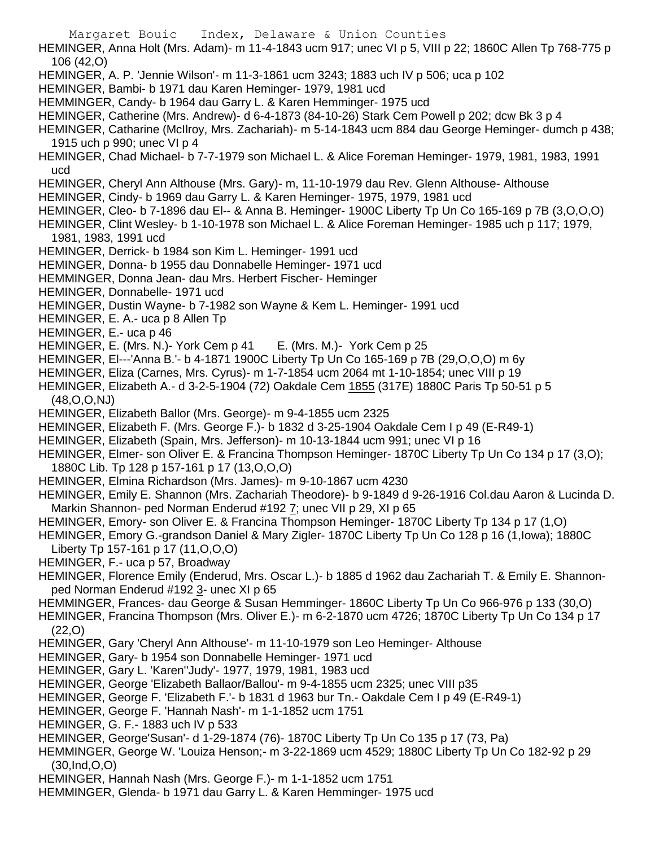HEMINGER, Anna Holt (Mrs. Adam)- m 11-4-1843 ucm 917; unec VI p 5, VIII p 22; 1860C Allen Tp 768-775 p 106 (42,O)

- HEMINGER, A. P. 'Jennie Wilson'- m 11-3-1861 ucm 3243; 1883 uch IV p 506; uca p 102
- HEMINGER, Bambi- b 1971 dau Karen Heminger- 1979, 1981 ucd
- HEMMINGER, Candy- b 1964 dau Garry L. & Karen Hemminger- 1975 ucd
- HEMINGER, Catherine (Mrs. Andrew)- d 6-4-1873 (84-10-26) Stark Cem Powell p 202; dcw Bk 3 p 4
- HEMINGER, Catharine (McIlroy, Mrs. Zachariah)- m 5-14-1843 ucm 884 dau George Heminger- dumch p 438; 1915 uch p 990; unec VI p 4
- HEMINGER, Chad Michael- b 7-7-1979 son Michael L. & Alice Foreman Heminger- 1979, 1981, 1983, 1991 ucd
- HEMINGER, Cheryl Ann Althouse (Mrs. Gary)- m, 11-10-1979 dau Rev. Glenn Althouse- Althouse
- HEMINGER, Cindy- b 1969 dau Garry L. & Karen Heminger- 1975, 1979, 1981 ucd
- HEMINGER, Cleo- b 7-1896 dau El-- & Anna B. Heminger- 1900C Liberty Tp Un Co 165-169 p 7B (3,O,O,O)
- HEMINGER, Clint Wesley- b 1-10-1978 son Michael L. & Alice Foreman Heminger- 1985 uch p 117; 1979, 1981, 1983, 1991 ucd
- HEMINGER, Derrick- b 1984 son Kim L. Heminger- 1991 ucd
- HEMINGER, Donna- b 1955 dau Donnabelle Heminger- 1971 ucd
- HEMMINGER, Donna Jean- dau Mrs. Herbert Fischer- Heminger
- HEMINGER, Donnabelle- 1971 ucd
- HEMINGER, Dustin Wayne- b 7-1982 son Wayne & Kem L. Heminger- 1991 ucd
- HEMINGER, E. A.- uca p 8 Allen Tp
- HEMINGER, E.- uca p 46
- HEMINGER, E. (Mrs. N.)- York Cem p 41 E. (Mrs. M.)- York Cem p 25
- HEMINGER, El---'Anna B.'- b 4-1871 1900C Liberty Tp Un Co 165-169 p 7B (29,O,O,O) m 6y
- HEMINGER, Eliza (Carnes, Mrs. Cyrus)- m 1-7-1854 ucm 2064 mt 1-10-1854; unec VIII p 19
- HEMINGER, Elizabeth A.- d 3-2-5-1904 (72) Oakdale Cem 1855 (317E) 1880C Paris Tp 50-51 p 5 (48,O,O,NJ)
- HEMINGER, Elizabeth Ballor (Mrs. George)- m 9-4-1855 ucm 2325
- HEMINGER, Elizabeth F. (Mrs. George F.)- b 1832 d 3-25-1904 Oakdale Cem I p 49 (E-R49-1)
- HEMINGER, Elizabeth (Spain, Mrs. Jefferson)- m 10-13-1844 ucm 991; unec VI p 16
- HEMINGER, Elmer- son Oliver E. & Francina Thompson Heminger- 1870C Liberty Tp Un Co 134 p 17 (3,O); 1880C Lib. Tp 128 p 157-161 p 17 (13,O,O,O)
- HEMINGER, Elmina Richardson (Mrs. James)- m 9-10-1867 ucm 4230
- HEMINGER, Emily E. Shannon (Mrs. Zachariah Theodore)- b 9-1849 d 9-26-1916 Col.dau Aaron & Lucinda D. Markin Shannon- ped Norman Enderud #192 7; unec VII p 29, XI p 65
- HEMINGER, Emory- son Oliver E. & Francina Thompson Heminger- 1870C Liberty Tp 134 p 17 (1,O)
- HEMINGER, Emory G.-grandson Daniel & Mary Zigler- 1870C Liberty Tp Un Co 128 p 16 (1,Iowa); 1880C Liberty Tp 157-161 p 17 (11,O,O,O)
- HEMINGER, F.- uca p 57, Broadway
- HEMINGER, Florence Emily (Enderud, Mrs. Oscar L.)- b 1885 d 1962 dau Zachariah T. & Emily E. Shannonped Norman Enderud #192 3- unec XI p 65
- HEMMINGER, Frances- dau George & Susan Hemminger- 1860C Liberty Tp Un Co 966-976 p 133 (30,O)
- HEMINGER, Francina Thompson (Mrs. Oliver E.)- m 6-2-1870 ucm 4726; 1870C Liberty Tp Un Co 134 p 17 (22,O)
- HEMINGER, Gary 'Cheryl Ann Althouse'- m 11-10-1979 son Leo Heminger- Althouse
- HEMINGER, Gary- b 1954 son Donnabelle Heminger- 1971 ucd
- HEMINGER, Gary L. 'Karen''Judy'- 1977, 1979, 1981, 1983 ucd
- HEMINGER, George 'Elizabeth Ballaor/Ballou'- m 9-4-1855 ucm 2325; unec VIII p35
- HEMINGER, George F. 'Elizabeth F.'- b 1831 d 1963 bur Tn.- Oakdale Cem I p 49 (E-R49-1)
- HEMINGER, George F. 'Hannah Nash'- m 1-1-1852 ucm 1751
- HEMINGER, G. F.- 1883 uch IV p 533
- HEMINGER, George'Susan'- d 1-29-1874 (76)- 1870C Liberty Tp Un Co 135 p 17 (73, Pa)
- HEMMINGER, George W. 'Louiza Henson;- m 3-22-1869 ucm 4529; 1880C Liberty Tp Un Co 182-92 p 29 (30,Ind,O,O)
- HEMINGER, Hannah Nash (Mrs. George F.)- m 1-1-1852 ucm 1751
- HEMMINGER, Glenda- b 1971 dau Garry L. & Karen Hemminger- 1975 ucd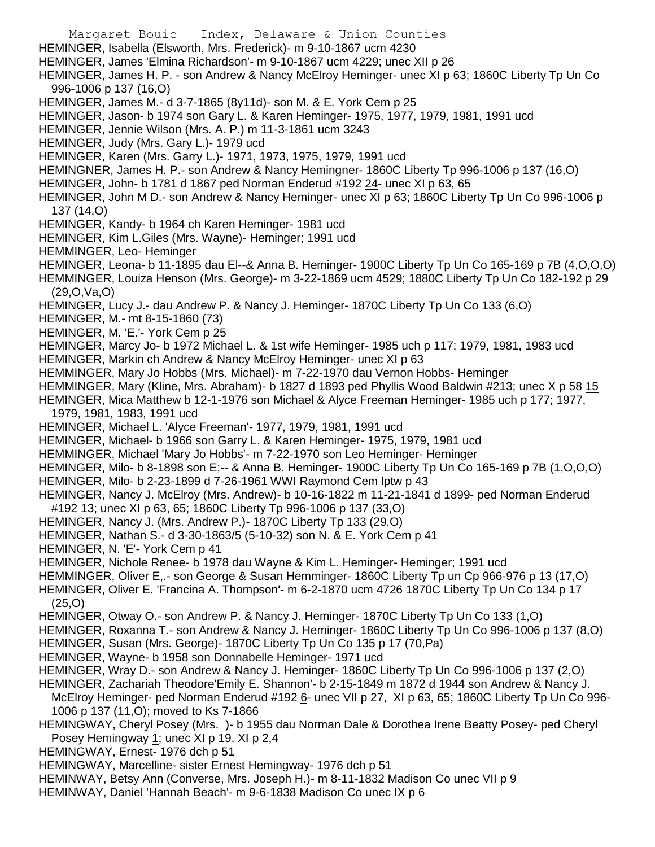Margaret Bouic Index, Delaware & Union Counties HEMINGER, Isabella (Elsworth, Mrs. Frederick)- m 9-10-1867 ucm 4230 HEMINGER, James 'Elmina Richardson'- m 9-10-1867 ucm 4229; unec XII p 26 HEMINGER, James H. P. - son Andrew & Nancy McElroy Heminger- unec XI p 63; 1860C Liberty Tp Un Co 996-1006 p 137 (16,O) HEMINGER, James M.- d 3-7-1865 (8y11d)- son M. & E. York Cem p 25 HEMINGER, Jason- b 1974 son Gary L. & Karen Heminger- 1975, 1977, 1979, 1981, 1991 ucd HEMINGER, Jennie Wilson (Mrs. A. P.) m 11-3-1861 ucm 3243 HEMINGER, Judy (Mrs. Gary L.)- 1979 ucd HEMINGER, Karen (Mrs. Garry L.)- 1971, 1973, 1975, 1979, 1991 ucd HEMINGNER, James H. P.- son Andrew & Nancy Hemingner- 1860C Liberty Tp 996-1006 p 137 (16,O) HEMINGER, John- b 1781 d 1867 ped Norman Enderud #192 24- unec XI p 63, 65 HEMINGER, John M D.- son Andrew & Nancy Heminger- unec XI p 63; 1860C Liberty Tp Un Co 996-1006 p 137 (14,O) HEMINGER, Kandy- b 1964 ch Karen Heminger- 1981 ucd HEMINGER, Kim L.Giles (Mrs. Wayne)- Heminger; 1991 ucd HEMMINGER, Leo- Heminger HEMINGER, Leona- b 11-1895 dau El--& Anna B. Heminger- 1900C Liberty Tp Un Co 165-169 p 7B (4,O,O,O) HEMMINGER, Louiza Henson (Mrs. George)- m 3-22-1869 ucm 4529; 1880C Liberty Tp Un Co 182-192 p 29 (29,O,Va,O) HEMINGER, Lucy J.- dau Andrew P. & Nancy J. Heminger- 1870C Liberty Tp Un Co 133 (6,O) HEMINGER, M.- mt 8-15-1860 (73) HEMINGER, M. 'E.'- York Cem p 25 HEMINGER, Marcy Jo- b 1972 Michael L. & 1st wife Heminger- 1985 uch p 117; 1979, 1981, 1983 ucd HEMINGER, Markin ch Andrew & Nancy McElroy Heminger- unec XI p 63 HEMMINGER, Mary Jo Hobbs (Mrs. Michael)- m 7-22-1970 dau Vernon Hobbs- Heminger HEMMINGER, Mary (Kline, Mrs. Abraham)- b 1827 d 1893 ped Phyllis Wood Baldwin #213; unec X p 58 15 HEMINGER, Mica Matthew b 12-1-1976 son Michael & Alyce Freeman Heminger- 1985 uch p 177; 1977, 1979, 1981, 1983, 1991 ucd HEMINGER, Michael L. 'Alyce Freeman'- 1977, 1979, 1981, 1991 ucd HEMINGER, Michael- b 1966 son Garry L. & Karen Heminger- 1975, 1979, 1981 ucd HEMMINGER, Michael 'Mary Jo Hobbs'- m 7-22-1970 son Leo Heminger- Heminger HEMINGER, Milo- b 8-1898 son E;-- & Anna B. Heminger- 1900C Liberty Tp Un Co 165-169 p 7B (1,O,O,O) HEMINGER, Milo- b 2-23-1899 d 7-26-1961 WWI Raymond Cem lptw p 43 HEMINGER, Nancy J. McElroy (Mrs. Andrew)- b 10-16-1822 m 11-21-1841 d 1899- ped Norman Enderud #192 13; unec XI p 63, 65; 1860C Liberty Tp 996-1006 p 137 (33,O) HEMINGER, Nancy J. (Mrs. Andrew P.)- 1870C Liberty Tp 133 (29,O) HEMINGER, Nathan S.- d 3-30-1863/5 (5-10-32) son N. & E. York Cem p 41 HEMINGER, N. 'E'- York Cem p 41 HEMINGER, Nichole Renee- b 1978 dau Wayne & Kim L. Heminger- Heminger; 1991 ucd HEMMINGER, Oliver E,.- son George & Susan Hemminger- 1860C Liberty Tp un Cp 966-976 p 13 (17,O) HEMINGER, Oliver E. 'Francina A. Thompson'- m 6-2-1870 ucm 4726 1870C Liberty Tp Un Co 134 p 17 (25,O) HEMINGER, Otway O.- son Andrew P. & Nancy J. Heminger- 1870C Liberty Tp Un Co 133 (1,O) HEMINGER, Roxanna T.- son Andrew & Nancy J. Heminger- 1860C Liberty Tp Un Co 996-1006 p 137 (8,O) HEMINGER, Susan (Mrs. George)- 1870C Liberty Tp Un Co 135 p 17 (70,Pa) HEMINGER, Wayne- b 1958 son Donnabelle Heminger- 1971 ucd HEMINGER, Wray D.- son Andrew & Nancy J. Heminger- 1860C Liberty Tp Un Co 996-1006 p 137 (2,O) HEMINGER, Zachariah Theodore'Emily E. Shannon'- b 2-15-1849 m 1872 d 1944 son Andrew & Nancy J. McElroy Heminger- ped Norman Enderud #192 6- unec VII p 27, XI p 63, 65; 1860C Liberty Tp Un Co 996-1006 p 137 (11,O); moved to Ks 7-1866 HEMINGWAY, Cheryl Posey (Mrs. )- b 1955 dau Norman Dale & Dorothea Irene Beatty Posey- ped Cheryl Posey Hemingway 1; unec XI p 19. XI p 2,4 HEMINGWAY, Ernest- 1976 dch p 51

HEMINGWAY, Marcelline- sister Ernest Hemingway- 1976 dch p 51

HEMINWAY, Betsy Ann (Converse, Mrs. Joseph H.)- m 8-11-1832 Madison Co unec VII p 9

HEMINWAY, Daniel 'Hannah Beach'- m 9-6-1838 Madison Co unec IX p 6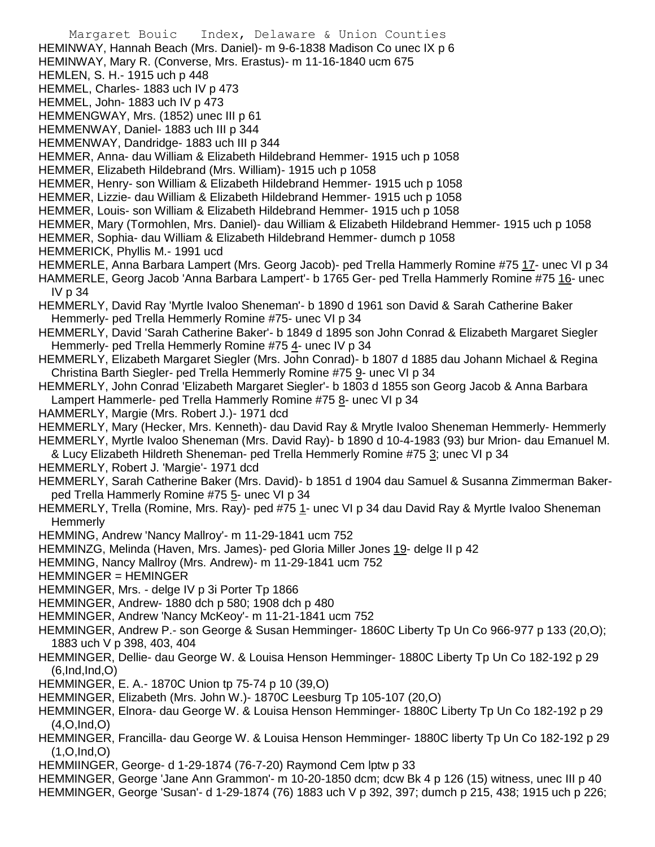Margaret Bouic Index, Delaware & Union Counties HEMINWAY, Hannah Beach (Mrs. Daniel)- m 9-6-1838 Madison Co unec IX p 6 HEMINWAY, Mary R. (Converse, Mrs. Erastus)- m 11-16-1840 ucm 675 HEMLEN, S. H.- 1915 uch p 448 HEMMEL, Charles- 1883 uch IV p 473 HEMMEL, John- 1883 uch IV p 473 HEMMENGWAY, Mrs. (1852) unec III p 61 HEMMENWAY, Daniel- 1883 uch III p 344 HEMMENWAY, Dandridge- 1883 uch III p 344 HEMMER, Anna- dau William & Elizabeth Hildebrand Hemmer- 1915 uch p 1058 HEMMER, Elizabeth Hildebrand (Mrs. William)- 1915 uch p 1058 HEMMER, Henry- son William & Elizabeth Hildebrand Hemmer- 1915 uch p 1058 HEMMER, Lizzie- dau William & Elizabeth Hildebrand Hemmer- 1915 uch p 1058 HEMMER, Louis- son William & Elizabeth Hildebrand Hemmer- 1915 uch p 1058 HEMMER, Mary (Tormohlen, Mrs. Daniel)- dau William & Elizabeth Hildebrand Hemmer- 1915 uch p 1058 HEMMER, Sophia- dau William & Elizabeth Hildebrand Hemmer- dumch p 1058 HEMMERICK, Phyllis M.- 1991 ucd HEMMERLE, Anna Barbara Lampert (Mrs. Georg Jacob)- ped Trella Hammerly Romine #75 17- unec VI p 34 HAMMERLE, Georg Jacob 'Anna Barbara Lampert'- b 1765 Ger- ped Trella Hammerly Romine #75 16- unec IV p 34 HEMMERLY, David Ray 'Myrtle Ivaloo Sheneman'- b 1890 d 1961 son David & Sarah Catherine Baker Hemmerly- ped Trella Hemmerly Romine #75- unec VI p 34 HEMMERLY, David 'Sarah Catherine Baker'- b 1849 d 1895 son John Conrad & Elizabeth Margaret Siegler Hemmerly- ped Trella Hemmerly Romine #75 4- unec IV p 34 HEMMERLY, Elizabeth Margaret Siegler (Mrs. John Conrad)- b 1807 d 1885 dau Johann Michael & Regina Christina Barth Siegler- ped Trella Hemmerly Romine #75 9- unec VI p 34 HEMMERLY, John Conrad 'Elizabeth Margaret Siegler'- b 1803 d 1855 son Georg Jacob & Anna Barbara Lampert Hammerle- ped Trella Hammerly Romine #75 8- unec VI p 34 HAMMERLY, Margie (Mrs. Robert J.)- 1971 dcd HEMMERLY, Mary (Hecker, Mrs. Kenneth)- dau David Ray & Mrytle Ivaloo Sheneman Hemmerly- Hemmerly HEMMERLY, Myrtle Ivaloo Sheneman (Mrs. David Ray)- b 1890 d 10-4-1983 (93) bur Mrion- dau Emanuel M. & Lucy Elizabeth Hildreth Sheneman- ped Trella Hemmerly Romine #75 3; unec VI p 34 HEMMERLY, Robert J. 'Margie'- 1971 dcd HEMMERLY, Sarah Catherine Baker (Mrs. David)- b 1851 d 1904 dau Samuel & Susanna Zimmerman Bakerped Trella Hammerly Romine #75 5- unec VI p 34 HEMMERLY, Trella (Romine, Mrs. Ray)- ped #75 1- unec VI p 34 dau David Ray & Myrtle Ivaloo Sheneman **Hemmerly** HEMMING, Andrew 'Nancy Mallroy'- m 11-29-1841 ucm 752 HEMMINZG, Melinda (Haven, Mrs. James)- ped Gloria Miller Jones 19- delge II p 42 HEMMING, Nancy Mallroy (Mrs. Andrew)- m 11-29-1841 ucm 752 HEMMINGER = HEMINGER HEMMINGER, Mrs. - delge IV p 3i Porter Tp 1866 HEMMINGER, Andrew- 1880 dch p 580; 1908 dch p 480 HEMMINGER, Andrew 'Nancy McKeoy'- m 11-21-1841 ucm 752 HEMMINGER, Andrew P.- son George & Susan Hemminger- 1860C Liberty Tp Un Co 966-977 p 133 (20,O); 1883 uch V p 398, 403, 404 HEMMINGER, Dellie- dau George W. & Louisa Henson Hemminger- 1880C Liberty Tp Un Co 182-192 p 29 (6,Ind,Ind,O) HEMMINGER, E. A.- 1870C Union tp 75-74 p 10 (39,O) HEMMINGER, Elizabeth (Mrs. John W.)- 1870C Leesburg Tp 105-107 (20,O) HEMMINGER, Elnora- dau George W. & Louisa Henson Hemminger- 1880C Liberty Tp Un Co 182-192 p 29 (4,O,Ind,O) HEMMINGER, Francilla- dau George W. & Louisa Henson Hemminger- 1880C liberty Tp Un Co 182-192 p 29 (1,O,Ind,O) HEMMIINGER, George- d 1-29-1874 (76-7-20) Raymond Cem lptw p 33 HEMMINGER, George 'Jane Ann Grammon'- m 10-20-1850 dcm; dcw Bk 4 p 126 (15) witness, unec III p 40 HEMMINGER, George 'Susan'- d 1-29-1874 (76) 1883 uch V p 392, 397; dumch p 215, 438; 1915 uch p 226;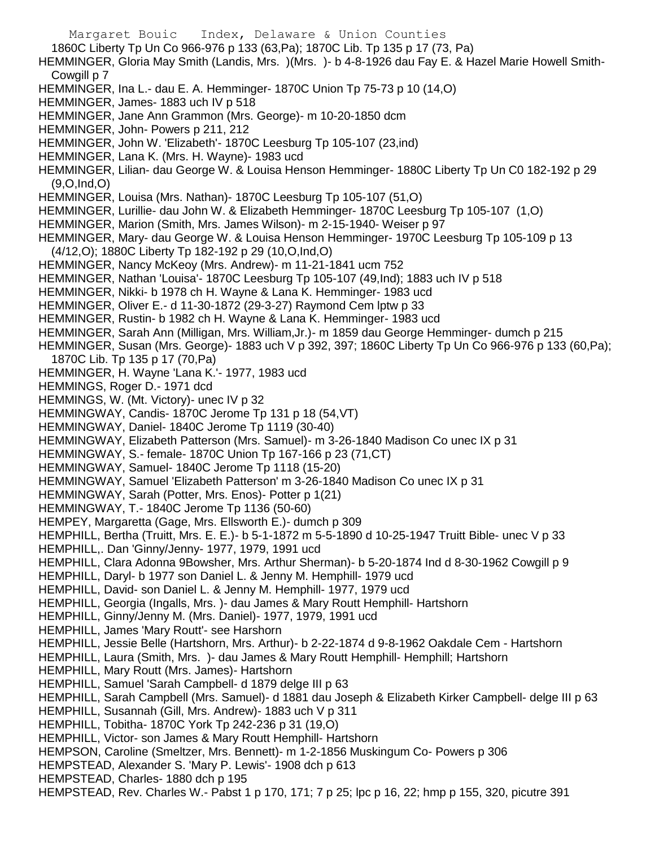Margaret Bouic Index, Delaware & Union Counties 1860C Liberty Tp Un Co 966-976 p 133 (63,Pa); 1870C Lib. Tp 135 p 17 (73, Pa) HEMMINGER, Gloria May Smith (Landis, Mrs. )(Mrs. )- b 4-8-1926 dau Fay E. & Hazel Marie Howell Smith-Cowgill p 7 HEMMINGER, Ina L.- dau E. A. Hemminger- 1870C Union Tp 75-73 p 10 (14,O) HEMMINGER, James- 1883 uch IV p 518 HEMMINGER, Jane Ann Grammon (Mrs. George)- m 10-20-1850 dcm HEMMINGER, John- Powers p 211, 212 HEMMINGER, John W. 'Elizabeth'- 1870C Leesburg Tp 105-107 (23,ind) HEMMINGER, Lana K. (Mrs. H. Wayne)- 1983 ucd HEMMINGER, Lilian- dau George W. & Louisa Henson Hemminger- 1880C Liberty Tp Un C0 182-192 p 29 (9,O,Ind,O) HEMMINGER, Louisa (Mrs. Nathan)- 1870C Leesburg Tp 105-107 (51,O) HEMMINGER, Lurillie- dau John W. & Elizabeth Hemminger- 1870C Leesburg Tp 105-107 (1,O) HEMMINGER, Marion (Smith, Mrs. James Wilson)- m 2-15-1940- Weiser p 97 HEMMINGER, Mary- dau George W. & Louisa Henson Hemminger- 1970C Leesburg Tp 105-109 p 13 (4/12,O); 1880C Liberty Tp 182-192 p 29 (10,O,Ind,O) HEMMINGER, Nancy McKeoy (Mrs. Andrew)- m 11-21-1841 ucm 752 HEMMINGER, Nathan 'Louisa'- 1870C Leesburg Tp 105-107 (49,Ind); 1883 uch IV p 518 HEMMINGER, Nikki- b 1978 ch H. Wayne & Lana K. Hemminger- 1983 ucd HEMMINGER, Oliver E.- d 11-30-1872 (29-3-27) Raymond Cem lptw p 33 HEMMINGER, Rustin- b 1982 ch H. Wayne & Lana K. Hemminger- 1983 ucd HEMMINGER, Sarah Ann (Milligan, Mrs. William,Jr.)- m 1859 dau George Hemminger- dumch p 215 HEMMINGER, Susan (Mrs. George)- 1883 uch V p 392, 397; 1860C Liberty Tp Un Co 966-976 p 133 (60,Pa); 1870C Lib. Tp 135 p 17 (70,Pa) HEMMINGER, H. Wayne 'Lana K.'- 1977, 1983 ucd HEMMINGS, Roger D.- 1971 dcd HEMMINGS, W. (Mt. Victory)- unec IV p 32 HEMMINGWAY, Candis- 1870C Jerome Tp 131 p 18 (54,VT) HEMMINGWAY, Daniel- 1840C Jerome Tp 1119 (30-40) HEMMINGWAY, Elizabeth Patterson (Mrs. Samuel)- m 3-26-1840 Madison Co unec IX p 31 HEMMINGWAY, S.- female- 1870C Union Tp 167-166 p 23 (71,CT) HEMMINGWAY, Samuel- 1840C Jerome Tp 1118 (15-20) HEMMINGWAY, Samuel 'Elizabeth Patterson' m 3-26-1840 Madison Co unec IX p 31 HEMMINGWAY, Sarah (Potter, Mrs. Enos)- Potter p 1(21) HEMMINGWAY, T.- 1840C Jerome Tp 1136 (50-60) HEMPEY, Margaretta (Gage, Mrs. Ellsworth E.)- dumch p 309 HEMPHILL, Bertha (Truitt, Mrs. E. E.)- b 5-1-1872 m 5-5-1890 d 10-25-1947 Truitt Bible- unec V p 33 HEMPHILL,. Dan 'Ginny/Jenny- 1977, 1979, 1991 ucd HEMPHILL, Clara Adonna 9Bowsher, Mrs. Arthur Sherman)- b 5-20-1874 Ind d 8-30-1962 Cowgill p 9 HEMPHILL, Daryl- b 1977 son Daniel L. & Jenny M. Hemphill- 1979 ucd HEMPHILL, David- son Daniel L. & Jenny M. Hemphill- 1977, 1979 ucd HEMPHILL, Georgia (Ingalls, Mrs. )- dau James & Mary Routt Hemphill- Hartshorn HEMPHILL, Ginny/Jenny M. (Mrs. Daniel)- 1977, 1979, 1991 ucd HEMPHILL, James 'Mary Routt'- see Harshorn HEMPHILL, Jessie Belle (Hartshorn, Mrs. Arthur)- b 2-22-1874 d 9-8-1962 Oakdale Cem - Hartshorn HEMPHILL, Laura (Smith, Mrs. )- dau James & Mary Routt Hemphill- Hemphill; Hartshorn HEMPHILL, Mary Routt (Mrs. James)- Hartshorn HEMPHILL, Samuel 'Sarah Campbell- d 1879 delge III p 63 HEMPHILL, Sarah Campbell (Mrs. Samuel)- d 1881 dau Joseph & Elizabeth Kirker Campbell- delge III p 63 HEMPHILL, Susannah (Gill, Mrs. Andrew)- 1883 uch V p 311 HEMPHILL, Tobitha- 1870C York Tp 242-236 p 31 (19,O) HEMPHILL, Victor- son James & Mary Routt Hemphill- Hartshorn HEMPSON, Caroline (Smeltzer, Mrs. Bennett)- m 1-2-1856 Muskingum Co- Powers p 306 HEMPSTEAD, Alexander S. 'Mary P. Lewis'- 1908 dch p 613 HEMPSTEAD, Charles- 1880 dch p 195 HEMPSTEAD, Rev. Charles W.- Pabst 1 p 170, 171; 7 p 25; lpc p 16, 22; hmp p 155, 320, picutre 391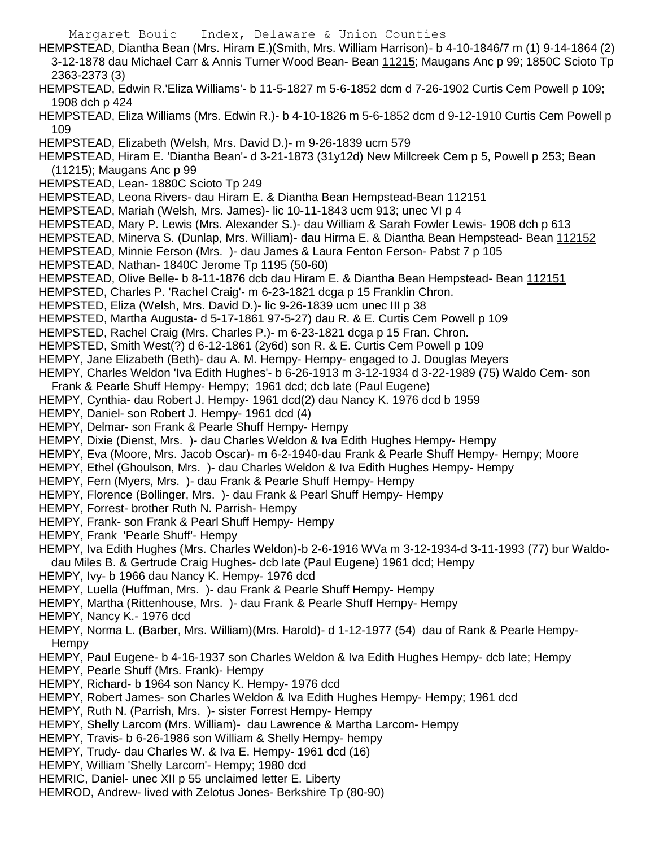Margaret Bouic Index, Delaware & Union Counties HEMPSTEAD, Diantha Bean (Mrs. Hiram E.)(Smith, Mrs. William Harrison)- b 4-10-1846/7 m (1) 9-14-1864 (2) 3-12-1878 dau Michael Carr & Annis Turner Wood Bean- Bean 11215; Maugans Anc p 99; 1850C Scioto Tp 2363-2373 (3) HEMPSTEAD, Edwin R.'Eliza Williams'- b 11-5-1827 m 5-6-1852 dcm d 7-26-1902 Curtis Cem Powell p 109; 1908 dch p 424 HEMPSTEAD, Eliza Williams (Mrs. Edwin R.)- b 4-10-1826 m 5-6-1852 dcm d 9-12-1910 Curtis Cem Powell p 109 HEMPSTEAD, Elizabeth (Welsh, Mrs. David D.)- m 9-26-1839 ucm 579 HEMPSTEAD, Hiram E. 'Diantha Bean'- d 3-21-1873 (31y12d) New Millcreek Cem p 5, Powell p 253; Bean (11215); Maugans Anc p 99 HEMPSTEAD, Lean- 1880C Scioto Tp 249 HEMPSTEAD, Leona Rivers- dau Hiram E. & Diantha Bean Hempstead-Bean 112151 HEMPSTEAD, Mariah (Welsh, Mrs. James)- lic 10-11-1843 ucm 913; unec VI p 4 HEMPSTEAD, Mary P. Lewis (Mrs. Alexander S.)- dau William & Sarah Fowler Lewis- 1908 dch p 613 HEMPSTEAD, Minerva S. (Dunlap, Mrs. William)- dau Hirma E. & Diantha Bean Hempstead- Bean 112152 HEMPSTEAD, Minnie Ferson (Mrs. )- dau James & Laura Fenton Ferson- Pabst 7 p 105 HEMPSTEAD, Nathan- 1840C Jerome Tp 1195 (50-60) HEMPSTEAD, Olive Belle- b 8-11-1876 dcb dau Hiram E. & Diantha Bean Hempstead- Bean 112151 HEMPSTED, Charles P. 'Rachel Craig'- m 6-23-1821 dcga p 15 Franklin Chron. HEMPSTED, Eliza (Welsh, Mrs. David D.)- lic 9-26-1839 ucm unec III p 38 HEMPSTED, Martha Augusta- d 5-17-1861 97-5-27) dau R. & E. Curtis Cem Powell p 109 HEMPSTED, Rachel Craig (Mrs. Charles P.)- m 6-23-1821 dcga p 15 Fran. Chron. HEMPSTED, Smith West(?) d 6-12-1861 (2y6d) son R. & E. Curtis Cem Powell p 109 HEMPY, Jane Elizabeth (Beth)- dau A. M. Hempy- Hempy- engaged to J. Douglas Meyers HEMPY, Charles Weldon 'Iva Edith Hughes'- b 6-26-1913 m 3-12-1934 d 3-22-1989 (75) Waldo Cem- son Frank & Pearle Shuff Hempy- Hempy; 1961 dcd; dcb late (Paul Eugene) HEMPY, Cynthia- dau Robert J. Hempy- 1961 dcd(2) dau Nancy K. 1976 dcd b 1959 HEMPY, Daniel- son Robert J. Hempy- 1961 dcd (4) HEMPY, Delmar- son Frank & Pearle Shuff Hempy- Hempy HEMPY, Dixie (Dienst, Mrs. )- dau Charles Weldon & Iva Edith Hughes Hempy- Hempy HEMPY, Eva (Moore, Mrs. Jacob Oscar)- m 6-2-1940-dau Frank & Pearle Shuff Hempy- Hempy; Moore HEMPY, Ethel (Ghoulson, Mrs. )- dau Charles Weldon & Iva Edith Hughes Hempy- Hempy HEMPY, Fern (Myers, Mrs. )- dau Frank & Pearle Shuff Hempy- Hempy HEMPY, Florence (Bollinger, Mrs. )- dau Frank & Pearl Shuff Hempy- Hempy HEMPY, Forrest- brother Ruth N. Parrish- Hempy HEMPY, Frank- son Frank & Pearl Shuff Hempy- Hempy HEMPY, Frank 'Pearle Shuff'- Hempy HEMPY, Iva Edith Hughes (Mrs. Charles Weldon)-b 2-6-1916 WVa m 3-12-1934-d 3-11-1993 (77) bur Waldodau Miles B. & Gertrude Craig Hughes- dcb late (Paul Eugene) 1961 dcd; Hempy HEMPY, Ivy- b 1966 dau Nancy K. Hempy- 1976 dcd HEMPY, Luella (Huffman, Mrs. )- dau Frank & Pearle Shuff Hempy- Hempy HEMPY, Martha (Rittenhouse, Mrs. )- dau Frank & Pearle Shuff Hempy- Hempy HEMPY, Nancy K.- 1976 dcd HEMPY, Norma L. (Barber, Mrs. William)(Mrs. Harold)- d 1-12-1977 (54) dau of Rank & Pearle Hempy-**Hempy** HEMPY, Paul Eugene- b 4-16-1937 son Charles Weldon & Iva Edith Hughes Hempy- dcb late; Hempy HEMPY, Pearle Shuff (Mrs. Frank)- Hempy HEMPY, Richard- b 1964 son Nancy K. Hempy- 1976 dcd HEMPY, Robert James- son Charles Weldon & Iva Edith Hughes Hempy- Hempy; 1961 dcd HEMPY, Ruth N. (Parrish, Mrs. )- sister Forrest Hempy- Hempy HEMPY, Shelly Larcom (Mrs. William)- dau Lawrence & Martha Larcom- Hempy HEMPY, Travis- b 6-26-1986 son William & Shelly Hempy- hempy HEMPY, Trudy- dau Charles W. & Iva E. Hempy- 1961 dcd (16)

- HEMPY, William 'Shelly Larcom'- Hempy; 1980 dcd
- HEMRIC, Daniel- unec XII p 55 unclaimed letter E. Liberty
- HEMROD, Andrew- lived with Zelotus Jones- Berkshire Tp (80-90)